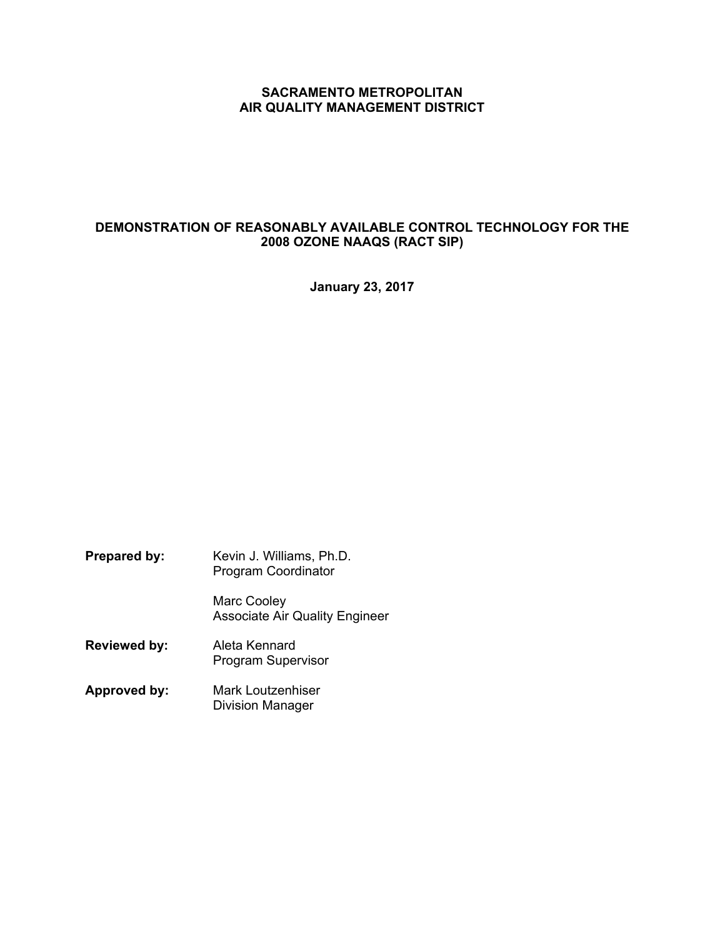# **SACRAMENTO METROPOLITAN AIR QUALITY MANAGEMENT DISTRICT**

# **DEMONSTRATION OF REASONABLY AVAILABLE CONTROL TECHNOLOGY FOR THE 2008 OZONE NAAQS (RACT SIP)**

**January 23, 2017** 

- **Prepared by:** Kevin J. Williams, Ph.D. Program Coordinator Marc Cooley Associate Air Quality Engineer **Reviewed by:** Aleta Kennard Program Supervisor
- **Approved by:** Mark Loutzenhiser Division Manager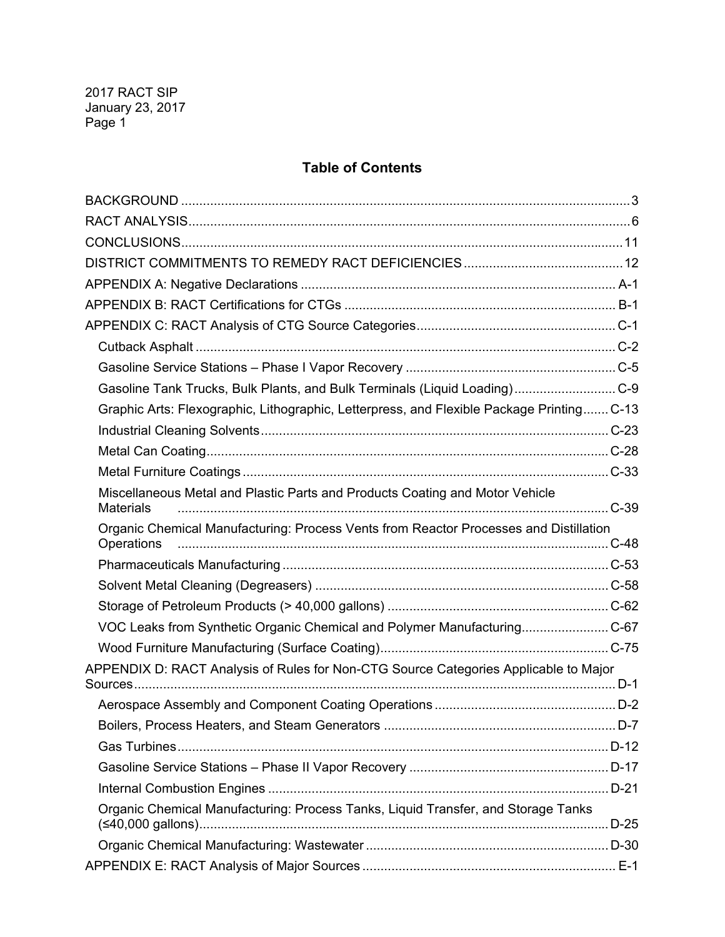# **Table of Contents**

| Gasoline Tank Trucks, Bulk Plants, and Bulk Terminals (Liquid Loading)C-9                        |  |
|--------------------------------------------------------------------------------------------------|--|
| Graphic Arts: Flexographic, Lithographic, Letterpress, and Flexible Package Printing C-13        |  |
|                                                                                                  |  |
|                                                                                                  |  |
|                                                                                                  |  |
| Miscellaneous Metal and Plastic Parts and Products Coating and Motor Vehicle<br><b>Materials</b> |  |
| Organic Chemical Manufacturing: Process Vents from Reactor Processes and Distillation            |  |
|                                                                                                  |  |
|                                                                                                  |  |
|                                                                                                  |  |
| VOC Leaks from Synthetic Organic Chemical and Polymer ManufacturingC-67                          |  |
|                                                                                                  |  |
| APPENDIX D: RACT Analysis of Rules for Non-CTG Source Categories Applicable to Major             |  |
|                                                                                                  |  |
|                                                                                                  |  |
|                                                                                                  |  |
|                                                                                                  |  |
|                                                                                                  |  |
| Organic Chemical Manufacturing: Process Tanks, Liquid Transfer, and Storage Tanks                |  |
|                                                                                                  |  |
|                                                                                                  |  |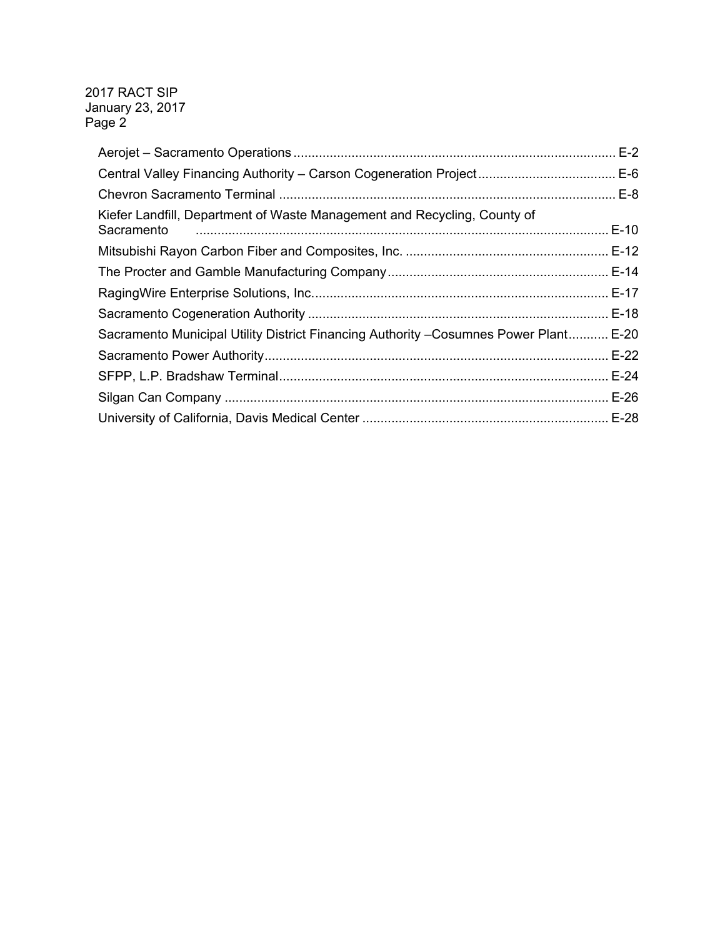| Kiefer Landfill, Department of Waste Management and Recycling, County of<br>Sacramento |  |
|----------------------------------------------------------------------------------------|--|
|                                                                                        |  |
|                                                                                        |  |
|                                                                                        |  |
|                                                                                        |  |
| Sacramento Municipal Utility District Financing Authority - Cosumnes Power Plant E-20  |  |
|                                                                                        |  |
|                                                                                        |  |
|                                                                                        |  |
|                                                                                        |  |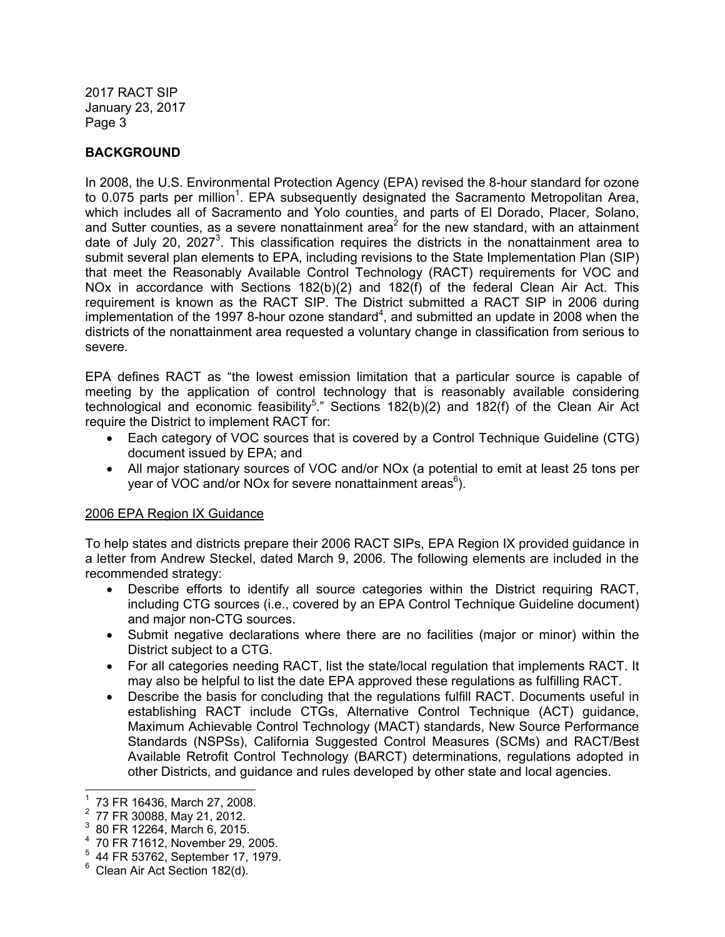# **BACKGROUND**

In 2008, the U.S. Environmental Protection Agency (EPA) revised the 8-hour standard for ozone to 0.075 parts per million<sup>1</sup>. EPA subsequently designated the Sacramento Metropolitan Area, which includes all of Sacramento and Yolo counties, and parts of El Dorado, Placer, Solano, and Sutter counties, as a severe nonattainment area<sup>2</sup> for the new standard, with an attainment date of July 20, 2027<sup>3</sup>. This classification requires the districts in the nonattainment area to submit several plan elements to EPA, including revisions to the State Implementation Plan (SIP) that meet the Reasonably Available Control Technology (RACT) requirements for VOC and NOx in accordance with Sections 182(b)(2) and 182(f) of the federal Clean Air Act. This requirement is known as the RACT SIP. The District submitted a RACT SIP in 2006 during implementation of the 1997 8-hour ozone standard<sup>4</sup>, and submitted an update in 2008 when the districts of the nonattainment area requested a voluntary change in classification from serious to severe.

EPA defines RACT as "the lowest emission limitation that a particular source is capable of meeting by the application of control technology that is reasonably available considering technological and economic feasibility<sup>5</sup>." Sections 182(b)(2) and 182(f) of the Clean Air Act require the District to implement RACT for:

- Each category of VOC sources that is covered by a Control Technique Guideline (CTG) document issued by EPA; and
- All major stationary sources of VOC and/or NOx (a potential to emit at least 25 tons per year of VOC and/or NOx for severe nonattainment areas<sup>6</sup>).

# 2006 EPA Region IX Guidance

To help states and districts prepare their 2006 RACT SIPs, EPA Region IX provided guidance in a letter from Andrew Steckel, dated March 9, 2006. The following elements are included in the recommended strategy:

- Describe efforts to identify all source categories within the District requiring RACT, including CTG sources (i.e., covered by an EPA Control Technique Guideline document) and major non-CTG sources.
- Submit negative declarations where there are no facilities (major or minor) within the District subject to a CTG.
- For all categories needing RACT, list the state/local regulation that implements RACT. It may also be helpful to list the date EPA approved these regulations as fulfilling RACT.
- Describe the basis for concluding that the regulations fulfill RACT. Documents useful in establishing RACT include CTGs, Alternative Control Technique (ACT) guidance, Maximum Achievable Control Technology (MACT) standards, New Source Performance Standards (NSPSs), California Suggested Control Measures (SCMs) and RACT/Best Available Retrofit Control Technology (BARCT) determinations, regulations adopted in other Districts, and guidance and rules developed by other state and local agencies.

-

<sup>1</sup> 73 FR 16436, March 27, 2008.

 $^2$  77 FR 30088, May 21, 2012.

 <sup>80</sup> FR 12264, March 6, 2015.

<sup>4</sup> 70 FR 71612, November 29, 2005.

<sup>5</sup> 44 FR 53762, September 17, 1979.

<sup>&</sup>lt;sup>6</sup> Clean Air Act Section 182(d).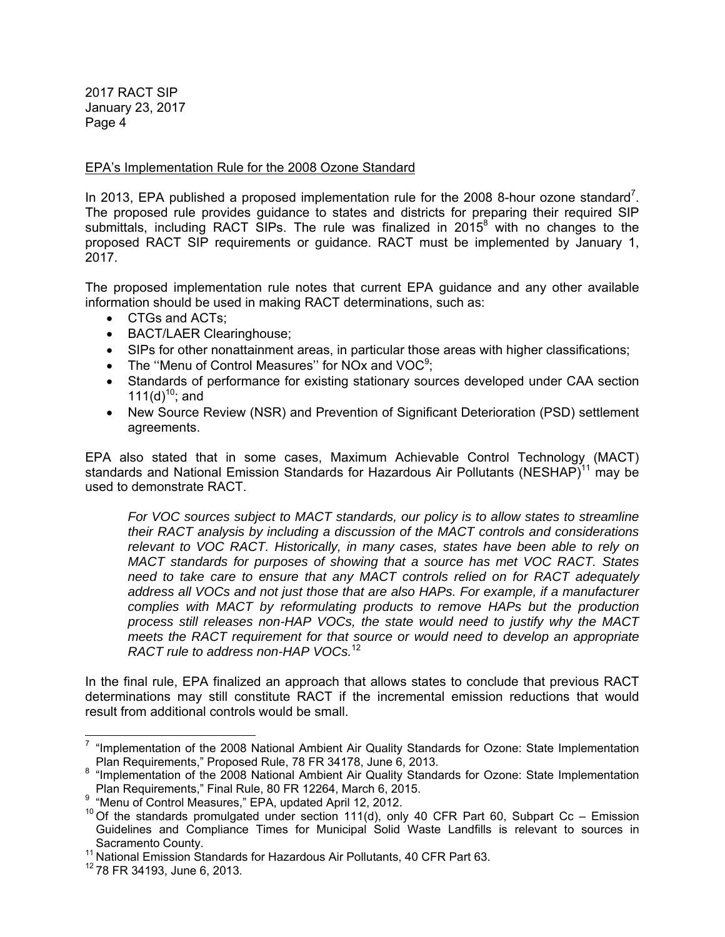## EPA's Implementation Rule for the 2008 Ozone Standard

In 2013, EPA published a proposed implementation rule for the 2008 8-hour ozone standard<sup>7</sup>. The proposed rule provides guidance to states and districts for preparing their required SIP submittals, including RACT SIPs. The rule was finalized in 2015 $^8$  with no changes to the proposed RACT SIP requirements or guidance. RACT must be implemented by January 1, 2017.

The proposed implementation rule notes that current EPA guidance and any other available information should be used in making RACT determinations, such as:

- CTGs and ACTs;
- BACT/LAER Clearinghouse;
- SIPs for other nonattainment areas, in particular those areas with higher classifications;
- The "Menu of Control Measures" for NOx and  $VOC<sup>9</sup>$ ;
- Standards of performance for existing stationary sources developed under CAA section 111(d)<sup>10</sup>; and
- New Source Review (NSR) and Prevention of Significant Deterioration (PSD) settlement agreements.

EPA also stated that in some cases, Maximum Achievable Control Technology (MACT) standards and National Emission Standards for Hazardous Air Pollutants (NESHAP)<sup>11</sup> may be used to demonstrate RACT.

*For VOC sources subject to MACT standards, our policy is to allow states to streamline their RACT analysis by including a discussion of the MACT controls and considerations relevant to VOC RACT. Historically, in many cases, states have been able to rely on MACT standards for purposes of showing that a source has met VOC RACT. States need to take care to ensure that any MACT controls relied on for RACT adequately address all VOCs and not just those that are also HAPs. For example, if a manufacturer complies with MACT by reformulating products to remove HAPs but the production process still releases non-HAP VOCs, the state would need to justify why the MACT meets the RACT requirement for that source or would need to develop an appropriate RACT rule to address non-HAP VOCs.*<sup>12</sup>

In the final rule, EPA finalized an approach that allows states to conclude that previous RACT determinations may still constitute RACT if the incremental emission reductions that would result from additional controls would be small.

 $\overline{a}$  $7$  "Implementation of the 2008 National Ambient Air Quality Standards for Ozone: State Implementation Plan Requirements," Proposed Rule, 78 FR 34178, June 6, 2013.

<sup>&</sup>lt;sup>8</sup> "Implementation of the 2008 National Ambient Air Quality Standards for Ozone: State Implementation<br>Plan Requirements," Final Rule, 80 FR 12264, March 6, 2015.

<sup>&</sup>lt;sup>9</sup> "Menu of Control Measures," EPA, updated April 12, 2012.

<sup>&</sup>lt;sup>10</sup> Of the standards promulgated under section 111(d), only 40 CFR Part 60, Subpart Cc – Emission Guidelines and Compliance Times for Municipal Solid Waste Landfills is relevant to sources in Sacramento County.<br><sup>11</sup> National Emission Standards for Hazardous Air Pollutants, 40 CFR Part 63.

 $12$  78 FR 34193, June 6, 2013.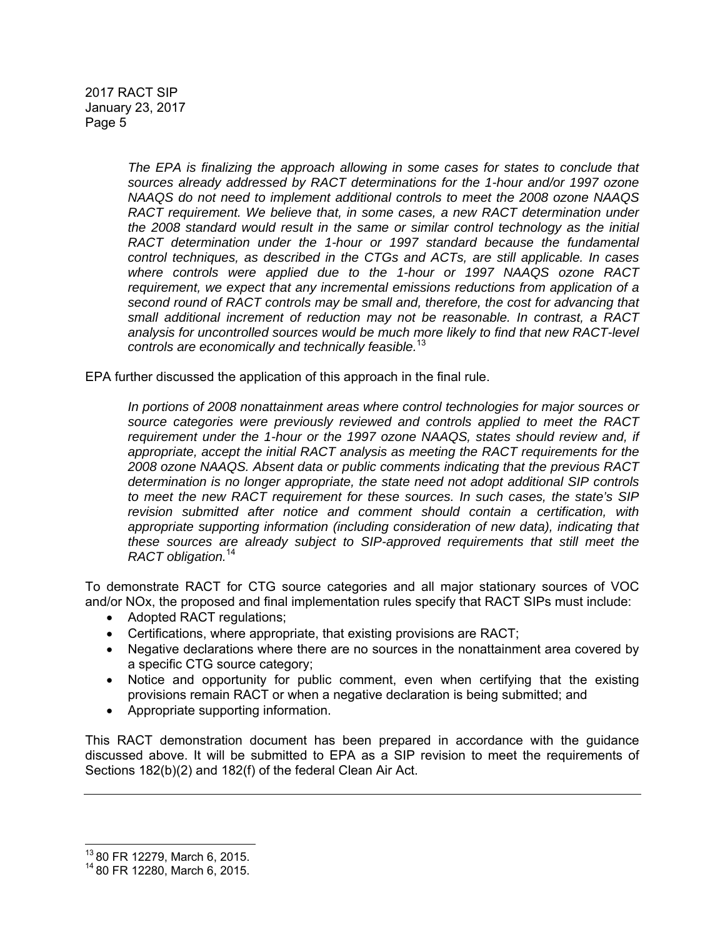> *The EPA is finalizing the approach allowing in some cases for states to conclude that sources already addressed by RACT determinations for the 1-hour and/or 1997 ozone NAAQS do not need to implement additional controls to meet the 2008 ozone NAAQS RACT requirement. We believe that, in some cases, a new RACT determination under the 2008 standard would result in the same or similar control technology as the initial RACT determination under the 1-hour or 1997 standard because the fundamental control techniques, as described in the CTGs and ACTs, are still applicable. In cases where controls were applied due to the 1-hour or 1997 NAAQS ozone RACT requirement, we expect that any incremental emissions reductions from application of a second round of RACT controls may be small and, therefore, the cost for advancing that small additional increment of reduction may not be reasonable. In contrast, a RACT analysis for uncontrolled sources would be much more likely to find that new RACT-level controls are economically and technically feasible.*<sup>13</sup>

EPA further discussed the application of this approach in the final rule.

*In portions of 2008 nonattainment areas where control technologies for major sources or source categories were previously reviewed and controls applied to meet the RACT requirement under the 1-hour or the 1997 ozone NAAQS, states should review and, if appropriate, accept the initial RACT analysis as meeting the RACT requirements for the 2008 ozone NAAQS. Absent data or public comments indicating that the previous RACT determination is no longer appropriate, the state need not adopt additional SIP controls to meet the new RACT requirement for these sources. In such cases, the state's SIP revision submitted after notice and comment should contain a certification, with appropriate supporting information (including consideration of new data), indicating that these sources are already subject to SIP-approved requirements that still meet the RACT obligation.*<sup>14</sup>

To demonstrate RACT for CTG source categories and all major stationary sources of VOC and/or NOx, the proposed and final implementation rules specify that RACT SIPs must include:

- Adopted RACT regulations;
- Certifications, where appropriate, that existing provisions are RACT;
- Negative declarations where there are no sources in the nonattainment area covered by a specific CTG source category;
- Notice and opportunity for public comment, even when certifying that the existing provisions remain RACT or when a negative declaration is being submitted; and
- Appropriate supporting information.

This RACT demonstration document has been prepared in accordance with the guidance discussed above. It will be submitted to EPA as a SIP revision to meet the requirements of Sections 182(b)(2) and 182(f) of the federal Clean Air Act.

  $^{13}$  80 FR 12279, March 6, 2015.

<sup>14 80</sup> FR 12280, March 6, 2015.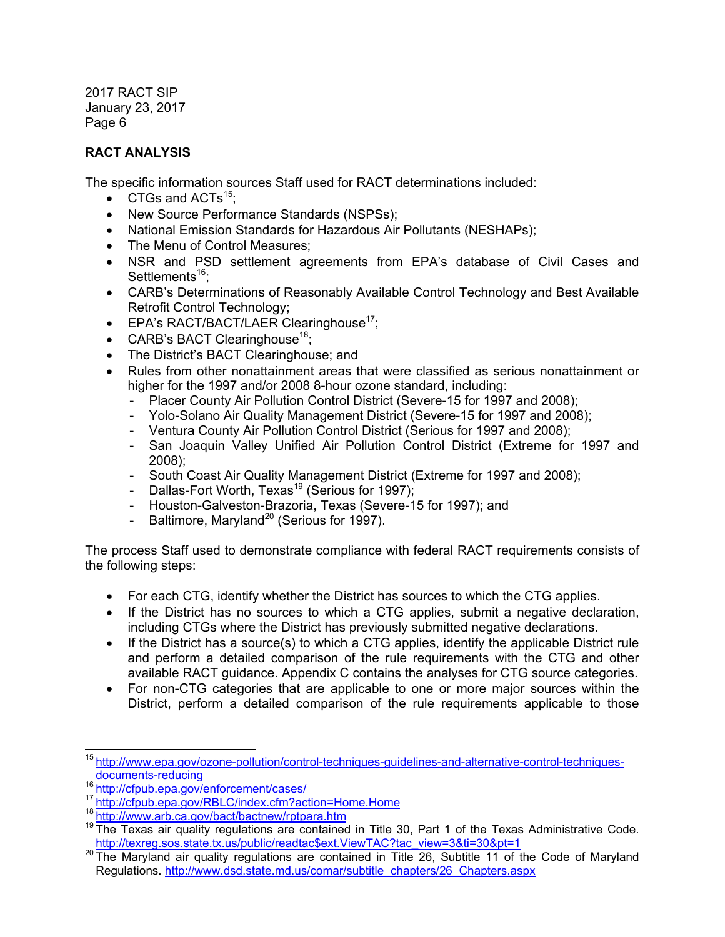# **RACT ANALYSIS**

The specific information sources Staff used for RACT determinations included:

- $\bullet$  CTGs and ACTs<sup>15</sup>;
- New Source Performance Standards (NSPSs);
- National Emission Standards for Hazardous Air Pollutants (NESHAPs);
- The Menu of Control Measures;
- NSR and PSD settlement agreements from EPA's database of Civil Cases and Settlements<sup>16</sup>;
- CARB's Determinations of Reasonably Available Control Technology and Best Available Retrofit Control Technology;
- $\bullet$  EPA's RACT/BACT/LAER Clearinghouse<sup>17</sup>;
- CARB's BACT Clearinghouse<sup>18</sup>;
- The District's BACT Clearinghouse; and
- Rules from other nonattainment areas that were classified as serious nonattainment or higher for the 1997 and/or 2008 8-hour ozone standard, including:
	- Placer County Air Pollution Control District (Severe-15 for 1997 and 2008);
	- Yolo-Solano Air Quality Management District (Severe-15 for 1997 and 2008);
	- Ventura County Air Pollution Control District (Serious for 1997 and 2008);
	- San Joaquin Valley Unified Air Pollution Control District (Extreme for 1997 and 2008);
	- South Coast Air Quality Management District (Extreme for 1997 and 2008);
	- Dallas-Fort Worth, Texas<sup>19</sup> (Serious for 1997);
	- Houston-Galveston-Brazoria, Texas (Severe-15 for 1997); and
	- Baltimore, Maryland<sup>20</sup> (Serious for 1997).

The process Staff used to demonstrate compliance with federal RACT requirements consists of the following steps:

- For each CTG, identify whether the District has sources to which the CTG applies.
- If the District has no sources to which a CTG applies, submit a negative declaration, including CTGs where the District has previously submitted negative declarations.
- $\bullet$  If the District has a source(s) to which a CTG applies, identify the applicable District rule and perform a detailed comparison of the rule requirements with the CTG and other available RACT guidance. Appendix C contains the analyses for CTG source categories.
- For non-CTG categories that are applicable to one or more major sources within the District, perform a detailed comparison of the rule requirements applicable to those

<sup>-</sup><sup>15</sup> http://www.epa.gov/ozone-pollution/control-techniques-guidelines-and-alternative-control-techniquesdocuments-reducing<br><sup>16</sup> http://cfpub.epa.gov/enforcement/cases/

<sup>&</sup>lt;sup>17</sup> http://cfpub.epa.gov/RBLC/index.cfm?action=Home.Home<br><sup>18</sup> http://www.arb.ca.gov/bact/bactnew/rptpara.htm

<sup>&</sup>lt;sup>19</sup> The Texas air quality regulations are contained in Title 30, Part 1 of the Texas Administrative Code.<br>http://texreg.sos.state.tx.us/public/readtac\$ext.ViewTAC?tac view=3&ti=30&pt=1

 $20$  The Maryland air quality regulations are contained in Title 26, Subtitle 11 of the Code of Maryland Regulations. http://www.dsd.state.md.us/comar/subtitle\_chapters/26\_Chapters.aspx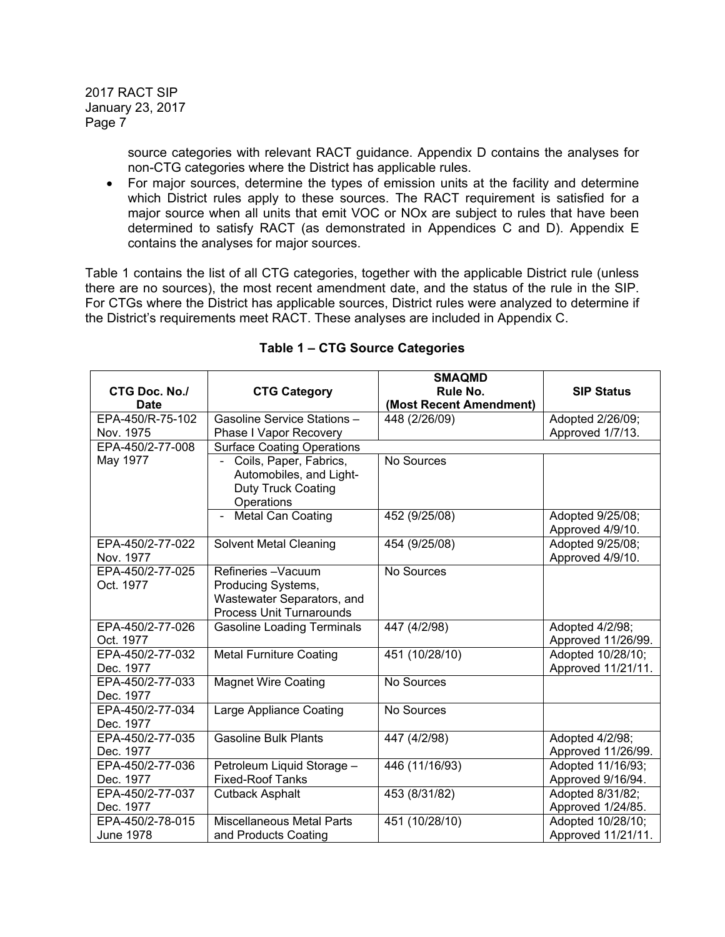> source categories with relevant RACT guidance. Appendix D contains the analyses for non-CTG categories where the District has applicable rules.

• For major sources, determine the types of emission units at the facility and determine which District rules apply to these sources. The RACT requirement is satisfied for a major source when all units that emit VOC or NOx are subject to rules that have been determined to satisfy RACT (as demonstrated in Appendices C and D). Appendix E contains the analyses for major sources.

Table 1 contains the list of all CTG categories, together with the applicable District rule (unless there are no sources), the most recent amendment date, and the status of the rule in the SIP. For CTGs where the District has applicable sources, District rules were analyzed to determine if the District's requirements meet RACT. These analyses are included in Appendix C.

|                              |                                                               | <b>SMAQMD</b>                       |                    |
|------------------------------|---------------------------------------------------------------|-------------------------------------|--------------------|
| CTG Doc. No./<br><b>Date</b> | <b>CTG Category</b>                                           | Rule No.<br>(Most Recent Amendment) | <b>SIP Status</b>  |
| EPA-450/R-75-102             | Gasoline Service Stations -                                   | 448 (2/26/09)                       | Adopted 2/26/09;   |
| Nov. 1975                    | Phase I Vapor Recovery                                        |                                     | Approved 1/7/13.   |
| EPA-450/2-77-008             | <b>Surface Coating Operations</b>                             |                                     |                    |
| May 1977                     | Coils, Paper, Fabrics,                                        | No Sources                          |                    |
|                              | Automobiles, and Light-                                       |                                     |                    |
|                              | <b>Duty Truck Coating</b>                                     |                                     |                    |
|                              | Operations                                                    |                                     |                    |
|                              | <b>Metal Can Coating</b>                                      | 452 (9/25/08)                       | Adopted 9/25/08;   |
|                              |                                                               |                                     | Approved 4/9/10.   |
| EPA-450/2-77-022             | <b>Solvent Metal Cleaning</b>                                 | 454 (9/25/08)                       | Adopted 9/25/08;   |
| Nov. 1977                    |                                                               |                                     | Approved 4/9/10.   |
| EPA-450/2-77-025             | Refineries-Vacuum                                             | No Sources                          |                    |
| Oct. 1977                    | Producing Systems,                                            |                                     |                    |
|                              | Wastewater Separators, and<br><b>Process Unit Turnarounds</b> |                                     |                    |
| EPA-450/2-77-026             | <b>Gasoline Loading Terminals</b>                             | 447 (4/2/98)                        | Adopted 4/2/98;    |
| Oct. 1977                    |                                                               |                                     | Approved 11/26/99. |
| EPA-450/2-77-032             | <b>Metal Furniture Coating</b>                                | 451 (10/28/10)                      | Adopted 10/28/10;  |
| Dec. 1977                    |                                                               |                                     | Approved 11/21/11. |
| EPA-450/2-77-033             | <b>Magnet Wire Coating</b>                                    | No Sources                          |                    |
| Dec. 1977                    |                                                               |                                     |                    |
| EPA-450/2-77-034             | Large Appliance Coating                                       | No Sources                          |                    |
| Dec. 1977                    |                                                               |                                     |                    |
| EPA-450/2-77-035             | <b>Gasoline Bulk Plants</b>                                   | 447 (4/2/98)                        | Adopted 4/2/98;    |
| Dec. 1977                    |                                                               |                                     | Approved 11/26/99. |
| EPA-450/2-77-036             | Petroleum Liquid Storage -                                    | 446 (11/16/93)                      | Adopted 11/16/93;  |
| Dec. 1977                    | <b>Fixed-Roof Tanks</b>                                       |                                     | Approved 9/16/94.  |
| EPA-450/2-77-037             | Cutback Asphalt                                               | 453 (8/31/82)                       | Adopted 8/31/82;   |
| Dec. 1977                    |                                                               |                                     | Approved 1/24/85.  |
| EPA-450/2-78-015             | <b>Miscellaneous Metal Parts</b>                              | 451 (10/28/10)                      | Adopted 10/28/10;  |
| June 1978                    | and Products Coating                                          |                                     | Approved 11/21/11. |

**Table 1 – CTG Source Categories**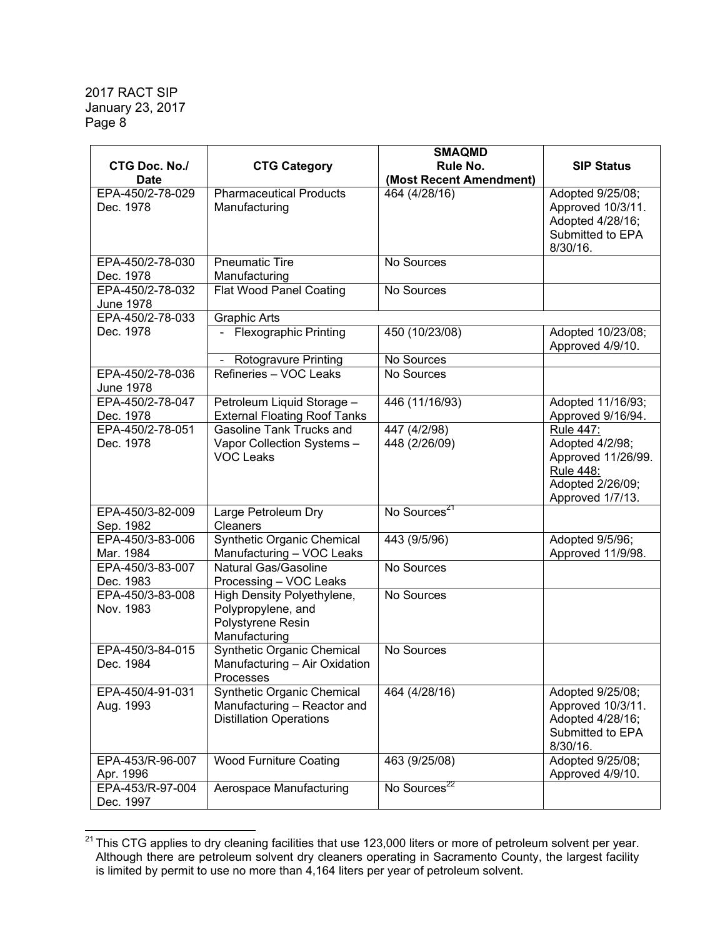|                  |                                         | <b>SMAQMD</b>            |                    |
|------------------|-----------------------------------------|--------------------------|--------------------|
| CTG Doc. No./    | <b>CTG Category</b>                     | Rule No.                 | <b>SIP Status</b>  |
| <b>Date</b>      |                                         | (Most Recent Amendment)  |                    |
| EPA-450/2-78-029 | <b>Pharmaceutical Products</b>          | 464 (4/28/16)            | Adopted 9/25/08;   |
| Dec. 1978        | Manufacturing                           |                          | Approved 10/3/11.  |
|                  |                                         |                          | Adopted 4/28/16;   |
|                  |                                         |                          | Submitted to EPA   |
|                  |                                         |                          | 8/30/16.           |
| EPA-450/2-78-030 | <b>Pneumatic Tire</b>                   | No Sources               |                    |
| Dec. 1978        | Manufacturing                           |                          |                    |
| EPA-450/2-78-032 | <b>Flat Wood Panel Coating</b>          | No Sources               |                    |
| <b>June 1978</b> |                                         |                          |                    |
| EPA-450/2-78-033 | <b>Graphic Arts</b>                     |                          |                    |
| Dec. 1978        | Flexographic Printing                   | 450 (10/23/08)           | Adopted 10/23/08;  |
|                  |                                         |                          | Approved 4/9/10.   |
|                  | Rotogravure Printing                    | No Sources               |                    |
| EPA-450/2-78-036 | Refineries - VOC Leaks                  | No Sources               |                    |
| <b>June 1978</b> |                                         |                          |                    |
| EPA-450/2-78-047 | Petroleum Liquid Storage -              | 446 (11/16/93)           | Adopted 11/16/93;  |
| Dec. 1978        | <b>External Floating Roof Tanks</b>     |                          | Approved 9/16/94.  |
| EPA-450/2-78-051 | <b>Gasoline Tank Trucks and</b>         | 447 (4/2/98)             | <b>Rule 447:</b>   |
| Dec. 1978        | Vapor Collection Systems -              | 448 (2/26/09)            | Adopted 4/2/98;    |
|                  | <b>VOC Leaks</b>                        |                          | Approved 11/26/99. |
|                  |                                         |                          | <b>Rule 448:</b>   |
|                  |                                         |                          | Adopted 2/26/09;   |
|                  |                                         |                          | Approved 1/7/13.   |
| EPA-450/3-82-009 | Large Petroleum Dry                     | No Sources <sup>21</sup> |                    |
| Sep. 1982        | Cleaners                                |                          |                    |
| EPA-450/3-83-006 | Synthetic Organic Chemical              | 443 (9/5/96)             | Adopted 9/5/96;    |
| Mar. 1984        | Manufacturing - VOC Leaks               |                          | Approved 11/9/98.  |
| EPA-450/3-83-007 | Natural Gas/Gasoline                    | No Sources               |                    |
| Dec. 1983        | Processing - VOC Leaks                  |                          |                    |
| EPA-450/3-83-008 | High Density Polyethylene,              | No Sources               |                    |
| Nov. 1983        | Polypropylene, and                      |                          |                    |
|                  | Polystyrene Resin                       |                          |                    |
|                  | Manufacturing                           |                          |                    |
| EPA-450/3-84-015 | <b>Synthetic Organic Chemical</b>       | No Sources               |                    |
| Dec. 1984        | Manufacturing - Air Oxidation           |                          |                    |
| EPA-450/4-91-031 | Processes<br>Synthetic Organic Chemical | 464 (4/28/16)            | Adopted 9/25/08;   |
| Aug. 1993        | Manufacturing - Reactor and             |                          | Approved 10/3/11.  |
|                  | <b>Distillation Operations</b>          |                          | Adopted 4/28/16;   |
|                  |                                         |                          | Submitted to EPA   |
|                  |                                         |                          | 8/30/16.           |
| EPA-453/R-96-007 | <b>Wood Furniture Coating</b>           | 463 (9/25/08)            | Adopted 9/25/08;   |
| Apr. 1996        |                                         |                          | Approved 4/9/10.   |
| EPA-453/R-97-004 | Aerospace Manufacturing                 | No Sources <sup>22</sup> |                    |
| Dec. 1997        |                                         |                          |                    |

  $^{21}$  This CTG applies to dry cleaning facilities that use 123,000 liters or more of petroleum solvent per year. Although there are petroleum solvent dry cleaners operating in Sacramento County, the largest facility is limited by permit to use no more than 4,164 liters per year of petroleum solvent.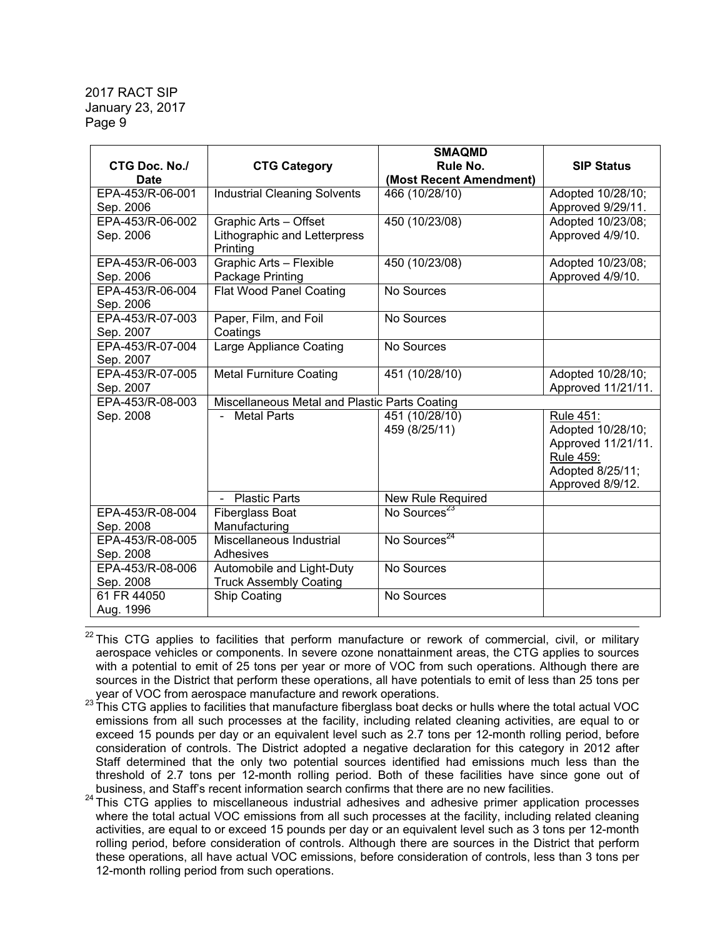| <b>CTG Doc. No./</b><br><b>Date</b> | <b>CTG Category</b>                                               | <b>SMAQMD</b><br>Rule No.<br>(Most Recent Amendment) | <b>SIP Status</b>                                                                                                |
|-------------------------------------|-------------------------------------------------------------------|------------------------------------------------------|------------------------------------------------------------------------------------------------------------------|
| EPA-453/R-06-001                    | <b>Industrial Cleaning Solvents</b>                               | 466 (10/28/10)                                       | Adopted 10/28/10;                                                                                                |
| Sep. 2006                           |                                                                   |                                                      | Approved 9/29/11.                                                                                                |
| EPA-453/R-06-002<br>Sep. 2006       | Graphic Arts - Offset<br>Lithographic and Letterpress<br>Printing | 450 (10/23/08)                                       | Adopted 10/23/08;<br>Approved 4/9/10.                                                                            |
| EPA-453/R-06-003<br>Sep. 2006       | <b>Graphic Arts - Flexible</b><br>Package Printing                | 450 (10/23/08)                                       | Adopted 10/23/08;<br>Approved 4/9/10.                                                                            |
| EPA-453/R-06-004<br>Sep. 2006       | <b>Flat Wood Panel Coating</b>                                    | No Sources                                           |                                                                                                                  |
| EPA-453/R-07-003<br>Sep. 2007       | Paper, Film, and Foil<br>Coatings                                 | No Sources                                           |                                                                                                                  |
| EPA-453/R-07-004<br>Sep. 2007       | Large Appliance Coating                                           | No Sources                                           |                                                                                                                  |
| EPA-453/R-07-005<br>Sep. 2007       | <b>Metal Furniture Coating</b>                                    | 451 (10/28/10)                                       | Adopted 10/28/10;<br>Approved 11/21/11.                                                                          |
| EPA-453/R-08-003                    | Miscellaneous Metal and Plastic Parts Coating                     |                                                      |                                                                                                                  |
| Sep. 2008                           | <b>Metal Parts</b>                                                | 451 (10/28/10)<br>459 (8/25/11)                      | Rule 451:<br>Adopted 10/28/10;<br>Approved 11/21/11.<br><b>Rule 459:</b><br>Adopted 8/25/11;<br>Approved 8/9/12. |
|                                     | <b>Plastic Parts</b>                                              | New Rule Required                                    |                                                                                                                  |
| EPA-453/R-08-004<br>Sep. 2008       | <b>Fiberglass Boat</b><br>Manufacturing                           | No Sources <sup>23</sup>                             |                                                                                                                  |
| EPA-453/R-08-005<br>Sep. 2008       | Miscellaneous Industrial<br>Adhesives                             | No Sources <sup>24</sup>                             |                                                                                                                  |
| EPA-453/R-08-006<br>Sep. 2008       | Automobile and Light-Duty<br><b>Truck Assembly Coating</b>        | No Sources                                           |                                                                                                                  |
| 61 FR 44050<br>Aug. 1996            | Ship Coating                                                      | No Sources                                           |                                                                                                                  |

<sup>22</sup> This CTG applies to facilities that perform manufacture or rework of commercial, civil, or military aerospace vehicles or components. In severe ozone nonattainment areas, the CTG applies to sources with a potential to emit of 25 tons per year or more of VOC from such operations. Although there are sources in the District that perform these operations, all have potentials to emit of less than 25 tons per year of VOC from aerospace manufacture and rework operations.<br><sup>23</sup> This CTG applies to facilities that manufacture fiberglass boat decks or hulls where the total actual VOC

emissions from all such processes at the facility, including related cleaning activities, are equal to or exceed 15 pounds per day or an equivalent level such as 2.7 tons per 12-month rolling period, before consideration of controls. The District adopted a negative declaration for this category in 2012 after Staff determined that the only two potential sources identified had emissions much less than the threshold of 2.7 tons per 12-month rolling period. Both of these facilities have since gone out of business, and Staff's recent information search confirms that there are no new facilities.

<sup>24</sup> This CTG applies to miscellaneous industrial adhesives and adhesive primer application processes where the total actual VOC emissions from all such processes at the facility, including related cleaning activities, are equal to or exceed 15 pounds per day or an equivalent level such as 3 tons per 12-month rolling period, before consideration of controls. Although there are sources in the District that perform these operations, all have actual VOC emissions, before consideration of controls, less than 3 tons per 12-month rolling period from such operations.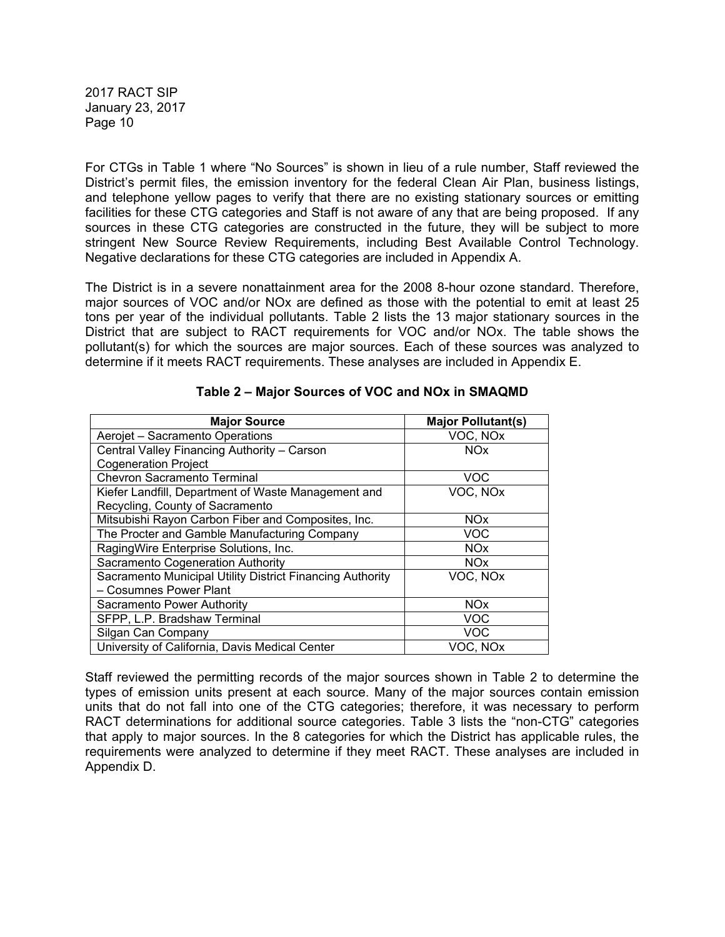For CTGs in Table 1 where "No Sources" is shown in lieu of a rule number, Staff reviewed the District's permit files, the emission inventory for the federal Clean Air Plan, business listings, and telephone yellow pages to verify that there are no existing stationary sources or emitting facilities for these CTG categories and Staff is not aware of any that are being proposed. If any sources in these CTG categories are constructed in the future, they will be subject to more stringent New Source Review Requirements, including Best Available Control Technology. Negative declarations for these CTG categories are included in Appendix A.

The District is in a severe nonattainment area for the 2008 8-hour ozone standard. Therefore, major sources of VOC and/or NOx are defined as those with the potential to emit at least 25 tons per year of the individual pollutants. Table 2 lists the 13 major stationary sources in the District that are subject to RACT requirements for VOC and/or NOx. The table shows the pollutant(s) for which the sources are major sources. Each of these sources was analyzed to determine if it meets RACT requirements. These analyses are included in Appendix E.

| <b>Major Source</b>                                       | <b>Major Pollutant(s)</b> |
|-----------------------------------------------------------|---------------------------|
| Aerojet - Sacramento Operations                           | VOC, NOx                  |
| Central Valley Financing Authority - Carson               | NO <sub>x</sub>           |
| <b>Cogeneration Project</b>                               |                           |
| <b>Chevron Sacramento Terminal</b>                        | <b>VOC</b>                |
| Kiefer Landfill, Department of Waste Management and       | VOC, NO <sub>x</sub>      |
| Recycling, County of Sacramento                           |                           |
| Mitsubishi Rayon Carbon Fiber and Composites, Inc.        | <b>NOx</b>                |
| The Procter and Gamble Manufacturing Company              | <b>VOC</b>                |
| RagingWire Enterprise Solutions, Inc.                     | <b>NO<sub>x</sub></b>     |
| Sacramento Cogeneration Authority                         | <b>NO<sub>x</sub></b>     |
| Sacramento Municipal Utility District Financing Authority | VOC, NOx                  |
| - Cosumnes Power Plant                                    |                           |
| Sacramento Power Authority                                | <b>NO<sub>x</sub></b>     |
| SFPP, L.P. Bradshaw Terminal                              | <b>VOC</b>                |
| Silgan Can Company                                        | <b>VOC</b>                |
| University of California, Davis Medical Center            | VOC. NOx                  |

## **Table 2 – Major Sources of VOC and NOx in SMAQMD**

Staff reviewed the permitting records of the major sources shown in Table 2 to determine the types of emission units present at each source. Many of the major sources contain emission units that do not fall into one of the CTG categories; therefore, it was necessary to perform RACT determinations for additional source categories. Table 3 lists the "non-CTG" categories that apply to major sources. In the 8 categories for which the District has applicable rules, the requirements were analyzed to determine if they meet RACT. These analyses are included in Appendix D.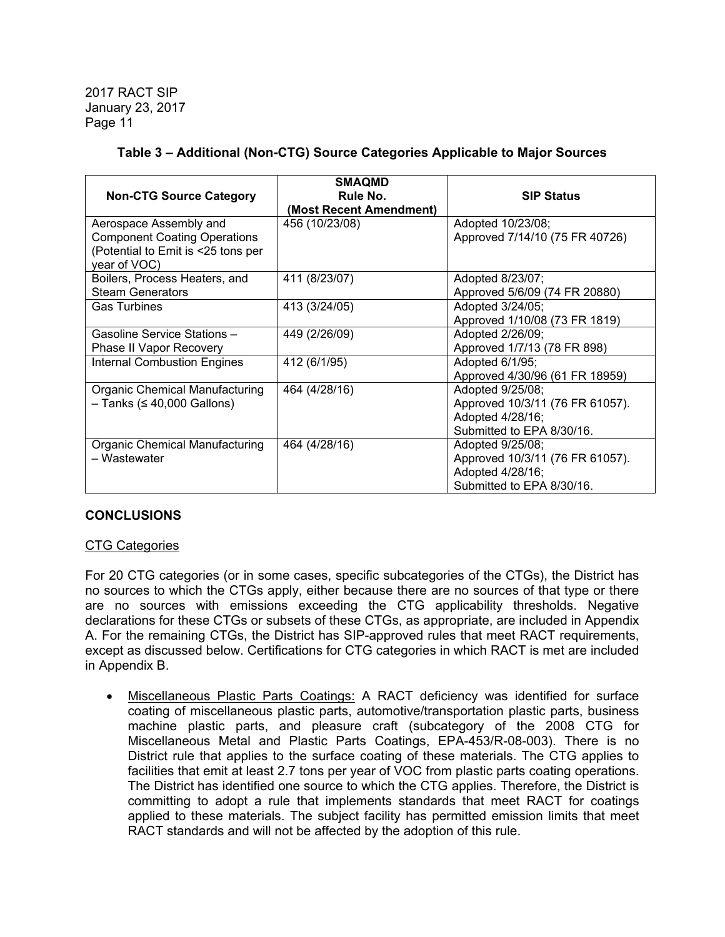| <b>Non-CTG Source Category</b>                                                                                      | <b>SMAQMD</b><br>Rule No. | <b>SIP Status</b>                                                                                    |
|---------------------------------------------------------------------------------------------------------------------|---------------------------|------------------------------------------------------------------------------------------------------|
|                                                                                                                     | (Most Recent Amendment)   |                                                                                                      |
| Aerospace Assembly and<br><b>Component Coating Operations</b><br>(Potential to Emit is <25 tons per<br>year of VOC) | 456 (10/23/08)            | Adopted 10/23/08;<br>Approved 7/14/10 (75 FR 40726)                                                  |
| Boilers, Process Heaters, and<br><b>Steam Generators</b>                                                            | 411 (8/23/07)             | Adopted 8/23/07;<br>Approved 5/6/09 (74 FR 20880)                                                    |
| <b>Gas Turbines</b>                                                                                                 | 413 (3/24/05)             | Adopted 3/24/05;<br>Approved 1/10/08 (73 FR 1819)                                                    |
| Gasoline Service Stations -<br>Phase II Vapor Recovery                                                              | 449 (2/26/09)             | Adopted 2/26/09;<br>Approved 1/7/13 (78 FR 898)                                                      |
| <b>Internal Combustion Engines</b>                                                                                  | 412 (6/1/95)              | Adopted 6/1/95;<br>Approved 4/30/96 (61 FR 18959)                                                    |
| Organic Chemical Manufacturing<br>$-$ Tanks ( $\leq$ 40,000 Gallons)                                                | 464 (4/28/16)             | Adopted 9/25/08;<br>Approved 10/3/11 (76 FR 61057).<br>Adopted 4/28/16;<br>Submitted to EPA 8/30/16. |
| Organic Chemical Manufacturing<br>- Wastewater                                                                      | 464 (4/28/16)             | Adopted 9/25/08;<br>Approved 10/3/11 (76 FR 61057).<br>Adopted 4/28/16;<br>Submitted to EPA 8/30/16. |

# **Table 3 – Additional (Non-CTG) Source Categories Applicable to Major Sources**

#### **CONCLUSIONS**

#### CTG Categories

For 20 CTG categories (or in some cases, specific subcategories of the CTGs), the District has no sources to which the CTGs apply, either because there are no sources of that type or there are no sources with emissions exceeding the CTG applicability thresholds. Negative declarations for these CTGs or subsets of these CTGs, as appropriate, are included in Appendix A. For the remaining CTGs, the District has SIP-approved rules that meet RACT requirements, except as discussed below. Certifications for CTG categories in which RACT is met are included in Appendix B.

 Miscellaneous Plastic Parts Coatings: A RACT deficiency was identified for surface coating of miscellaneous plastic parts, automotive/transportation plastic parts, business machine plastic parts, and pleasure craft (subcategory of the 2008 CTG for Miscellaneous Metal and Plastic Parts Coatings, EPA-453/R-08-003). There is no District rule that applies to the surface coating of these materials. The CTG applies to facilities that emit at least 2.7 tons per year of VOC from plastic parts coating operations. The District has identified one source to which the CTG applies. Therefore, the District is committing to adopt a rule that implements standards that meet RACT for coatings applied to these materials. The subject facility has permitted emission limits that meet RACT standards and will not be affected by the adoption of this rule.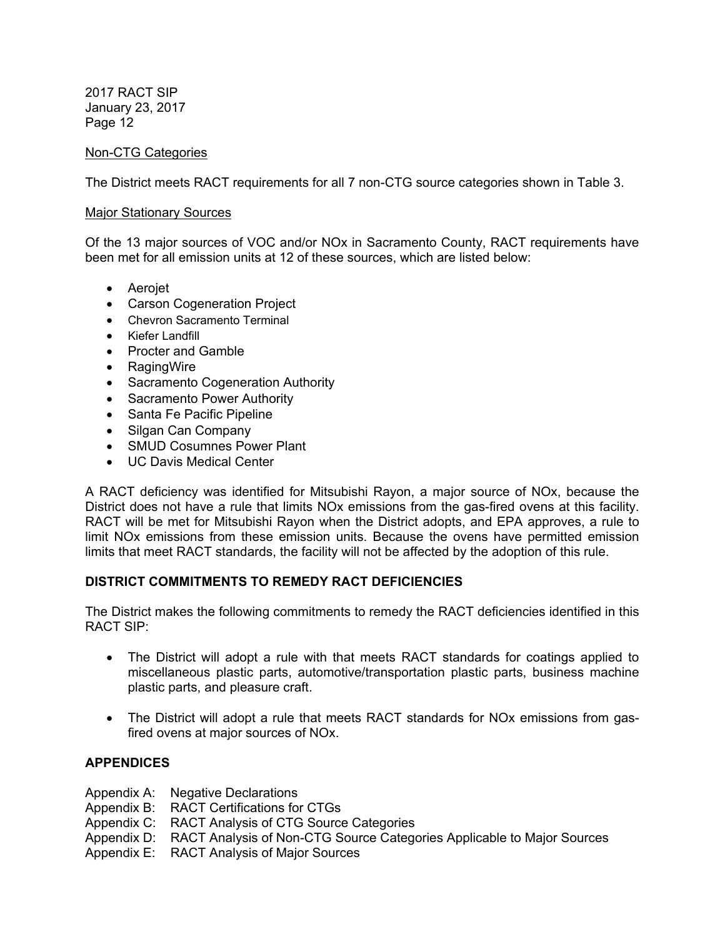## Non-CTG Categories

The District meets RACT requirements for all 7 non-CTG source categories shown in Table 3.

#### Major Stationary Sources

Of the 13 major sources of VOC and/or NOx in Sacramento County, RACT requirements have been met for all emission units at 12 of these sources, which are listed below:

- Aerojet
- Carson Cogeneration Project
- Chevron Sacramento Terminal
- Kiefer Landfill
- Procter and Gamble
- RagingWire
- Sacramento Cogeneration Authority
- Sacramento Power Authority
- Santa Fe Pacific Pipeline
- Silgan Can Company
- SMUD Cosumnes Power Plant
- UC Davis Medical Center

A RACT deficiency was identified for Mitsubishi Rayon, a major source of NOx, because the District does not have a rule that limits NOx emissions from the gas-fired ovens at this facility. RACT will be met for Mitsubishi Rayon when the District adopts, and EPA approves, a rule to limit NOx emissions from these emission units. Because the ovens have permitted emission limits that meet RACT standards, the facility will not be affected by the adoption of this rule.

# **DISTRICT COMMITMENTS TO REMEDY RACT DEFICIENCIES**

The District makes the following commitments to remedy the RACT deficiencies identified in this RACT SIP:

- The District will adopt a rule with that meets RACT standards for coatings applied to miscellaneous plastic parts, automotive/transportation plastic parts, business machine plastic parts, and pleasure craft.
- The District will adopt a rule that meets RACT standards for NOx emissions from gasfired ovens at major sources of NOx.

#### **APPENDICES**

Appendix A: Negative Declarations

- Appendix B: RACT Certifications for CTGs
- Appendix C: RACT Analysis of CTG Source Categories
- Appendix D: RACT Analysis of Non-CTG Source Categories Applicable to Major Sources

Appendix E: RACT Analysis of Major Sources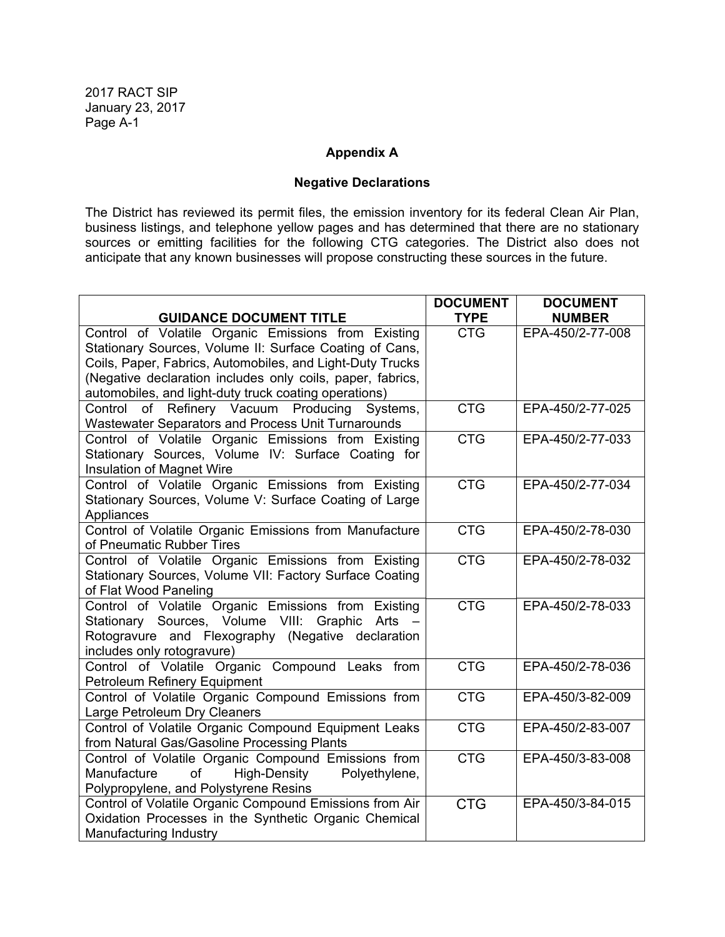## **Appendix A**

#### **Negative Declarations**

The District has reviewed its permit files, the emission inventory for its federal Clean Air Plan, business listings, and telephone yellow pages and has determined that there are no stationary sources or emitting facilities for the following CTG categories. The District also does not anticipate that any known businesses will propose constructing these sources in the future.

| <b>GUIDANCE DOCUMENT TITLE</b>                                                                         | <b>DOCUMENT</b><br><b>TYPE</b> | <b>DOCUMENT</b><br><b>NUMBER</b> |
|--------------------------------------------------------------------------------------------------------|--------------------------------|----------------------------------|
| Control of Volatile Organic Emissions from Existing                                                    | <b>CTG</b>                     | EPA-450/2-77-008                 |
| Stationary Sources, Volume II: Surface Coating of Cans,                                                |                                |                                  |
| Coils, Paper, Fabrics, Automobiles, and Light-Duty Trucks                                              |                                |                                  |
| (Negative declaration includes only coils, paper, fabrics,                                             |                                |                                  |
| automobiles, and light-duty truck coating operations)                                                  |                                |                                  |
| Control of Refinery Vacuum Producing<br>Systems,                                                       | <b>CTG</b>                     | EPA-450/2-77-025                 |
| Wastewater Separators and Process Unit Turnarounds                                                     |                                |                                  |
| Control of Volatile Organic Emissions from Existing                                                    | <b>CTG</b>                     | EPA-450/2-77-033                 |
| Stationary Sources, Volume IV: Surface Coating for                                                     |                                |                                  |
| Insulation of Magnet Wire                                                                              |                                |                                  |
| Control of Volatile Organic Emissions from Existing                                                    | <b>CTG</b>                     | EPA-450/2-77-034                 |
| Stationary Sources, Volume V: Surface Coating of Large                                                 |                                |                                  |
| Appliances                                                                                             |                                |                                  |
| Control of Volatile Organic Emissions from Manufacture                                                 | <b>CTG</b>                     | EPA-450/2-78-030                 |
| of Pneumatic Rubber Tires                                                                              |                                |                                  |
| Control of Volatile Organic Emissions from Existing                                                    | <b>CTG</b>                     | EPA-450/2-78-032                 |
| Stationary Sources, Volume VII: Factory Surface Coating                                                |                                |                                  |
| of Flat Wood Paneling                                                                                  | <b>CTG</b>                     | EPA-450/2-78-033                 |
| Control of Volatile Organic Emissions from Existing<br>Stationary Sources, Volume VIII: Graphic Arts - |                                |                                  |
| Rotogravure and Flexography (Negative declaration                                                      |                                |                                  |
| includes only rotogravure)                                                                             |                                |                                  |
| Control of Volatile Organic Compound Leaks from                                                        | <b>CTG</b>                     | EPA-450/2-78-036                 |
| Petroleum Refinery Equipment                                                                           |                                |                                  |
| Control of Volatile Organic Compound Emissions from                                                    | <b>CTG</b>                     | EPA-450/3-82-009                 |
| Large Petroleum Dry Cleaners                                                                           |                                |                                  |
| Control of Volatile Organic Compound Equipment Leaks                                                   | <b>CTG</b>                     | EPA-450/2-83-007                 |
| from Natural Gas/Gasoline Processing Plants                                                            |                                |                                  |
| Control of Volatile Organic Compound Emissions from                                                    | <b>CTG</b>                     | EPA-450/3-83-008                 |
| High-Density<br>Polyethylene,<br>Manufacture<br>of                                                     |                                |                                  |
| Polypropylene, and Polystyrene Resins                                                                  |                                |                                  |
| Control of Volatile Organic Compound Emissions from Air                                                | <b>CTG</b>                     | EPA-450/3-84-015                 |
| Oxidation Processes in the Synthetic Organic Chemical                                                  |                                |                                  |
| Manufacturing Industry                                                                                 |                                |                                  |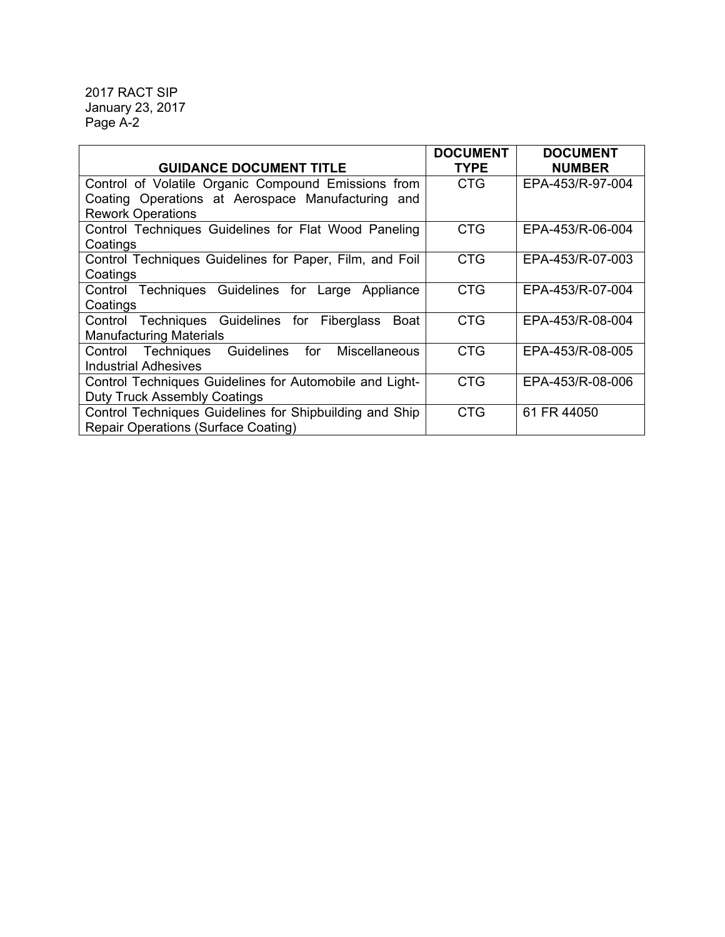|                                                              | <b>DOCUMENT</b> | <b>DOCUMENT</b>  |
|--------------------------------------------------------------|-----------------|------------------|
| <b>GUIDANCE DOCUMENT TITLE</b>                               | <b>TYPE</b>     | <b>NUMBER</b>    |
| Control of Volatile Organic Compound Emissions from          | CTG             | EPA-453/R-97-004 |
| Coating Operations at Aerospace Manufacturing and            |                 |                  |
| <b>Rework Operations</b>                                     |                 |                  |
| Control Techniques Guidelines for Flat Wood Paneling         | <b>CTG</b>      | EPA-453/R-06-004 |
| Coatings                                                     |                 |                  |
| Control Techniques Guidelines for Paper, Film, and Foil      | <b>CTG</b>      | EPA-453/R-07-003 |
| Coatings                                                     |                 |                  |
| Control Techniques Guidelines for Large Appliance            | <b>CTG</b>      | EPA-453/R-07-004 |
| Coatings                                                     |                 |                  |
| Control Techniques Guidelines for Fiberglass<br>Boat         | <b>CTG</b>      | EPA-453/R-08-004 |
| <b>Manufacturing Materials</b>                               |                 |                  |
| Control Techniques Guidelines<br>for<br><b>Miscellaneous</b> | <b>CTG</b>      | EPA-453/R-08-005 |
| <b>Industrial Adhesives</b>                                  |                 |                  |
| Control Techniques Guidelines for Automobile and Light-      | <b>CTG</b>      | EPA-453/R-08-006 |
| <b>Duty Truck Assembly Coatings</b>                          |                 |                  |
| Control Techniques Guidelines for Shipbuilding and Ship      | <b>CTG</b>      | 61 FR 44050      |
| Repair Operations (Surface Coating)                          |                 |                  |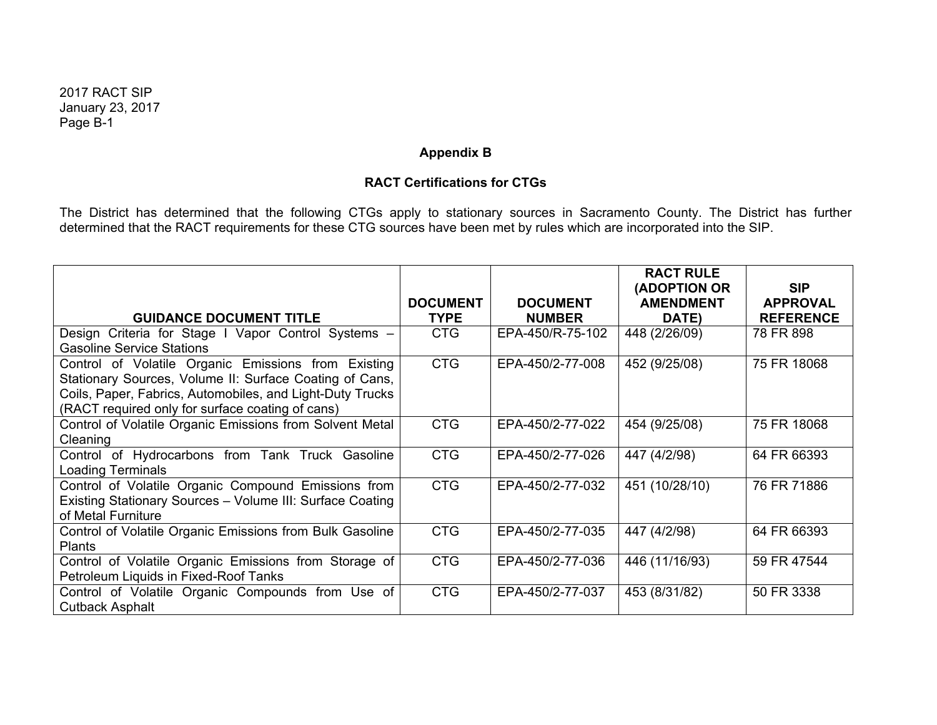# **Appendix B**

# **RACT Certifications for CTGs**

The District has determined that the following CTGs apply to stationary sources in Sacramento County. The District has further determined that the RACT requirements for these CTG sources have been met by rules which are incorporated into the SIP.

|                                                                                                                                                                                                                                 |                 |                  | <b>RACT RULE</b><br>(ADOPTION OR | <b>SIP</b>       |
|---------------------------------------------------------------------------------------------------------------------------------------------------------------------------------------------------------------------------------|-----------------|------------------|----------------------------------|------------------|
|                                                                                                                                                                                                                                 | <b>DOCUMENT</b> | <b>DOCUMENT</b>  | <b>AMENDMENT</b>                 | <b>APPROVAL</b>  |
| <b>GUIDANCE DOCUMENT TITLE</b>                                                                                                                                                                                                  | <b>TYPE</b>     | <b>NUMBER</b>    | DATE)                            | <b>REFERENCE</b> |
| Design Criteria for Stage I Vapor Control Systems -<br><b>Gasoline Service Stations</b>                                                                                                                                         | <b>CTG</b>      | EPA-450/R-75-102 | 448 (2/26/09)                    | 78 FR 898        |
| Control of Volatile Organic Emissions from Existing<br>Stationary Sources, Volume II: Surface Coating of Cans,<br>Coils, Paper, Fabrics, Automobiles, and Light-Duty Trucks<br>(RACT required only for surface coating of cans) | <b>CTG</b>      | EPA-450/2-77-008 | 452 (9/25/08)                    | 75 FR 18068      |
| Control of Volatile Organic Emissions from Solvent Metal<br>Cleaning                                                                                                                                                            | <b>CTG</b>      | EPA-450/2-77-022 | 454 (9/25/08)                    | 75 FR 18068      |
| Control of Hydrocarbons from Tank Truck Gasoline<br><b>Loading Terminals</b>                                                                                                                                                    | <b>CTG</b>      | EPA-450/2-77-026 | 447 (4/2/98)                     | 64 FR 66393      |
| Control of Volatile Organic Compound Emissions from<br>Existing Stationary Sources - Volume III: Surface Coating<br>of Metal Furniture                                                                                          | <b>CTG</b>      | EPA-450/2-77-032 | 451 (10/28/10)                   | 76 FR 71886      |
| Control of Volatile Organic Emissions from Bulk Gasoline<br><b>Plants</b>                                                                                                                                                       | <b>CTG</b>      | EPA-450/2-77-035 | 447 (4/2/98)                     | 64 FR 66393      |
| Control of Volatile Organic Emissions from Storage of<br>Petroleum Liquids in Fixed-Roof Tanks                                                                                                                                  | <b>CTG</b>      | EPA-450/2-77-036 | 446 (11/16/93)                   | 59 FR 47544      |
| Control of Volatile Organic Compounds from Use of<br><b>Cutback Asphalt</b>                                                                                                                                                     | <b>CTG</b>      | EPA-450/2-77-037 | 453 (8/31/82)                    | 50 FR 3338       |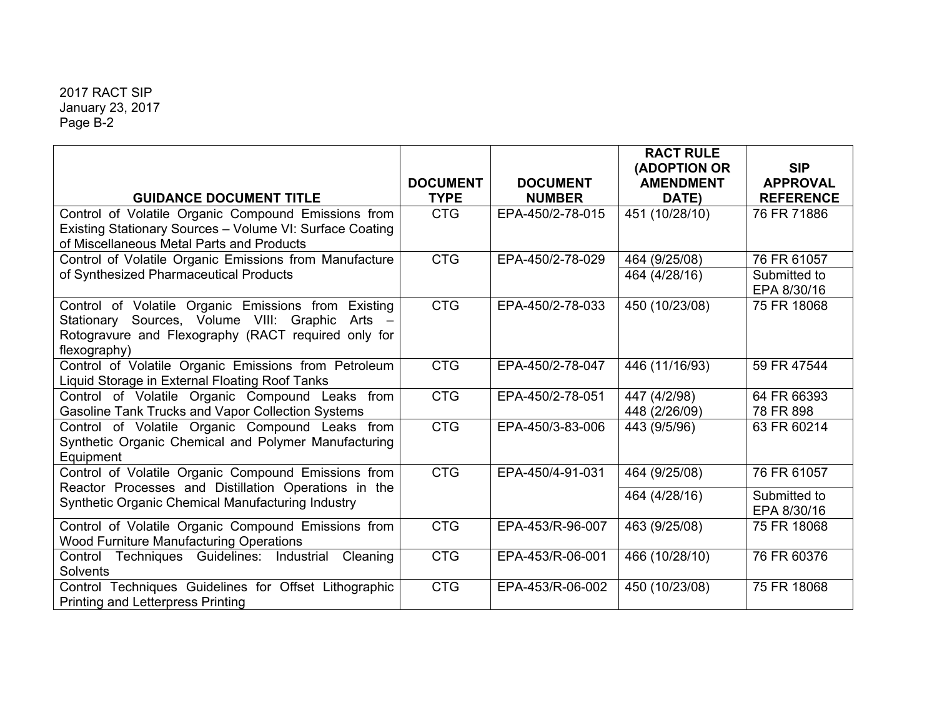|                                                                                                             |                 |                  | <b>RACT RULE</b> |                  |
|-------------------------------------------------------------------------------------------------------------|-----------------|------------------|------------------|------------------|
|                                                                                                             |                 |                  | (ADOPTION OR     | <b>SIP</b>       |
|                                                                                                             | <b>DOCUMENT</b> | <b>DOCUMENT</b>  | <b>AMENDMENT</b> | <b>APPROVAL</b>  |
| <b>GUIDANCE DOCUMENT TITLE</b>                                                                              | <b>TYPE</b>     | <b>NUMBER</b>    | DATE)            | <b>REFERENCE</b> |
| Control of Volatile Organic Compound Emissions from                                                         | <b>CTG</b>      | EPA-450/2-78-015 | 451 (10/28/10)   | 76 FR 71886      |
| Existing Stationary Sources - Volume VI: Surface Coating                                                    |                 |                  |                  |                  |
| of Miscellaneous Metal Parts and Products                                                                   |                 |                  |                  |                  |
| Control of Volatile Organic Emissions from Manufacture                                                      | <b>CTG</b>      | EPA-450/2-78-029 | 464 (9/25/08)    | 76 FR 61057      |
| of Synthesized Pharmaceutical Products                                                                      |                 |                  | 464 (4/28/16)    | Submitted to     |
|                                                                                                             |                 |                  |                  | EPA 8/30/16      |
| Control of Volatile Organic Emissions from Existing                                                         | <b>CTG</b>      | EPA-450/2-78-033 | 450 (10/23/08)   | 75 FR 18068      |
| Stationary Sources, Volume VIII: Graphic Arts -                                                             |                 |                  |                  |                  |
| Rotogravure and Flexography (RACT required only for                                                         |                 |                  |                  |                  |
| flexography)                                                                                                |                 |                  |                  |                  |
| Control of Volatile Organic Emissions from Petroleum                                                        | <b>CTG</b>      | EPA-450/2-78-047 | 446 (11/16/93)   | 59 FR 47544      |
| Liquid Storage in External Floating Roof Tanks                                                              |                 |                  |                  |                  |
| Control of Volatile Organic Compound Leaks from                                                             | <b>CTG</b>      | EPA-450/2-78-051 | 447 (4/2/98)     | 64 FR 66393      |
| <b>Gasoline Tank Trucks and Vapor Collection Systems</b>                                                    |                 |                  | 448 (2/26/09)    | 78 FR 898        |
| Control of Volatile Organic Compound Leaks from                                                             | <b>CTG</b>      | EPA-450/3-83-006 | 443 (9/5/96)     | 63 FR 60214      |
| Synthetic Organic Chemical and Polymer Manufacturing                                                        |                 |                  |                  |                  |
| Equipment                                                                                                   |                 |                  |                  |                  |
| Control of Volatile Organic Compound Emissions from<br>Reactor Processes and Distillation Operations in the | <b>CTG</b>      | EPA-450/4-91-031 | 464 (9/25/08)    | 76 FR 61057      |
| Synthetic Organic Chemical Manufacturing Industry                                                           |                 |                  | 464 (4/28/16)    | Submitted to     |
|                                                                                                             |                 |                  |                  | EPA 8/30/16      |
| Control of Volatile Organic Compound Emissions from                                                         | <b>CTG</b>      | EPA-453/R-96-007 | 463 (9/25/08)    | 75 FR 18068      |
| <b>Wood Furniture Manufacturing Operations</b>                                                              |                 |                  |                  |                  |
| Control Techniques Guidelines:<br>Cleaning<br>Industrial                                                    | <b>CTG</b>      | EPA-453/R-06-001 | 466 (10/28/10)   | 76 FR 60376      |
| <b>Solvents</b>                                                                                             |                 |                  |                  |                  |
| Control Techniques Guidelines for Offset Lithographic                                                       | <b>CTG</b>      | EPA-453/R-06-002 | 450 (10/23/08)   | 75 FR 18068      |
| <b>Printing and Letterpress Printing</b>                                                                    |                 |                  |                  |                  |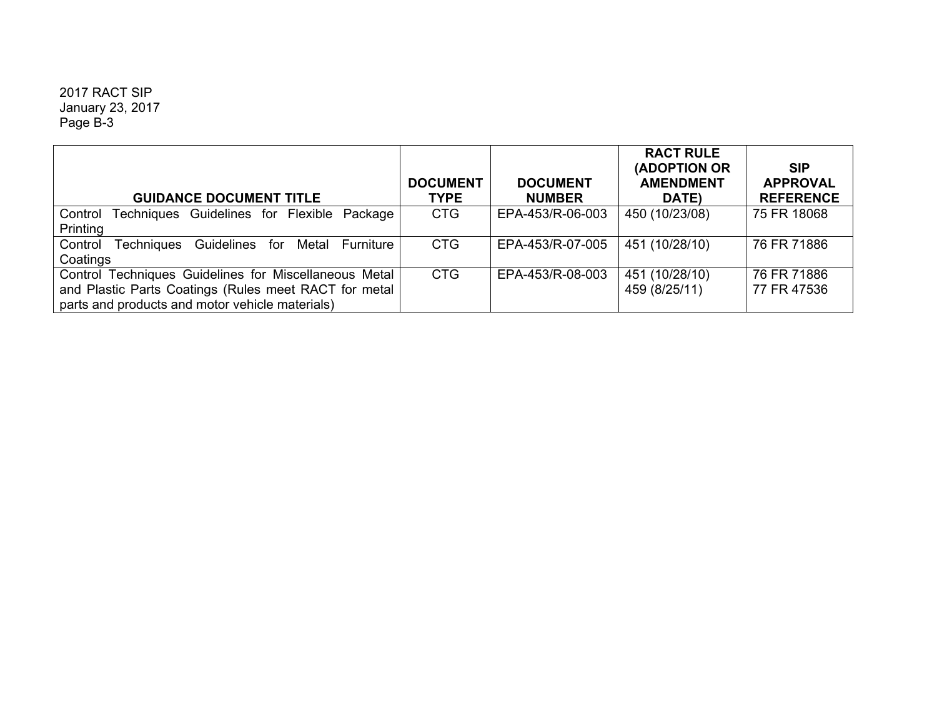|                                                                  |                 |                  | <b>RACT RULE</b><br>(ADOPTION OR | <b>SIP</b>       |
|------------------------------------------------------------------|-----------------|------------------|----------------------------------|------------------|
|                                                                  | <b>DOCUMENT</b> | <b>DOCUMENT</b>  | <b>AMENDMENT</b>                 | <b>APPROVAL</b>  |
| <b>GUIDANCE DOCUMENT TITLE</b>                                   | <b>TYPE</b>     | <b>NUMBER</b>    | DATE)                            | <b>REFERENCE</b> |
| Control<br>Techniques Guidelines for Flexible Package            | <b>CTG</b>      | EPA-453/R-06-003 | 450 (10/23/08)                   | 75 FR 18068      |
| Printing                                                         |                 |                  |                                  |                  |
| Control<br>Guidelines<br>Techniques<br>Metal<br>Furniture<br>for | <b>CTG</b>      | EPA-453/R-07-005 | 451 (10/28/10)                   | 76 FR 71886      |
| Coatings                                                         |                 |                  |                                  |                  |
| Control Techniques Guidelines for Miscellaneous Metal            | <b>CTG</b>      | EPA-453/R-08-003 | 451 (10/28/10)                   | 76 FR 71886      |
| and Plastic Parts Coatings (Rules meet RACT for metal            |                 |                  | 459 (8/25/11)                    | 77 FR 47536      |
| parts and products and motor vehicle materials)                  |                 |                  |                                  |                  |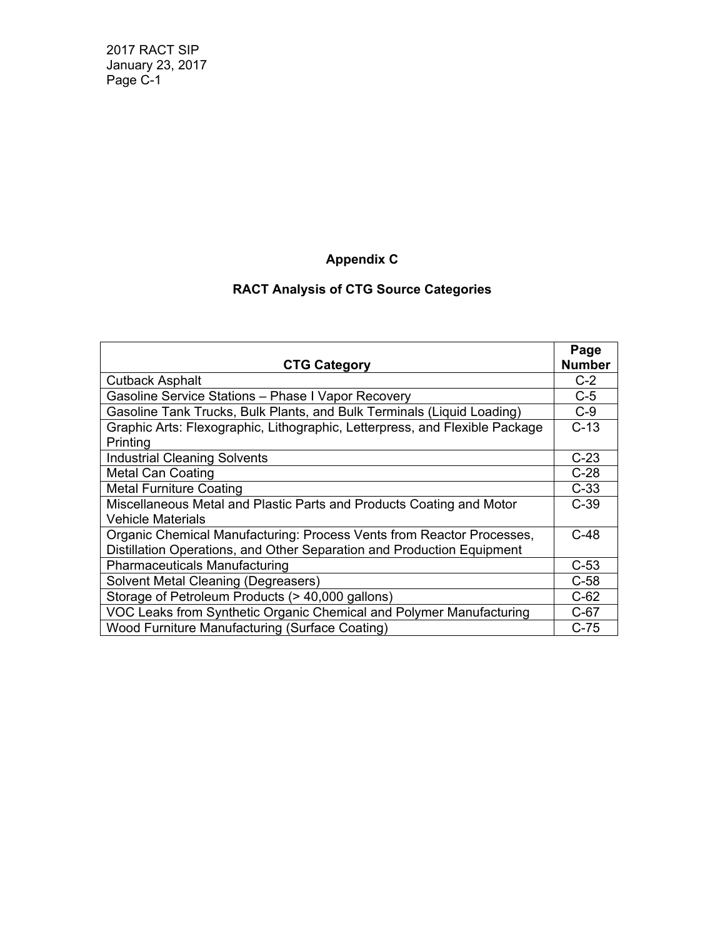# **Appendix C**

# **RACT Analysis of CTG Source Categories**

|                                                                             | Page          |
|-----------------------------------------------------------------------------|---------------|
| <b>CTG Category</b>                                                         | <b>Number</b> |
| <b>Cutback Asphalt</b>                                                      | $C-2$         |
| Gasoline Service Stations - Phase I Vapor Recovery                          | $C-5$         |
| Gasoline Tank Trucks, Bulk Plants, and Bulk Terminals (Liquid Loading)      | $C-9$         |
| Graphic Arts: Flexographic, Lithographic, Letterpress, and Flexible Package | $C-13$        |
| Printing                                                                    |               |
| <b>Industrial Cleaning Solvents</b>                                         | $C-23$        |
| <b>Metal Can Coating</b>                                                    | $C-28$        |
| <b>Metal Furniture Coating</b>                                              | $C-33$        |
| Miscellaneous Metal and Plastic Parts and Products Coating and Motor        | $C-39$        |
| <b>Vehicle Materials</b>                                                    |               |
| Organic Chemical Manufacturing: Process Vents from Reactor Processes,       | $C-48$        |
| Distillation Operations, and Other Separation and Production Equipment      |               |
| <b>Pharmaceuticals Manufacturing</b>                                        | $C-53$        |
| <b>Solvent Metal Cleaning (Degreasers)</b>                                  | $C-58$        |
| Storage of Petroleum Products (> 40,000 gallons)                            | $C-62$        |
| VOC Leaks from Synthetic Organic Chemical and Polymer Manufacturing         | $C-67$        |
| Wood Furniture Manufacturing (Surface Coating)                              | $C-75$        |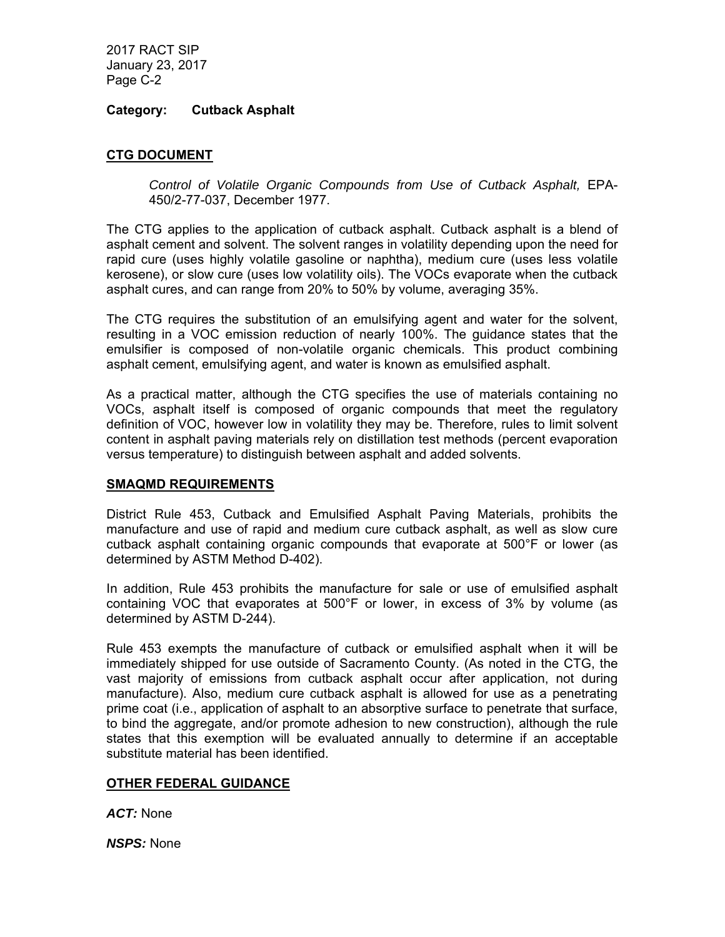## **Category: Cutback Asphalt**

## **CTG DOCUMENT**

Control of Volatile Organic Compounds from Use of Cutback Asphalt, EPA-450/2-77-037, December 1977.

The CTG applies to the application of cutback asphalt. Cutback asphalt is a blend of asphalt cement and solvent. The solvent ranges in volatility depending upon the need for rapid cure (uses highly volatile gasoline or naphtha), medium cure (uses less volatile kerosene), or slow cure (uses low volatility oils). The VOCs evaporate when the cutback asphalt cures, and can range from 20% to 50% by volume, averaging 35%.

The CTG requires the substitution of an emulsifying agent and water for the solvent, resulting in a VOC emission reduction of nearly 100%. The guidance states that the emulsifier is composed of non-volatile organic chemicals. This product combining asphalt cement, emulsifying agent, and water is known as emulsified asphalt.

As a practical matter, although the CTG specifies the use of materials containing no VOCs, asphalt itself is composed of organic compounds that meet the regulatory definition of VOC, however low in volatility they may be. Therefore, rules to limit solvent content in asphalt paving materials rely on distillation test methods (percent evaporation versus temperature) to distinguish between asphalt and added solvents.

#### **SMAQMD REQUIREMENTS**

District Rule 453, Cutback and Emulsified Asphalt Paving Materials, prohibits the manufacture and use of rapid and medium cure cutback asphalt, as well as slow cure cutback asphalt containing organic compounds that evaporate at 500°F or lower (as determined by ASTM Method D-402).

In addition, Rule 453 prohibits the manufacture for sale or use of emulsified asphalt containing VOC that evaporates at 500°F or lower, in excess of 3% by volume (as determined by ASTM D-244).

Rule 453 exempts the manufacture of cutback or emulsified asphalt when it will be immediately shipped for use outside of Sacramento County. (As noted in the CTG, the vast majority of emissions from cutback asphalt occur after application, not during manufacture). Also, medium cure cutback asphalt is allowed for use as a penetrating prime coat (i.e., application of asphalt to an absorptive surface to penetrate that surface, to bind the aggregate, and/or promote adhesion to new construction), although the rule states that this exemption will be evaluated annually to determine if an acceptable substitute material has been identified.

# **OTHER FEDERAL GUIDANCE**

*ACT:* None

*NSPS:* None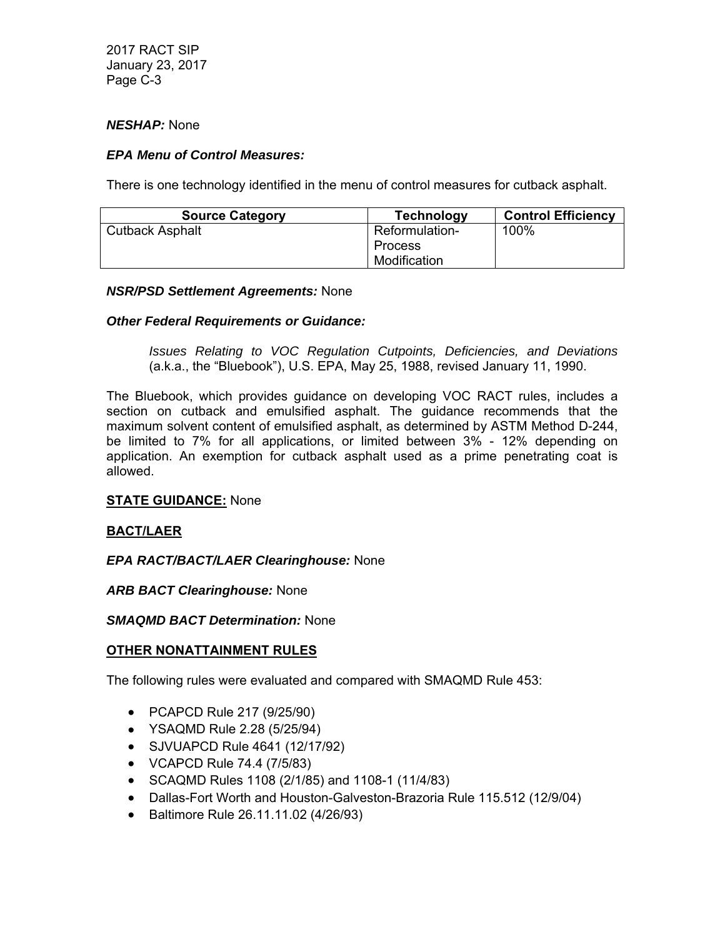#### *NESHAP:* None

## *EPA Menu of Control Measures:*

There is one technology identified in the menu of control measures for cutback asphalt.

| <b>Source Category</b> | <b>Technology</b>     | <b>Control Efficiency</b> |
|------------------------|-----------------------|---------------------------|
| <b>Cutback Asphalt</b> | <b>Reformulation-</b> | 100%                      |
|                        | <b>Process</b>        |                           |
|                        | Modification          |                           |

#### *NSR/PSD Settlement Agreements:* None

## *Other Federal Requirements or Guidance:*

*Issues Relating to VOC Regulation Cutpoints, Deficiencies, and Deviations* (a.k.a., the "Bluebook"), U.S. EPA, May 25, 1988, revised January 11, 1990.

The Bluebook, which provides guidance on developing VOC RACT rules, includes a section on cutback and emulsified asphalt. The guidance recommends that the maximum solvent content of emulsified asphalt, as determined by ASTM Method D-244, be limited to 7% for all applications, or limited between 3% - 12% depending on application. An exemption for cutback asphalt used as a prime penetrating coat is allowed.

#### **STATE GUIDANCE:** None

#### **BACT/LAER**

# *EPA RACT/BACT/LAER Clearinghouse:* None

*ARB BACT Clearinghouse:* None

*SMAQMD BACT Determination:* None

#### **OTHER NONATTAINMENT RULES**

The following rules were evaluated and compared with SMAQMD Rule 453:

- PCAPCD Rule 217 (9/25/90)
- YSAQMD Rule 2.28 (5/25/94)
- SJVUAPCD Rule 4641 (12/17/92)
- VCAPCD Rule 74.4 (7/5/83)
- SCAQMD Rules 1108 (2/1/85) and 1108-1 (11/4/83)
- Dallas-Fort Worth and Houston-Galveston-Brazoria Rule 115.512 (12/9/04)
- Baltimore Rule 26.11.11.02 (4/26/93)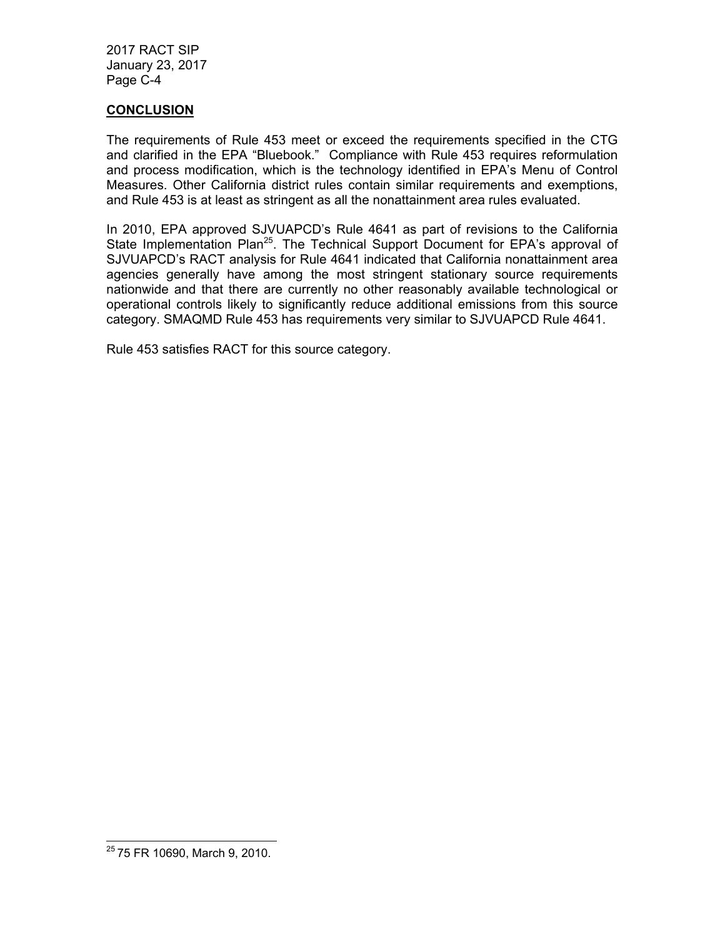## **CONCLUSION**

The requirements of Rule 453 meet or exceed the requirements specified in the CTG and clarified in the EPA "Bluebook." Compliance with Rule 453 requires reformulation and process modification, which is the technology identified in EPA's Menu of Control Measures. Other California district rules contain similar requirements and exemptions, and Rule 453 is at least as stringent as all the nonattainment area rules evaluated.

In 2010, EPA approved SJVUAPCD's Rule 4641 as part of revisions to the California State Implementation Plan<sup>25</sup>. The Technical Support Document for EPA's approval of SJVUAPCD's RACT analysis for Rule 4641 indicated that California nonattainment area agencies generally have among the most stringent stationary source requirements nationwide and that there are currently no other reasonably available technological or operational controls likely to significantly reduce additional emissions from this source category. SMAQMD Rule 453 has requirements very similar to SJVUAPCD Rule 4641.

Rule 453 satisfies RACT for this source category.

<sup>&</sup>lt;sup>25</sup> 75 FR 10690, March 9, 2010.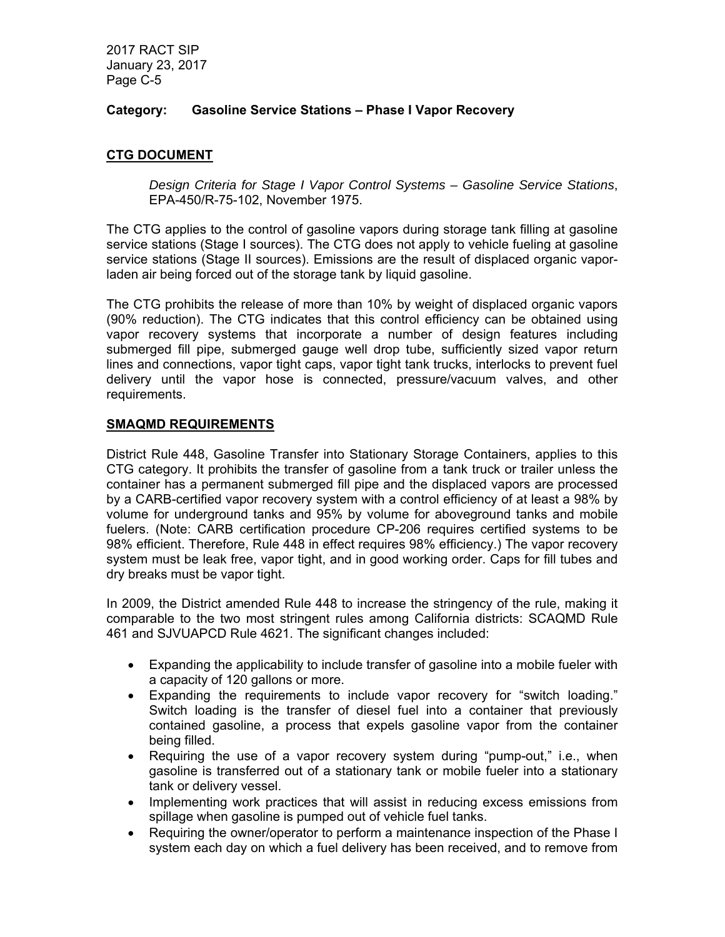# **Category: Gasoline Service Stations – Phase I Vapor Recovery**

# **CTG DOCUMENT**

*Design Criteria for Stage I Vapor Control Systems – Gasoline Service Stations*, EPA-450/R-75-102, November 1975.

The CTG applies to the control of gasoline vapors during storage tank filling at gasoline service stations (Stage I sources). The CTG does not apply to vehicle fueling at gasoline service stations (Stage II sources). Emissions are the result of displaced organic vaporladen air being forced out of the storage tank by liquid gasoline.

The CTG prohibits the release of more than 10% by weight of displaced organic vapors (90% reduction). The CTG indicates that this control efficiency can be obtained using vapor recovery systems that incorporate a number of design features including submerged fill pipe, submerged gauge well drop tube, sufficiently sized vapor return lines and connections, vapor tight caps, vapor tight tank trucks, interlocks to prevent fuel delivery until the vapor hose is connected, pressure/vacuum valves, and other requirements.

## **SMAQMD REQUIREMENTS**

District Rule 448, Gasoline Transfer into Stationary Storage Containers, applies to this CTG category. It prohibits the transfer of gasoline from a tank truck or trailer unless the container has a permanent submerged fill pipe and the displaced vapors are processed by a CARB-certified vapor recovery system with a control efficiency of at least a 98% by volume for underground tanks and 95% by volume for aboveground tanks and mobile fuelers. (Note: CARB certification procedure CP-206 requires certified systems to be 98% efficient. Therefore, Rule 448 in effect requires 98% efficiency.) The vapor recovery system must be leak free, vapor tight, and in good working order. Caps for fill tubes and dry breaks must be vapor tight.

In 2009, the District amended Rule 448 to increase the stringency of the rule, making it comparable to the two most stringent rules among California districts: SCAQMD Rule 461 and SJVUAPCD Rule 4621. The significant changes included:

- Expanding the applicability to include transfer of gasoline into a mobile fueler with a capacity of 120 gallons or more.
- Expanding the requirements to include vapor recovery for "switch loading." Switch loading is the transfer of diesel fuel into a container that previously contained gasoline, a process that expels gasoline vapor from the container being filled.
- Requiring the use of a vapor recovery system during "pump-out," i.e., when gasoline is transferred out of a stationary tank or mobile fueler into a stationary tank or delivery vessel.
- Implementing work practices that will assist in reducing excess emissions from spillage when gasoline is pumped out of vehicle fuel tanks.
- Requiring the owner/operator to perform a maintenance inspection of the Phase I system each day on which a fuel delivery has been received, and to remove from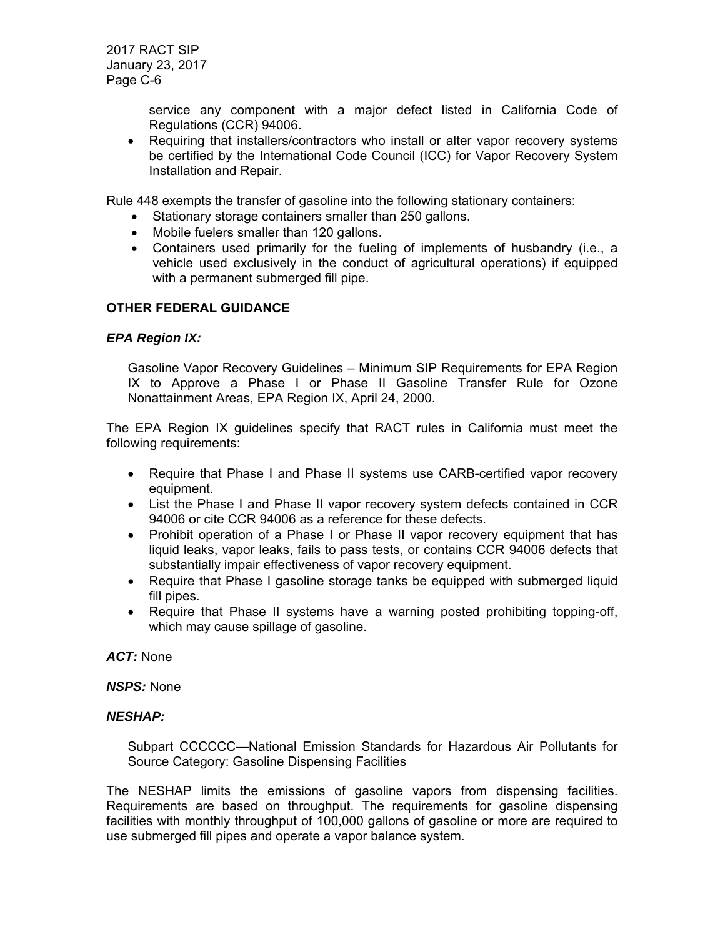> service any component with a major defect listed in California Code of Regulations (CCR) 94006.

• Requiring that installers/contractors who install or alter vapor recovery systems be certified by the International Code Council (ICC) for Vapor Recovery System Installation and Repair.

Rule 448 exempts the transfer of gasoline into the following stationary containers:

- Stationary storage containers smaller than 250 gallons.
- Mobile fuelers smaller than 120 gallons.
- Containers used primarily for the fueling of implements of husbandry (i.e., a vehicle used exclusively in the conduct of agricultural operations) if equipped with a permanent submerged fill pipe.

## **OTHER FEDERAL GUIDANCE**

#### *EPA Region IX:*

Gasoline Vapor Recovery Guidelines – Minimum SIP Requirements for EPA Region IX to Approve a Phase I or Phase II Gasoline Transfer Rule for Ozone Nonattainment Areas, EPA Region IX, April 24, 2000.

The EPA Region IX guidelines specify that RACT rules in California must meet the following requirements:

- Require that Phase I and Phase II systems use CARB-certified vapor recovery equipment.
- List the Phase I and Phase II vapor recovery system defects contained in CCR 94006 or cite CCR 94006 as a reference for these defects.
- Prohibit operation of a Phase I or Phase II vapor recovery equipment that has liquid leaks, vapor leaks, fails to pass tests, or contains CCR 94006 defects that substantially impair effectiveness of vapor recovery equipment.
- Require that Phase I gasoline storage tanks be equipped with submerged liquid fill pipes.
- Require that Phase II systems have a warning posted prohibiting topping-off, which may cause spillage of gasoline.

#### *ACT:* None

#### *NSPS:* None

## *NESHAP:*

Subpart CCCCCC—National Emission Standards for Hazardous Air Pollutants for Source Category: Gasoline Dispensing Facilities

The NESHAP limits the emissions of gasoline vapors from dispensing facilities. Requirements are based on throughput. The requirements for gasoline dispensing facilities with monthly throughput of 100,000 gallons of gasoline or more are required to use submerged fill pipes and operate a vapor balance system.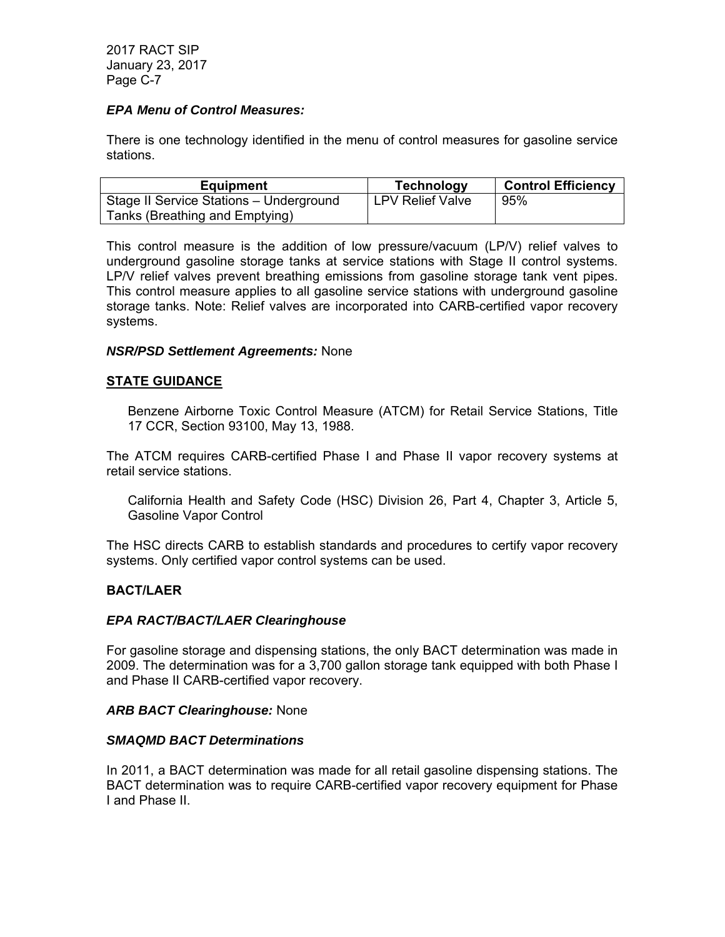## *EPA Menu of Control Measures:*

There is one technology identified in the menu of control measures for gasoline service stations.

| <b>Equipment</b>                        | Technology              | <b>Control Efficiency</b> |
|-----------------------------------------|-------------------------|---------------------------|
| Stage II Service Stations - Underground | <b>LPV Relief Valve</b> | 95%                       |
| Tanks (Breathing and Emptying)          |                         |                           |

This control measure is the addition of low pressure/vacuum (LP/V) relief valves to underground gasoline storage tanks at service stations with Stage II control systems. LP/V relief valves prevent breathing emissions from gasoline storage tank vent pipes. This control measure applies to all gasoline service stations with underground gasoline storage tanks. Note: Relief valves are incorporated into CARB-certified vapor recovery systems.

#### *NSR/PSD Settlement Agreements:* None

#### **STATE GUIDANCE**

Benzene Airborne Toxic Control Measure (ATCM) for Retail Service Stations, Title 17 CCR, Section 93100, May 13, 1988.

The ATCM requires CARB-certified Phase I and Phase II vapor recovery systems at retail service stations.

California Health and Safety Code (HSC) Division 26, Part 4, Chapter 3, Article 5, Gasoline Vapor Control

The HSC directs CARB to establish standards and procedures to certify vapor recovery systems. Only certified vapor control systems can be used.

#### **BACT/LAER**

#### *EPA RACT/BACT/LAER Clearinghouse*

For gasoline storage and dispensing stations, the only BACT determination was made in 2009. The determination was for a 3,700 gallon storage tank equipped with both Phase I and Phase II CARB-certified vapor recovery.

#### *ARB BACT Clearinghouse:* None

#### *SMAQMD BACT Determinations*

In 2011, a BACT determination was made for all retail gasoline dispensing stations. The BACT determination was to require CARB-certified vapor recovery equipment for Phase I and Phase II.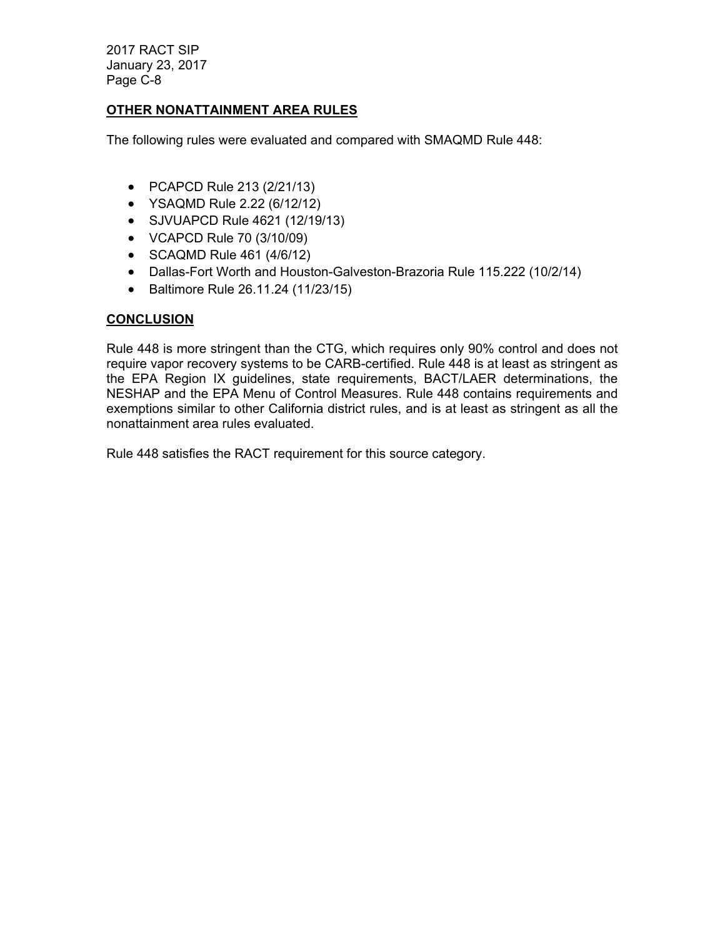# **OTHER NONATTAINMENT AREA RULES**

The following rules were evaluated and compared with SMAQMD Rule 448:

- PCAPCD Rule 213 (2/21/13)
- YSAQMD Rule 2.22 (6/12/12)
- SJVUAPCD Rule 4621 (12/19/13)
- VCAPCD Rule 70 (3/10/09)
- SCAQMD Rule 461 (4/6/12)
- Dallas-Fort Worth and Houston-Galveston-Brazoria Rule 115.222 (10/2/14)
- Baltimore Rule 26.11.24 (11/23/15)

## **CONCLUSION**

Rule 448 is more stringent than the CTG, which requires only 90% control and does not require vapor recovery systems to be CARB-certified. Rule 448 is at least as stringent as the EPA Region IX guidelines, state requirements, BACT/LAER determinations, the NESHAP and the EPA Menu of Control Measures. Rule 448 contains requirements and exemptions similar to other California district rules, and is at least as stringent as all the nonattainment area rules evaluated.

Rule 448 satisfies the RACT requirement for this source category.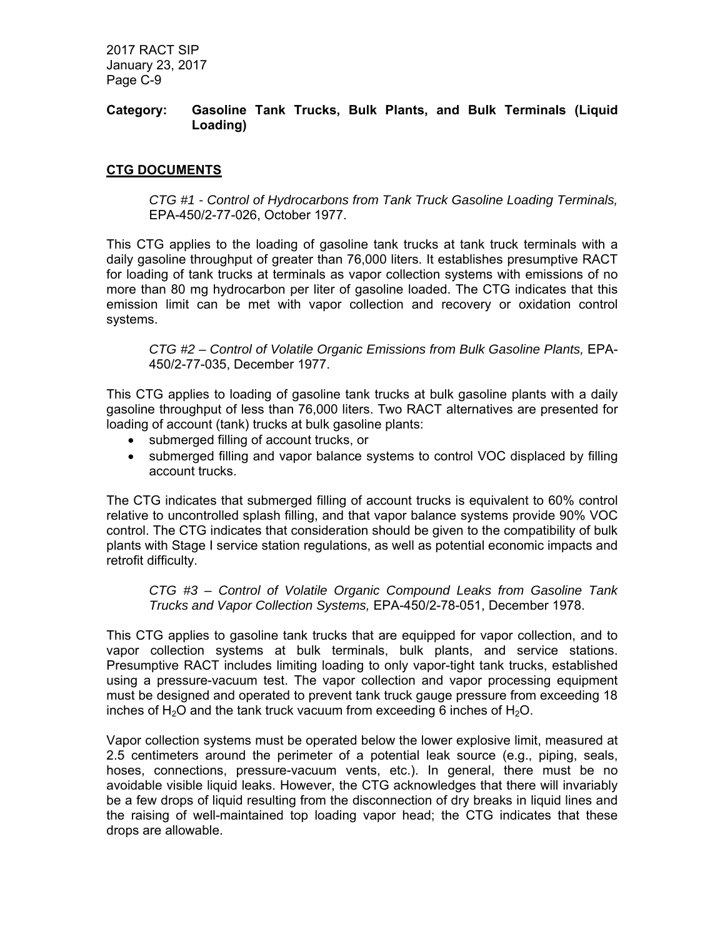## **Category: Gasoline Tank Trucks, Bulk Plants, and Bulk Terminals (Liquid Loading)**

# **CTG DOCUMENTS**

*CTG #1 - Control of Hydrocarbons from Tank Truck Gasoline Loading Terminals,* EPA-450/2-77-026, October 1977.

This CTG applies to the loading of gasoline tank trucks at tank truck terminals with a daily gasoline throughput of greater than 76,000 liters. It establishes presumptive RACT for loading of tank trucks at terminals as vapor collection systems with emissions of no more than 80 mg hydrocarbon per liter of gasoline loaded. The CTG indicates that this emission limit can be met with vapor collection and recovery or oxidation control systems.

*CTG #2 – Control of Volatile Organic Emissions from Bulk Gasoline Plants,* EPA-450/2-77-035, December 1977.

This CTG applies to loading of gasoline tank trucks at bulk gasoline plants with a daily gasoline throughput of less than 76,000 liters. Two RACT alternatives are presented for loading of account (tank) trucks at bulk gasoline plants:

- submerged filling of account trucks, or
- submerged filling and vapor balance systems to control VOC displaced by filling account trucks.

The CTG indicates that submerged filling of account trucks is equivalent to 60% control relative to uncontrolled splash filling, and that vapor balance systems provide 90% VOC control. The CTG indicates that consideration should be given to the compatibility of bulk plants with Stage I service station regulations, as well as potential economic impacts and retrofit difficulty.

*CTG #3 – Control of Volatile Organic Compound Leaks from Gasoline Tank Trucks and Vapor Collection Systems,* EPA-450/2-78-051, December 1978.

This CTG applies to gasoline tank trucks that are equipped for vapor collection, and to vapor collection systems at bulk terminals, bulk plants, and service stations. Presumptive RACT includes limiting loading to only vapor-tight tank trucks, established using a pressure-vacuum test. The vapor collection and vapor processing equipment must be designed and operated to prevent tank truck gauge pressure from exceeding 18 inches of  $H_2O$  and the tank truck vacuum from exceeding 6 inches of  $H_2O$ .

Vapor collection systems must be operated below the lower explosive limit, measured at 2.5 centimeters around the perimeter of a potential leak source (e.g., piping, seals, hoses, connections, pressure-vacuum vents, etc.). In general, there must be no avoidable visible liquid leaks. However, the CTG acknowledges that there will invariably be a few drops of liquid resulting from the disconnection of dry breaks in liquid lines and the raising of well-maintained top loading vapor head; the CTG indicates that these drops are allowable.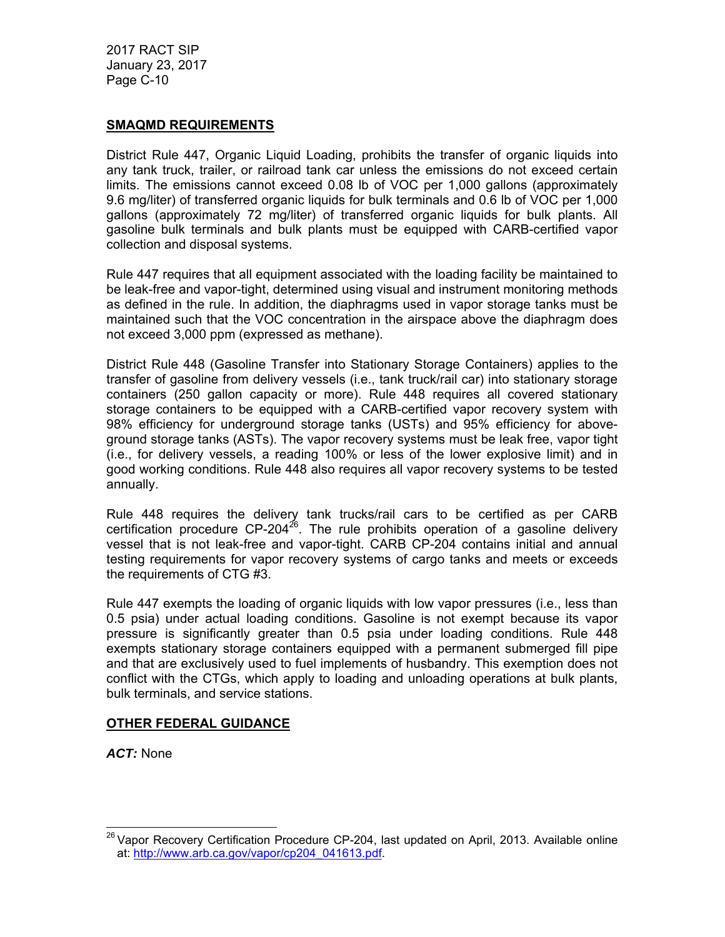## **SMAQMD REQUIREMENTS**

District Rule 447, Organic Liquid Loading, prohibits the transfer of organic liquids into any tank truck, trailer, or railroad tank car unless the emissions do not exceed certain limits. The emissions cannot exceed 0.08 lb of VOC per 1,000 gallons (approximately 9.6 mg/liter) of transferred organic liquids for bulk terminals and 0.6 lb of VOC per 1,000 gallons (approximately 72 mg/liter) of transferred organic liquids for bulk plants. All gasoline bulk terminals and bulk plants must be equipped with CARB-certified vapor collection and disposal systems.

Rule 447 requires that all equipment associated with the loading facility be maintained to be leak-free and vapor-tight, determined using visual and instrument monitoring methods as defined in the rule. In addition, the diaphragms used in vapor storage tanks must be maintained such that the VOC concentration in the airspace above the diaphragm does not exceed 3,000 ppm (expressed as methane).

District Rule 448 (Gasoline Transfer into Stationary Storage Containers) applies to the transfer of gasoline from delivery vessels (i.e., tank truck/rail car) into stationary storage containers (250 gallon capacity or more). Rule 448 requires all covered stationary storage containers to be equipped with a CARB-certified vapor recovery system with 98% efficiency for underground storage tanks (USTs) and 95% efficiency for aboveground storage tanks (ASTs). The vapor recovery systems must be leak free, vapor tight (i.e., for delivery vessels, a reading 100% or less of the lower explosive limit) and in good working conditions. Rule 448 also requires all vapor recovery systems to be tested annually.

Rule 448 requires the delivery tank trucks/rail cars to be certified as per CARB certification procedure  $CP-204^{26}$ . The rule prohibits operation of a gasoline delivery vessel that is not leak-free and vapor-tight. CARB CP-204 contains initial and annual testing requirements for vapor recovery systems of cargo tanks and meets or exceeds the requirements of CTG #3.

Rule 447 exempts the loading of organic liquids with low vapor pressures (i.e., less than 0.5 psia) under actual loading conditions. Gasoline is not exempt because its vapor pressure is significantly greater than 0.5 psia under loading conditions. Rule 448 exempts stationary storage containers equipped with a permanent submerged fill pipe and that are exclusively used to fuel implements of husbandry. This exemption does not conflict with the CTGs, which apply to loading and unloading operations at bulk plants, bulk terminals, and service stations.

# **OTHER FEDERAL GUIDANCE**

*ACT:* None

  $26$  Vapor Recovery Certification Procedure CP-204, last updated on April, 2013. Available online at: http://www.arb.ca.gov/vapor/cp204\_041613.pdf.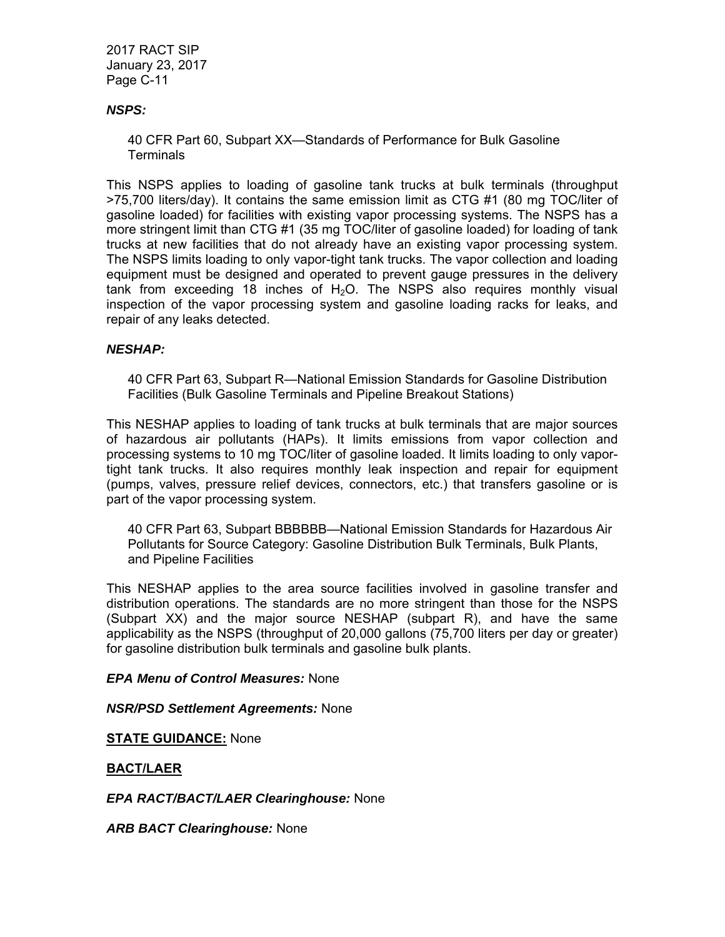## *NSPS:*

40 CFR Part 60, Subpart XX—Standards of Performance for Bulk Gasoline **Terminals** 

This NSPS applies to loading of gasoline tank trucks at bulk terminals (throughput >75,700 liters/day). It contains the same emission limit as CTG #1 (80 mg TOC/liter of gasoline loaded) for facilities with existing vapor processing systems. The NSPS has a more stringent limit than CTG #1 (35 mg TOC/liter of gasoline loaded) for loading of tank trucks at new facilities that do not already have an existing vapor processing system. The NSPS limits loading to only vapor-tight tank trucks. The vapor collection and loading equipment must be designed and operated to prevent gauge pressures in the delivery tank from exceeding 18 inches of  $H_2O$ . The NSPS also requires monthly visual inspection of the vapor processing system and gasoline loading racks for leaks, and repair of any leaks detected.

#### *NESHAP:*

40 CFR Part 63, Subpart R—National Emission Standards for Gasoline Distribution Facilities (Bulk Gasoline Terminals and Pipeline Breakout Stations)

This NESHAP applies to loading of tank trucks at bulk terminals that are major sources of hazardous air pollutants (HAPs). It limits emissions from vapor collection and processing systems to 10 mg TOC/liter of gasoline loaded. It limits loading to only vaportight tank trucks. It also requires monthly leak inspection and repair for equipment (pumps, valves, pressure relief devices, connectors, etc.) that transfers gasoline or is part of the vapor processing system.

40 CFR Part 63, Subpart BBBBBB—National Emission Standards for Hazardous Air Pollutants for Source Category: Gasoline Distribution Bulk Terminals, Bulk Plants, and Pipeline Facilities

This NESHAP applies to the area source facilities involved in gasoline transfer and distribution operations. The standards are no more stringent than those for the NSPS (Subpart XX) and the major source NESHAP (subpart R), and have the same applicability as the NSPS (throughput of 20,000 gallons (75,700 liters per day or greater) for gasoline distribution bulk terminals and gasoline bulk plants.

#### *EPA Menu of Control Measures:* None

#### *NSR/PSD Settlement Agreements:* None

**STATE GUIDANCE:** None

#### **BACT/LAER**

*EPA RACT/BACT/LAER Clearinghouse:* None

*ARB BACT Clearinghouse:* None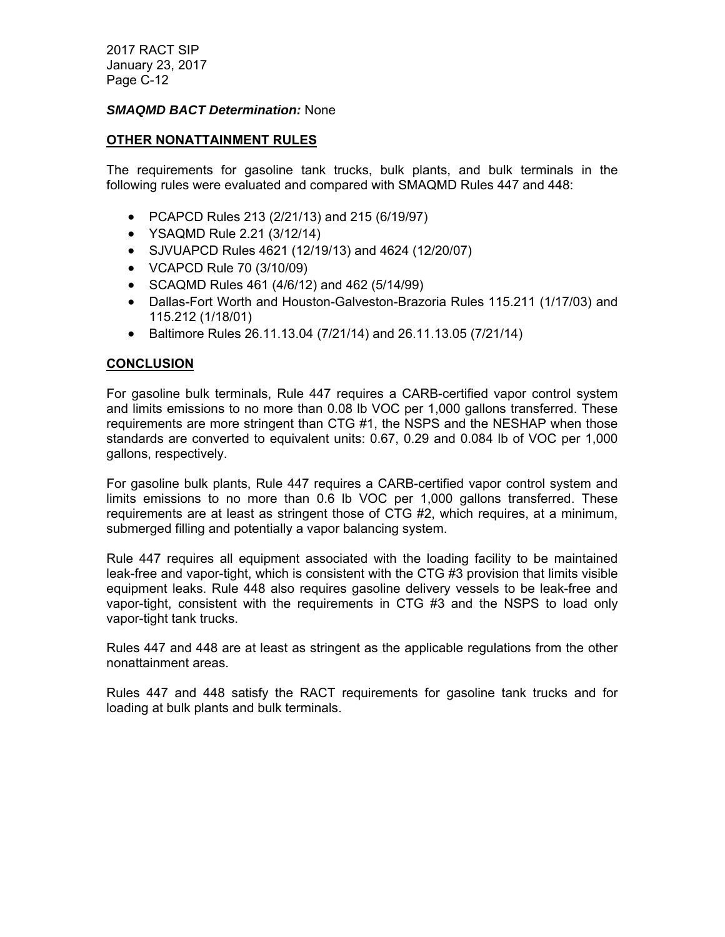### *SMAQMD BACT Determination:* None

#### **OTHER NONATTAINMENT RULES**

The requirements for gasoline tank trucks, bulk plants, and bulk terminals in the following rules were evaluated and compared with SMAQMD Rules 447 and 448:

- PCAPCD Rules 213 (2/21/13) and 215 (6/19/97)
- YSAQMD Rule 2.21 (3/12/14)
- SJVUAPCD Rules 4621 (12/19/13) and 4624 (12/20/07)
- VCAPCD Rule 70 (3/10/09)
- SCAQMD Rules 461 (4/6/12) and 462 (5/14/99)
- Dallas-Fort Worth and Houston-Galveston-Brazoria Rules 115.211 (1/17/03) and 115.212 (1/18/01)
- Baltimore Rules 26.11.13.04 (7/21/14) and 26.11.13.05 (7/21/14)

## **CONCLUSION**

For gasoline bulk terminals, Rule 447 requires a CARB-certified vapor control system and limits emissions to no more than 0.08 lb VOC per 1,000 gallons transferred. These requirements are more stringent than CTG #1, the NSPS and the NESHAP when those standards are converted to equivalent units: 0.67, 0.29 and 0.084 lb of VOC per 1,000 gallons, respectively.

For gasoline bulk plants, Rule 447 requires a CARB-certified vapor control system and limits emissions to no more than 0.6 lb VOC per 1,000 gallons transferred. These requirements are at least as stringent those of CTG #2, which requires, at a minimum, submerged filling and potentially a vapor balancing system.

Rule 447 requires all equipment associated with the loading facility to be maintained leak-free and vapor-tight, which is consistent with the CTG #3 provision that limits visible equipment leaks. Rule 448 also requires gasoline delivery vessels to be leak-free and vapor-tight, consistent with the requirements in CTG #3 and the NSPS to load only vapor-tight tank trucks.

Rules 447 and 448 are at least as stringent as the applicable regulations from the other nonattainment areas.

Rules 447 and 448 satisfy the RACT requirements for gasoline tank trucks and for loading at bulk plants and bulk terminals.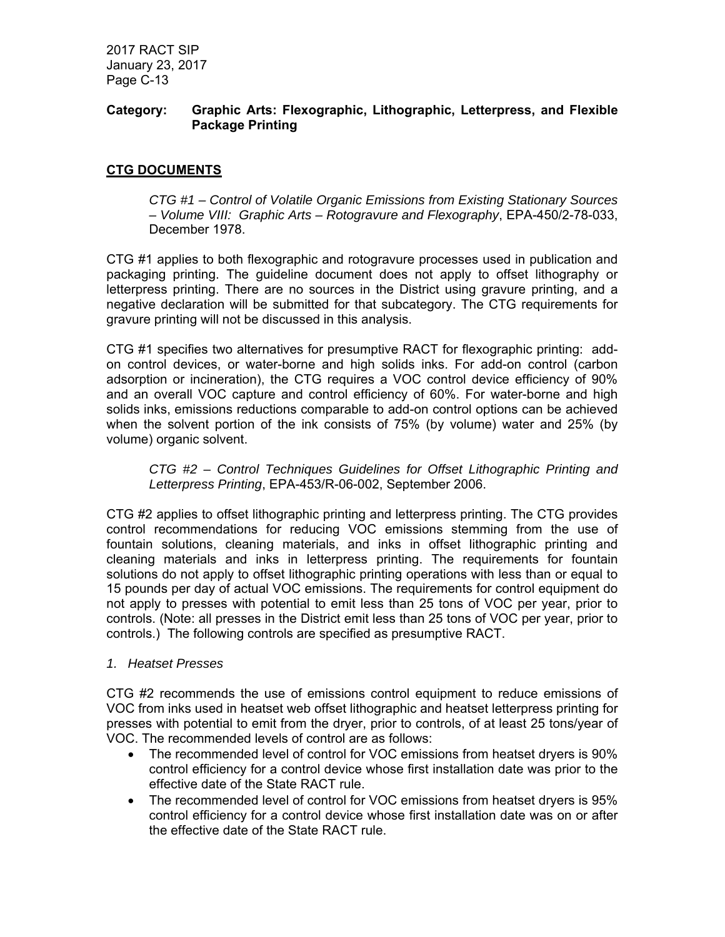## **Category: Graphic Arts: Flexographic, Lithographic, Letterpress, and Flexible Package Printing**

# **CTG DOCUMENTS**

*CTG #1 – Control of Volatile Organic Emissions from Existing Stationary Sources – Volume VIII: Graphic Arts – Rotogravure and Flexography*, EPA-450/2-78-033, December 1978.

CTG #1 applies to both flexographic and rotogravure processes used in publication and packaging printing. The guideline document does not apply to offset lithography or letterpress printing. There are no sources in the District using gravure printing, and a negative declaration will be submitted for that subcategory. The CTG requirements for gravure printing will not be discussed in this analysis.

CTG #1 specifies two alternatives for presumptive RACT for flexographic printing: addon control devices, or water-borne and high solids inks. For add-on control (carbon adsorption or incineration), the CTG requires a VOC control device efficiency of 90% and an overall VOC capture and control efficiency of 60%. For water-borne and high solids inks, emissions reductions comparable to add-on control options can be achieved when the solvent portion of the ink consists of 75% (by volume) water and 25% (by volume) organic solvent.

*CTG #2 – Control Techniques Guidelines for Offset Lithographic Printing and Letterpress Printing*, EPA-453/R-06-002, September 2006.

CTG #2 applies to offset lithographic printing and letterpress printing. The CTG provides control recommendations for reducing VOC emissions stemming from the use of fountain solutions, cleaning materials, and inks in offset lithographic printing and cleaning materials and inks in letterpress printing. The requirements for fountain solutions do not apply to offset lithographic printing operations with less than or equal to 15 pounds per day of actual VOC emissions. The requirements for control equipment do not apply to presses with potential to emit less than 25 tons of VOC per year, prior to controls. (Note: all presses in the District emit less than 25 tons of VOC per year, prior to controls.) The following controls are specified as presumptive RACT.

#### *1. Heatset Presses*

CTG #2 recommends the use of emissions control equipment to reduce emissions of VOC from inks used in heatset web offset lithographic and heatset letterpress printing for presses with potential to emit from the dryer, prior to controls, of at least 25 tons/year of VOC. The recommended levels of control are as follows:

- The recommended level of control for VOC emissions from heatset dryers is 90% control efficiency for a control device whose first installation date was prior to the effective date of the State RACT rule.
- The recommended level of control for VOC emissions from heatset dryers is 95% control efficiency for a control device whose first installation date was on or after the effective date of the State RACT rule.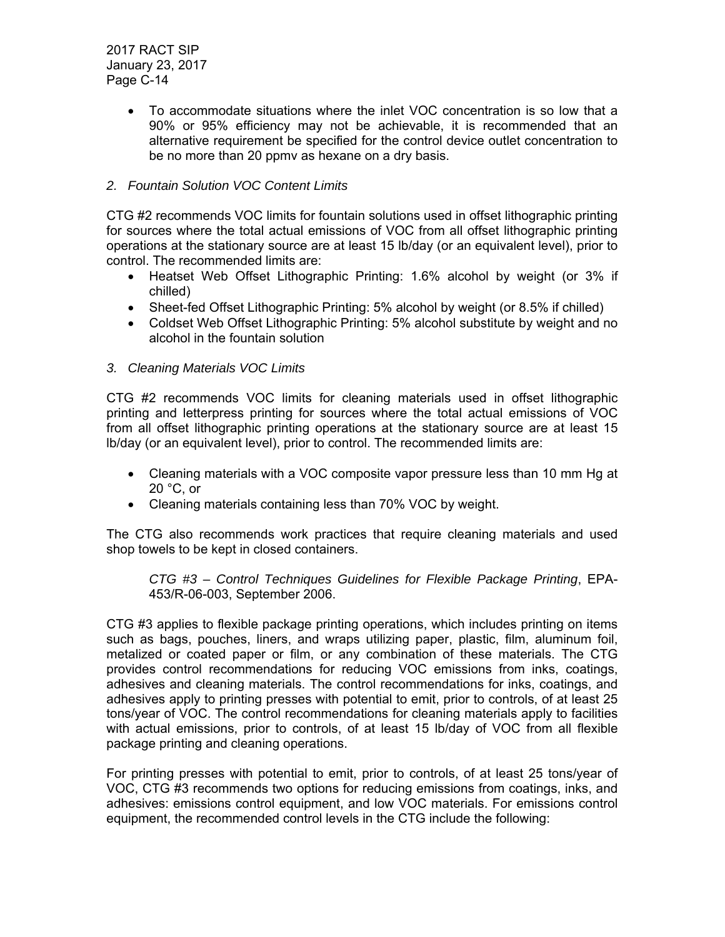> To accommodate situations where the inlet VOC concentration is so low that a 90% or 95% efficiency may not be achievable, it is recommended that an alternative requirement be specified for the control device outlet concentration to be no more than 20 ppmv as hexane on a dry basis.

# *2. Fountain Solution VOC Content Limits*

CTG #2 recommends VOC limits for fountain solutions used in offset lithographic printing for sources where the total actual emissions of VOC from all offset lithographic printing operations at the stationary source are at least 15 lb/day (or an equivalent level), prior to control. The recommended limits are:

- Heatset Web Offset Lithographic Printing: 1.6% alcohol by weight (or 3% if chilled)
- Sheet-fed Offset Lithographic Printing: 5% alcohol by weight (or 8.5% if chilled)
- Coldset Web Offset Lithographic Printing: 5% alcohol substitute by weight and no alcohol in the fountain solution

## *3. Cleaning Materials VOC Limits*

CTG #2 recommends VOC limits for cleaning materials used in offset lithographic printing and letterpress printing for sources where the total actual emissions of VOC from all offset lithographic printing operations at the stationary source are at least 15 lb/day (or an equivalent level), prior to control. The recommended limits are:

- Cleaning materials with a VOC composite vapor pressure less than 10 mm Hg at 20 °C, or
- Cleaning materials containing less than 70% VOC by weight.

The CTG also recommends work practices that require cleaning materials and used shop towels to be kept in closed containers.

*CTG #3 – Control Techniques Guidelines for Flexible Package Printing*, EPA-453/R-06-003, September 2006.

CTG #3 applies to flexible package printing operations, which includes printing on items such as bags, pouches, liners, and wraps utilizing paper, plastic, film, aluminum foil, metalized or coated paper or film, or any combination of these materials. The CTG provides control recommendations for reducing VOC emissions from inks, coatings, adhesives and cleaning materials. The control recommendations for inks, coatings, and adhesives apply to printing presses with potential to emit, prior to controls, of at least 25 tons/year of VOC. The control recommendations for cleaning materials apply to facilities with actual emissions, prior to controls, of at least 15 lb/day of VOC from all flexible package printing and cleaning operations.

For printing presses with potential to emit, prior to controls, of at least 25 tons/year of VOC, CTG #3 recommends two options for reducing emissions from coatings, inks, and adhesives: emissions control equipment, and low VOC materials. For emissions control equipment, the recommended control levels in the CTG include the following: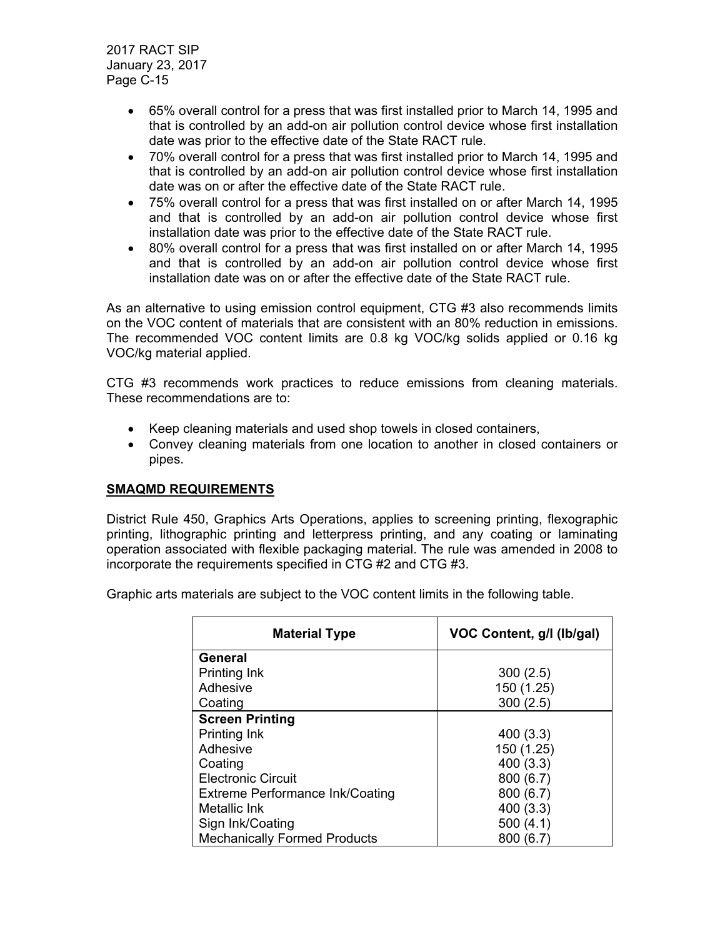- 65% overall control for a press that was first installed prior to March 14, 1995 and that is controlled by an add-on air pollution control device whose first installation date was prior to the effective date of the State RACT rule.
- 70% overall control for a press that was first installed prior to March 14, 1995 and that is controlled by an add-on air pollution control device whose first installation date was on or after the effective date of the State RACT rule.
- 75% overall control for a press that was first installed on or after March 14, 1995 and that is controlled by an add-on air pollution control device whose first installation date was prior to the effective date of the State RACT rule.
- 80% overall control for a press that was first installed on or after March 14, 1995 and that is controlled by an add-on air pollution control device whose first installation date was on or after the effective date of the State RACT rule.

As an alternative to using emission control equipment, CTG #3 also recommends limits on the VOC content of materials that are consistent with an 80% reduction in emissions. The recommended VOC content limits are 0.8 kg VOC/kg solids applied or 0.16 kg VOC/kg material applied.

CTG #3 recommends work practices to reduce emissions from cleaning materials. These recommendations are to:

- Keep cleaning materials and used shop towels in closed containers,
- Convey cleaning materials from one location to another in closed containers or pipes.

# **SMAQMD REQUIREMENTS**

District Rule 450, Graphics Arts Operations, applies to screening printing, flexographic printing, lithographic printing and letterpress printing, and any coating or laminating operation associated with flexible packaging material. The rule was amended in 2008 to incorporate the requirements specified in CTG #2 and CTG #3.

Graphic arts materials are subject to the VOC content limits in the following table.

| <b>Material Type</b>                   | VOC Content, g/l (lb/gal) |
|----------------------------------------|---------------------------|
| <b>General</b>                         |                           |
| Printing Ink                           | 300(2.5)                  |
| Adhesive                               | 150 (1.25)                |
| Coating                                | 300(2.5)                  |
| <b>Screen Printing</b>                 |                           |
| Printing Ink                           | 400(3.3)                  |
| Adhesive                               | 150 (1.25)                |
| Coating                                | 400 (3.3)                 |
| <b>Electronic Circuit</b>              | 800(6.7)                  |
| <b>Extreme Performance Ink/Coating</b> | 800(6.7)                  |
| Metallic Ink                           | 400(3.3)                  |
| Sign Ink/Coating                       | 500(4.1)                  |
| <b>Mechanically Formed Products</b>    | 800 (6.7)                 |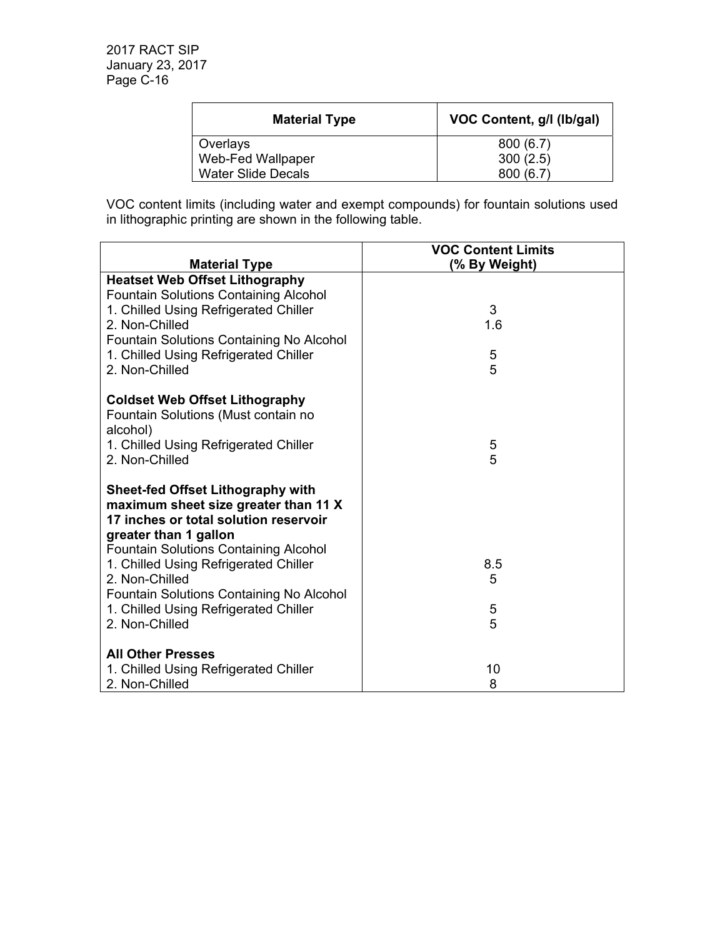| <b>Material Type</b>      | VOC Content, g/l (lb/gal) |
|---------------------------|---------------------------|
| Overlays                  | 800(6.7)                  |
| Web-Fed Wallpaper         | 300(2.5)                  |
| <b>Water Slide Decals</b> | 800(6.7)                  |

VOC content limits (including water and exempt compounds) for fountain solutions used in lithographic printing are shown in the following table.

|                                                         | <b>VOC Content Limits</b> |
|---------------------------------------------------------|---------------------------|
| <b>Material Type</b>                                    | (% By Weight)             |
| <b>Heatset Web Offset Lithography</b>                   |                           |
| <b>Fountain Solutions Containing Alcohol</b>            |                           |
| 1. Chilled Using Refrigerated Chiller<br>2. Non-Chilled | 3<br>1.6                  |
| Fountain Solutions Containing No Alcohol                |                           |
| 1. Chilled Using Refrigerated Chiller                   | 5                         |
| 2. Non-Chilled                                          | 5                         |
|                                                         |                           |
| <b>Coldset Web Offset Lithography</b>                   |                           |
| Fountain Solutions (Must contain no                     |                           |
| alcohol)                                                |                           |
| 1. Chilled Using Refrigerated Chiller                   | 5                         |
| 2. Non-Chilled                                          | 5                         |
| <b>Sheet-fed Offset Lithography with</b>                |                           |
| maximum sheet size greater than 11 X                    |                           |
| 17 inches or total solution reservoir                   |                           |
| greater than 1 gallon                                   |                           |
| <b>Fountain Solutions Containing Alcohol</b>            |                           |
| 1. Chilled Using Refrigerated Chiller                   | 8.5                       |
| 2. Non-Chilled                                          | 5                         |
| Fountain Solutions Containing No Alcohol                |                           |
| 1. Chilled Using Refrigerated Chiller                   | 5                         |
| 2. Non-Chilled                                          | 5                         |
| <b>All Other Presses</b>                                |                           |
| 1. Chilled Using Refrigerated Chiller                   | 10                        |
| 2. Non-Chilled                                          | 8                         |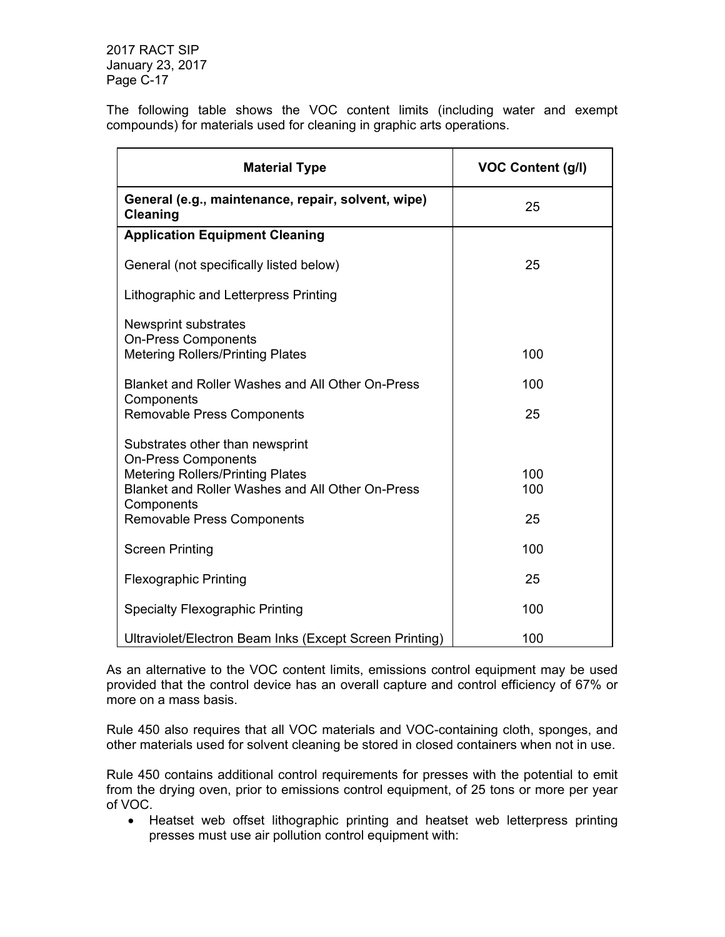The following table shows the VOC content limits (including water and exempt compounds) for materials used for cleaning in graphic arts operations.

| <b>Material Type</b>                                                  | <b>VOC Content (g/l)</b> |
|-----------------------------------------------------------------------|--------------------------|
| General (e.g., maintenance, repair, solvent, wipe)<br><b>Cleaning</b> | 25                       |
| <b>Application Equipment Cleaning</b>                                 |                          |
| General (not specifically listed below)                               | 25                       |
| Lithographic and Letterpress Printing                                 |                          |
| Newsprint substrates                                                  |                          |
| <b>On-Press Components</b><br><b>Metering Rollers/Printing Plates</b> | 100                      |
| Blanket and Roller Washes and All Other On-Press                      | 100                      |
| Components<br>Removable Press Components                              | 25                       |
| Substrates other than newsprint                                       |                          |
| <b>On-Press Components</b><br><b>Metering Rollers/Printing Plates</b> | 100                      |
| Blanket and Roller Washes and All Other On-Press                      | 100                      |
| Components<br><b>Removable Press Components</b>                       | 25                       |
| <b>Screen Printing</b>                                                | 100                      |
| <b>Flexographic Printing</b>                                          | 25                       |
| <b>Specialty Flexographic Printing</b>                                | 100                      |
| Ultraviolet/Electron Beam Inks (Except Screen Printing)               | 100                      |

As an alternative to the VOC content limits, emissions control equipment may be used provided that the control device has an overall capture and control efficiency of 67% or more on a mass basis.

Rule 450 also requires that all VOC materials and VOC-containing cloth, sponges, and other materials used for solvent cleaning be stored in closed containers when not in use.

Rule 450 contains additional control requirements for presses with the potential to emit from the drying oven, prior to emissions control equipment, of 25 tons or more per year of VOC.

• Heatset web offset lithographic printing and heatset web letterpress printing presses must use air pollution control equipment with: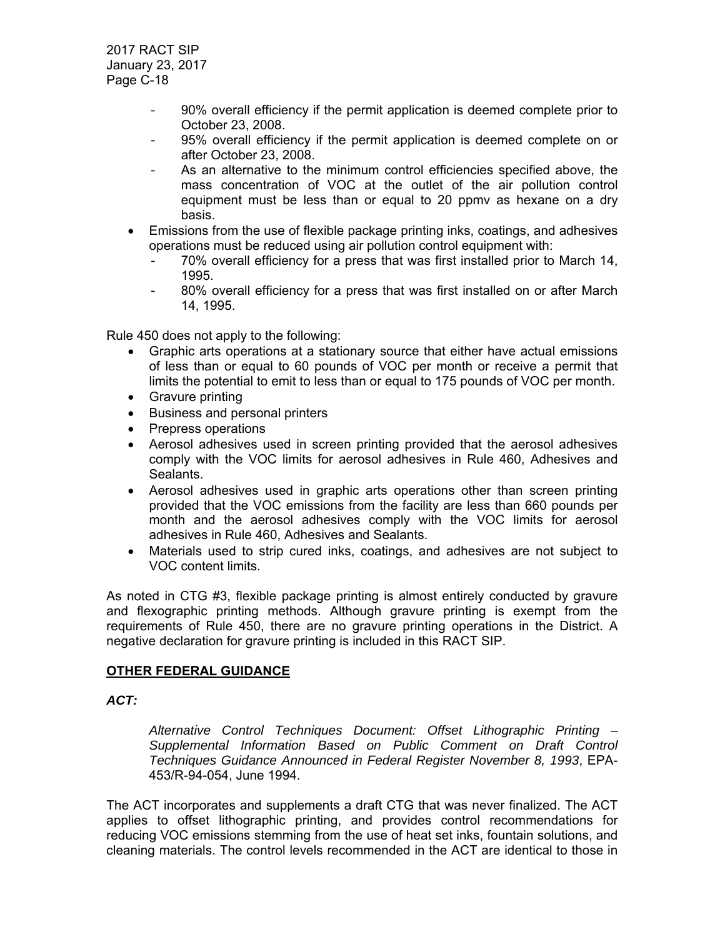- 90% overall efficiency if the permit application is deemed complete prior to October 23, 2008.
- 95% overall efficiency if the permit application is deemed complete on or after October 23, 2008.
- As an alternative to the minimum control efficiencies specified above, the mass concentration of VOC at the outlet of the air pollution control equipment must be less than or equal to 20 ppmv as hexane on a dry basis.
- Emissions from the use of flexible package printing inks, coatings, and adhesives operations must be reduced using air pollution control equipment with:
	- 70% overall efficiency for a press that was first installed prior to March 14, 1995.
	- 80% overall efficiency for a press that was first installed on or after March 14, 1995.

Rule 450 does not apply to the following:

- Graphic arts operations at a stationary source that either have actual emissions of less than or equal to 60 pounds of VOC per month or receive a permit that limits the potential to emit to less than or equal to 175 pounds of VOC per month.
- Gravure printing
- Business and personal printers
- Prepress operations
- Aerosol adhesives used in screen printing provided that the aerosol adhesives comply with the VOC limits for aerosol adhesives in Rule 460, Adhesives and Sealants.
- Aerosol adhesives used in graphic arts operations other than screen printing provided that the VOC emissions from the facility are less than 660 pounds per month and the aerosol adhesives comply with the VOC limits for aerosol adhesives in Rule 460, Adhesives and Sealants.
- Materials used to strip cured inks, coatings, and adhesives are not subject to VOC content limits.

As noted in CTG #3, flexible package printing is almost entirely conducted by gravure and flexographic printing methods. Although gravure printing is exempt from the requirements of Rule 450, there are no gravure printing operations in the District. A negative declaration for gravure printing is included in this RACT SIP.

# **OTHER FEDERAL GUIDANCE**

#### *ACT:*

*Alternative Control Techniques Document: Offset Lithographic Printing – Supplemental Information Based on Public Comment on Draft Control Techniques Guidance Announced in Federal Register November 8, 1993*, EPA-453/R-94-054, June 1994.

The ACT incorporates and supplements a draft CTG that was never finalized. The ACT applies to offset lithographic printing, and provides control recommendations for reducing VOC emissions stemming from the use of heat set inks, fountain solutions, and cleaning materials. The control levels recommended in the ACT are identical to those in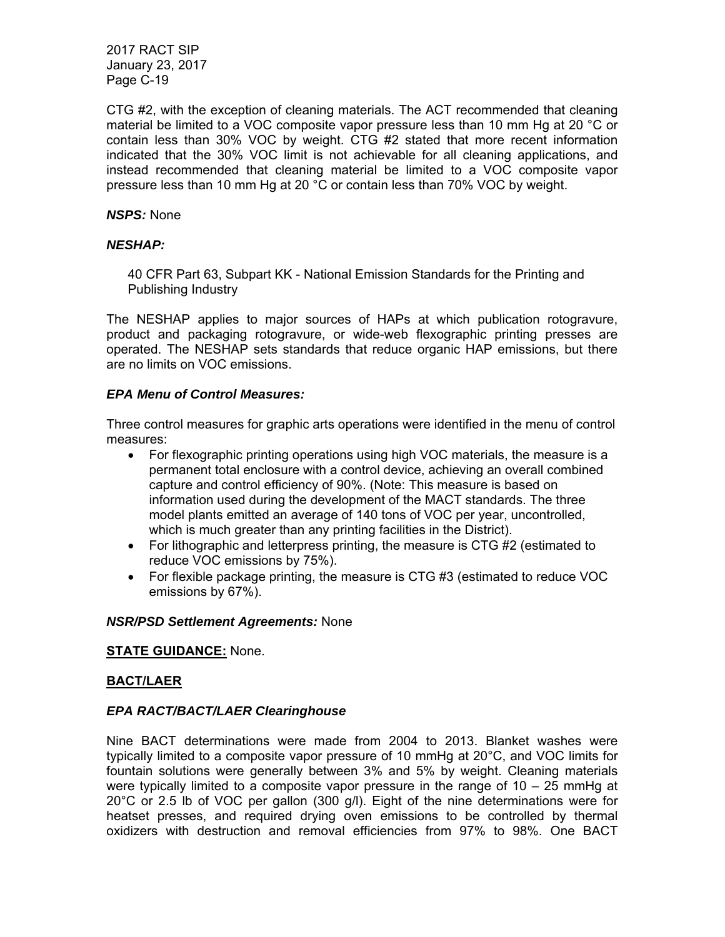CTG #2, with the exception of cleaning materials. The ACT recommended that cleaning material be limited to a VOC composite vapor pressure less than 10 mm Hg at 20 °C or contain less than 30% VOC by weight. CTG #2 stated that more recent information indicated that the 30% VOC limit is not achievable for all cleaning applications, and instead recommended that cleaning material be limited to a VOC composite vapor pressure less than 10 mm Hg at 20 °C or contain less than 70% VOC by weight.

### *NSPS:* None

### *NESHAP:*

40 CFR Part 63, Subpart KK - National Emission Standards for the Printing and Publishing Industry

The NESHAP applies to major sources of HAPs at which publication rotogravure, product and packaging rotogravure, or wide-web flexographic printing presses are operated. The NESHAP sets standards that reduce organic HAP emissions, but there are no limits on VOC emissions.

## *EPA Menu of Control Measures:*

Three control measures for graphic arts operations were identified in the menu of control measures:

- For flexographic printing operations using high VOC materials, the measure is a permanent total enclosure with a control device, achieving an overall combined capture and control efficiency of 90%. (Note: This measure is based on information used during the development of the MACT standards. The three model plants emitted an average of 140 tons of VOC per year, uncontrolled, which is much greater than any printing facilities in the District).
- For lithographic and letterpress printing, the measure is CTG #2 (estimated to reduce VOC emissions by 75%).
- For flexible package printing, the measure is CTG #3 (estimated to reduce VOC emissions by 67%).

### *NSR/PSD Settlement Agreements:* None

### **STATE GUIDANCE:** None.

### **BACT/LAER**

### *EPA RACT/BACT/LAER Clearinghouse*

Nine BACT determinations were made from 2004 to 2013. Blanket washes were typically limited to a composite vapor pressure of 10 mmHg at 20°C, and VOC limits for fountain solutions were generally between 3% and 5% by weight. Cleaning materials were typically limited to a composite vapor pressure in the range of 10 – 25 mmHg at 20°C or 2.5 lb of VOC per gallon (300 g/l). Eight of the nine determinations were for heatset presses, and required drying oven emissions to be controlled by thermal oxidizers with destruction and removal efficiencies from 97% to 98%. One BACT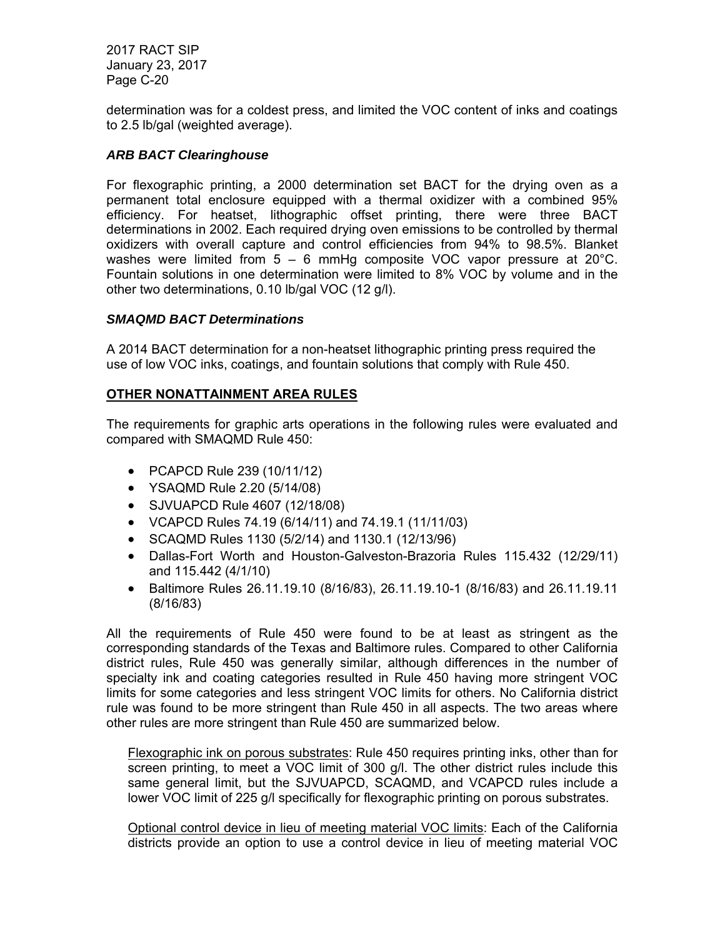determination was for a coldest press, and limited the VOC content of inks and coatings to 2.5 lb/gal (weighted average).

# *ARB BACT Clearinghouse*

For flexographic printing, a 2000 determination set BACT for the drying oven as a permanent total enclosure equipped with a thermal oxidizer with a combined 95% efficiency. For heatset, lithographic offset printing, there were three BACT determinations in 2002. Each required drying oven emissions to be controlled by thermal oxidizers with overall capture and control efficiencies from 94% to 98.5%. Blanket washes were limited from 5 – 6 mmHg composite VOC vapor pressure at 20°C. Fountain solutions in one determination were limited to 8% VOC by volume and in the other two determinations, 0.10 lb/gal VOC (12 g/l).

## *SMAQMD BACT Determinations*

A 2014 BACT determination for a non-heatset lithographic printing press required the use of low VOC inks, coatings, and fountain solutions that comply with Rule 450.

## **OTHER NONATTAINMENT AREA RULES**

The requirements for graphic arts operations in the following rules were evaluated and compared with SMAQMD Rule 450:

- PCAPCD Rule 239 (10/11/12)
- YSAQMD Rule 2.20 (5/14/08)
- SJVUAPCD Rule 4607 (12/18/08)
- VCAPCD Rules 74.19 (6/14/11) and 74.19.1 (11/11/03)
- SCAQMD Rules 1130 (5/2/14) and 1130.1 (12/13/96)
- Dallas-Fort Worth and Houston-Galveston-Brazoria Rules 115.432 (12/29/11) and 115.442 (4/1/10)
- Baltimore Rules 26.11.19.10 (8/16/83), 26.11.19.10-1 (8/16/83) and 26.11.19.11 (8/16/83)

All the requirements of Rule 450 were found to be at least as stringent as the corresponding standards of the Texas and Baltimore rules. Compared to other California district rules, Rule 450 was generally similar, although differences in the number of specialty ink and coating categories resulted in Rule 450 having more stringent VOC limits for some categories and less stringent VOC limits for others. No California district rule was found to be more stringent than Rule 450 in all aspects. The two areas where other rules are more stringent than Rule 450 are summarized below.

Flexographic ink on porous substrates: Rule 450 requires printing inks, other than for screen printing, to meet a VOC limit of 300 g/l. The other district rules include this same general limit, but the SJVUAPCD, SCAQMD, and VCAPCD rules include a lower VOC limit of 225 g/l specifically for flexographic printing on porous substrates.

Optional control device in lieu of meeting material VOC limits: Each of the California districts provide an option to use a control device in lieu of meeting material VOC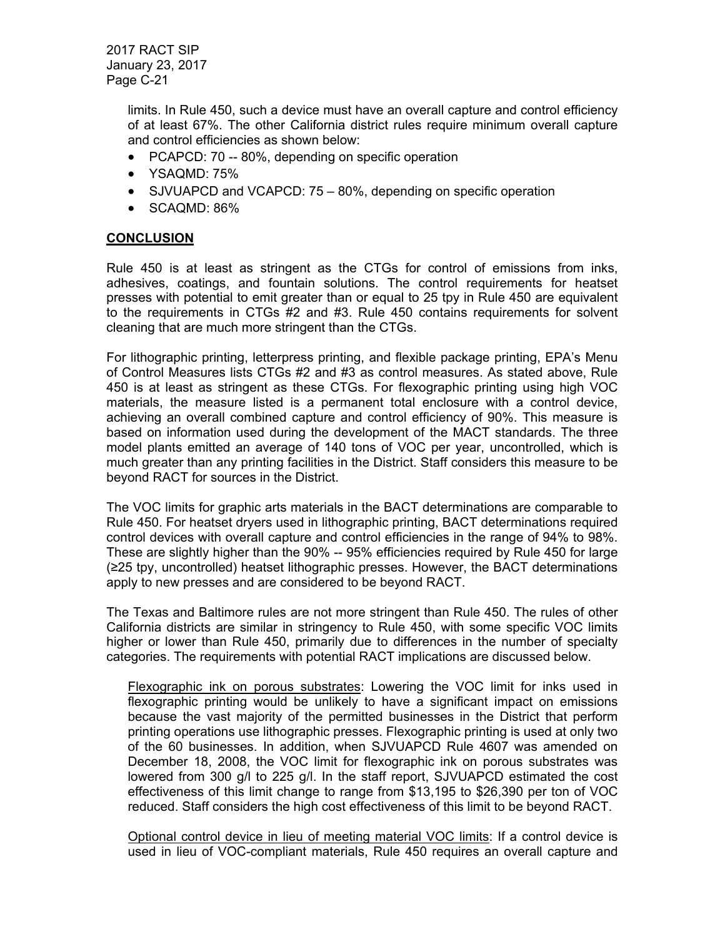> limits. In Rule 450, such a device must have an overall capture and control efficiency of at least 67%. The other California district rules require minimum overall capture and control efficiencies as shown below:

- PCAPCD: 70 -- 80%, depending on specific operation
- YSAQMD: 75%
- SJVUAPCD and VCAPCD: 75 80%, depending on specific operation
- SCAQMD: 86%

### **CONCLUSION**

Rule 450 is at least as stringent as the CTGs for control of emissions from inks, adhesives, coatings, and fountain solutions. The control requirements for heatset presses with potential to emit greater than or equal to 25 tpy in Rule 450 are equivalent to the requirements in CTGs #2 and #3. Rule 450 contains requirements for solvent cleaning that are much more stringent than the CTGs.

For lithographic printing, letterpress printing, and flexible package printing, EPA's Menu of Control Measures lists CTGs #2 and #3 as control measures. As stated above, Rule 450 is at least as stringent as these CTGs. For flexographic printing using high VOC materials, the measure listed is a permanent total enclosure with a control device, achieving an overall combined capture and control efficiency of 90%. This measure is based on information used during the development of the MACT standards. The three model plants emitted an average of 140 tons of VOC per year, uncontrolled, which is much greater than any printing facilities in the District. Staff considers this measure to be beyond RACT for sources in the District.

The VOC limits for graphic arts materials in the BACT determinations are comparable to Rule 450. For heatset dryers used in lithographic printing, BACT determinations required control devices with overall capture and control efficiencies in the range of 94% to 98%. These are slightly higher than the 90% -- 95% efficiencies required by Rule 450 for large (≥25 tpy, uncontrolled) heatset lithographic presses. However, the BACT determinations apply to new presses and are considered to be beyond RACT.

The Texas and Baltimore rules are not more stringent than Rule 450. The rules of other California districts are similar in stringency to Rule 450, with some specific VOC limits higher or lower than Rule 450, primarily due to differences in the number of specialty categories. The requirements with potential RACT implications are discussed below.

Flexographic ink on porous substrates: Lowering the VOC limit for inks used in flexographic printing would be unlikely to have a significant impact on emissions because the vast majority of the permitted businesses in the District that perform printing operations use lithographic presses. Flexographic printing is used at only two of the 60 businesses. In addition, when SJVUAPCD Rule 4607 was amended on December 18, 2008, the VOC limit for flexographic ink on porous substrates was lowered from 300 g/l to 225 g/l. In the staff report, SJVUAPCD estimated the cost effectiveness of this limit change to range from \$13,195 to \$26,390 per ton of VOC reduced. Staff considers the high cost effectiveness of this limit to be beyond RACT.

Optional control device in lieu of meeting material VOC limits: If a control device is used in lieu of VOC-compliant materials, Rule 450 requires an overall capture and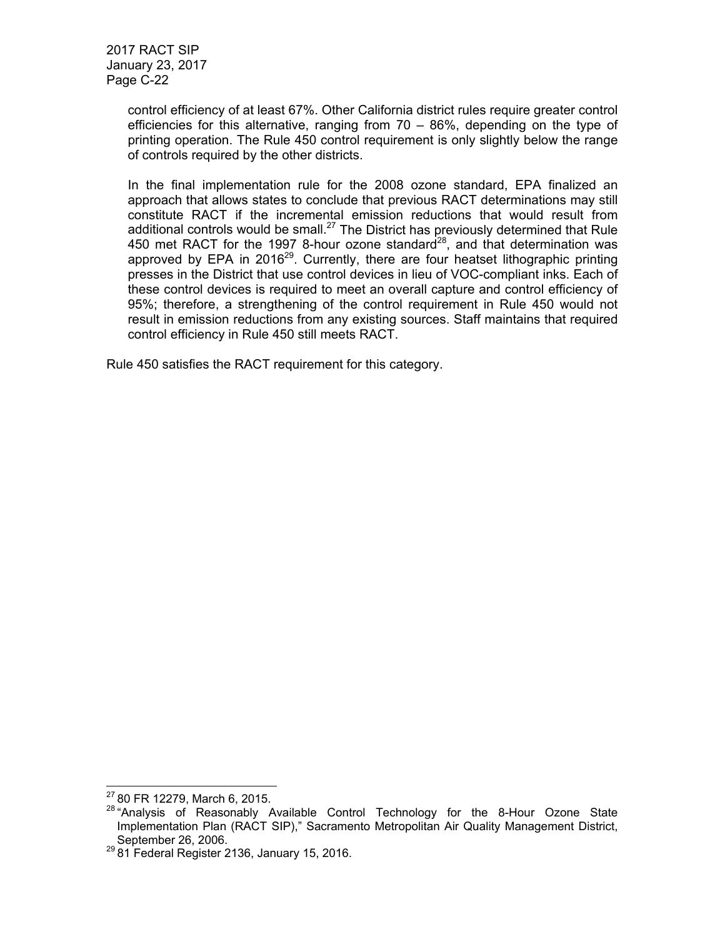control efficiency of at least 67%. Other California district rules require greater control efficiencies for this alternative, ranging from 70 – 86%, depending on the type of printing operation. The Rule 450 control requirement is only slightly below the range of controls required by the other districts.

In the final implementation rule for the 2008 ozone standard, EPA finalized an approach that allows states to conclude that previous RACT determinations may still constitute RACT if the incremental emission reductions that would result from additional controls would be small.<sup>27</sup> The District has previously determined that Rule 450 met RACT for the 1997 8-hour ozone standard<sup>28</sup>, and that determination was approved by EPA in 2016<sup>29</sup>. Currently, there are four heatset lithographic printing presses in the District that use control devices in lieu of VOC-compliant inks. Each of these control devices is required to meet an overall capture and control efficiency of 95%; therefore, a strengthening of the control requirement in Rule 450 would not result in emission reductions from any existing sources. Staff maintains that required control efficiency in Rule 450 still meets RACT.

Rule 450 satisfies the RACT requirement for this category.

 $2780$  FR 12279, March 6, 2015.

<sup>28 &</sup>quot;Analysis of Reasonably Available Control Technology for the 8-Hour Ozone State Implementation Plan (RACT SIP)," Sacramento Metropolitan Air Quality Management District, September 26, 2006.<br><sup>29</sup> 81 Federal Register 2136, January 15, 2016.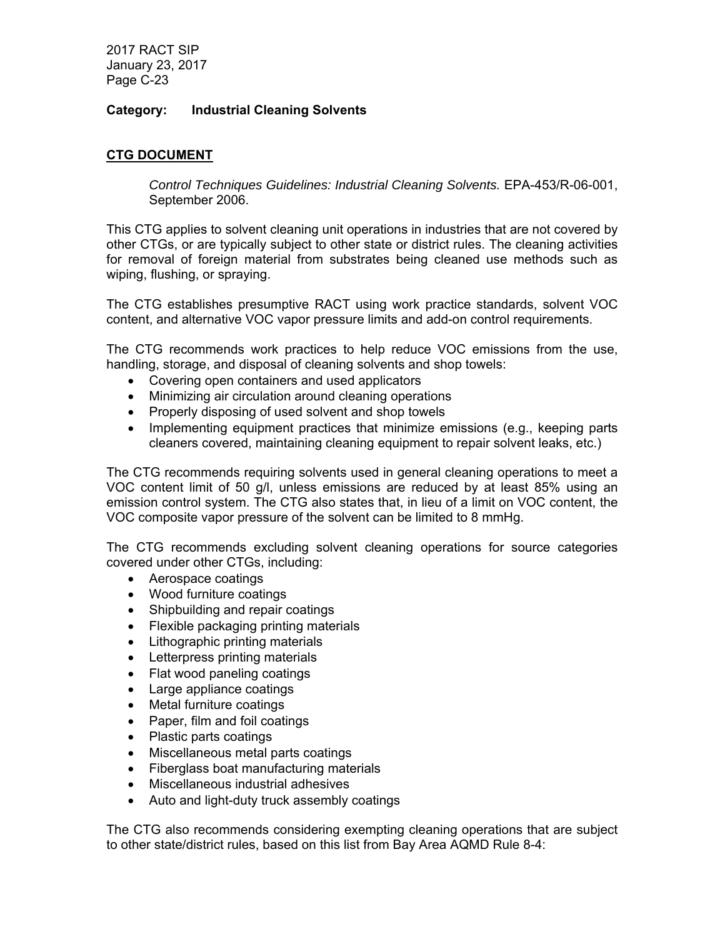# **Category: Industrial Cleaning Solvents**

# **CTG DOCUMENT**

*Control Techniques Guidelines: Industrial Cleaning Solvents.* EPA-453/R-06-001, September 2006.

This CTG applies to solvent cleaning unit operations in industries that are not covered by other CTGs, or are typically subject to other state or district rules. The cleaning activities for removal of foreign material from substrates being cleaned use methods such as wiping, flushing, or spraying.

The CTG establishes presumptive RACT using work practice standards, solvent VOC content, and alternative VOC vapor pressure limits and add-on control requirements.

The CTG recommends work practices to help reduce VOC emissions from the use, handling, storage, and disposal of cleaning solvents and shop towels:

- Covering open containers and used applicators
- Minimizing air circulation around cleaning operations
- Properly disposing of used solvent and shop towels
- Implementing equipment practices that minimize emissions (e.g., keeping parts cleaners covered, maintaining cleaning equipment to repair solvent leaks, etc.)

The CTG recommends requiring solvents used in general cleaning operations to meet a VOC content limit of 50 g/l, unless emissions are reduced by at least 85% using an emission control system. The CTG also states that, in lieu of a limit on VOC content, the VOC composite vapor pressure of the solvent can be limited to 8 mmHg.

The CTG recommends excluding solvent cleaning operations for source categories covered under other CTGs, including:

- Aerospace coatings
- Wood furniture coatings
- Shipbuilding and repair coatings
- Flexible packaging printing materials
- Lithographic printing materials
- Letterpress printing materials
- Flat wood paneling coatings
- Large appliance coatings
- Metal furniture coatings
- Paper, film and foil coatings
- Plastic parts coatings
- Miscellaneous metal parts coatings
- Fiberglass boat manufacturing materials
- Miscellaneous industrial adhesives
- Auto and light-duty truck assembly coatings

The CTG also recommends considering exempting cleaning operations that are subject to other state/district rules, based on this list from Bay Area AQMD Rule 8-4: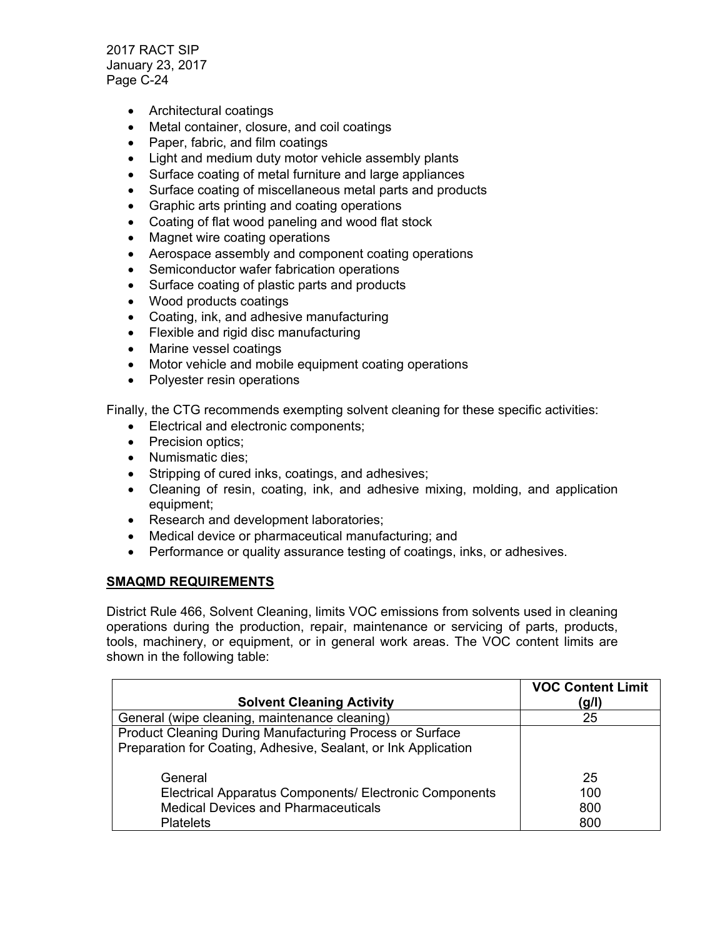- Architectural coatings
- Metal container, closure, and coil coatings
- Paper, fabric, and film coatings
- Light and medium duty motor vehicle assembly plants
- Surface coating of metal furniture and large appliances
- Surface coating of miscellaneous metal parts and products
- Graphic arts printing and coating operations
- Coating of flat wood paneling and wood flat stock
- Magnet wire coating operations
- Aerospace assembly and component coating operations
- Semiconductor wafer fabrication operations
- Surface coating of plastic parts and products
- Wood products coatings
- Coating, ink, and adhesive manufacturing
- Flexible and rigid disc manufacturing
- Marine vessel coatings
- Motor vehicle and mobile equipment coating operations
- Polyester resin operations

Finally, the CTG recommends exempting solvent cleaning for these specific activities:

- **Electrical and electronic components;**
- Precision optics;
- Numismatic dies:
- Stripping of cured inks, coatings, and adhesives;
- Cleaning of resin, coating, ink, and adhesive mixing, molding, and application equipment;
- Research and development laboratories;
- Medical device or pharmaceutical manufacturing; and
- Performance or quality assurance testing of coatings, inks, or adhesives.

### **SMAQMD REQUIREMENTS**

District Rule 466, Solvent Cleaning, limits VOC emissions from solvents used in cleaning operations during the production, repair, maintenance or servicing of parts, products, tools, machinery, or equipment, or in general work areas. The VOC content limits are shown in the following table:

|                                                                 | <b>VOC Content Limit</b> |
|-----------------------------------------------------------------|--------------------------|
| <b>Solvent Cleaning Activity</b>                                | (g/l)                    |
| General (wipe cleaning, maintenance cleaning)                   | 25                       |
| <b>Product Cleaning During Manufacturing Process or Surface</b> |                          |
| Preparation for Coating, Adhesive, Sealant, or Ink Application  |                          |
|                                                                 |                          |
| General                                                         | 25                       |
| Electrical Apparatus Components/ Electronic Components          | 100                      |
| <b>Medical Devices and Pharmaceuticals</b>                      | 800                      |
| <b>Platelets</b>                                                | 800                      |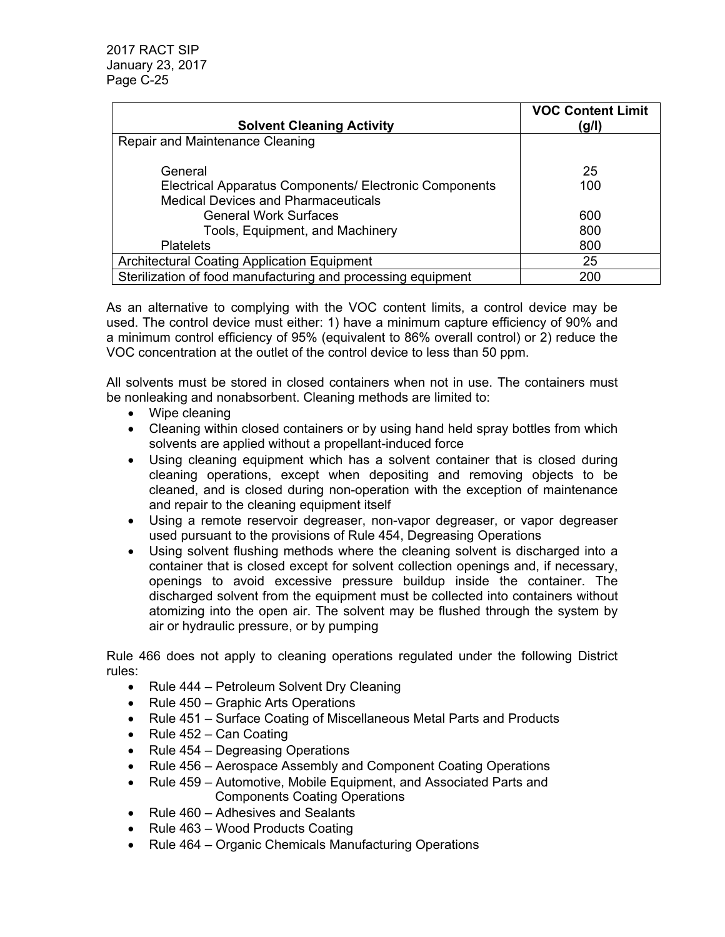|                                                              | <b>VOC Content Limit</b> |
|--------------------------------------------------------------|--------------------------|
| <b>Solvent Cleaning Activity</b>                             | (g/l)                    |
| Repair and Maintenance Cleaning                              |                          |
|                                                              |                          |
| General                                                      | 25                       |
| Electrical Apparatus Components/ Electronic Components       | 100                      |
| <b>Medical Devices and Pharmaceuticals</b>                   |                          |
| <b>General Work Surfaces</b>                                 | 600                      |
| Tools, Equipment, and Machinery                              | 800                      |
| <b>Platelets</b>                                             | 800                      |
| <b>Architectural Coating Application Equipment</b>           | 25                       |
| Sterilization of food manufacturing and processing equipment | 200                      |

As an alternative to complying with the VOC content limits, a control device may be used. The control device must either: 1) have a minimum capture efficiency of 90% and a minimum control efficiency of 95% (equivalent to 86% overall control) or 2) reduce the VOC concentration at the outlet of the control device to less than 50 ppm.

All solvents must be stored in closed containers when not in use. The containers must be nonleaking and nonabsorbent. Cleaning methods are limited to:

- Wipe cleaning
- Cleaning within closed containers or by using hand held spray bottles from which solvents are applied without a propellant-induced force
- Using cleaning equipment which has a solvent container that is closed during cleaning operations, except when depositing and removing objects to be cleaned, and is closed during non-operation with the exception of maintenance and repair to the cleaning equipment itself
- Using a remote reservoir degreaser, non-vapor degreaser, or vapor degreaser used pursuant to the provisions of Rule 454, Degreasing Operations
- Using solvent flushing methods where the cleaning solvent is discharged into a container that is closed except for solvent collection openings and, if necessary, openings to avoid excessive pressure buildup inside the container. The discharged solvent from the equipment must be collected into containers without atomizing into the open air. The solvent may be flushed through the system by air or hydraulic pressure, or by pumping

Rule 466 does not apply to cleaning operations regulated under the following District rules:

- Rule 444 Petroleum Solvent Dry Cleaning
- Rule 450 Graphic Arts Operations
- Rule 451 Surface Coating of Miscellaneous Metal Parts and Products
- Rule  $452 Can Coating$
- Rule  $454 -$  Degreasing Operations
- Rule 456 Aerospace Assembly and Component Coating Operations
- Rule 459 Automotive, Mobile Equipment, and Associated Parts and Components Coating Operations
- Rule 460 Adhesives and Sealants
- Rule  $463 Wood$  Products Coating
- Rule 464 Organic Chemicals Manufacturing Operations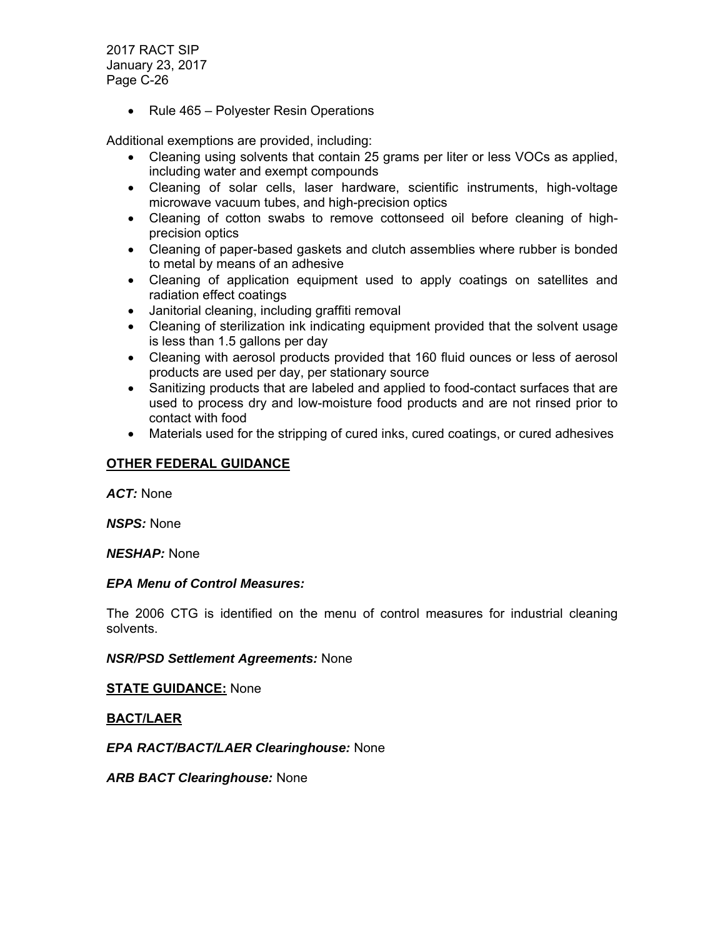• Rule 465 – Polyester Resin Operations

Additional exemptions are provided, including:

- Cleaning using solvents that contain 25 grams per liter or less VOCs as applied, including water and exempt compounds
- Cleaning of solar cells, laser hardware, scientific instruments, high-voltage microwave vacuum tubes, and high-precision optics
- Cleaning of cotton swabs to remove cottonseed oil before cleaning of highprecision optics
- Cleaning of paper-based gaskets and clutch assemblies where rubber is bonded to metal by means of an adhesive
- Cleaning of application equipment used to apply coatings on satellites and radiation effect coatings
- Janitorial cleaning, including graffiti removal
- Cleaning of sterilization ink indicating equipment provided that the solvent usage is less than 1.5 gallons per day
- Cleaning with aerosol products provided that 160 fluid ounces or less of aerosol products are used per day, per stationary source
- Sanitizing products that are labeled and applied to food-contact surfaces that are used to process dry and low-moisture food products and are not rinsed prior to contact with food
- Materials used for the stripping of cured inks, cured coatings, or cured adhesives

# **OTHER FEDERAL GUIDANCE**

*ACT:* None

*NSPS:* None

*NESHAP:* None

### *EPA Menu of Control Measures:*

The 2006 CTG is identified on the menu of control measures for industrial cleaning solvents.

*NSR/PSD Settlement Agreements:* None

**STATE GUIDANCE:** None

**BACT/LAER** 

*EPA RACT/BACT/LAER Clearinghouse:* None

*ARB BACT Clearinghouse:* None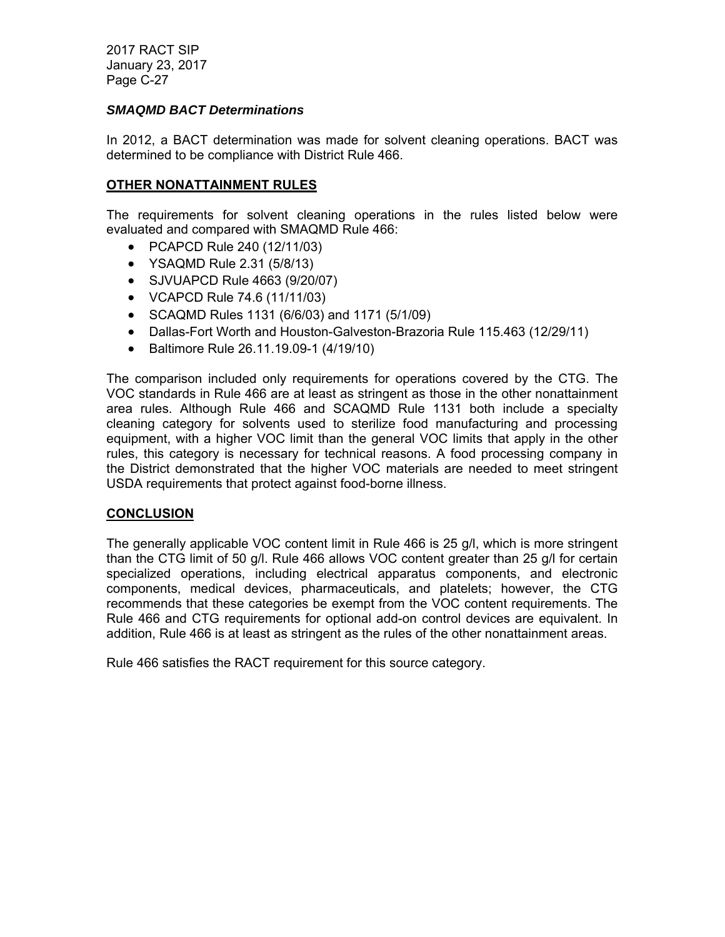## *SMAQMD BACT Determinations*

In 2012, a BACT determination was made for solvent cleaning operations. BACT was determined to be compliance with District Rule 466.

## **OTHER NONATTAINMENT RULES**

The requirements for solvent cleaning operations in the rules listed below were evaluated and compared with SMAQMD Rule 466:

- PCAPCD Rule 240 (12/11/03)
- YSAQMD Rule 2.31 (5/8/13)
- SJVUAPCD Rule 4663 (9/20/07)
- VCAPCD Rule 74.6 (11/11/03)
- SCAQMD Rules 1131 (6/6/03) and 1171 (5/1/09)
- Dallas-Fort Worth and Houston-Galveston-Brazoria Rule 115.463 (12/29/11)
- Baltimore Rule 26.11.19.09-1 (4/19/10)

The comparison included only requirements for operations covered by the CTG. The VOC standards in Rule 466 are at least as stringent as those in the other nonattainment area rules. Although Rule 466 and SCAQMD Rule 1131 both include a specialty cleaning category for solvents used to sterilize food manufacturing and processing equipment, with a higher VOC limit than the general VOC limits that apply in the other rules, this category is necessary for technical reasons. A food processing company in the District demonstrated that the higher VOC materials are needed to meet stringent USDA requirements that protect against food-borne illness.

### **CONCLUSION**

The generally applicable VOC content limit in Rule 466 is 25 g/l, which is more stringent than the CTG limit of 50 g/l. Rule 466 allows VOC content greater than 25 g/l for certain specialized operations, including electrical apparatus components, and electronic components, medical devices, pharmaceuticals, and platelets; however, the CTG recommends that these categories be exempt from the VOC content requirements. The Rule 466 and CTG requirements for optional add-on control devices are equivalent. In addition, Rule 466 is at least as stringent as the rules of the other nonattainment areas.

Rule 466 satisfies the RACT requirement for this source category.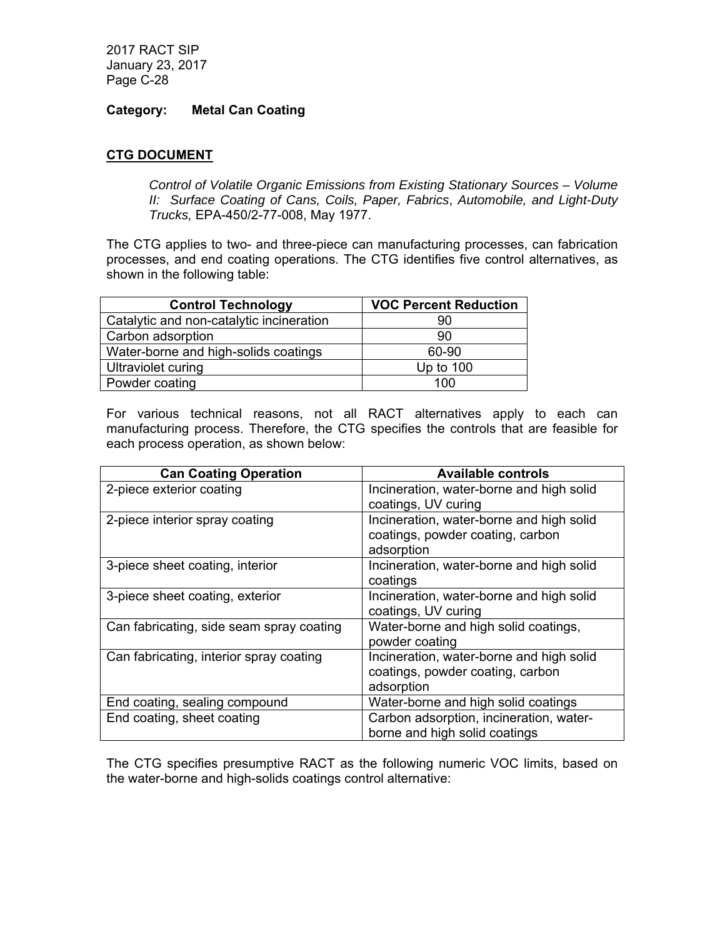## **Category: Metal Can Coating**

# **CTG DOCUMENT**

*Control of Volatile Organic Emissions from Existing Stationary Sources – Volume II: Surface Coating of Cans, Coils, Paper, Fabrics*, *Automobile, and Light-Duty Trucks,* EPA-450/2-77-008, May 1977.

The CTG applies to two- and three-piece can manufacturing processes, can fabrication processes, and end coating operations. The CTG identifies five control alternatives, as shown in the following table:

| <b>Control Technology</b>                | <b>VOC Percent Reduction</b> |
|------------------------------------------|------------------------------|
| Catalytic and non-catalytic incineration | 90                           |
| Carbon adsorption                        | 90                           |
| Water-borne and high-solids coatings     | 60-90                        |
| Ultraviolet curing                       | Up to $100$                  |
| Powder coating                           | 100                          |

For various technical reasons, not all RACT alternatives apply to each can manufacturing process. Therefore, the CTG specifies the controls that are feasible for each process operation, as shown below:

| <b>Can Coating Operation</b>             | <b>Available controls</b>                |
|------------------------------------------|------------------------------------------|
| 2-piece exterior coating                 | Incineration, water-borne and high solid |
|                                          | coatings, UV curing                      |
| 2-piece interior spray coating           | Incineration, water-borne and high solid |
|                                          | coatings, powder coating, carbon         |
|                                          | adsorption                               |
| 3-piece sheet coating, interior          | Incineration, water-borne and high solid |
|                                          | coatings                                 |
| 3-piece sheet coating, exterior          | Incineration, water-borne and high solid |
|                                          | coatings, UV curing                      |
| Can fabricating, side seam spray coating | Water-borne and high solid coatings,     |
|                                          | powder coating                           |
| Can fabricating, interior spray coating  | Incineration, water-borne and high solid |
|                                          | coatings, powder coating, carbon         |
|                                          | adsorption                               |
| End coating, sealing compound            | Water-borne and high solid coatings      |
| End coating, sheet coating               | Carbon adsorption, incineration, water-  |
|                                          | borne and high solid coatings            |

The CTG specifies presumptive RACT as the following numeric VOC limits, based on the water-borne and high-solids coatings control alternative: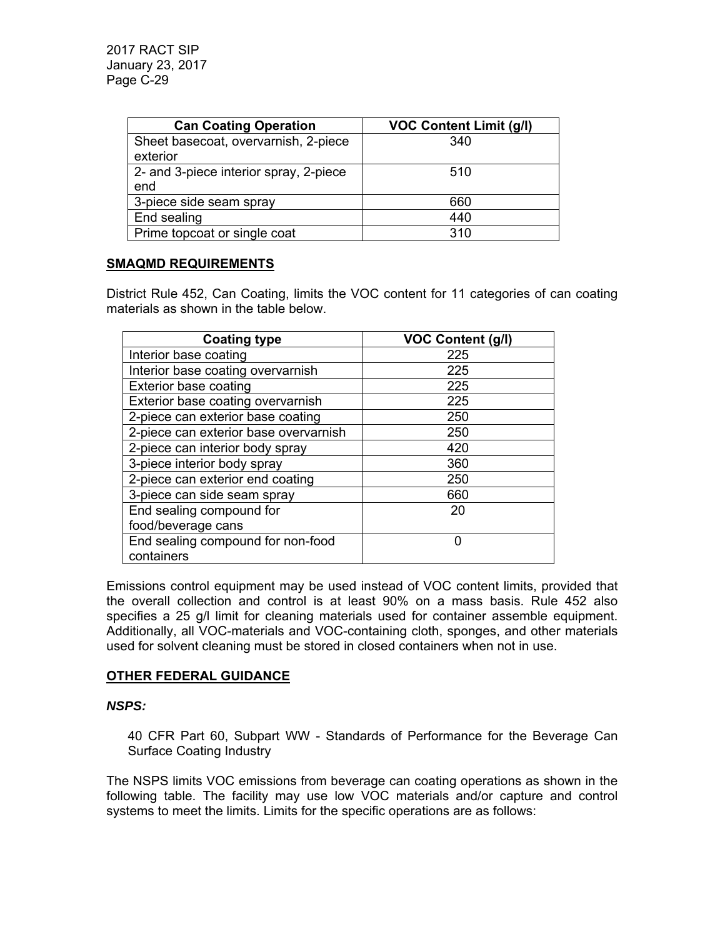| <b>Can Coating Operation</b>           | <b>VOC Content Limit (g/l)</b> |
|----------------------------------------|--------------------------------|
| Sheet basecoat, overvarnish, 2-piece   | 340                            |
| exterior                               |                                |
| 2- and 3-piece interior spray, 2-piece | 510                            |
| end                                    |                                |
| 3-piece side seam spray                | 660                            |
| End sealing                            | 440                            |
| Prime topcoat or single coat           | 310                            |

## **SMAQMD REQUIREMENTS**

District Rule 452, Can Coating, limits the VOC content for 11 categories of can coating materials as shown in the table below.

| <b>Coating type</b>                   | <b>VOC Content (g/l)</b> |
|---------------------------------------|--------------------------|
| Interior base coating                 | 225                      |
| Interior base coating overvarnish     | 225                      |
| <b>Exterior base coating</b>          | 225                      |
| Exterior base coating overvarnish     | 225                      |
| 2-piece can exterior base coating     | 250                      |
| 2-piece can exterior base overvarnish | 250                      |
| 2-piece can interior body spray       | 420                      |
| 3-piece interior body spray           | 360                      |
| 2-piece can exterior end coating      | 250                      |
| 3-piece can side seam spray           | 660                      |
| End sealing compound for              | 20                       |
| food/beverage cans                    |                          |
| End sealing compound for non-food     | ∩                        |
| containers                            |                          |

Emissions control equipment may be used instead of VOC content limits, provided that the overall collection and control is at least 90% on a mass basis. Rule 452 also specifies a 25 g/l limit for cleaning materials used for container assemble equipment. Additionally, all VOC-materials and VOC-containing cloth, sponges, and other materials used for solvent cleaning must be stored in closed containers when not in use.

# **OTHER FEDERAL GUIDANCE**

# *NSPS:*

40 CFR Part 60, Subpart WW - Standards of Performance for the Beverage Can Surface Coating Industry

The NSPS limits VOC emissions from beverage can coating operations as shown in the following table. The facility may use low VOC materials and/or capture and control systems to meet the limits. Limits for the specific operations are as follows: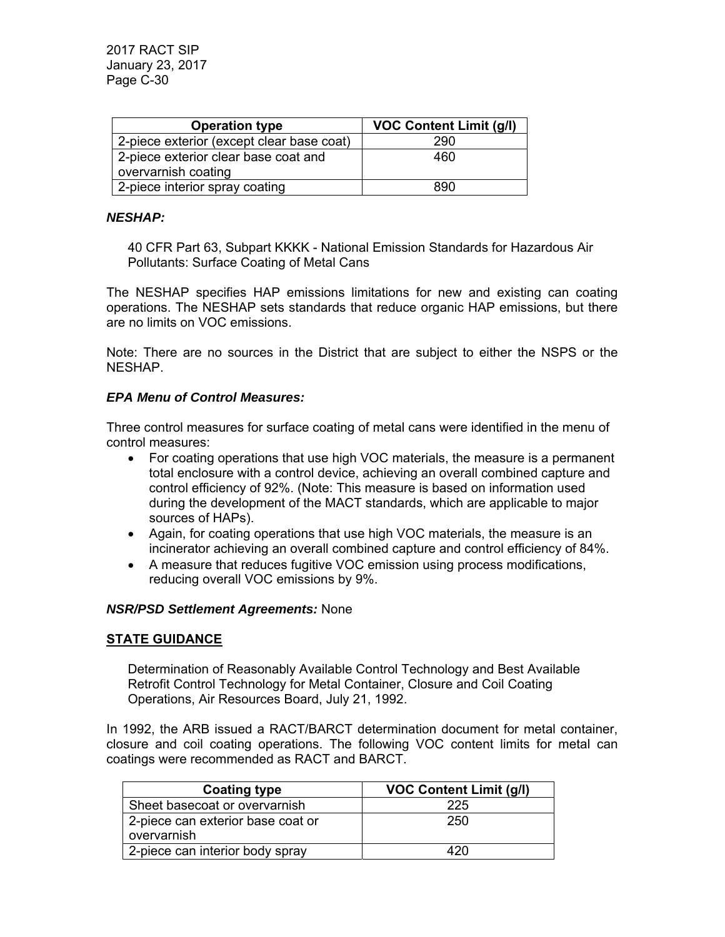| <b>Operation type</b>                     | <b>VOC Content Limit (g/l)</b> |
|-------------------------------------------|--------------------------------|
| 2-piece exterior (except clear base coat) | 290                            |
| 2-piece exterior clear base coat and      | 460                            |
| overvarnish coating                       |                                |
| 2-piece interior spray coating            | 890                            |

#### *NESHAP:*

40 CFR Part 63, Subpart KKKK - National Emission Standards for Hazardous Air Pollutants: Surface Coating of Metal Cans

The NESHAP specifies HAP emissions limitations for new and existing can coating operations. The NESHAP sets standards that reduce organic HAP emissions, but there are no limits on VOC emissions.

Note: There are no sources in the District that are subject to either the NSPS or the NESHAP.

### *EPA Menu of Control Measures:*

Three control measures for surface coating of metal cans were identified in the menu of control measures:

- For coating operations that use high VOC materials, the measure is a permanent total enclosure with a control device, achieving an overall combined capture and control efficiency of 92%. (Note: This measure is based on information used during the development of the MACT standards, which are applicable to major sources of HAPs).
- Again, for coating operations that use high VOC materials, the measure is an incinerator achieving an overall combined capture and control efficiency of 84%.
- A measure that reduces fugitive VOC emission using process modifications, reducing overall VOC emissions by 9%.

### *NSR/PSD Settlement Agreements:* None

### **STATE GUIDANCE**

Determination of Reasonably Available Control Technology and Best Available Retrofit Control Technology for Metal Container, Closure and Coil Coating Operations, Air Resources Board, July 21, 1992.

In 1992, the ARB issued a RACT/BARCT determination document for metal container, closure and coil coating operations. The following VOC content limits for metal can coatings were recommended as RACT and BARCT.

| <b>Coating type</b>               | <b>VOC Content Limit (g/l)</b> |  |  |
|-----------------------------------|--------------------------------|--|--|
| Sheet basecoat or overvarnish     | 225                            |  |  |
| 2-piece can exterior base coat or | 250                            |  |  |
| overvarnish                       |                                |  |  |
| 2-piece can interior body spray   | 420                            |  |  |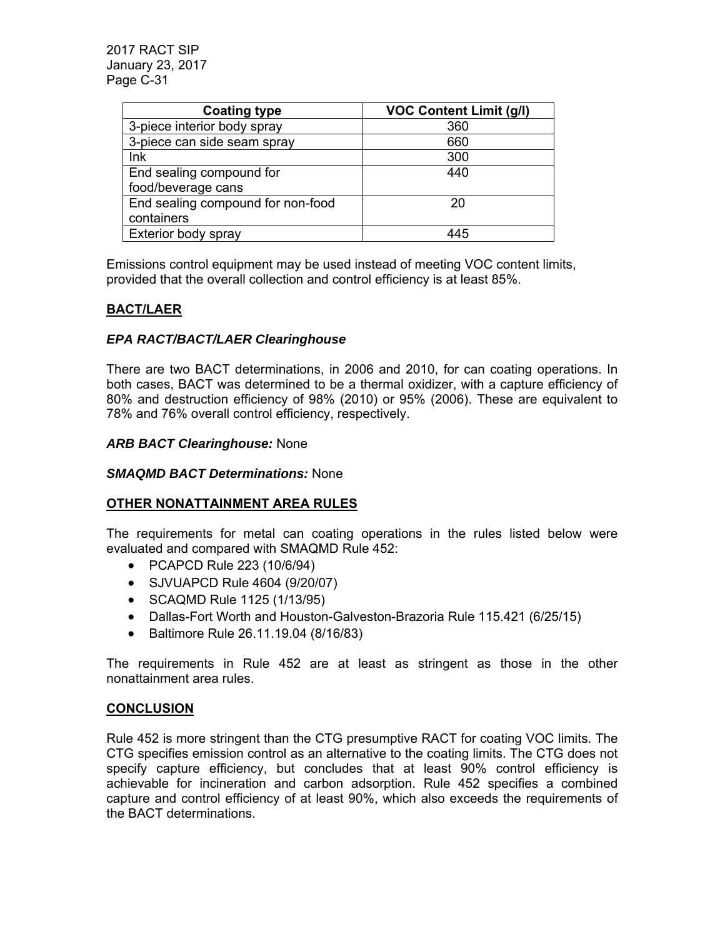| <b>Coating type</b>               | <b>VOC Content Limit (g/l)</b> |
|-----------------------------------|--------------------------------|
| 3-piece interior body spray       | 360                            |
| 3-piece can side seam spray       | 660                            |
| Ink                               | 300                            |
| End sealing compound for          | 440                            |
| food/beverage cans                |                                |
| End sealing compound for non-food | 20                             |
| containers                        |                                |
| Exterior body spray               | 445                            |

Emissions control equipment may be used instead of meeting VOC content limits, provided that the overall collection and control efficiency is at least 85%.

# **BACT/LAER**

# *EPA RACT/BACT/LAER Clearinghouse*

There are two BACT determinations, in 2006 and 2010, for can coating operations. In both cases, BACT was determined to be a thermal oxidizer, with a capture efficiency of 80% and destruction efficiency of 98% (2010) or 95% (2006). These are equivalent to 78% and 76% overall control efficiency, respectively.

## *ARB BACT Clearinghouse:* None

### *SMAQMD BACT Determinations:* None

# **OTHER NONATTAINMENT AREA RULES**

The requirements for metal can coating operations in the rules listed below were evaluated and compared with SMAQMD Rule 452:

- PCAPCD Rule 223 (10/6/94)
- SJVUAPCD Rule 4604 (9/20/07)
- SCAQMD Rule 1125 (1/13/95)
- Dallas-Fort Worth and Houston-Galveston-Brazoria Rule 115.421 (6/25/15)
- Baltimore Rule 26.11.19.04 (8/16/83)

The requirements in Rule 452 are at least as stringent as those in the other nonattainment area rules.

### **CONCLUSION**

Rule 452 is more stringent than the CTG presumptive RACT for coating VOC limits. The CTG specifies emission control as an alternative to the coating limits. The CTG does not specify capture efficiency, but concludes that at least 90% control efficiency is achievable for incineration and carbon adsorption. Rule 452 specifies a combined capture and control efficiency of at least 90%, which also exceeds the requirements of the BACT determinations.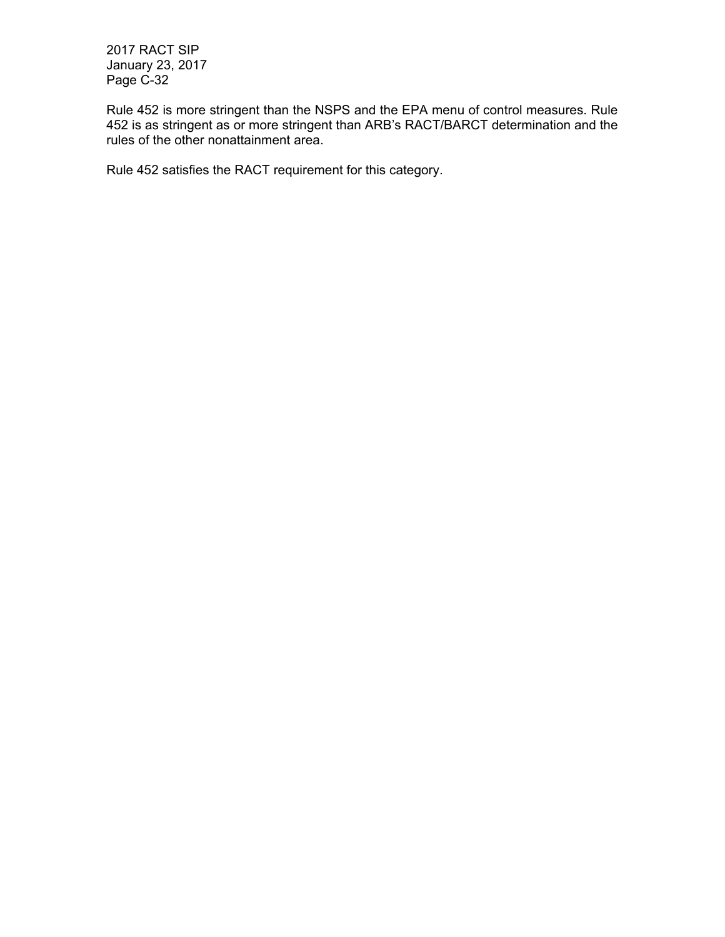Rule 452 is more stringent than the NSPS and the EPA menu of control measures. Rule 452 is as stringent as or more stringent than ARB's RACT/BARCT determination and the rules of the other nonattainment area.

Rule 452 satisfies the RACT requirement for this category.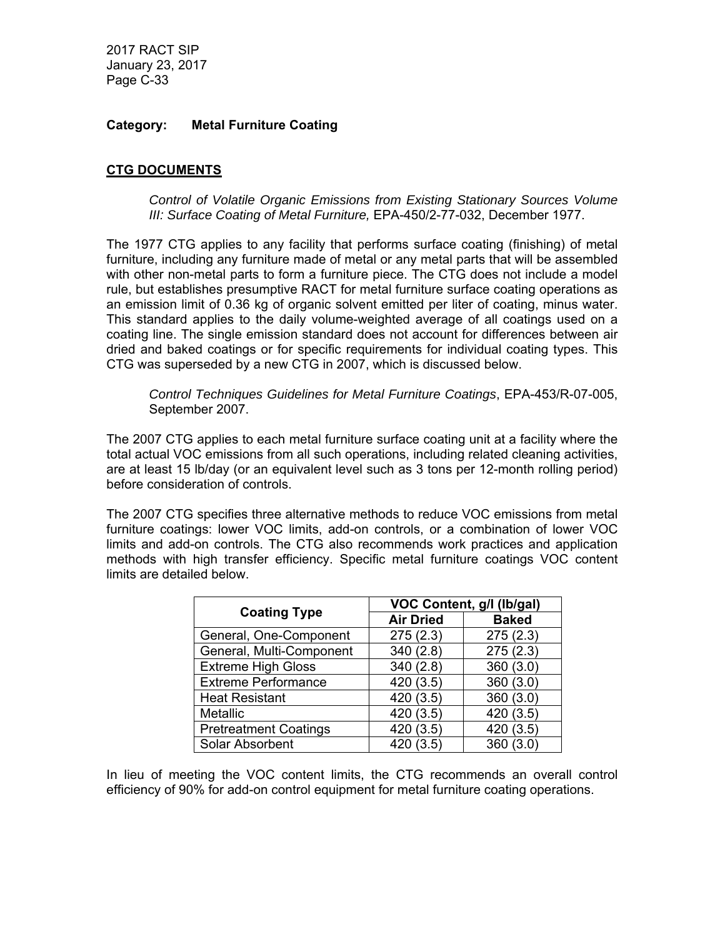## **Category: Metal Furniture Coating**

## **CTG DOCUMENTS**

*Control of Volatile Organic Emissions from Existing Stationary Sources Volume III: Surface Coating of Metal Furniture,* EPA-450/2-77-032, December 1977.

The 1977 CTG applies to any facility that performs surface coating (finishing) of metal furniture, including any furniture made of metal or any metal parts that will be assembled with other non-metal parts to form a furniture piece. The CTG does not include a model rule, but establishes presumptive RACT for metal furniture surface coating operations as an emission limit of 0.36 kg of organic solvent emitted per liter of coating, minus water. This standard applies to the daily volume-weighted average of all coatings used on a coating line. The single emission standard does not account for differences between air dried and baked coatings or for specific requirements for individual coating types. This CTG was superseded by a new CTG in 2007, which is discussed below.

*Control Techniques Guidelines for Metal Furniture Coatings*, EPA-453/R-07-005, September 2007.

The 2007 CTG applies to each metal furniture surface coating unit at a facility where the total actual VOC emissions from all such operations, including related cleaning activities, are at least 15 lb/day (or an equivalent level such as 3 tons per 12-month rolling period) before consideration of controls.

The 2007 CTG specifies three alternative methods to reduce VOC emissions from metal furniture coatings: lower VOC limits, add-on controls, or a combination of lower VOC limits and add-on controls. The CTG also recommends work practices and application methods with high transfer efficiency. Specific metal furniture coatings VOC content limits are detailed below.

| <b>Coating Type</b>          | VOC Content, g/l (lb/gal) |              |
|------------------------------|---------------------------|--------------|
|                              | <b>Air Dried</b>          | <b>Baked</b> |
| General, One-Component       | 275(2.3)                  | 275(2.3)     |
| General, Multi-Component     | 340(2.8)                  | 275(2.3)     |
| <b>Extreme High Gloss</b>    | 340(2.8)                  | 360(3.0)     |
| <b>Extreme Performance</b>   | 420 (3.5)                 | 360(3.0)     |
| <b>Heat Resistant</b>        | 420 (3.5)                 | 360(3.0)     |
| Metallic                     | 420(3.5)                  | 420 (3.5)    |
| <b>Pretreatment Coatings</b> | 420(3.5)                  | 420 (3.5)    |
| Solar Absorbent              | 420 (3.5)                 | 360 (3.0)    |

In lieu of meeting the VOC content limits, the CTG recommends an overall control efficiency of 90% for add-on control equipment for metal furniture coating operations.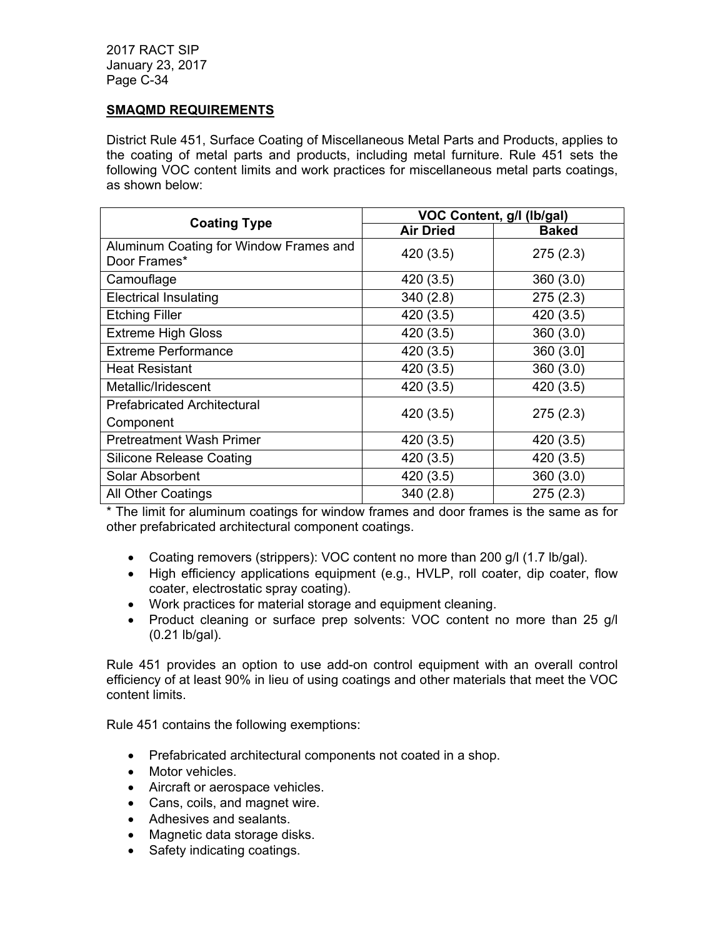## **SMAQMD REQUIREMENTS**

District Rule 451, Surface Coating of Miscellaneous Metal Parts and Products, applies to the coating of metal parts and products, including metal furniture. Rule 451 sets the following VOC content limits and work practices for miscellaneous metal parts coatings, as shown below:

| <b>Coating Type</b>                                    | VOC Content, g/l (lb/gal) |              |
|--------------------------------------------------------|---------------------------|--------------|
|                                                        | <b>Air Dried</b>          | <b>Baked</b> |
| Aluminum Coating for Window Frames and<br>Door Frames* | 420 (3.5)                 | 275(2.3)     |
| Camouflage                                             | 420 (3.5)                 | 360(3.0)     |
| <b>Electrical Insulating</b>                           | 340(2.8)                  | 275(2.3)     |
| <b>Etching Filler</b>                                  | 420 (3.5)                 | 420 (3.5)    |
| <b>Extreme High Gloss</b>                              | 420 (3.5)                 | 360(3.0)     |
| <b>Extreme Performance</b>                             | 420 (3.5)                 | 360 (3.0]    |
| <b>Heat Resistant</b>                                  | 420 (3.5)                 | 360(3.0)     |
| Metallic/Iridescent                                    | 420 (3.5)                 | 420 (3.5)    |
| <b>Prefabricated Architectural</b><br>Component        | 420 (3.5)                 | 275(2.3)     |
| <b>Pretreatment Wash Primer</b>                        | 420 (3.5)                 | 420 (3.5)    |
| <b>Silicone Release Coating</b>                        | 420 (3.5)                 | 420 (3.5)    |
| Solar Absorbent                                        | 420 (3.5)                 | 360(3.0)     |
| <b>All Other Coatings</b>                              | 340(2.8)                  | 275(2.3)     |

\* The limit for aluminum coatings for window frames and door frames is the same as for other prefabricated architectural component coatings.

- Coating removers (strippers): VOC content no more than 200 g/l (1.7 lb/gal).
- High efficiency applications equipment (e.g., HVLP, roll coater, dip coater, flow coater, electrostatic spray coating).
- Work practices for material storage and equipment cleaning.
- Product cleaning or surface prep solvents: VOC content no more than 25 g/l (0.21 lb/gal).

Rule 451 provides an option to use add-on control equipment with an overall control efficiency of at least 90% in lieu of using coatings and other materials that meet the VOC content limits.

Rule 451 contains the following exemptions:

- Prefabricated architectural components not coated in a shop.
- Motor vehicles.
- Aircraft or aerospace vehicles.
- Cans, coils, and magnet wire.
- Adhesives and sealants.
- Magnetic data storage disks.
- Safety indicating coatings.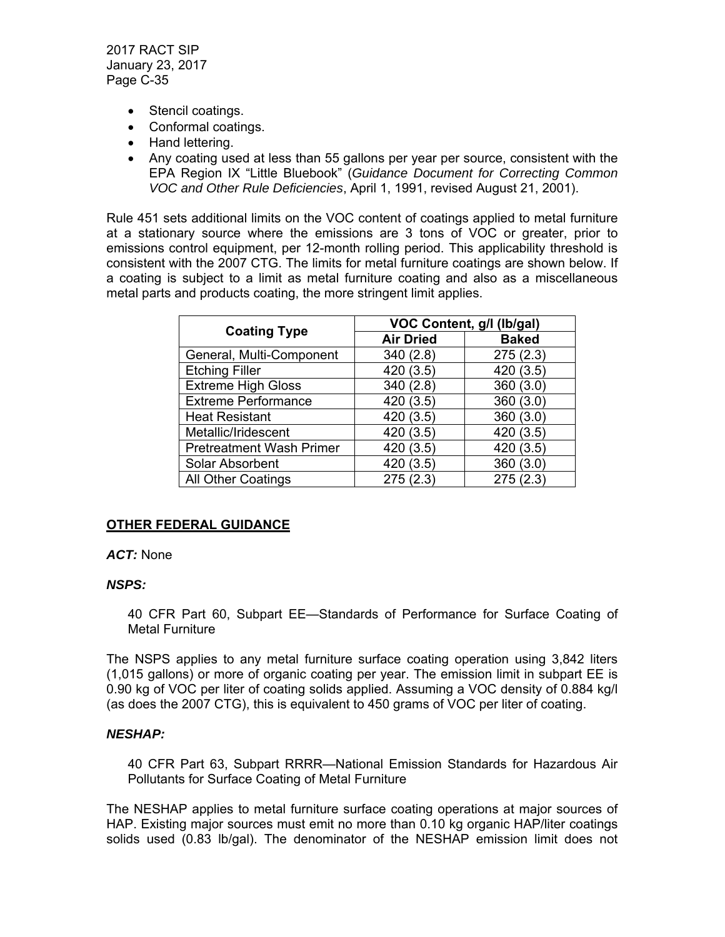- Stencil coatings.
- Conformal coatings.
- Hand lettering.
- Any coating used at less than 55 gallons per year per source, consistent with the EPA Region IX "Little Bluebook" (*Guidance Document for Correcting Common VOC and Other Rule Deficiencies*, April 1, 1991, revised August 21, 2001).

Rule 451 sets additional limits on the VOC content of coatings applied to metal furniture at a stationary source where the emissions are 3 tons of VOC or greater, prior to emissions control equipment, per 12-month rolling period. This applicability threshold is consistent with the 2007 CTG. The limits for metal furniture coatings are shown below. If a coating is subject to a limit as metal furniture coating and also as a miscellaneous metal parts and products coating, the more stringent limit applies.

|                                 | VOC Content, g/l (lb/gal) |              |
|---------------------------------|---------------------------|--------------|
| <b>Coating Type</b>             | <b>Air Dried</b>          | <b>Baked</b> |
| General, Multi-Component        | 340 (2.8)                 | 275(2.3)     |
| <b>Etching Filler</b>           | 420 (3.5)                 | 420 (3.5)    |
| <b>Extreme High Gloss</b>       | 340 (2.8)                 | 360(3.0)     |
| <b>Extreme Performance</b>      | 420 (3.5)                 | 360(3.0)     |
| <b>Heat Resistant</b>           | 420 (3.5)                 | 360(3.0)     |
| Metallic/Iridescent             | 420 (3.5)                 | 420 (3.5)    |
| <b>Pretreatment Wash Primer</b> | 420 (3.5)                 | 420 (3.5)    |
| Solar Absorbent                 | 420 (3.5)                 | 360(3.0)     |
| <b>All Other Coatings</b>       | 275 (2.3)                 | 275(2.3)     |

# **OTHER FEDERAL GUIDANCE**

### *ACT:* None

# *NSPS:*

40 CFR Part 60, Subpart EE—Standards of Performance for Surface Coating of Metal Furniture

The NSPS applies to any metal furniture surface coating operation using 3,842 liters (1,015 gallons) or more of organic coating per year. The emission limit in subpart EE is 0.90 kg of VOC per liter of coating solids applied. Assuming a VOC density of 0.884 kg/l (as does the 2007 CTG), this is equivalent to 450 grams of VOC per liter of coating.

## *NESHAP:*

40 CFR Part 63, Subpart RRRR—National Emission Standards for Hazardous Air Pollutants for Surface Coating of Metal Furniture

The NESHAP applies to metal furniture surface coating operations at major sources of HAP. Existing major sources must emit no more than 0.10 kg organic HAP/liter coatings solids used (0.83 lb/gal). The denominator of the NESHAP emission limit does not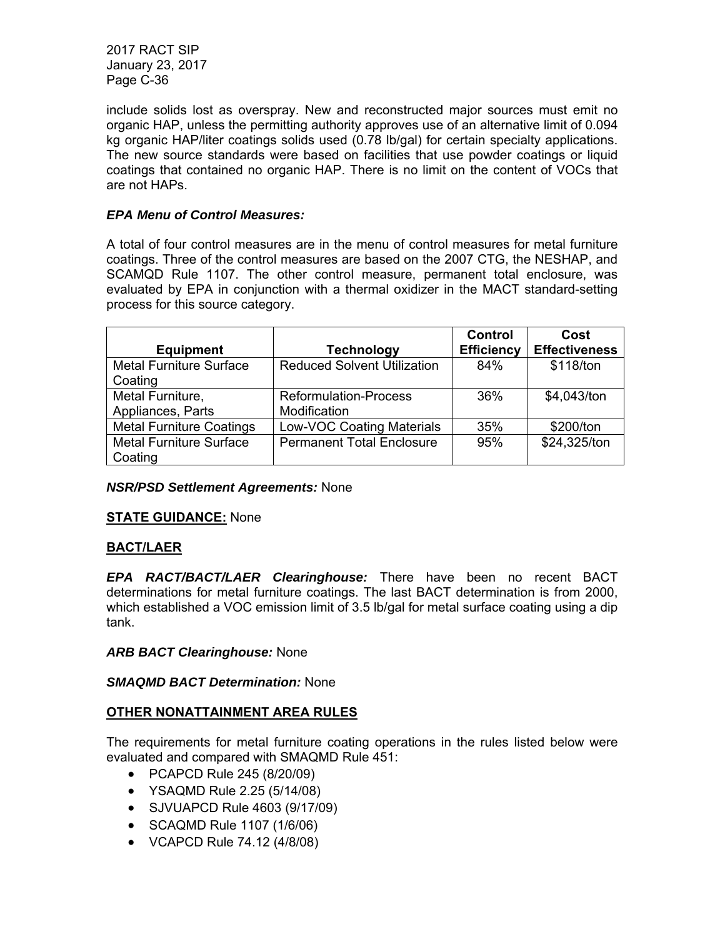include solids lost as overspray. New and reconstructed major sources must emit no organic HAP, unless the permitting authority approves use of an alternative limit of 0.094 kg organic HAP/liter coatings solids used (0.78 lb/gal) for certain specialty applications. The new source standards were based on facilities that use powder coatings or liquid coatings that contained no organic HAP. There is no limit on the content of VOCs that are not HAPs.

# *EPA Menu of Control Measures:*

A total of four control measures are in the menu of control measures for metal furniture coatings. Three of the control measures are based on the 2007 CTG, the NESHAP, and SCAMQD Rule 1107. The other control measure, permanent total enclosure, was evaluated by EPA in conjunction with a thermal oxidizer in the MACT standard-setting process for this source category.

| <b>Equipment</b>                | <b>Technology</b>                  | Control<br><b>Efficiency</b> | Cost<br><b>Effectiveness</b> |
|---------------------------------|------------------------------------|------------------------------|------------------------------|
| <b>Metal Furniture Surface</b>  | <b>Reduced Solvent Utilization</b> | 84%                          | \$118/ton                    |
| Coating                         |                                    |                              |                              |
| Metal Furniture,                | <b>Reformulation-Process</b>       | 36%                          | \$4,043/ton                  |
| Appliances, Parts               | Modification                       |                              |                              |
| <b>Metal Furniture Coatings</b> | <b>Low-VOC Coating Materials</b>   | 35%                          | \$200/ton                    |
| <b>Metal Furniture Surface</b>  | <b>Permanent Total Enclosure</b>   | 95%                          | \$24,325/ton                 |
| Coating                         |                                    |                              |                              |

# *NSR/PSD Settlement Agreements:* None

# **STATE GUIDANCE:** None

# **BACT/LAER**

*EPA RACT/BACT/LAER Clearinghouse:* There have been no recent BACT determinations for metal furniture coatings. The last BACT determination is from 2000, which established a VOC emission limit of 3.5 lb/gal for metal surface coating using a dip tank.

## *ARB BACT Clearinghouse:* None

# *SMAQMD BACT Determination:* None

# **OTHER NONATTAINMENT AREA RULES**

The requirements for metal furniture coating operations in the rules listed below were evaluated and compared with SMAQMD Rule 451:

- PCAPCD Rule 245 (8/20/09)
- YSAQMD Rule 2.25 (5/14/08)
- SJVUAPCD Rule 4603 (9/17/09)
- SCAQMD Rule 1107 (1/6/06)
- VCAPCD Rule 74.12 (4/8/08)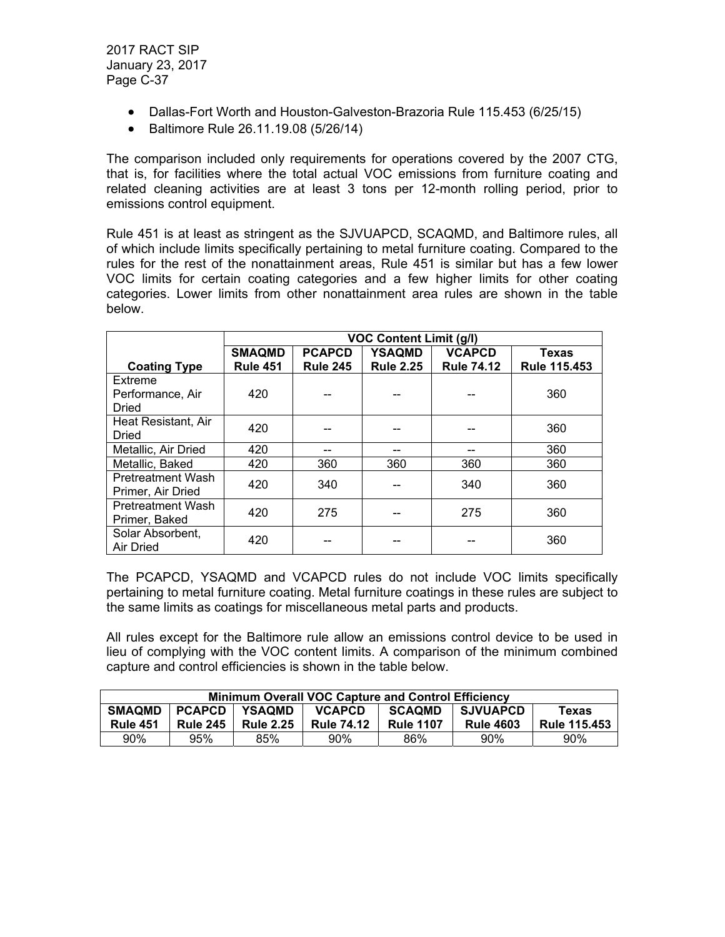- Dallas-Fort Worth and Houston-Galveston-Brazoria Rule 115.453 (6/25/15)
- Baltimore Rule 26.11.19.08 (5/26/14)

The comparison included only requirements for operations covered by the 2007 CTG, that is, for facilities where the total actual VOC emissions from furniture coating and related cleaning activities are at least 3 tons per 12-month rolling period, prior to emissions control equipment.

Rule 451 is at least as stringent as the SJVUAPCD, SCAQMD, and Baltimore rules, all of which include limits specifically pertaining to metal furniture coating. Compared to the rules for the rest of the nonattainment areas, Rule 451 is similar but has a few lower VOC limits for certain coating categories and a few higher limits for other coating categories. Lower limits from other nonattainment area rules are shown in the table below.

|                                               | <b>VOC Content Limit (g/l)</b> |                 |                  |                   |                     |
|-----------------------------------------------|--------------------------------|-----------------|------------------|-------------------|---------------------|
|                                               | <b>SMAQMD</b>                  | <b>PCAPCD</b>   | YSAQMD           | <b>VCAPCD</b>     | <b>Texas</b>        |
| <b>Coating Type</b>                           | <b>Rule 451</b>                | <b>Rule 245</b> | <b>Rule 2.25</b> | <b>Rule 74.12</b> | <b>Rule 115.453</b> |
| Extreme                                       |                                |                 |                  |                   |                     |
| Performance, Air                              | 420                            |                 |                  |                   | 360                 |
| Dried                                         |                                |                 |                  |                   |                     |
| Heat Resistant, Air                           | 420                            |                 |                  |                   | 360                 |
| Dried                                         |                                |                 |                  |                   |                     |
| Metallic, Air Dried                           | 420                            |                 |                  | --                | 360                 |
| Metallic, Baked                               | 420                            | 360             | 360              | 360               | 360                 |
| <b>Pretreatment Wash</b><br>Primer, Air Dried | 420                            | 340             |                  | 340               | 360                 |
| <b>Pretreatment Wash</b><br>Primer, Baked     | 420                            | 275             |                  | 275               | 360                 |
| Solar Absorbent,<br><b>Air Dried</b>          | 420                            |                 |                  |                   | 360                 |

The PCAPCD, YSAQMD and VCAPCD rules do not include VOC limits specifically pertaining to metal furniture coating. Metal furniture coatings in these rules are subject to the same limits as coatings for miscellaneous metal parts and products.

All rules except for the Baltimore rule allow an emissions control device to be used in lieu of complying with the VOC content limits. A comparison of the minimum combined capture and control efficiencies is shown in the table below.

| <b>Minimum Overall VOC Capture and Control Efficiency</b>                                                           |                                                                                              |     |     |     |                     |     |
|---------------------------------------------------------------------------------------------------------------------|----------------------------------------------------------------------------------------------|-----|-----|-----|---------------------|-----|
| <b>SMAQMD</b>                                                                                                       | <b>SCAQMD</b><br><b>PCAPCD</b><br><b>YSAOMD</b><br><b>VCAPCD</b><br><b>SJVUAPCD</b><br>Texas |     |     |     |                     |     |
| <b>Rule 1107</b><br><b>Rule 451</b><br><b>Rule 4603</b><br><b>Rule 2.25</b><br><b>Rule 245</b><br><b>Rule 74.12</b> |                                                                                              |     |     |     | <b>Rule 115.453</b> |     |
| 90%                                                                                                                 | 95%                                                                                          | 85% | 90% | 86% | $90\%$              | 90% |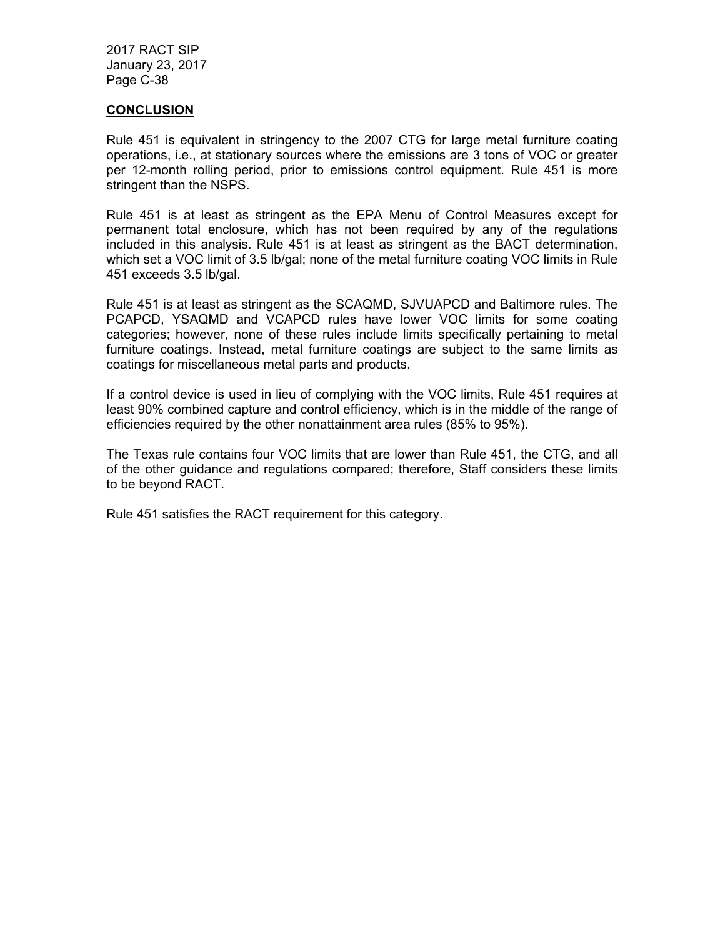### **CONCLUSION**

Rule 451 is equivalent in stringency to the 2007 CTG for large metal furniture coating operations, i.e., at stationary sources where the emissions are 3 tons of VOC or greater per 12-month rolling period, prior to emissions control equipment. Rule 451 is more stringent than the NSPS.

Rule 451 is at least as stringent as the EPA Menu of Control Measures except for permanent total enclosure, which has not been required by any of the regulations included in this analysis. Rule 451 is at least as stringent as the BACT determination, which set a VOC limit of 3.5 lb/gal; none of the metal furniture coating VOC limits in Rule 451 exceeds 3.5 lb/gal.

Rule 451 is at least as stringent as the SCAQMD, SJVUAPCD and Baltimore rules. The PCAPCD, YSAQMD and VCAPCD rules have lower VOC limits for some coating categories; however, none of these rules include limits specifically pertaining to metal furniture coatings. Instead, metal furniture coatings are subject to the same limits as coatings for miscellaneous metal parts and products.

If a control device is used in lieu of complying with the VOC limits, Rule 451 requires at least 90% combined capture and control efficiency, which is in the middle of the range of efficiencies required by the other nonattainment area rules (85% to 95%).

The Texas rule contains four VOC limits that are lower than Rule 451, the CTG, and all of the other guidance and regulations compared; therefore, Staff considers these limits to be beyond RACT.

Rule 451 satisfies the RACT requirement for this category.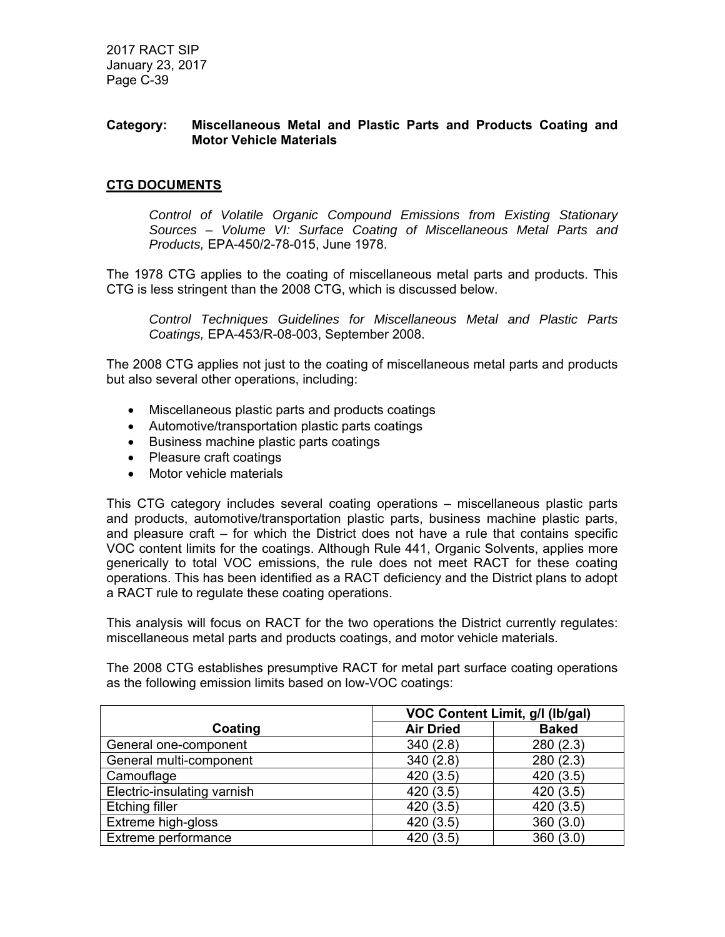## **Category: Miscellaneous Metal and Plastic Parts and Products Coating and Motor Vehicle Materials**

# **CTG DOCUMENTS**

*Control of Volatile Organic Compound Emissions from Existing Stationary Sources – Volume VI: Surface Coating of Miscellaneous Metal Parts and Products,* EPA-450/2-78-015, June 1978.

The 1978 CTG applies to the coating of miscellaneous metal parts and products. This CTG is less stringent than the 2008 CTG, which is discussed below.

*Control Techniques Guidelines for Miscellaneous Metal and Plastic Parts Coatings,* EPA-453/R-08-003, September 2008.

The 2008 CTG applies not just to the coating of miscellaneous metal parts and products but also several other operations, including:

- Miscellaneous plastic parts and products coatings
- Automotive/transportation plastic parts coatings
- Business machine plastic parts coatings
- Pleasure craft coatings
- Motor vehicle materials

This CTG category includes several coating operations – miscellaneous plastic parts and products, automotive/transportation plastic parts, business machine plastic parts, and pleasure craft – for which the District does not have a rule that contains specific VOC content limits for the coatings. Although Rule 441, Organic Solvents, applies more generically to total VOC emissions, the rule does not meet RACT for these coating operations. This has been identified as a RACT deficiency and the District plans to adopt a RACT rule to regulate these coating operations.

This analysis will focus on RACT for the two operations the District currently regulates: miscellaneous metal parts and products coatings, and motor vehicle materials.

The 2008 CTG establishes presumptive RACT for metal part surface coating operations as the following emission limits based on low-VOC coatings:

|                             | VOC Content Limit, g/l (lb/gal) |              |  |
|-----------------------------|---------------------------------|--------------|--|
| Coating                     | <b>Air Dried</b>                | <b>Baked</b> |  |
| General one-component       | 340(2.8)                        | 280(2.3)     |  |
| General multi-component     | 340(2.8)                        | 280(2.3)     |  |
| Camouflage                  | 420(3.5)                        | 420(3.5)     |  |
| Electric-insulating varnish | 420 (3.5)                       | 420(3.5)     |  |
| <b>Etching filler</b>       | 420(3.5)                        | 420 (3.5)    |  |
| Extreme high-gloss          | 420 (3.5)                       | 360(3.0)     |  |
| Extreme performance         | 420 (3.5)                       | 360(3.0)     |  |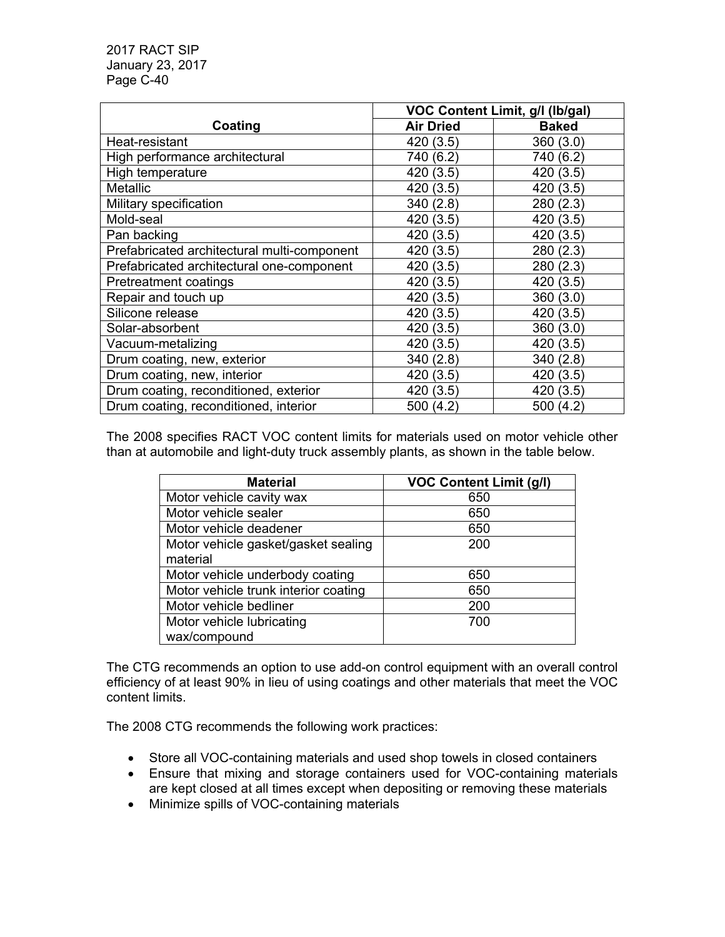|                                             | VOC Content Limit, g/l (lb/gal) |              |
|---------------------------------------------|---------------------------------|--------------|
| Coating                                     | <b>Air Dried</b>                | <b>Baked</b> |
| Heat-resistant                              | 420 (3.5)                       | 360 (3.0)    |
| High performance architectural              | 740 (6.2)                       | 740 (6.2)    |
| High temperature                            | 420 (3.5)                       | 420 (3.5)    |
| <b>Metallic</b>                             | 420 (3.5)                       | 420 (3.5)    |
| Military specification                      | 340 (2.8)                       | 280 (2.3)    |
| Mold-seal                                   | 420 (3.5)                       | 420 (3.5)    |
| Pan backing                                 | 420 (3.5)                       | 420 (3.5)    |
| Prefabricated architectural multi-component | 420 (3.5)                       | 280 (2.3)    |
| Prefabricated architectural one-component   | 420 (3.5)                       | 280 (2.3)    |
| Pretreatment coatings                       | 420 (3.5)                       | 420 (3.5)    |
| Repair and touch up                         | 420 (3.5)                       | 360 (3.0)    |
| Silicone release                            | 420 (3.5)                       | 420 (3.5)    |
| Solar-absorbent                             | 420 (3.5)                       | 360(3.0)     |
| Vacuum-metalizing                           | 420 (3.5)                       | 420 (3.5)    |
| Drum coating, new, exterior                 | 340(2.8)                        | 340 (2.8)    |
| Drum coating, new, interior                 | 420 (3.5)                       | 420 (3.5)    |
| Drum coating, reconditioned, exterior       | 420 (3.5)                       | 420 (3.5)    |
| Drum coating, reconditioned, interior       | 500 (4.2)                       | 500 (4.2)    |

The 2008 specifies RACT VOC content limits for materials used on motor vehicle other than at automobile and light-duty truck assembly plants, as shown in the table below.

| <b>Material</b>                      | <b>VOC Content Limit (g/l)</b> |
|--------------------------------------|--------------------------------|
| Motor vehicle cavity wax             | 650                            |
| Motor vehicle sealer                 | 650                            |
| Motor vehicle deadener               | 650                            |
| Motor vehicle gasket/gasket sealing  | 200                            |
| material                             |                                |
| Motor vehicle underbody coating      | 650                            |
| Motor vehicle trunk interior coating | 650                            |
| Motor vehicle bedliner               | 200                            |
| Motor vehicle lubricating            | 700                            |
| wax/compound                         |                                |

The CTG recommends an option to use add-on control equipment with an overall control efficiency of at least 90% in lieu of using coatings and other materials that meet the VOC content limits.

The 2008 CTG recommends the following work practices:

- Store all VOC-containing materials and used shop towels in closed containers
- Ensure that mixing and storage containers used for VOC-containing materials are kept closed at all times except when depositing or removing these materials
- Minimize spills of VOC-containing materials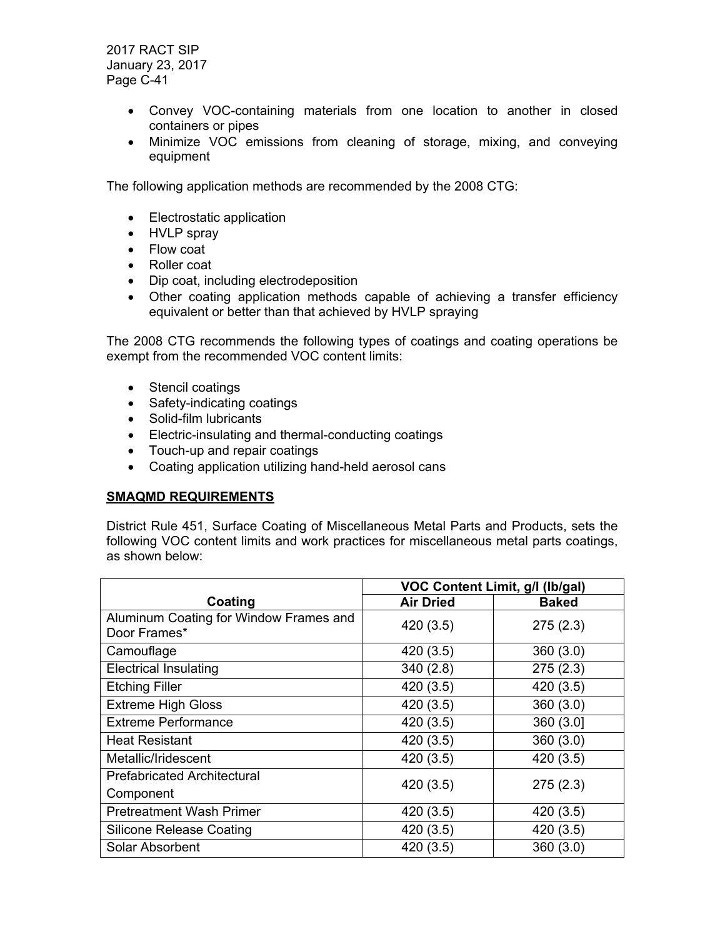- Convey VOC-containing materials from one location to another in closed containers or pipes
- Minimize VOC emissions from cleaning of storage, mixing, and conveying equipment

The following application methods are recommended by the 2008 CTG:

- Electrostatic application
- HVLP spray
- Flow coat
- Roller coat
- Dip coat, including electrodeposition
- Other coating application methods capable of achieving a transfer efficiency equivalent or better than that achieved by HVLP spraying

The 2008 CTG recommends the following types of coatings and coating operations be exempt from the recommended VOC content limits:

- Stencil coatings
- Safety-indicating coatings
- Solid-film lubricants
- Electric-insulating and thermal-conducting coatings
- Touch-up and repair coatings
- Coating application utilizing hand-held aerosol cans

## **SMAQMD REQUIREMENTS**

District Rule 451, Surface Coating of Miscellaneous Metal Parts and Products, sets the following VOC content limits and work practices for miscellaneous metal parts coatings, as shown below:

|                                                        | VOC Content Limit, g/l (lb/gal) |              |
|--------------------------------------------------------|---------------------------------|--------------|
| Coating                                                | <b>Air Dried</b>                | <b>Baked</b> |
| Aluminum Coating for Window Frames and<br>Door Frames* | 420 (3.5)                       | 275(2.3)     |
| Camouflage                                             | 420 (3.5)                       | 360(3.0)     |
| <b>Electrical Insulating</b>                           | 340(2.8)                        | 275(2.3)     |
| <b>Etching Filler</b>                                  | 420 (3.5)                       | 420 (3.5)    |
| <b>Extreme High Gloss</b>                              | 420 (3.5)                       | 360(3.0)     |
| <b>Extreme Performance</b>                             | 420 (3.5)                       | 360 (3.0]    |
| <b>Heat Resistant</b>                                  | 420 (3.5)                       | 360(3.0)     |
| Metallic/Iridescent                                    | 420 (3.5)                       | 420 (3.5)    |
| <b>Prefabricated Architectural</b><br>Component        | 420 (3.5)                       | 275(2.3)     |
| <b>Pretreatment Wash Primer</b>                        | 420 (3.5)                       | 420 (3.5)    |
| <b>Silicone Release Coating</b>                        | 420 (3.5)                       | 420 (3.5)    |
| Solar Absorbent                                        | 420 (3.5)                       | 360(3.0)     |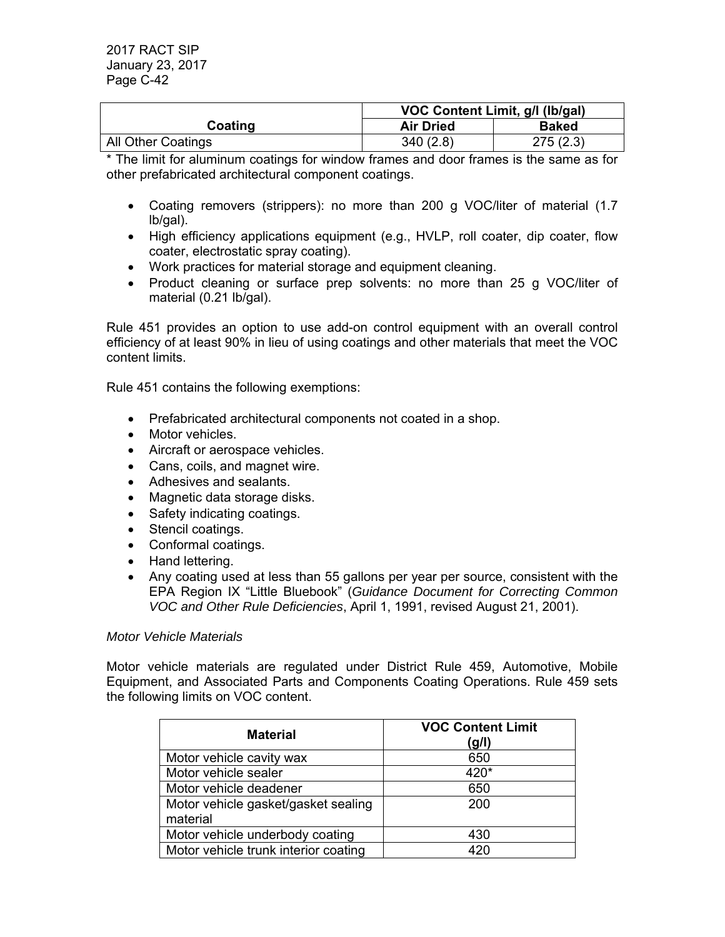|                    | VOC Content Limit, g/l (lb/gal)  |          |  |
|--------------------|----------------------------------|----------|--|
| Coating            | <b>Air Dried</b><br><b>Baked</b> |          |  |
| All Other Coatings | 340(2.8)                         | 275(2.3) |  |

\* The limit for aluminum coatings for window frames and door frames is the same as for other prefabricated architectural component coatings.

- Coating removers (strippers): no more than 200 g VOC/liter of material (1.7 lb/gal).
- High efficiency applications equipment (e.g., HVLP, roll coater, dip coater, flow coater, electrostatic spray coating).
- Work practices for material storage and equipment cleaning.
- Product cleaning or surface prep solvents: no more than 25 g VOC/liter of material (0.21 lb/gal).

Rule 451 provides an option to use add-on control equipment with an overall control efficiency of at least 90% in lieu of using coatings and other materials that meet the VOC content limits.

Rule 451 contains the following exemptions:

- Prefabricated architectural components not coated in a shop.
- Motor vehicles.
- Aircraft or aerospace vehicles.
- Cans, coils, and magnet wire.
- Adhesives and sealants.
- Magnetic data storage disks.
- Safety indicating coatings.
- Stencil coatings.
- Conformal coatings.
- Hand lettering.
- Any coating used at less than 55 gallons per year per source, consistent with the EPA Region IX "Little Bluebook" (*Guidance Document for Correcting Common VOC and Other Rule Deficiencies*, April 1, 1991, revised August 21, 2001).

#### *Motor Vehicle Materials*

Motor vehicle materials are regulated under District Rule 459, Automotive, Mobile Equipment, and Associated Parts and Components Coating Operations. Rule 459 sets the following limits on VOC content.

| <b>Material</b>                                 | <b>VOC Content Limit</b><br>(g/l) |
|-------------------------------------------------|-----------------------------------|
| Motor vehicle cavity wax                        | 650                               |
| Motor vehicle sealer                            | 420*                              |
| Motor vehicle deadener                          | 650                               |
| Motor vehicle gasket/gasket sealing<br>material | 200                               |
| Motor vehicle underbody coating                 | 430                               |
| Motor vehicle trunk interior coating            | 420                               |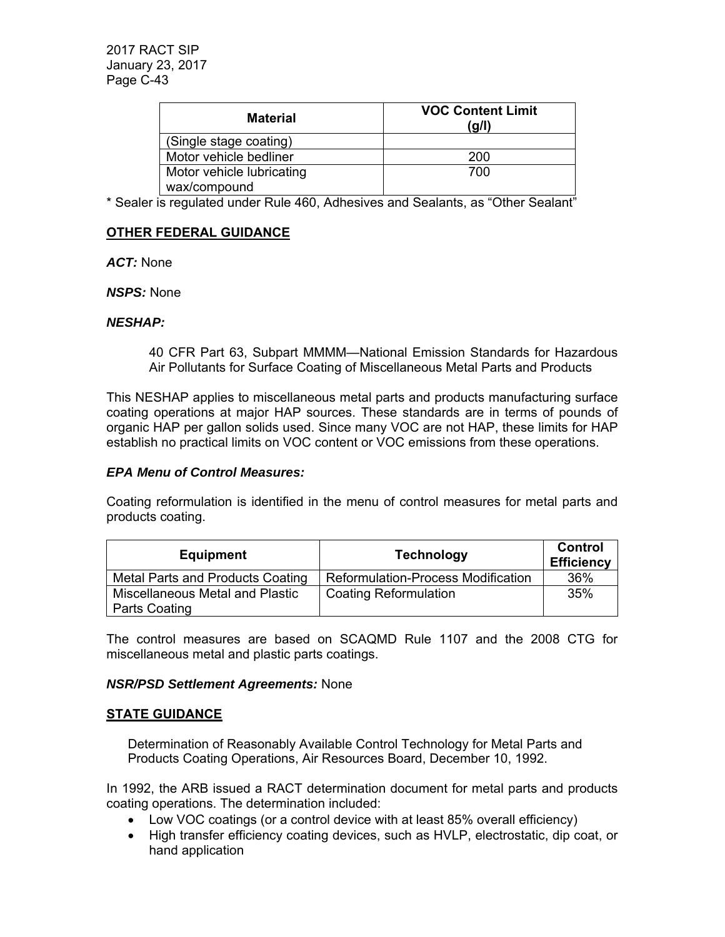| <b>Material</b>           | <b>VOC Content Limit</b><br>(g/l) |
|---------------------------|-----------------------------------|
| (Single stage coating)    |                                   |
| Motor vehicle bedliner    | 200                               |
| Motor vehicle lubricating | 700                               |
| wax/compound              |                                   |

\* Sealer is regulated under Rule 460, Adhesives and Sealants, as "Other Sealant"

## **OTHER FEDERAL GUIDANCE**

*ACT:* None

*NSPS:* None

#### *NESHAP:*

40 CFR Part 63, Subpart MMMM—National Emission Standards for Hazardous Air Pollutants for Surface Coating of Miscellaneous Metal Parts and Products

This NESHAP applies to miscellaneous metal parts and products manufacturing surface coating operations at major HAP sources. These standards are in terms of pounds of organic HAP per gallon solids used. Since many VOC are not HAP, these limits for HAP establish no practical limits on VOC content or VOC emissions from these operations.

#### *EPA Menu of Control Measures:*

Coating reformulation is identified in the menu of control measures for metal parts and products coating.

| <b>Equipment</b>                 | <b>Technology</b>                         | Control<br><b>Efficiency</b> |
|----------------------------------|-------------------------------------------|------------------------------|
| Metal Parts and Products Coating | <b>Reformulation-Process Modification</b> | 36%                          |
| Miscellaneous Metal and Plastic  | <b>Coating Reformulation</b>              | 35%                          |
| Parts Coating                    |                                           |                              |

The control measures are based on SCAQMD Rule 1107 and the 2008 CTG for miscellaneous metal and plastic parts coatings.

### *NSR/PSD Settlement Agreements:* None

### **STATE GUIDANCE**

Determination of Reasonably Available Control Technology for Metal Parts and Products Coating Operations, Air Resources Board, December 10, 1992.

In 1992, the ARB issued a RACT determination document for metal parts and products coating operations. The determination included:

- Low VOC coatings (or a control device with at least 85% overall efficiency)
- High transfer efficiency coating devices, such as HVLP, electrostatic, dip coat, or hand application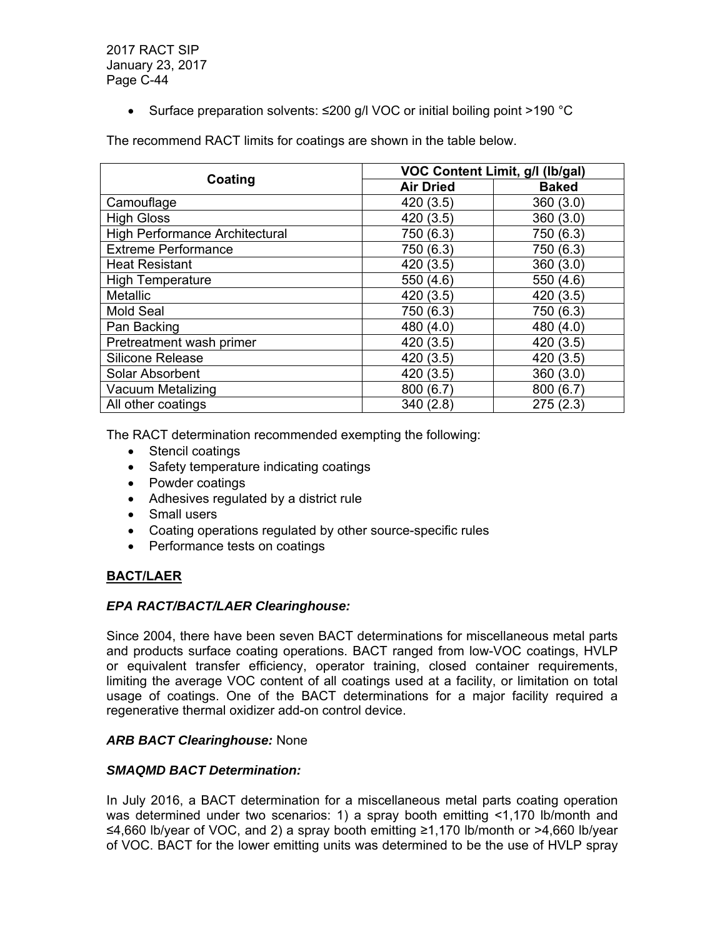• Surface preparation solvents: ≤200 g/l VOC or initial boiling point >190 °C

The recommend RACT limits for coatings are shown in the table below.

|                                | VOC Content Limit, g/l (lb/gal) |              |  |
|--------------------------------|---------------------------------|--------------|--|
| Coating                        | <b>Air Dried</b>                | <b>Baked</b> |  |
| Camouflage                     | 420 (3.5)                       | 360(3.0)     |  |
| <b>High Gloss</b>              | 420 (3.5)                       | 360(3.0)     |  |
| High Performance Architectural | 750 (6.3)                       | 750 (6.3)    |  |
| <b>Extreme Performance</b>     | 750 (6.3)                       | 750 (6.3)    |  |
| <b>Heat Resistant</b>          | 420(3.5)                        | 360(3.0)     |  |
| <b>High Temperature</b>        | 550 (4.6)                       | 550 (4.6)    |  |
| Metallic                       | 420 (3.5)                       | 420 (3.5)    |  |
| <b>Mold Seal</b>               | 750 (6.3)                       | 750 (6.3)    |  |
| Pan Backing                    | 480 (4.0)                       | 480 (4.0)    |  |
| Pretreatment wash primer       | 420 (3.5)                       | 420 (3.5)    |  |
| <b>Silicone Release</b>        | 420 (3.5)                       | 420 (3.5)    |  |
| Solar Absorbent                | 420 (3.5)                       | 360(3.0)     |  |
| Vacuum Metalizing              | 800 (6.7)                       | 800 (6.7)    |  |
| All other coatings             | 340 (2.8)                       | 275(2.3)     |  |

The RACT determination recommended exempting the following:

- Stencil coatings
- Safety temperature indicating coatings
- Powder coatings
- Adhesives regulated by a district rule
- Small users
- Coating operations regulated by other source-specific rules
- Performance tests on coatings

# **BACT/LAER**

### *EPA RACT/BACT/LAER Clearinghouse:*

Since 2004, there have been seven BACT determinations for miscellaneous metal parts and products surface coating operations. BACT ranged from low-VOC coatings, HVLP or equivalent transfer efficiency, operator training, closed container requirements, limiting the average VOC content of all coatings used at a facility, or limitation on total usage of coatings. One of the BACT determinations for a major facility required a regenerative thermal oxidizer add-on control device.

# *ARB BACT Clearinghouse:* None

### *SMAQMD BACT Determination:*

In July 2016, a BACT determination for a miscellaneous metal parts coating operation was determined under two scenarios: 1) a spray booth emitting <1,170 lb/month and ≤4,660 lb/year of VOC, and 2) a spray booth emitting ≥1,170 lb/month or >4,660 lb/year of VOC. BACT for the lower emitting units was determined to be the use of HVLP spray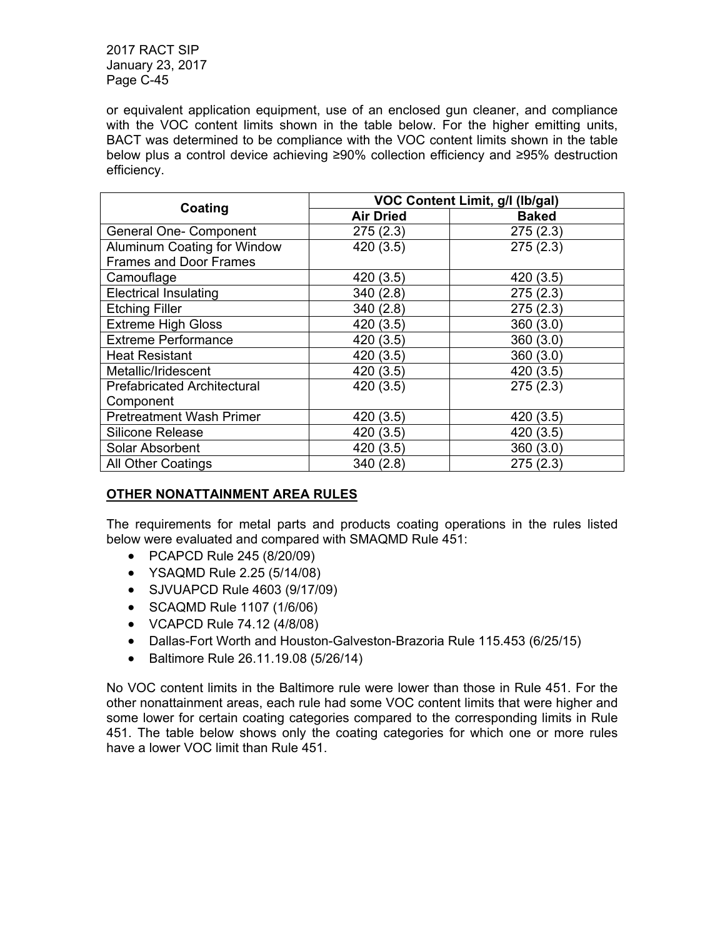or equivalent application equipment, use of an enclosed gun cleaner, and compliance with the VOC content limits shown in the table below. For the higher emitting units, BACT was determined to be compliance with the VOC content limits shown in the table below plus a control device achieving ≥90% collection efficiency and ≥95% destruction efficiency.

|                                    | VOC Content Limit, g/l (lb/gal) |              |  |  |
|------------------------------------|---------------------------------|--------------|--|--|
| Coating                            | <b>Air Dried</b>                | <b>Baked</b> |  |  |
| <b>General One- Component</b>      | 275(2.3)                        | 275(2.3)     |  |  |
| Aluminum Coating for Window        | 420 (3.5)                       | 275(2.3)     |  |  |
| <b>Frames and Door Frames</b>      |                                 |              |  |  |
| Camouflage                         | 420 (3.5)                       | 420(3.5)     |  |  |
| <b>Electrical Insulating</b>       | 340 (2.8)                       | 275(2.3)     |  |  |
| <b>Etching Filler</b>              | 340 (2.8)                       | 275(2.3)     |  |  |
| <b>Extreme High Gloss</b>          | 420 (3.5)                       | 360(3.0)     |  |  |
| <b>Extreme Performance</b>         | 420 (3.5)                       | 360(3.0)     |  |  |
| <b>Heat Resistant</b>              | 420 (3.5)                       | 360(3.0)     |  |  |
| Metallic/Iridescent                | 420 (3.5)                       | 420 (3.5)    |  |  |
| <b>Prefabricated Architectural</b> | 420 (3.5)                       | 275(2.3)     |  |  |
| Component                          |                                 |              |  |  |
| <b>Pretreatment Wash Primer</b>    | 420 (3.5)                       | 420 (3.5)    |  |  |
| <b>Silicone Release</b>            | 420 (3.5)                       | 420 (3.5)    |  |  |
| Solar Absorbent                    | 420 (3.5)                       | 360(3.0)     |  |  |
| <b>All Other Coatings</b>          | 340(2.8)                        | 275(2.3)     |  |  |

# **OTHER NONATTAINMENT AREA RULES**

The requirements for metal parts and products coating operations in the rules listed below were evaluated and compared with SMAQMD Rule 451:

- PCAPCD Rule 245 (8/20/09)
- YSAQMD Rule 2.25 (5/14/08)
- SJVUAPCD Rule 4603 (9/17/09)
- SCAQMD Rule 1107 (1/6/06)
- VCAPCD Rule 74.12 (4/8/08)
- Dallas-Fort Worth and Houston-Galveston-Brazoria Rule 115.453 (6/25/15)
- Baltimore Rule 26.11.19.08 (5/26/14)

No VOC content limits in the Baltimore rule were lower than those in Rule 451. For the other nonattainment areas, each rule had some VOC content limits that were higher and some lower for certain coating categories compared to the corresponding limits in Rule 451. The table below shows only the coating categories for which one or more rules have a lower VOC limit than Rule 451.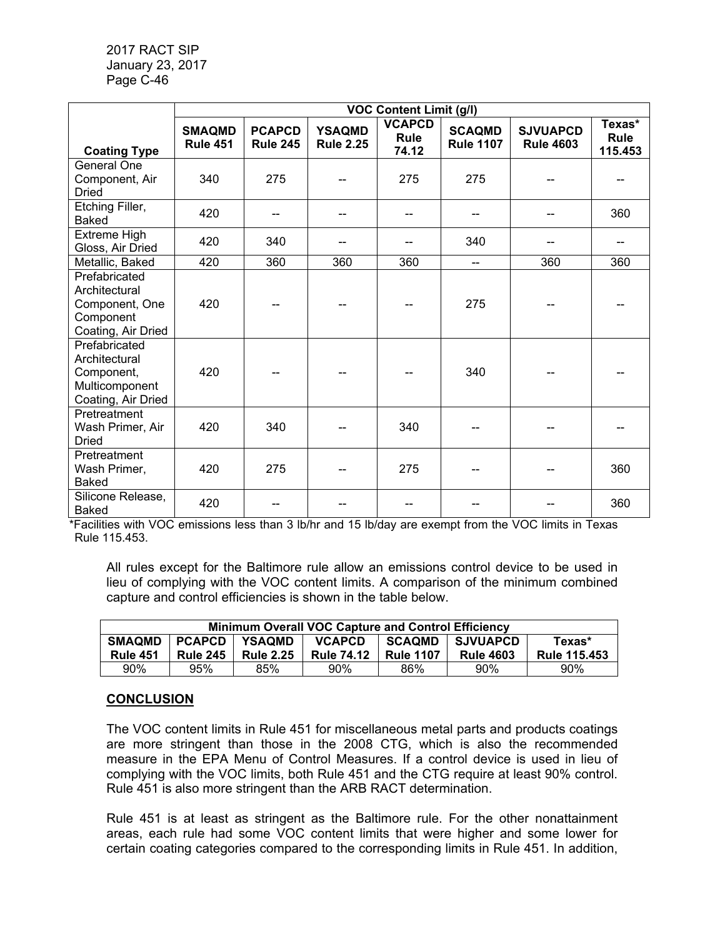|                                                                                      | <b>VOC Content Limit (g/l)</b>   |                                  |                                   |                                |                                   |                                     |                           |
|--------------------------------------------------------------------------------------|----------------------------------|----------------------------------|-----------------------------------|--------------------------------|-----------------------------------|-------------------------------------|---------------------------|
| <b>Coating Type</b>                                                                  | <b>SMAQMD</b><br><b>Rule 451</b> | <b>PCAPCD</b><br><b>Rule 245</b> | <b>YSAQMD</b><br><b>Rule 2.25</b> | <b>VCAPCD</b><br>Rule<br>74.12 | <b>SCAQMD</b><br><b>Rule 1107</b> | <b>SJVUAPCD</b><br><b>Rule 4603</b> | Texas*<br>Rule<br>115.453 |
| General One<br>Component, Air<br><b>Dried</b>                                        | 340                              | 275                              |                                   | 275                            | 275                               |                                     |                           |
| Etching Filler,<br><b>Baked</b>                                                      | 420                              |                                  |                                   |                                |                                   |                                     | 360                       |
| Extreme High<br>Gloss, Air Dried                                                     | 420                              | 340                              |                                   |                                | 340                               |                                     |                           |
| Metallic, Baked                                                                      | 420                              | 360                              | 360                               | 360                            | --                                | 360                                 | 360                       |
| Prefabricated<br>Architectural<br>Component, One<br>Component<br>Coating, Air Dried  | 420                              |                                  |                                   |                                | 275                               |                                     |                           |
| Prefabricated<br>Architectural<br>Component,<br>Multicomponent<br>Coating, Air Dried | 420                              |                                  |                                   |                                | 340                               |                                     |                           |
| Pretreatment<br>Wash Primer, Air<br><b>Dried</b>                                     | 420                              | 340                              |                                   | 340                            |                                   |                                     |                           |
| Pretreatment<br>Wash Primer,<br><b>Baked</b>                                         | 420                              | 275                              |                                   | 275                            |                                   |                                     | 360                       |
| Silicone Release,<br><b>Baked</b>                                                    | 420                              |                                  |                                   |                                |                                   |                                     | 360                       |

\*Facilities with VOC emissions less than 3 lb/hr and 15 lb/day are exempt from the VOC limits in Texas Rule 115.453.

All rules except for the Baltimore rule allow an emissions control device to be used in lieu of complying with the VOC content limits. A comparison of the minimum combined capture and control efficiencies is shown in the table below.

| Minimum Overall VOC Capture and Control Efficiency |                 |                  |                   |                  |                  |                     |
|----------------------------------------------------|-----------------|------------------|-------------------|------------------|------------------|---------------------|
| <b>SMAQMD</b>                                      | <b>PCAPCD</b>   | <b>YSAOMD</b>    | <b>VCAPCD</b>     | <b>SCAQMD</b>    | <b>SJVUAPCD</b>  | Texas*              |
| <b>Rule 451</b>                                    | <b>Rule 245</b> | <b>Rule 2.25</b> | <b>Rule 74.12</b> | <b>Rule 1107</b> | <b>Rule 4603</b> | <b>Rule 115.453</b> |
| 90%                                                | 95%             | 85%              | 90%               | 86%              | 90%              | 90%                 |

# **CONCLUSION**

The VOC content limits in Rule 451 for miscellaneous metal parts and products coatings are more stringent than those in the 2008 CTG, which is also the recommended measure in the EPA Menu of Control Measures. If a control device is used in lieu of complying with the VOC limits, both Rule 451 and the CTG require at least 90% control. Rule 451 is also more stringent than the ARB RACT determination.

Rule 451 is at least as stringent as the Baltimore rule. For the other nonattainment areas, each rule had some VOC content limits that were higher and some lower for certain coating categories compared to the corresponding limits in Rule 451. In addition,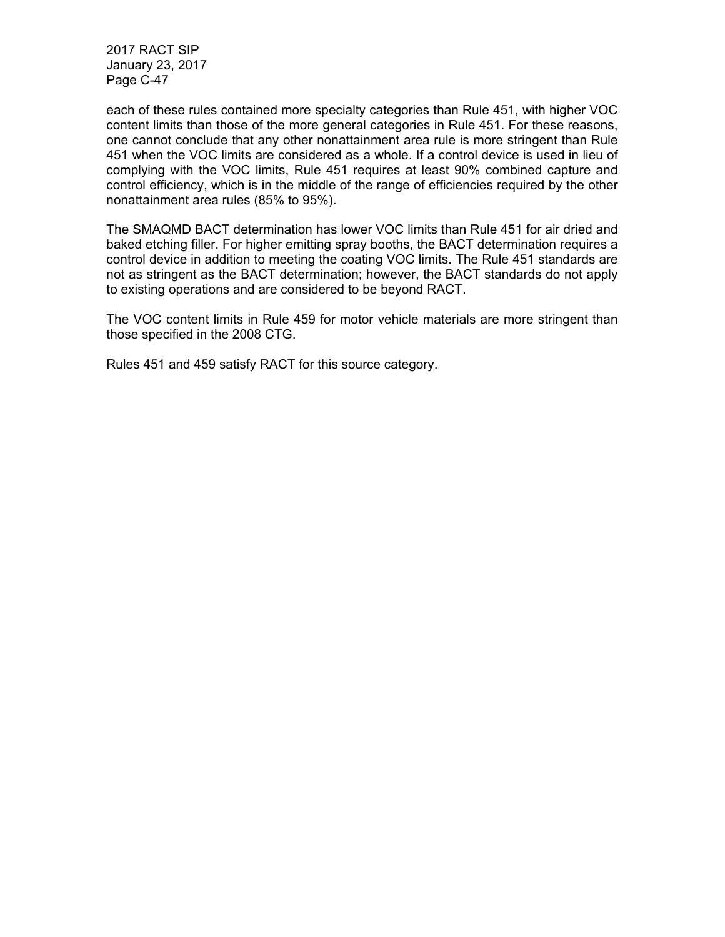each of these rules contained more specialty categories than Rule 451, with higher VOC content limits than those of the more general categories in Rule 451. For these reasons, one cannot conclude that any other nonattainment area rule is more stringent than Rule 451 when the VOC limits are considered as a whole. If a control device is used in lieu of complying with the VOC limits, Rule 451 requires at least 90% combined capture and control efficiency, which is in the middle of the range of efficiencies required by the other nonattainment area rules (85% to 95%).

The SMAQMD BACT determination has lower VOC limits than Rule 451 for air dried and baked etching filler. For higher emitting spray booths, the BACT determination requires a control device in addition to meeting the coating VOC limits. The Rule 451 standards are not as stringent as the BACT determination; however, the BACT standards do not apply to existing operations and are considered to be beyond RACT.

The VOC content limits in Rule 459 for motor vehicle materials are more stringent than those specified in the 2008 CTG.

Rules 451 and 459 satisfy RACT for this source category.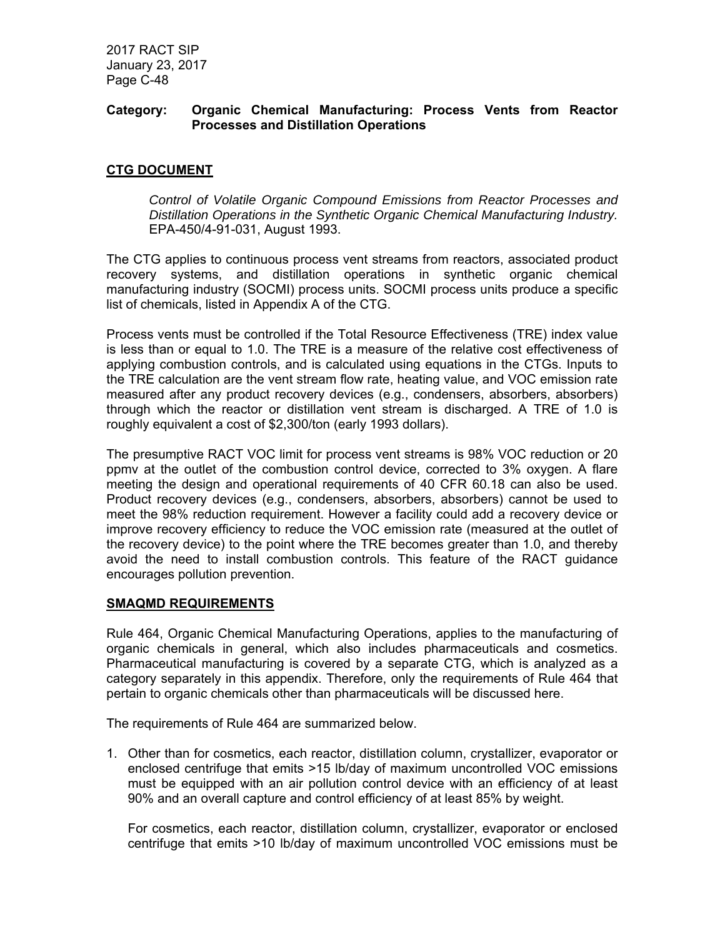## **Category: Organic Chemical Manufacturing: Process Vents from Reactor Processes and Distillation Operations**

# **CTG DOCUMENT**

*Control of Volatile Organic Compound Emissions from Reactor Processes and Distillation Operations in the Synthetic Organic Chemical Manufacturing Industry.*  EPA-450/4-91-031, August 1993.

The CTG applies to continuous process vent streams from reactors, associated product recovery systems, and distillation operations in synthetic organic chemical manufacturing industry (SOCMI) process units. SOCMI process units produce a specific list of chemicals, listed in Appendix A of the CTG.

Process vents must be controlled if the Total Resource Effectiveness (TRE) index value is less than or equal to 1.0. The TRE is a measure of the relative cost effectiveness of applying combustion controls, and is calculated using equations in the CTGs. Inputs to the TRE calculation are the vent stream flow rate, heating value, and VOC emission rate measured after any product recovery devices (e.g., condensers, absorbers, absorbers) through which the reactor or distillation vent stream is discharged. A TRE of 1.0 is roughly equivalent a cost of \$2,300/ton (early 1993 dollars).

The presumptive RACT VOC limit for process vent streams is 98% VOC reduction or 20 ppmv at the outlet of the combustion control device, corrected to 3% oxygen. A flare meeting the design and operational requirements of 40 CFR 60.18 can also be used. Product recovery devices (e.g., condensers, absorbers, absorbers) cannot be used to meet the 98% reduction requirement. However a facility could add a recovery device or improve recovery efficiency to reduce the VOC emission rate (measured at the outlet of the recovery device) to the point where the TRE becomes greater than 1.0, and thereby avoid the need to install combustion controls. This feature of the RACT guidance encourages pollution prevention.

### **SMAQMD REQUIREMENTS**

Rule 464, Organic Chemical Manufacturing Operations, applies to the manufacturing of organic chemicals in general, which also includes pharmaceuticals and cosmetics. Pharmaceutical manufacturing is covered by a separate CTG, which is analyzed as a category separately in this appendix. Therefore, only the requirements of Rule 464 that pertain to organic chemicals other than pharmaceuticals will be discussed here.

The requirements of Rule 464 are summarized below.

1. Other than for cosmetics, each reactor, distillation column, crystallizer, evaporator or enclosed centrifuge that emits >15 lb/day of maximum uncontrolled VOC emissions must be equipped with an air pollution control device with an efficiency of at least 90% and an overall capture and control efficiency of at least 85% by weight.

For cosmetics, each reactor, distillation column, crystallizer, evaporator or enclosed centrifuge that emits >10 lb/day of maximum uncontrolled VOC emissions must be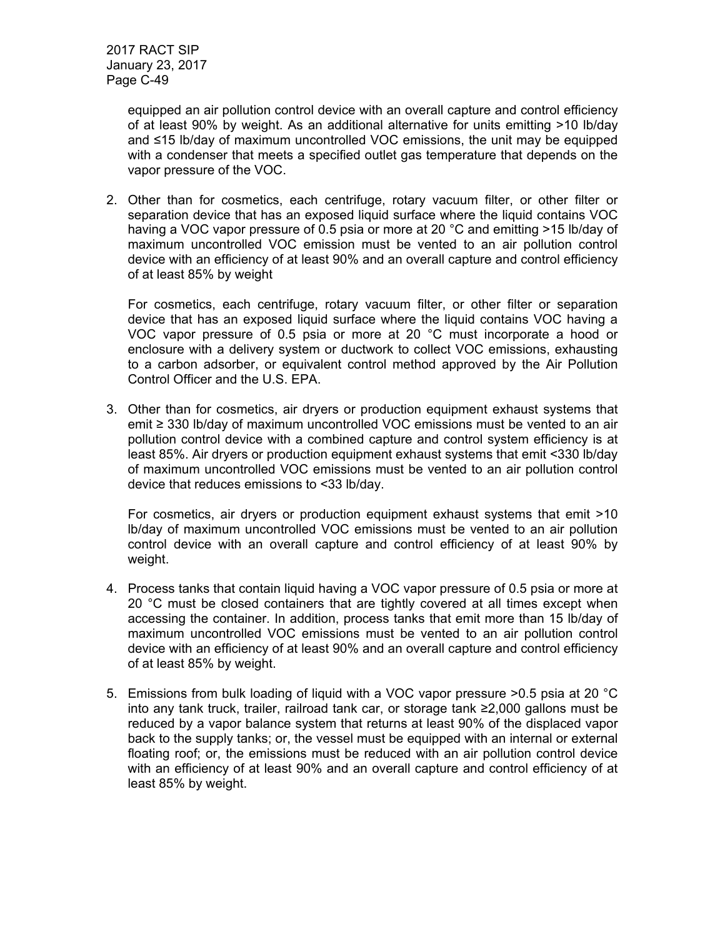equipped an air pollution control device with an overall capture and control efficiency of at least 90% by weight. As an additional alternative for units emitting >10 lb/day and ≤15 lb/day of maximum uncontrolled VOC emissions, the unit may be equipped with a condenser that meets a specified outlet gas temperature that depends on the vapor pressure of the VOC.

2. Other than for cosmetics, each centrifuge, rotary vacuum filter, or other filter or separation device that has an exposed liquid surface where the liquid contains VOC having a VOC vapor pressure of 0.5 psia or more at 20 °C and emitting >15 lb/day of maximum uncontrolled VOC emission must be vented to an air pollution control device with an efficiency of at least 90% and an overall capture and control efficiency of at least 85% by weight

For cosmetics, each centrifuge, rotary vacuum filter, or other filter or separation device that has an exposed liquid surface where the liquid contains VOC having a VOC vapor pressure of 0.5 psia or more at 20 °C must incorporate a hood or enclosure with a delivery system or ductwork to collect VOC emissions, exhausting to a carbon adsorber, or equivalent control method approved by the Air Pollution Control Officer and the U.S. EPA.

3. Other than for cosmetics, air dryers or production equipment exhaust systems that emit ≥ 330 lb/day of maximum uncontrolled VOC emissions must be vented to an air pollution control device with a combined capture and control system efficiency is at least 85%. Air dryers or production equipment exhaust systems that emit <330 lb/day of maximum uncontrolled VOC emissions must be vented to an air pollution control device that reduces emissions to <33 lb/day.

For cosmetics, air dryers or production equipment exhaust systems that emit >10 lb/day of maximum uncontrolled VOC emissions must be vented to an air pollution control device with an overall capture and control efficiency of at least 90% by weight.

- 4. Process tanks that contain liquid having a VOC vapor pressure of 0.5 psia or more at 20 °C must be closed containers that are tightly covered at all times except when accessing the container. In addition, process tanks that emit more than 15 lb/day of maximum uncontrolled VOC emissions must be vented to an air pollution control device with an efficiency of at least 90% and an overall capture and control efficiency of at least 85% by weight.
- 5. Emissions from bulk loading of liquid with a VOC vapor pressure >0.5 psia at 20 °C into any tank truck, trailer, railroad tank car, or storage tank ≥2,000 gallons must be reduced by a vapor balance system that returns at least 90% of the displaced vapor back to the supply tanks; or, the vessel must be equipped with an internal or external floating roof; or, the emissions must be reduced with an air pollution control device with an efficiency of at least 90% and an overall capture and control efficiency of at least 85% by weight.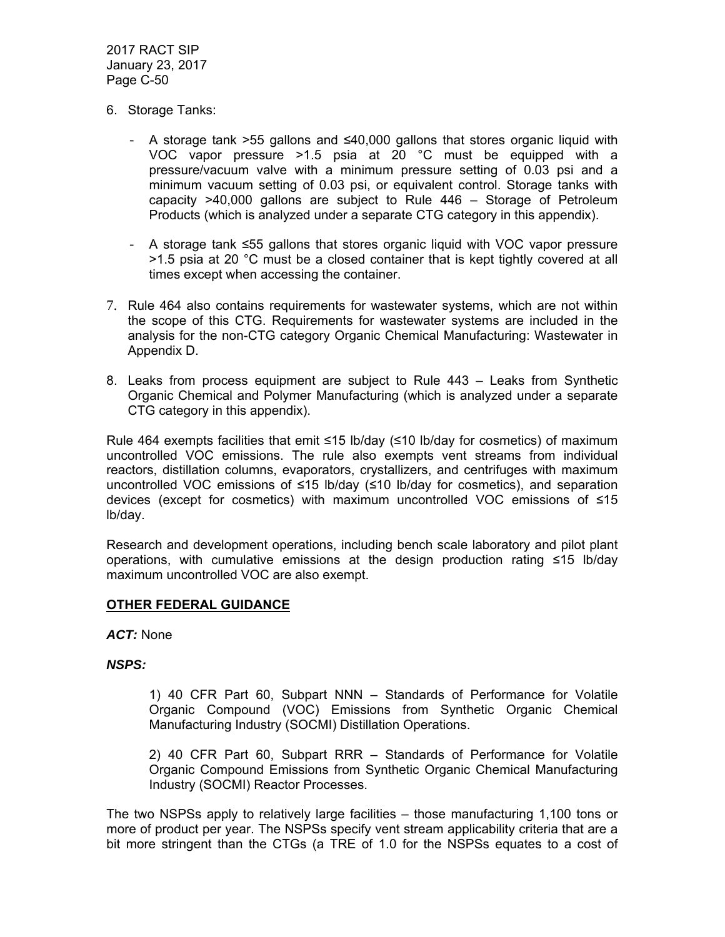- 6. Storage Tanks:
	- A storage tank >55 gallons and ≤40,000 gallons that stores organic liquid with VOC vapor pressure >1.5 psia at 20 °C must be equipped with a pressure/vacuum valve with a minimum pressure setting of 0.03 psi and a minimum vacuum setting of 0.03 psi, or equivalent control. Storage tanks with capacity >40,000 gallons are subject to Rule 446 – Storage of Petroleum Products (which is analyzed under a separate CTG category in this appendix).
	- A storage tank ≤55 gallons that stores organic liquid with VOC vapor pressure >1.5 psia at 20 °C must be a closed container that is kept tightly covered at all times except when accessing the container.
- 7. Rule 464 also contains requirements for wastewater systems, which are not within the scope of this CTG. Requirements for wastewater systems are included in the analysis for the non-CTG category Organic Chemical Manufacturing: Wastewater in Appendix D.
- 8. Leaks from process equipment are subject to Rule 443 Leaks from Synthetic Organic Chemical and Polymer Manufacturing (which is analyzed under a separate CTG category in this appendix).

Rule 464 exempts facilities that emit ≤15 lb/day (≤10 lb/day for cosmetics) of maximum uncontrolled VOC emissions. The rule also exempts vent streams from individual reactors, distillation columns, evaporators, crystallizers, and centrifuges with maximum uncontrolled VOC emissions of ≤15 lb/day (≤10 lb/day for cosmetics), and separation devices (except for cosmetics) with maximum uncontrolled VOC emissions of ≤15 lb/day.

Research and development operations, including bench scale laboratory and pilot plant operations, with cumulative emissions at the design production rating ≤15 lb/day maximum uncontrolled VOC are also exempt.

### **OTHER FEDERAL GUIDANCE**

*ACT:* None

# *NSPS:*

1) 40 CFR Part 60, Subpart NNN – Standards of Performance for Volatile Organic Compound (VOC) Emissions from Synthetic Organic Chemical Manufacturing Industry (SOCMI) Distillation Operations.

2) 40 CFR Part 60, Subpart RRR – Standards of Performance for Volatile Organic Compound Emissions from Synthetic Organic Chemical Manufacturing Industry (SOCMI) Reactor Processes.

The two NSPSs apply to relatively large facilities – those manufacturing 1,100 tons or more of product per year. The NSPSs specify vent stream applicability criteria that are a bit more stringent than the CTGs (a TRE of 1.0 for the NSPSs equates to a cost of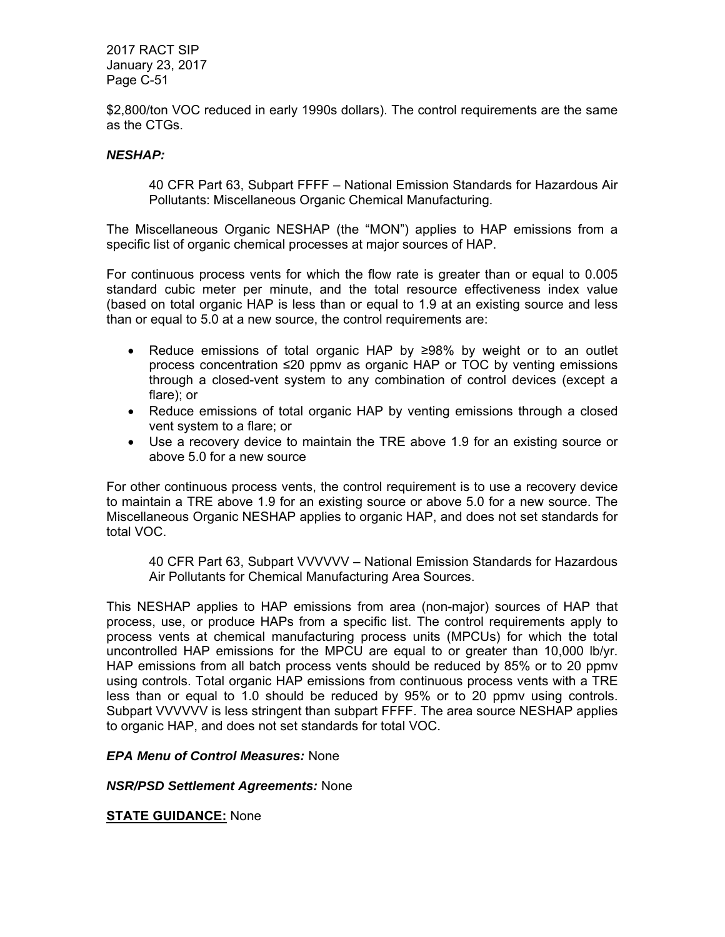\$2,800/ton VOC reduced in early 1990s dollars). The control requirements are the same as the CTGs.

## *NESHAP:*

40 CFR Part 63, Subpart FFFF – National Emission Standards for Hazardous Air Pollutants: Miscellaneous Organic Chemical Manufacturing.

The Miscellaneous Organic NESHAP (the "MON") applies to HAP emissions from a specific list of organic chemical processes at major sources of HAP.

For continuous process vents for which the flow rate is greater than or equal to 0.005 standard cubic meter per minute, and the total resource effectiveness index value (based on total organic HAP is less than or equal to 1.9 at an existing source and less than or equal to 5.0 at a new source, the control requirements are:

- Reduce emissions of total organic HAP by ≥98% by weight or to an outlet process concentration ≤20 ppmv as organic HAP or TOC by venting emissions through a closed-vent system to any combination of control devices (except a flare); or
- Reduce emissions of total organic HAP by venting emissions through a closed vent system to a flare; or
- Use a recovery device to maintain the TRE above 1.9 for an existing source or above 5.0 for a new source

For other continuous process vents, the control requirement is to use a recovery device to maintain a TRE above 1.9 for an existing source or above 5.0 for a new source. The Miscellaneous Organic NESHAP applies to organic HAP, and does not set standards for total VOC.

40 CFR Part 63, Subpart VVVVVV – National Emission Standards for Hazardous Air Pollutants for Chemical Manufacturing Area Sources.

This NESHAP applies to HAP emissions from area (non-major) sources of HAP that process, use, or produce HAPs from a specific list. The control requirements apply to process vents at chemical manufacturing process units (MPCUs) for which the total uncontrolled HAP emissions for the MPCU are equal to or greater than 10,000 lb/yr. HAP emissions from all batch process vents should be reduced by 85% or to 20 ppmv using controls. Total organic HAP emissions from continuous process vents with a TRE less than or equal to 1.0 should be reduced by 95% or to 20 ppmv using controls. Subpart VVVVVV is less stringent than subpart FFFF. The area source NESHAP applies to organic HAP, and does not set standards for total VOC.

### *EPA Menu of Control Measures:* None

*NSR/PSD Settlement Agreements:* None

**STATE GUIDANCE:** None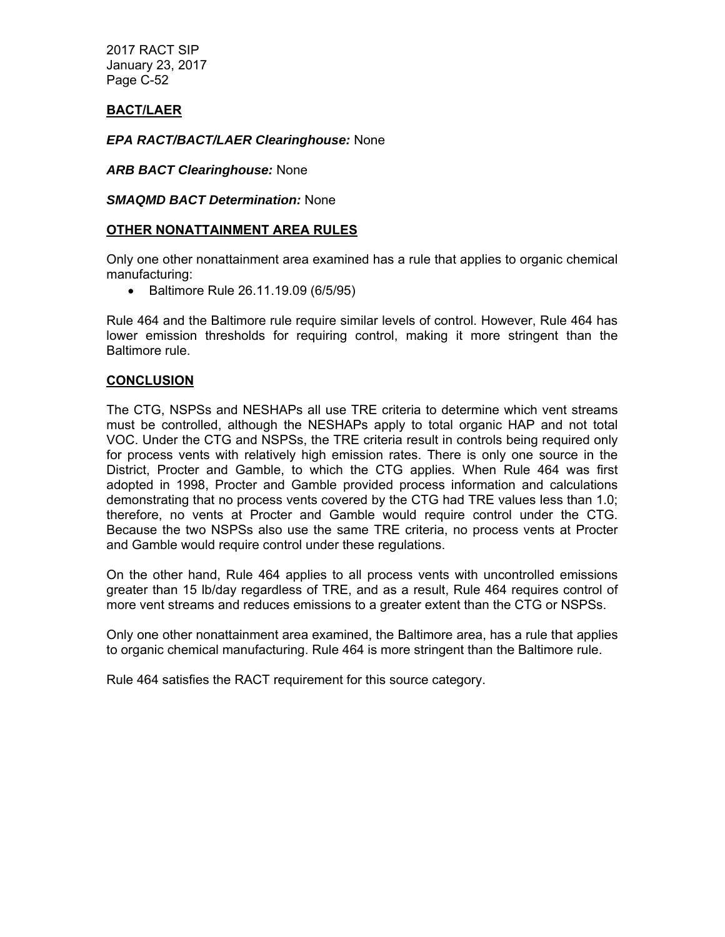# **BACT/LAER**

*EPA RACT/BACT/LAER Clearinghouse:* None

*ARB BACT Clearinghouse:* None

*SMAQMD BACT Determination:* None

## **OTHER NONATTAINMENT AREA RULES**

Only one other nonattainment area examined has a rule that applies to organic chemical manufacturing:

• Baltimore Rule 26.11.19.09 (6/5/95)

Rule 464 and the Baltimore rule require similar levels of control. However, Rule 464 has lower emission thresholds for requiring control, making it more stringent than the Baltimore rule.

## **CONCLUSION**

The CTG, NSPSs and NESHAPs all use TRE criteria to determine which vent streams must be controlled, although the NESHAPs apply to total organic HAP and not total VOC. Under the CTG and NSPSs, the TRE criteria result in controls being required only for process vents with relatively high emission rates. There is only one source in the District, Procter and Gamble, to which the CTG applies. When Rule 464 was first adopted in 1998, Procter and Gamble provided process information and calculations demonstrating that no process vents covered by the CTG had TRE values less than 1.0; therefore, no vents at Procter and Gamble would require control under the CTG. Because the two NSPSs also use the same TRE criteria, no process vents at Procter and Gamble would require control under these regulations.

On the other hand, Rule 464 applies to all process vents with uncontrolled emissions greater than 15 lb/day regardless of TRE, and as a result, Rule 464 requires control of more vent streams and reduces emissions to a greater extent than the CTG or NSPSs.

Only one other nonattainment area examined, the Baltimore area, has a rule that applies to organic chemical manufacturing. Rule 464 is more stringent than the Baltimore rule.

Rule 464 satisfies the RACT requirement for this source category.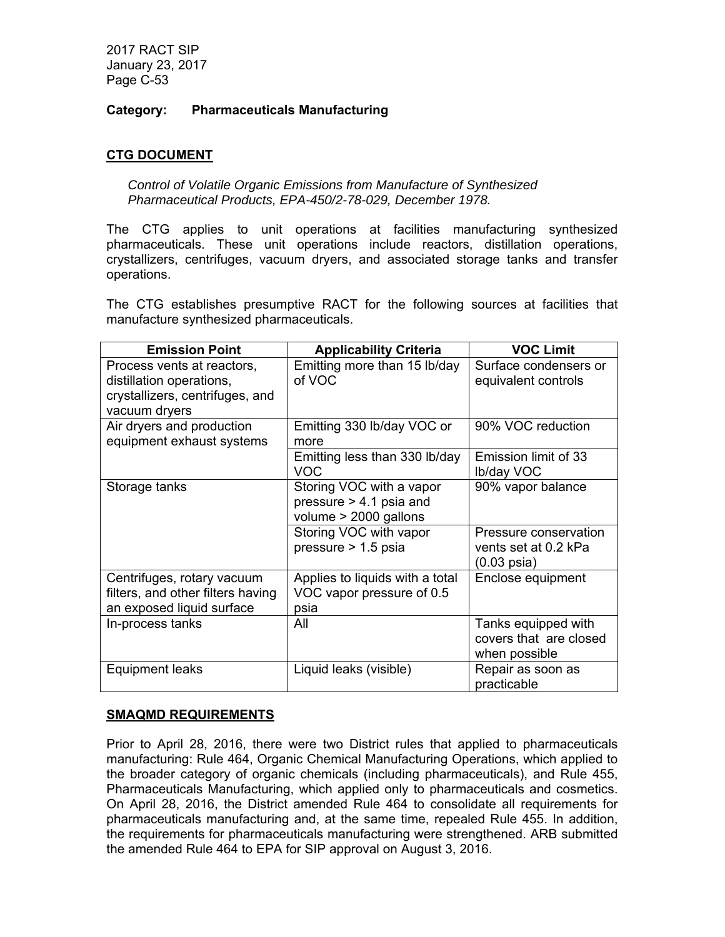## **Category: Pharmaceuticals Manufacturing**

# **CTG DOCUMENT**

*Control of Volatile Organic Emissions from Manufacture of Synthesized Pharmaceutical Products, EPA-450/2-78-029, December 1978.*

The CTG applies to unit operations at facilities manufacturing synthesized pharmaceuticals. These unit operations include reactors, distillation operations, crystallizers, centrifuges, vacuum dryers, and associated storage tanks and transfer operations.

The CTG establishes presumptive RACT for the following sources at facilities that manufacture synthesized pharmaceuticals.

| <b>Emission Point</b>                                                                                      | <b>Applicability Criteria</b>                                                    | <b>VOC Limit</b>                                                       |
|------------------------------------------------------------------------------------------------------------|----------------------------------------------------------------------------------|------------------------------------------------------------------------|
| Process vents at reactors,<br>distillation operations,<br>crystallizers, centrifuges, and<br>vacuum dryers | Emitting more than 15 lb/day<br>of VOC                                           | Surface condensers or<br>equivalent controls                           |
| Air dryers and production<br>equipment exhaust systems                                                     | Emitting 330 lb/day VOC or<br>more                                               | 90% VOC reduction                                                      |
|                                                                                                            | Emitting less than 330 lb/day<br><b>VOC</b>                                      | Emission limit of 33<br>Ib/day VOC                                     |
| Storage tanks                                                                                              | Storing VOC with a vapor<br>pressure $> 4.1$ psia and<br>volume $> 2000$ gallons | 90% vapor balance                                                      |
|                                                                                                            | Storing VOC with vapor<br>pressure $> 1.5$ psia                                  | Pressure conservation<br>vents set at 0.2 kPa<br>$(0.03 \text{ psia})$ |
| Centrifuges, rotary vacuum<br>filters, and other filters having                                            | Applies to liquids with a total<br>VOC vapor pressure of 0.5                     | Enclose equipment                                                      |
| an exposed liquid surface<br>In-process tanks                                                              | psia<br>All                                                                      | Tanks equipped with<br>covers that are closed<br>when possible         |
| Equipment leaks                                                                                            | Liquid leaks (visible)                                                           | Repair as soon as<br>practicable                                       |

### **SMAQMD REQUIREMENTS**

Prior to April 28, 2016, there were two District rules that applied to pharmaceuticals manufacturing: Rule 464, Organic Chemical Manufacturing Operations, which applied to the broader category of organic chemicals (including pharmaceuticals), and Rule 455, Pharmaceuticals Manufacturing, which applied only to pharmaceuticals and cosmetics. On April 28, 2016, the District amended Rule 464 to consolidate all requirements for pharmaceuticals manufacturing and, at the same time, repealed Rule 455. In addition, the requirements for pharmaceuticals manufacturing were strengthened. ARB submitted the amended Rule 464 to EPA for SIP approval on August 3, 2016.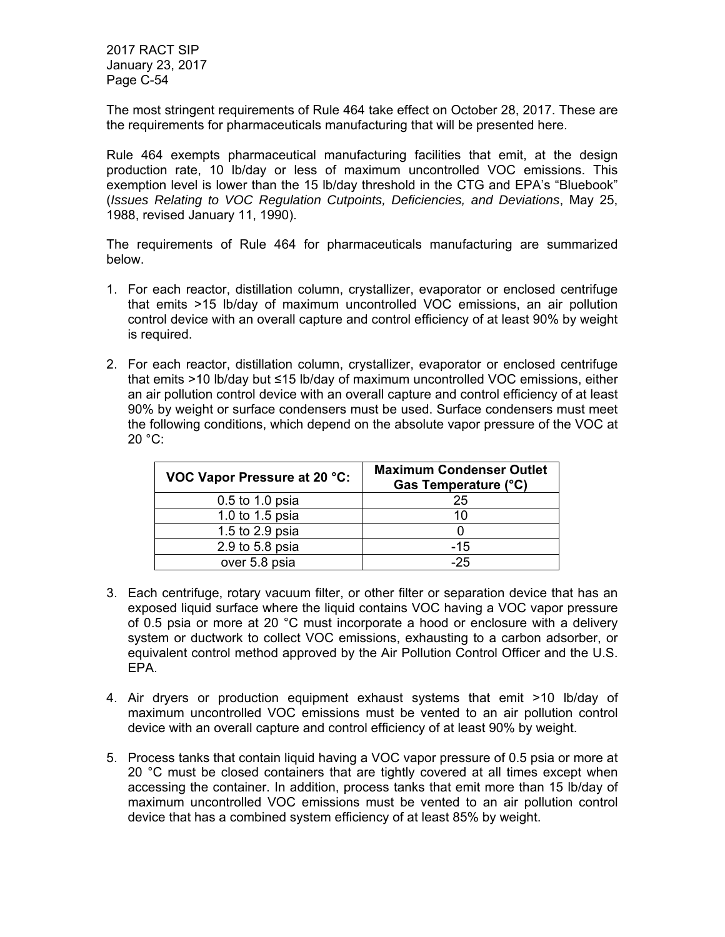The most stringent requirements of Rule 464 take effect on October 28, 2017. These are the requirements for pharmaceuticals manufacturing that will be presented here.

Rule 464 exempts pharmaceutical manufacturing facilities that emit, at the design production rate, 10 lb/day or less of maximum uncontrolled VOC emissions. This exemption level is lower than the 15 lb/day threshold in the CTG and EPA's "Bluebook" (*Issues Relating to VOC Regulation Cutpoints, Deficiencies, and Deviations*, May 25, 1988, revised January 11, 1990).

The requirements of Rule 464 for pharmaceuticals manufacturing are summarized below.

- 1. For each reactor, distillation column, crystallizer, evaporator or enclosed centrifuge that emits >15 lb/day of maximum uncontrolled VOC emissions, an air pollution control device with an overall capture and control efficiency of at least 90% by weight is required.
- 2. For each reactor, distillation column, crystallizer, evaporator or enclosed centrifuge that emits >10 lb/day but ≤15 lb/day of maximum uncontrolled VOC emissions, either an air pollution control device with an overall capture and control efficiency of at least 90% by weight or surface condensers must be used. Surface condensers must meet the following conditions, which depend on the absolute vapor pressure of the VOC at 20 °C:

| <b>VOC Vapor Pressure at 20 °C:</b> | <b>Maximum Condenser Outlet</b><br>Gas Temperature (°C) |
|-------------------------------------|---------------------------------------------------------|
| 0.5 to 1.0 psia                     | 25                                                      |
| 1.0 to 1.5 psia                     | 10                                                      |
| 1.5 to 2.9 psia                     |                                                         |
| 2.9 to 5.8 psia                     | $-15$                                                   |
| over 5.8 psia                       | $-25$                                                   |

- 3. Each centrifuge, rotary vacuum filter, or other filter or separation device that has an exposed liquid surface where the liquid contains VOC having a VOC vapor pressure of 0.5 psia or more at 20 °C must incorporate a hood or enclosure with a delivery system or ductwork to collect VOC emissions, exhausting to a carbon adsorber, or equivalent control method approved by the Air Pollution Control Officer and the U.S. EPA.
- 4. Air dryers or production equipment exhaust systems that emit >10 lb/day of maximum uncontrolled VOC emissions must be vented to an air pollution control device with an overall capture and control efficiency of at least 90% by weight.
- 5. Process tanks that contain liquid having a VOC vapor pressure of 0.5 psia or more at 20 °C must be closed containers that are tightly covered at all times except when accessing the container. In addition, process tanks that emit more than 15 lb/day of maximum uncontrolled VOC emissions must be vented to an air pollution control device that has a combined system efficiency of at least 85% by weight.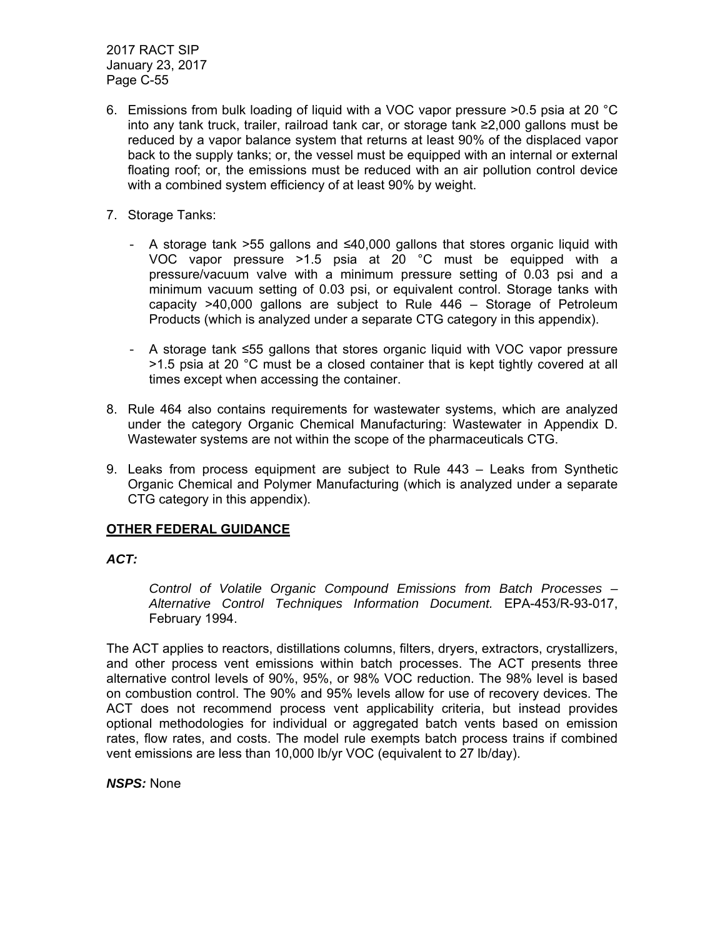- 6. Emissions from bulk loading of liquid with a VOC vapor pressure >0.5 psia at 20 °C into any tank truck, trailer, railroad tank car, or storage tank ≥2,000 gallons must be reduced by a vapor balance system that returns at least 90% of the displaced vapor back to the supply tanks; or, the vessel must be equipped with an internal or external floating roof; or, the emissions must be reduced with an air pollution control device with a combined system efficiency of at least 90% by weight.
- 7. Storage Tanks:
	- A storage tank >55 gallons and ≤40,000 gallons that stores organic liquid with VOC vapor pressure >1.5 psia at 20 °C must be equipped with a pressure/vacuum valve with a minimum pressure setting of 0.03 psi and a minimum vacuum setting of 0.03 psi, or equivalent control. Storage tanks with capacity >40,000 gallons are subject to Rule 446 – Storage of Petroleum Products (which is analyzed under a separate CTG category in this appendix).
	- A storage tank ≤55 gallons that stores organic liquid with VOC vapor pressure >1.5 psia at 20 °C must be a closed container that is kept tightly covered at all times except when accessing the container.
- 8. Rule 464 also contains requirements for wastewater systems, which are analyzed under the category Organic Chemical Manufacturing: Wastewater in Appendix D. Wastewater systems are not within the scope of the pharmaceuticals CTG.
- 9. Leaks from process equipment are subject to Rule 443 Leaks from Synthetic Organic Chemical and Polymer Manufacturing (which is analyzed under a separate CTG category in this appendix).

# **OTHER FEDERAL GUIDANCE**

### *ACT:*

*Control of Volatile Organic Compound Emissions from Batch Processes – Alternative Control Techniques Information Document.* EPA-453/R-93-017, February 1994.

The ACT applies to reactors, distillations columns, filters, dryers, extractors, crystallizers, and other process vent emissions within batch processes. The ACT presents three alternative control levels of 90%, 95%, or 98% VOC reduction. The 98% level is based on combustion control. The 90% and 95% levels allow for use of recovery devices. The ACT does not recommend process vent applicability criteria, but instead provides optional methodologies for individual or aggregated batch vents based on emission rates, flow rates, and costs. The model rule exempts batch process trains if combined vent emissions are less than 10,000 lb/yr VOC (equivalent to 27 lb/day).

### *NSPS:* None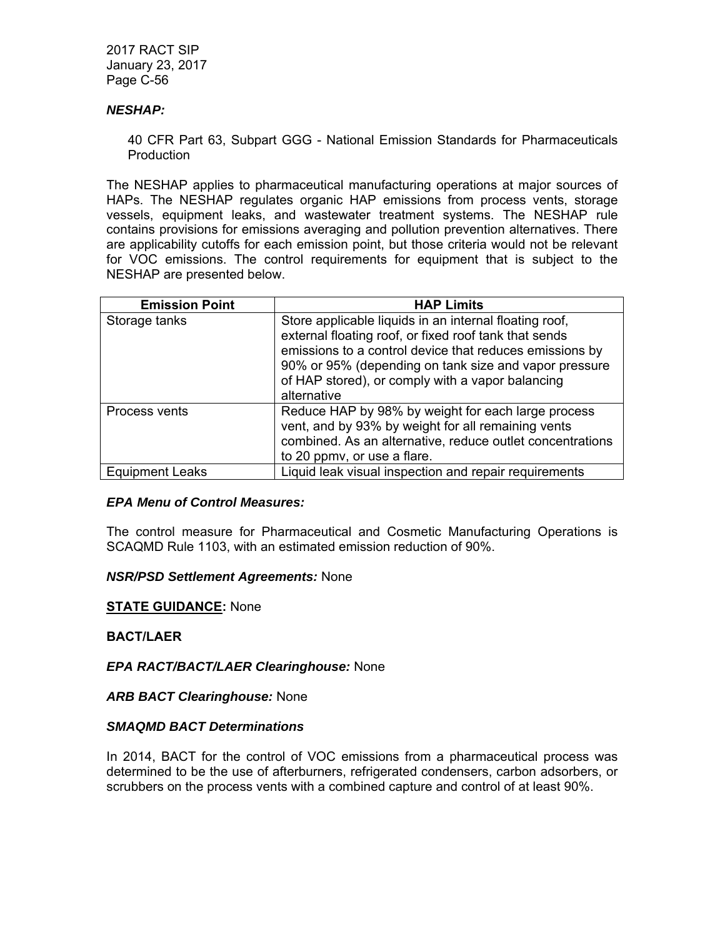### *NESHAP:*

40 CFR Part 63, Subpart GGG - National Emission Standards for Pharmaceuticals Production

The NESHAP applies to pharmaceutical manufacturing operations at major sources of HAPs. The NESHAP regulates organic HAP emissions from process vents, storage vessels, equipment leaks, and wastewater treatment systems. The NESHAP rule contains provisions for emissions averaging and pollution prevention alternatives. There are applicability cutoffs for each emission point, but those criteria would not be relevant for VOC emissions. The control requirements for equipment that is subject to the NESHAP are presented below.

| <b>Emission Point</b>  | <b>HAP Limits</b>                                                                                                                                                                                                                                                                                      |
|------------------------|--------------------------------------------------------------------------------------------------------------------------------------------------------------------------------------------------------------------------------------------------------------------------------------------------------|
| Storage tanks          | Store applicable liquids in an internal floating roof,<br>external floating roof, or fixed roof tank that sends<br>emissions to a control device that reduces emissions by<br>90% or 95% (depending on tank size and vapor pressure<br>of HAP stored), or comply with a vapor balancing<br>alternative |
| Process vents          | Reduce HAP by 98% by weight for each large process<br>vent, and by 93% by weight for all remaining vents<br>combined. As an alternative, reduce outlet concentrations<br>to 20 ppmv, or use a flare.                                                                                                   |
| <b>Equipment Leaks</b> | Liquid leak visual inspection and repair requirements                                                                                                                                                                                                                                                  |

### *EPA Menu of Control Measures:*

The control measure for Pharmaceutical and Cosmetic Manufacturing Operations is SCAQMD Rule 1103, with an estimated emission reduction of 90%.

### *NSR/PSD Settlement Agreements:* None

### **STATE GUIDANCE:** None

### **BACT/LAER**

*EPA RACT/BACT/LAER Clearinghouse:* None

*ARB BACT Clearinghouse:* None

### *SMAQMD BACT Determinations*

In 2014, BACT for the control of VOC emissions from a pharmaceutical process was determined to be the use of afterburners, refrigerated condensers, carbon adsorbers, or scrubbers on the process vents with a combined capture and control of at least 90%.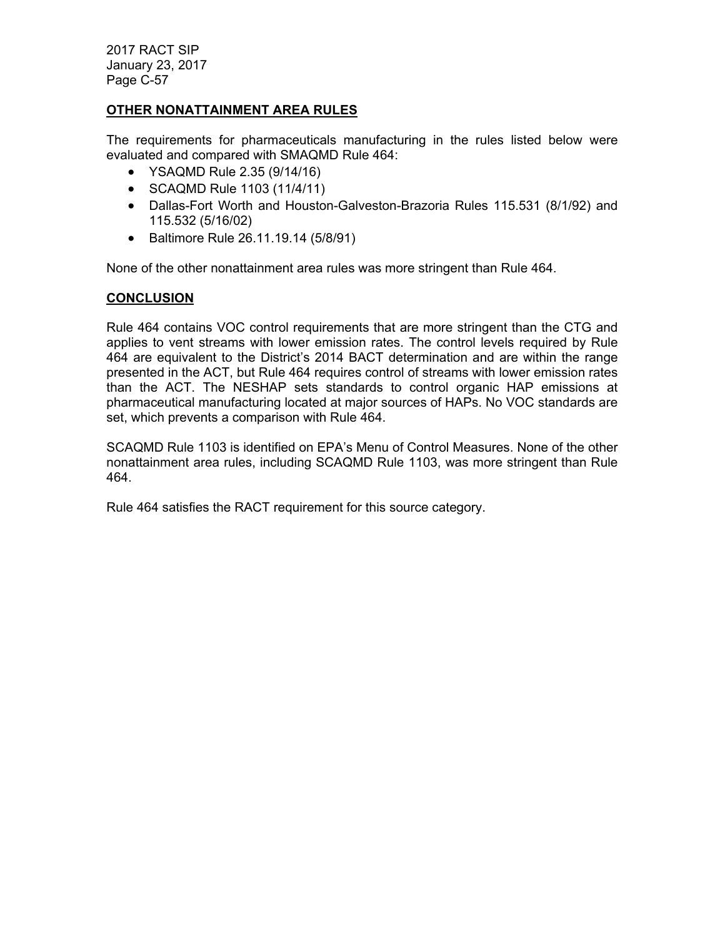### **OTHER NONATTAINMENT AREA RULES**

The requirements for pharmaceuticals manufacturing in the rules listed below were evaluated and compared with SMAQMD Rule 464:

- YSAQMD Rule 2.35 (9/14/16)
- SCAQMD Rule 1103 (11/4/11)
- Dallas-Fort Worth and Houston-Galveston-Brazoria Rules 115.531 (8/1/92) and 115.532 (5/16/02)
- Baltimore Rule 26.11.19.14 (5/8/91)

None of the other nonattainment area rules was more stringent than Rule 464.

### **CONCLUSION**

Rule 464 contains VOC control requirements that are more stringent than the CTG and applies to vent streams with lower emission rates. The control levels required by Rule 464 are equivalent to the District's 2014 BACT determination and are within the range presented in the ACT, but Rule 464 requires control of streams with lower emission rates than the ACT. The NESHAP sets standards to control organic HAP emissions at pharmaceutical manufacturing located at major sources of HAPs. No VOC standards are set, which prevents a comparison with Rule 464.

SCAQMD Rule 1103 is identified on EPA's Menu of Control Measures. None of the other nonattainment area rules, including SCAQMD Rule 1103, was more stringent than Rule 464.

Rule 464 satisfies the RACT requirement for this source category.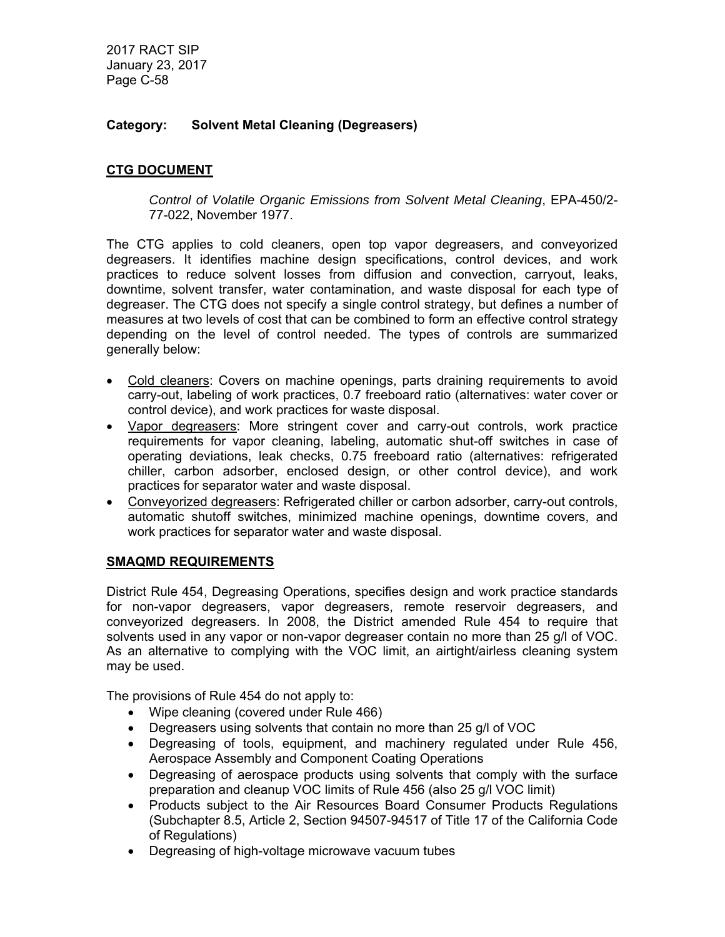# **Category: Solvent Metal Cleaning (Degreasers)**

# **CTG DOCUMENT**

*Control of Volatile Organic Emissions from Solvent Metal Cleaning*, EPA-450/2- 77-022, November 1977.

The CTG applies to cold cleaners, open top vapor degreasers, and conveyorized degreasers. It identifies machine design specifications, control devices, and work practices to reduce solvent losses from diffusion and convection, carryout, leaks, downtime, solvent transfer, water contamination, and waste disposal for each type of degreaser. The CTG does not specify a single control strategy, but defines a number of measures at two levels of cost that can be combined to form an effective control strategy depending on the level of control needed. The types of controls are summarized generally below:

- Cold cleaners: Covers on machine openings, parts draining requirements to avoid carry-out, labeling of work practices, 0.7 freeboard ratio (alternatives: water cover or control device), and work practices for waste disposal.
- Vapor degreasers: More stringent cover and carry-out controls, work practice requirements for vapor cleaning, labeling, automatic shut-off switches in case of operating deviations, leak checks, 0.75 freeboard ratio (alternatives: refrigerated chiller, carbon adsorber, enclosed design, or other control device), and work practices for separator water and waste disposal.
- Conveyorized degreasers: Refrigerated chiller or carbon adsorber, carry-out controls, automatic shutoff switches, minimized machine openings, downtime covers, and work practices for separator water and waste disposal.

# **SMAQMD REQUIREMENTS**

District Rule 454, Degreasing Operations, specifies design and work practice standards for non-vapor degreasers, vapor degreasers, remote reservoir degreasers, and conveyorized degreasers. In 2008, the District amended Rule 454 to require that solvents used in any vapor or non-vapor degreaser contain no more than 25 g/l of VOC. As an alternative to complying with the VOC limit, an airtight/airless cleaning system may be used.

The provisions of Rule 454 do not apply to:

- Wipe cleaning (covered under Rule 466)
- Degreasers using solvents that contain no more than 25 g/l of VOC
- Degreasing of tools, equipment, and machinery regulated under Rule 456, Aerospace Assembly and Component Coating Operations
- Degreasing of aerospace products using solvents that comply with the surface preparation and cleanup VOC limits of Rule 456 (also 25 g/l VOC limit)
- Products subiect to the Air Resources Board Consumer Products Regulations (Subchapter 8.5, Article 2, Section 94507-94517 of Title 17 of the California Code of Regulations)
- Degreasing of high-voltage microwave vacuum tubes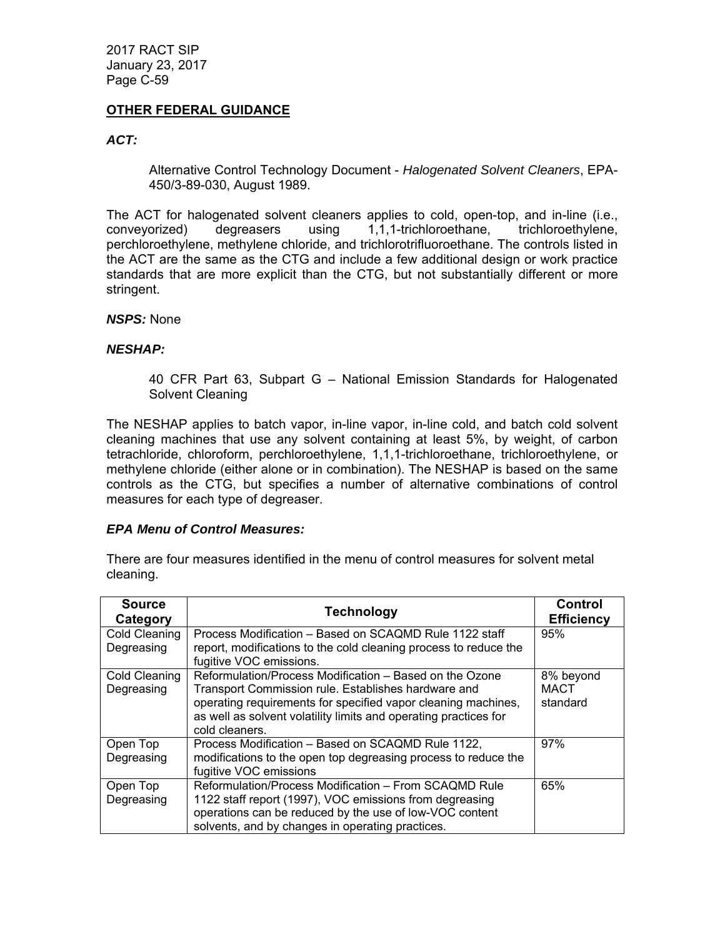### **OTHER FEDERAL GUIDANCE**

### *ACT:*

Alternative Control Technology Document - *Halogenated Solvent Cleaners*, EPA-450/3-89-030, August 1989.

The ACT for halogenated solvent cleaners applies to cold, open-top, and in-line (i.e., conveyorized) degreasers using 1,1,1-trichloroethane, trichloroethylene, perchloroethylene, methylene chloride, and trichlorotrifluoroethane. The controls listed in the ACT are the same as the CTG and include a few additional design or work practice standards that are more explicit than the CTG, but not substantially different or more stringent.

#### *NSPS:* None

### *NESHAP:*

40 CFR Part 63, Subpart G – National Emission Standards for Halogenated Solvent Cleaning

The NESHAP applies to batch vapor, in-line vapor, in-line cold, and batch cold solvent cleaning machines that use any solvent containing at least 5%, by weight, of carbon tetrachloride, chloroform, perchloroethylene, 1,1,1-trichloroethane, trichloroethylene, or methylene chloride (either alone or in combination). The NESHAP is based on the same controls as the CTG, but specifies a number of alternative combinations of control measures for each type of degreaser.

### *EPA Menu of Control Measures:*

There are four measures identified in the menu of control measures for solvent metal cleaning.

| <b>Source</b><br>Category          | <b>Technology</b>                                                                                                                                                                                                                                                     | Control<br><b>Efficiency</b>         |
|------------------------------------|-----------------------------------------------------------------------------------------------------------------------------------------------------------------------------------------------------------------------------------------------------------------------|--------------------------------------|
| <b>Cold Cleaning</b><br>Degreasing | Process Modification – Based on SCAQMD Rule 1122 staff<br>report, modifications to the cold cleaning process to reduce the<br>fugitive VOC emissions.                                                                                                                 | 95%                                  |
| Cold Cleaning<br>Degreasing        | Reformulation/Process Modification – Based on the Ozone<br>Transport Commission rule. Establishes hardware and<br>operating requirements for specified vapor cleaning machines,<br>as well as solvent volatility limits and operating practices for<br>cold cleaners. | 8% beyond<br><b>MACT</b><br>standard |
| Open Top<br>Degreasing             | Process Modification - Based on SCAQMD Rule 1122.<br>modifications to the open top degreasing process to reduce the<br>fugitive VOC emissions                                                                                                                         | 97%                                  |
| Open Top<br>Degreasing             | Reformulation/Process Modification - From SCAQMD Rule<br>1122 staff report (1997), VOC emissions from degreasing<br>operations can be reduced by the use of low-VOC content<br>solvents, and by changes in operating practices.                                       | 65%                                  |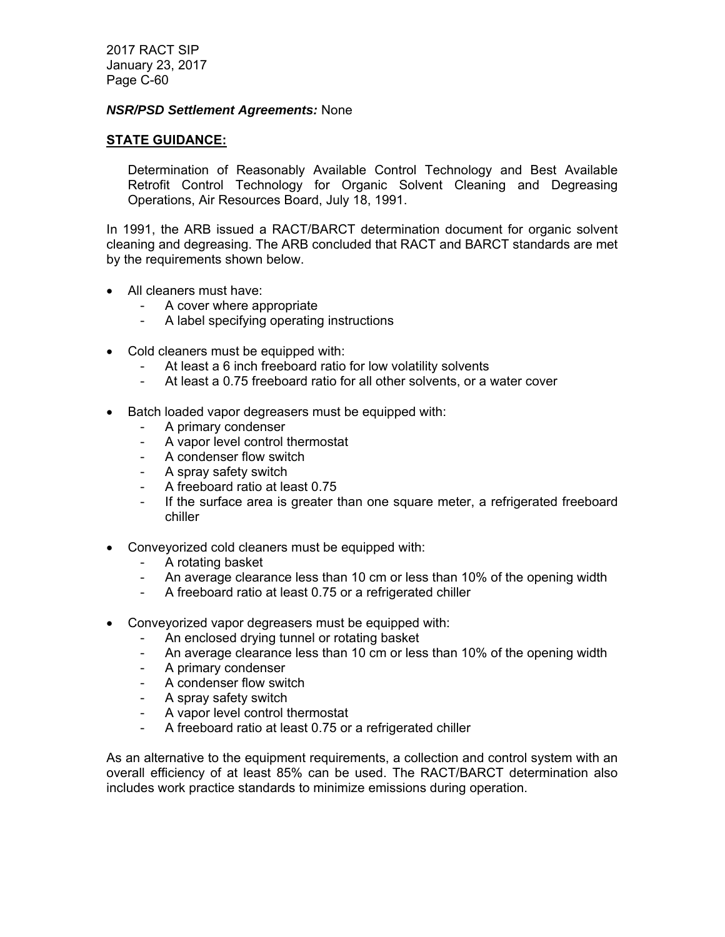#### *NSR/PSD Settlement Agreements:* None

#### **STATE GUIDANCE:**

Determination of Reasonably Available Control Technology and Best Available Retrofit Control Technology for Organic Solvent Cleaning and Degreasing Operations, Air Resources Board, July 18, 1991.

In 1991, the ARB issued a RACT/BARCT determination document for organic solvent cleaning and degreasing. The ARB concluded that RACT and BARCT standards are met by the requirements shown below.

- All cleaners must have:
	- A cover where appropriate
	- A label specifying operating instructions
- Cold cleaners must be equipped with:
	- At least a 6 inch freeboard ratio for low volatility solvents
	- At least a 0.75 freeboard ratio for all other solvents, or a water cover
- Batch loaded vapor degreasers must be equipped with:
	- A primary condenser
	- A vapor level control thermostat
	- A condenser flow switch
	- A spray safety switch
	- A freeboard ratio at least 0.75
	- If the surface area is greater than one square meter, a refrigerated freeboard chiller
- Conveyorized cold cleaners must be equipped with:
	- A rotating basket
	- An average clearance less than 10 cm or less than 10% of the opening width
	- A freeboard ratio at least 0.75 or a refrigerated chiller
	- Conveyorized vapor degreasers must be equipped with:
		- An enclosed drying tunnel or rotating basket
		- An average clearance less than 10 cm or less than 10% of the opening width
		- A primary condenser
		- A condenser flow switch
		- A spray safety switch
		- A vapor level control thermostat
		- A freeboard ratio at least 0.75 or a refrigerated chiller

As an alternative to the equipment requirements, a collection and control system with an overall efficiency of at least 85% can be used. The RACT/BARCT determination also includes work practice standards to minimize emissions during operation.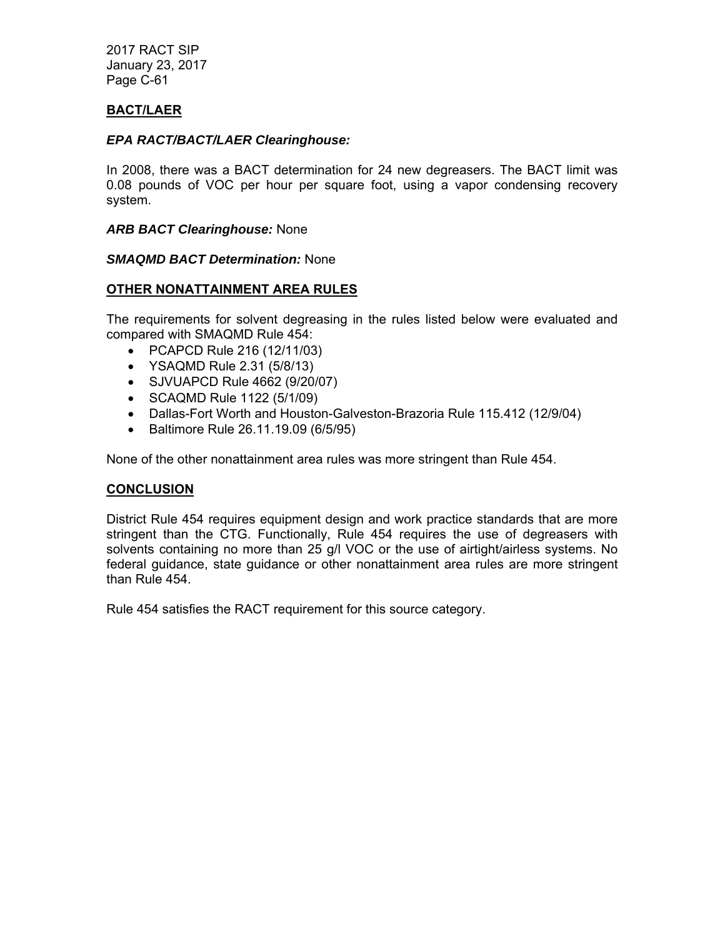# **BACT/LAER**

### *EPA RACT/BACT/LAER Clearinghouse:*

In 2008, there was a BACT determination for 24 new degreasers. The BACT limit was 0.08 pounds of VOC per hour per square foot, using a vapor condensing recovery system.

### *ARB BACT Clearinghouse:* None

### *SMAQMD BACT Determination:* None

### **OTHER NONATTAINMENT AREA RULES**

The requirements for solvent degreasing in the rules listed below were evaluated and compared with SMAQMD Rule 454:

- PCAPCD Rule 216 (12/11/03)
- YSAQMD Rule 2.31 (5/8/13)
- SJVUAPCD Rule 4662 (9/20/07)
- SCAQMD Rule 1122 (5/1/09)
- Dallas-Fort Worth and Houston-Galveston-Brazoria Rule 115.412 (12/9/04)
- Baltimore Rule 26.11.19.09 (6/5/95)

None of the other nonattainment area rules was more stringent than Rule 454.

### **CONCLUSION**

District Rule 454 requires equipment design and work practice standards that are more stringent than the CTG. Functionally, Rule 454 requires the use of degreasers with solvents containing no more than 25 g/l VOC or the use of airtight/airless systems. No federal guidance, state guidance or other nonattainment area rules are more stringent than Rule 454.

Rule 454 satisfies the RACT requirement for this source category.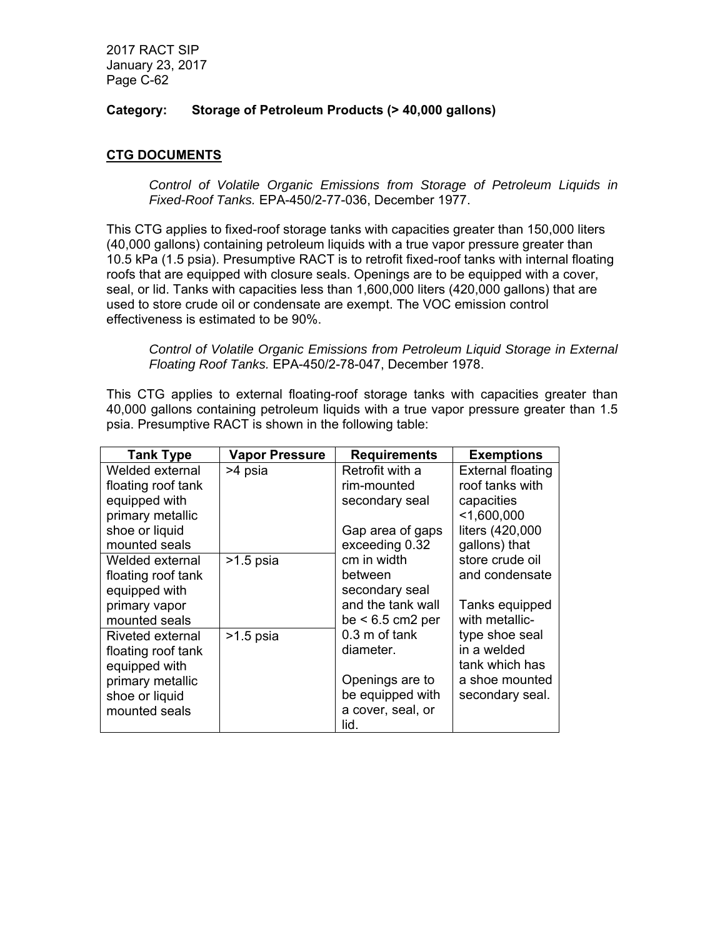### **Category: Storage of Petroleum Products (> 40,000 gallons)**

# **CTG DOCUMENTS**

*Control of Volatile Organic Emissions from Storage of Petroleum Liquids in Fixed-Roof Tanks.* EPA-450/2-77-036, December 1977.

This CTG applies to fixed-roof storage tanks with capacities greater than 150,000 liters (40,000 gallons) containing petroleum liquids with a true vapor pressure greater than 10.5 kPa (1.5 psia). Presumptive RACT is to retrofit fixed-roof tanks with internal floating roofs that are equipped with closure seals. Openings are to be equipped with a cover, seal, or lid. Tanks with capacities less than 1,600,000 liters (420,000 gallons) that are used to store crude oil or condensate are exempt. The VOC emission control effectiveness is estimated to be 90%.

*Control of Volatile Organic Emissions from Petroleum Liquid Storage in External Floating Roof Tanks.* EPA-450/2-78-047, December 1978.

This CTG applies to external floating-roof storage tanks with capacities greater than 40,000 gallons containing petroleum liquids with a true vapor pressure greater than 1.5 psia. Presumptive RACT is shown in the following table:

| <b>Tank Type</b>   | <b>Vapor Pressure</b> | <b>Requirements</b>     | <b>Exemptions</b>        |
|--------------------|-----------------------|-------------------------|--------------------------|
| Welded external    | >4 psia               | Retrofit with a         | <b>External floating</b> |
| floating roof tank |                       | rim-mounted             | roof tanks with          |
| equipped with      |                       | secondary seal          | capacities               |
| primary metallic   |                       |                         | $<$ 1,600,000            |
| shoe or liquid     |                       | Gap area of gaps        | liters (420,000          |
| mounted seals      |                       | exceeding 0.32          | gallons) that            |
| Welded external    | $>1.5$ psia           | cm in width             | store crude oil          |
| floating roof tank |                       | between                 | and condensate           |
| equipped with      |                       | secondary seal          |                          |
| primary vapor      |                       | and the tank wall       | Tanks equipped           |
| mounted seals      |                       | $be < 6.5$ cm2 per      | with metallic-           |
| Riveted external   | $>1.5$ psia           | $0.3 \text{ m}$ of tank | type shoe seal           |
| floating roof tank |                       | diameter.               | in a welded              |
| equipped with      |                       |                         | tank which has           |
| primary metallic   |                       | Openings are to         | a shoe mounted           |
| shoe or liquid     |                       | be equipped with        | secondary seal.          |
| mounted seals      |                       | a cover, seal, or       |                          |
|                    |                       | lid.                    |                          |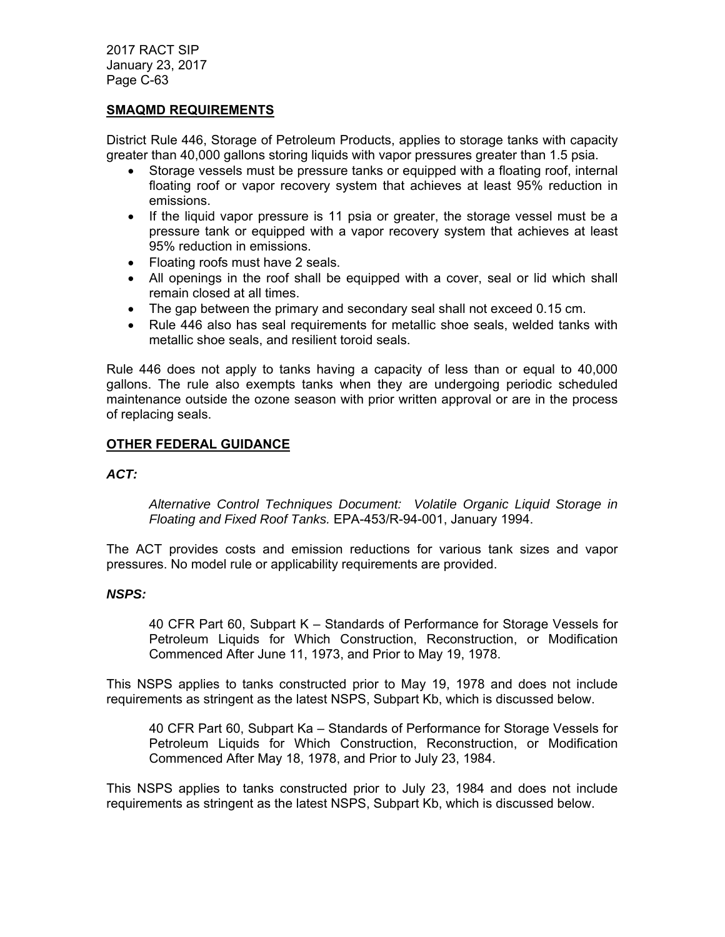### **SMAQMD REQUIREMENTS**

District Rule 446, Storage of Petroleum Products, applies to storage tanks with capacity greater than 40,000 gallons storing liquids with vapor pressures greater than 1.5 psia.

- Storage vessels must be pressure tanks or equipped with a floating roof, internal floating roof or vapor recovery system that achieves at least 95% reduction in emissions.
- If the liquid vapor pressure is 11 psia or greater, the storage vessel must be a pressure tank or equipped with a vapor recovery system that achieves at least 95% reduction in emissions.
- Floating roofs must have 2 seals.
- All openings in the roof shall be equipped with a cover, seal or lid which shall remain closed at all times.
- The gap between the primary and secondary seal shall not exceed 0.15 cm.
- Rule 446 also has seal requirements for metallic shoe seals, welded tanks with metallic shoe seals, and resilient toroid seals.

Rule 446 does not apply to tanks having a capacity of less than or equal to 40,000 gallons. The rule also exempts tanks when they are undergoing periodic scheduled maintenance outside the ozone season with prior written approval or are in the process of replacing seals.

### **OTHER FEDERAL GUIDANCE**

### *ACT:*

*Alternative Control Techniques Document: Volatile Organic Liquid Storage in Floating and Fixed Roof Tanks.* EPA-453/R-94-001, January 1994.

The ACT provides costs and emission reductions for various tank sizes and vapor pressures. No model rule or applicability requirements are provided.

### *NSPS:*

40 CFR Part 60, Subpart K – Standards of Performance for Storage Vessels for Petroleum Liquids for Which Construction, Reconstruction, or Modification Commenced After June 11, 1973, and Prior to May 19, 1978.

This NSPS applies to tanks constructed prior to May 19, 1978 and does not include requirements as stringent as the latest NSPS, Subpart Kb, which is discussed below.

40 CFR Part 60, Subpart Ka – Standards of Performance for Storage Vessels for Petroleum Liquids for Which Construction, Reconstruction, or Modification Commenced After May 18, 1978, and Prior to July 23, 1984.

This NSPS applies to tanks constructed prior to July 23, 1984 and does not include requirements as stringent as the latest NSPS, Subpart Kb, which is discussed below.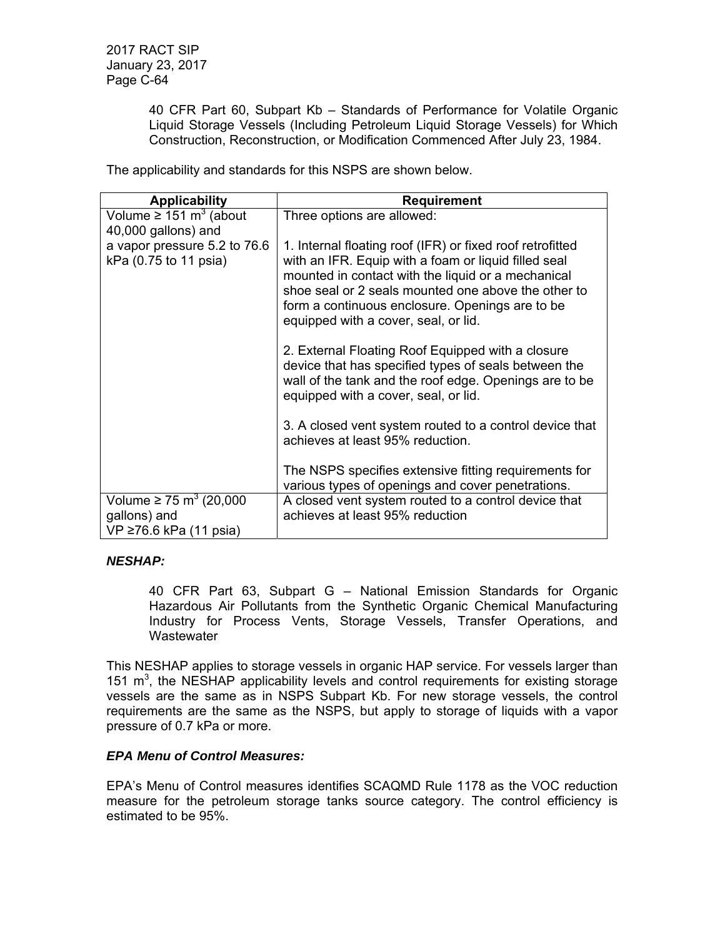40 CFR Part 60, Subpart Kb – Standards of Performance for Volatile Organic Liquid Storage Vessels (Including Petroleum Liquid Storage Vessels) for Which Construction, Reconstruction, or Modification Commenced After July 23, 1984.

The applicability and standards for this NSPS are shown below.

| <b>Applicability</b>                                                               | <b>Requirement</b>                                                                                                                                                                                                                                                                                                        |
|------------------------------------------------------------------------------------|---------------------------------------------------------------------------------------------------------------------------------------------------------------------------------------------------------------------------------------------------------------------------------------------------------------------------|
| Volume $\geq 151 \text{ m}^3$ (about                                               | Three options are allowed:                                                                                                                                                                                                                                                                                                |
| 40,000 gallons) and                                                                |                                                                                                                                                                                                                                                                                                                           |
| a vapor pressure 5.2 to 76.6<br>kPa (0.75 to 11 psia)                              | 1. Internal floating roof (IFR) or fixed roof retrofitted<br>with an IFR. Equip with a foam or liquid filled seal<br>mounted in contact with the liquid or a mechanical<br>shoe seal or 2 seals mounted one above the other to<br>form a continuous enclosure. Openings are to be<br>equipped with a cover, seal, or lid. |
|                                                                                    | 2. External Floating Roof Equipped with a closure<br>device that has specified types of seals between the<br>wall of the tank and the roof edge. Openings are to be<br>equipped with a cover, seal, or lid.                                                                                                               |
|                                                                                    | 3. A closed vent system routed to a control device that<br>achieves at least 95% reduction.                                                                                                                                                                                                                               |
|                                                                                    | The NSPS specifies extensive fitting requirements for<br>various types of openings and cover penetrations.                                                                                                                                                                                                                |
| Volume $\geq$ 75 m <sup>3</sup> (20,000)<br>gallons) and<br>VP ≥76.6 kPa (11 psia) | A closed vent system routed to a control device that<br>achieves at least 95% reduction                                                                                                                                                                                                                                   |

# *NESHAP:*

40 CFR Part 63, Subpart G – National Emission Standards for Organic Hazardous Air Pollutants from the Synthetic Organic Chemical Manufacturing Industry for Process Vents, Storage Vessels, Transfer Operations, and Wastewater

This NESHAP applies to storage vessels in organic HAP service. For vessels larger than 151  $m<sup>3</sup>$ , the NESHAP applicability levels and control requirements for existing storage vessels are the same as in NSPS Subpart Kb. For new storage vessels, the control requirements are the same as the NSPS, but apply to storage of liquids with a vapor pressure of 0.7 kPa or more.

### *EPA Menu of Control Measures:*

EPA's Menu of Control measures identifies SCAQMD Rule 1178 as the VOC reduction measure for the petroleum storage tanks source category. The control efficiency is estimated to be 95%.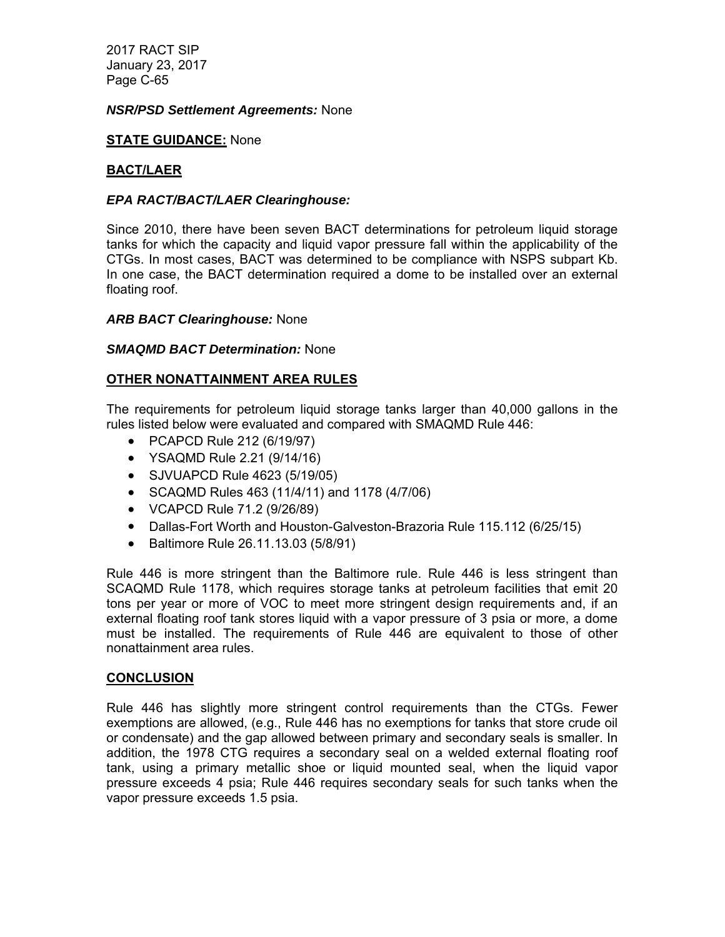### *NSR/PSD Settlement Agreements:* None

### **STATE GUIDANCE:** None

### **BACT/LAER**

### *EPA RACT/BACT/LAER Clearinghouse:*

Since 2010, there have been seven BACT determinations for petroleum liquid storage tanks for which the capacity and liquid vapor pressure fall within the applicability of the CTGs. In most cases, BACT was determined to be compliance with NSPS subpart Kb. In one case, the BACT determination required a dome to be installed over an external floating roof.

### *ARB BACT Clearinghouse:* None

#### *SMAQMD BACT Determination:* None

### **OTHER NONATTAINMENT AREA RULES**

The requirements for petroleum liquid storage tanks larger than 40,000 gallons in the rules listed below were evaluated and compared with SMAQMD Rule 446:

- PCAPCD Rule 212 (6/19/97)
- YSAQMD Rule 2.21 (9/14/16)
- SJVUAPCD Rule 4623 (5/19/05)
- SCAQMD Rules 463 (11/4/11) and 1178 (4/7/06)
- VCAPCD Rule 71.2 (9/26/89)
- Dallas-Fort Worth and Houston-Galveston-Brazoria Rule 115.112 (6/25/15)
- Baltimore Rule 26.11.13.03 (5/8/91)

Rule 446 is more stringent than the Baltimore rule. Rule 446 is less stringent than SCAQMD Rule 1178, which requires storage tanks at petroleum facilities that emit 20 tons per year or more of VOC to meet more stringent design requirements and, if an external floating roof tank stores liquid with a vapor pressure of 3 psia or more, a dome must be installed. The requirements of Rule 446 are equivalent to those of other nonattainment area rules.

### **CONCLUSION**

Rule 446 has slightly more stringent control requirements than the CTGs. Fewer exemptions are allowed, (e.g., Rule 446 has no exemptions for tanks that store crude oil or condensate) and the gap allowed between primary and secondary seals is smaller. In addition, the 1978 CTG requires a secondary seal on a welded external floating roof tank, using a primary metallic shoe or liquid mounted seal, when the liquid vapor pressure exceeds 4 psia; Rule 446 requires secondary seals for such tanks when the vapor pressure exceeds 1.5 psia.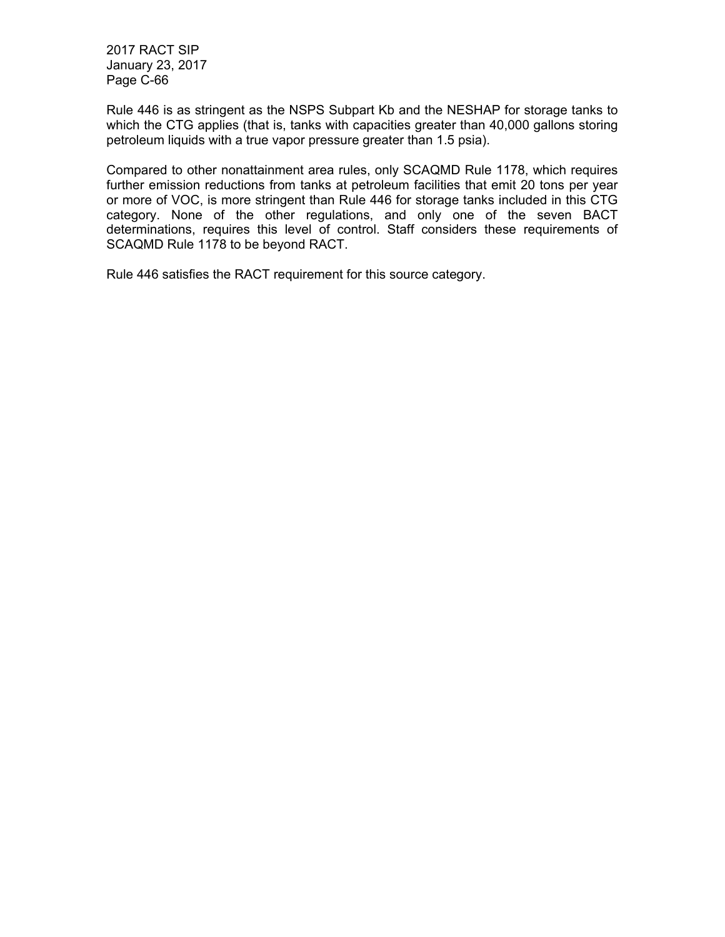Rule 446 is as stringent as the NSPS Subpart Kb and the NESHAP for storage tanks to which the CTG applies (that is, tanks with capacities greater than 40,000 gallons storing petroleum liquids with a true vapor pressure greater than 1.5 psia).

Compared to other nonattainment area rules, only SCAQMD Rule 1178, which requires further emission reductions from tanks at petroleum facilities that emit 20 tons per year or more of VOC, is more stringent than Rule 446 for storage tanks included in this CTG category. None of the other regulations, and only one of the seven BACT determinations, requires this level of control. Staff considers these requirements of SCAQMD Rule 1178 to be beyond RACT.

Rule 446 satisfies the RACT requirement for this source category.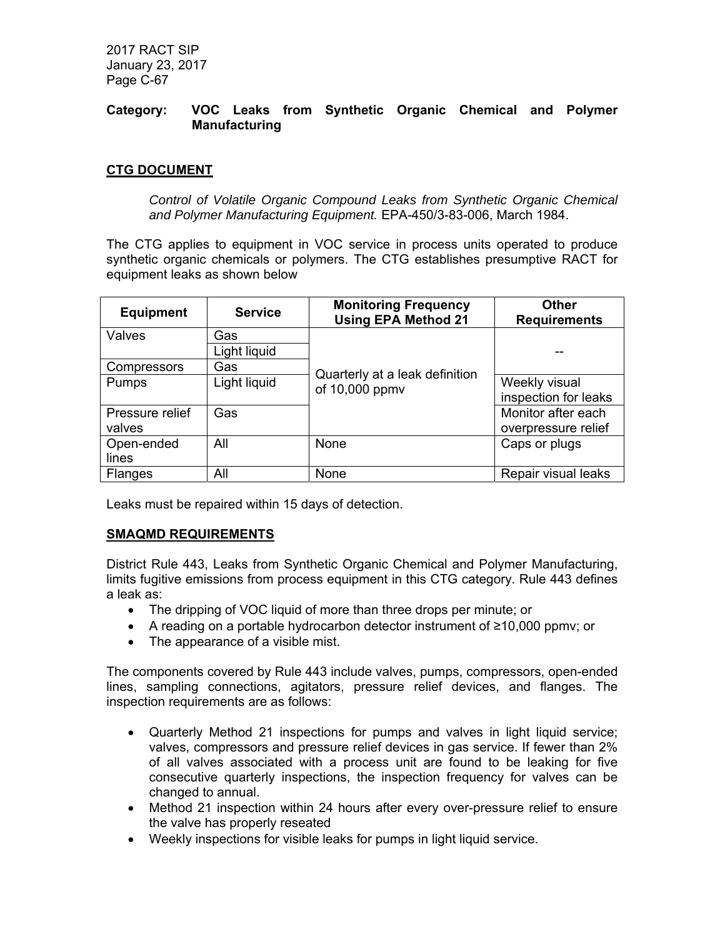# **Category: VOC Leaks from Synthetic Organic Chemical and Polymer Manufacturing**

# **CTG DOCUMENT**

*Control of Volatile Organic Compound Leaks from Synthetic Organic Chemical and Polymer Manufacturing Equipment.* EPA-450/3-83-006, March 1984.

The CTG applies to equipment in VOC service in process units operated to produce synthetic organic chemicals or polymers. The CTG establishes presumptive RACT for equipment leaks as shown below

| <b>Equipment</b> | <b>Service</b> | <b>Monitoring Frequency</b><br><b>Using EPA Method 21</b> | <b>Other</b><br><b>Requirements</b> |
|------------------|----------------|-----------------------------------------------------------|-------------------------------------|
| Valves           | Gas            |                                                           |                                     |
|                  | Light liquid   |                                                           | --                                  |
| Compressors      | Gas            |                                                           |                                     |
| Pumps            | Light liquid   | Quarterly at a leak definition<br>of 10,000 ppmv          | Weekly visual                       |
|                  |                |                                                           | inspection for leaks                |
| Pressure relief  | Gas            |                                                           | Monitor after each                  |
| valves           |                |                                                           | overpressure relief                 |
| Open-ended       | All            | None                                                      | Caps or plugs                       |
| lines            |                |                                                           |                                     |
| <b>Flanges</b>   | All            | None                                                      | Repair visual leaks                 |

Leaks must be repaired within 15 days of detection.

# **SMAQMD REQUIREMENTS**

District Rule 443, Leaks from Synthetic Organic Chemical and Polymer Manufacturing, limits fugitive emissions from process equipment in this CTG category. Rule 443 defines a leak as:

- The dripping of VOC liquid of more than three drops per minute; or
- A reading on a portable hydrocarbon detector instrument of ≥10,000 ppmv; or
- The appearance of a visible mist.

The components covered by Rule 443 include valves, pumps, compressors, open-ended lines, sampling connections, agitators, pressure relief devices, and flanges. The inspection requirements are as follows:

- Quarterly Method 21 inspections for pumps and valves in light liquid service; valves, compressors and pressure relief devices in gas service. If fewer than 2% of all valves associated with a process unit are found to be leaking for five consecutive quarterly inspections, the inspection frequency for valves can be changed to annual.
- Method 21 inspection within 24 hours after every over-pressure relief to ensure the valve has properly reseated
- Weekly inspections for visible leaks for pumps in light liquid service.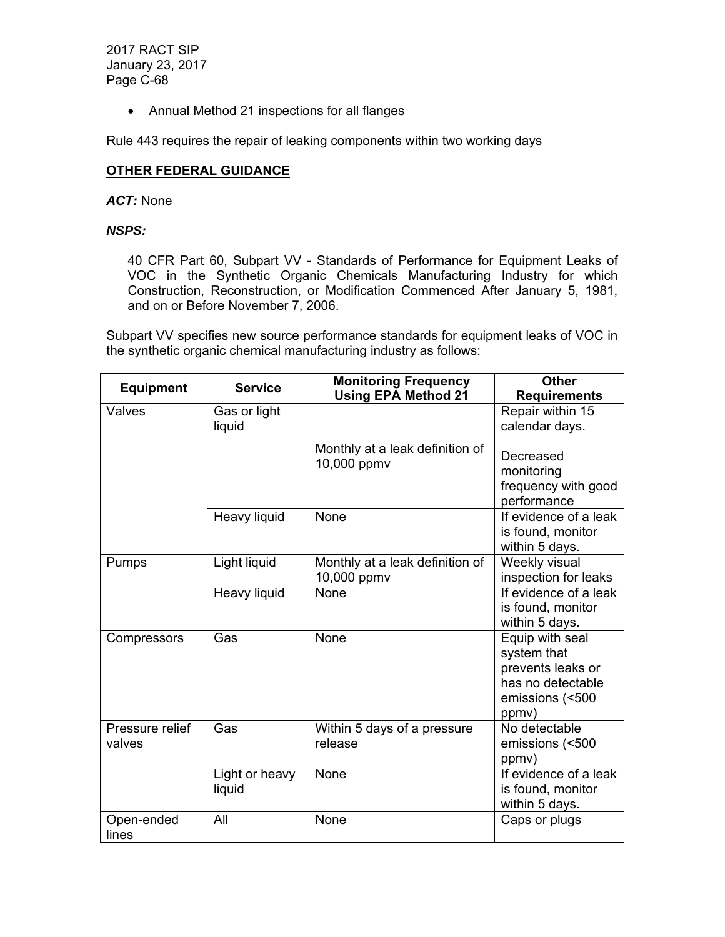Annual Method 21 inspections for all flanges

Rule 443 requires the repair of leaking components within two working days

# **OTHER FEDERAL GUIDANCE**

#### *ACT:* None

# *NSPS:*

40 CFR Part 60, Subpart VV - Standards of Performance for Equipment Leaks of VOC in the Synthetic Organic Chemicals Manufacturing Industry for which Construction, Reconstruction, or Modification Commenced After January 5, 1981, and on or Before November 7, 2006.

Subpart VV specifies new source performance standards for equipment leaks of VOC in the synthetic organic chemical manufacturing industry as follows:

| <b>Equipment</b>          | <b>Service</b>           | <b>Monitoring Frequency</b><br><b>Using EPA Method 21</b> | <b>Other</b><br><b>Requirements</b>                                                                  |
|---------------------------|--------------------------|-----------------------------------------------------------|------------------------------------------------------------------------------------------------------|
| Valves                    | Gas or light<br>liquid   |                                                           | Repair within 15<br>calendar days.                                                                   |
|                           |                          | Monthly at a leak definition of<br>10,000 ppmv            | Decreased<br>monitoring<br>frequency with good<br>performance                                        |
|                           | Heavy liquid             | None                                                      | If evidence of a leak<br>is found, monitor<br>within 5 days.                                         |
| Pumps                     | Light liquid             | Monthly at a leak definition of<br>10,000 ppmv            | Weekly visual<br>inspection for leaks                                                                |
|                           | Heavy liquid             | None                                                      | If evidence of a leak<br>is found, monitor<br>within 5 days.                                         |
| Compressors               | Gas                      | <b>None</b>                                               | Equip with seal<br>system that<br>prevents leaks or<br>has no detectable<br>emissions (<500<br>ppmy) |
| Pressure relief<br>valves | Gas                      | Within 5 days of a pressure<br>release                    | No detectable<br>emissions (<500<br>ppmy)                                                            |
|                           | Light or heavy<br>liquid | None                                                      | If evidence of a leak<br>is found, monitor<br>within 5 days.                                         |
| Open-ended<br>lines       | All                      | None                                                      | Caps or plugs                                                                                        |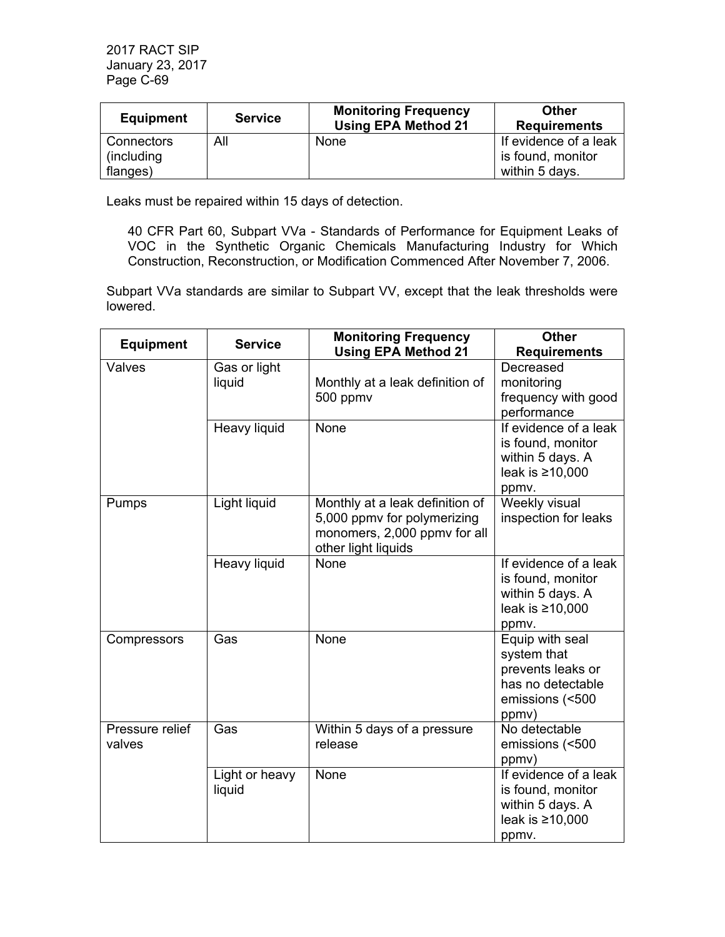| <b>Equipment</b> | <b>Service</b> | <b>Monitoring Frequency</b><br><b>Using EPA Method 21</b> | Other<br><b>Requirements</b> |
|------------------|----------------|-----------------------------------------------------------|------------------------------|
| Connectors       | All            | None                                                      | If evidence of a leak        |
| (including)      |                |                                                           | is found, monitor            |
| flanges)         |                |                                                           | within 5 days.               |

Leaks must be repaired within 15 days of detection.

40 CFR Part 60, Subpart VVa - Standards of Performance for Equipment Leaks of VOC in the Synthetic Organic Chemicals Manufacturing Industry for Which Construction, Reconstruction, or Modification Commenced After November 7, 2006.

Subpart VVa standards are similar to Subpart VV, except that the leak thresholds were lowered.

| <b>Equipment</b>          | <b>Service</b>           | <b>Monitoring Frequency</b><br><b>Using EPA Method 21</b>                                                             | <b>Other</b><br><b>Requirements</b>                                                                  |
|---------------------------|--------------------------|-----------------------------------------------------------------------------------------------------------------------|------------------------------------------------------------------------------------------------------|
| Valves                    | Gas or light<br>liquid   | Monthly at a leak definition of<br>500 ppmv                                                                           | Decreased<br>monitoring<br>frequency with good<br>performance                                        |
|                           | Heavy liquid             | None                                                                                                                  | If evidence of a leak<br>is found, monitor<br>within 5 days. A<br>leak is ≥10,000<br>ppmv.           |
| Pumps                     | Light liquid             | Monthly at a leak definition of<br>5,000 ppmv for polymerizing<br>monomers, 2,000 ppmv for all<br>other light liquids | Weekly visual<br>inspection for leaks                                                                |
|                           | Heavy liquid             | None                                                                                                                  | If evidence of a leak<br>is found, monitor<br>within 5 days. A<br>leak is ≥10,000<br>ppmv.           |
| Compressors               | Gas                      | None                                                                                                                  | Equip with seal<br>system that<br>prevents leaks or<br>has no detectable<br>emissions (<500<br>ppmv) |
| Pressure relief<br>valves | Gas                      | Within 5 days of a pressure<br>release                                                                                | No detectable<br>emissions (<500<br>ppmv)                                                            |
|                           | Light or heavy<br>liquid | None                                                                                                                  | If evidence of a leak<br>is found, monitor<br>within 5 days. A<br>leak is ≥10,000<br>ppmv.           |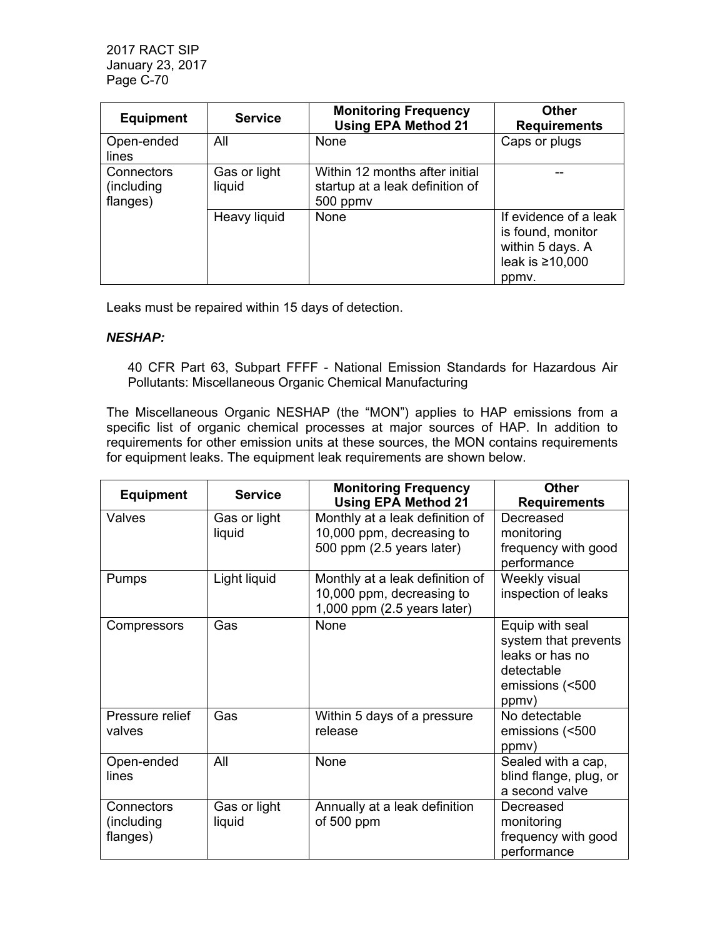| <b>Equipment</b>                     | <b>Service</b>         | <b>Monitoring Frequency</b><br><b>Using EPA Method 21</b>                     | <b>Other</b><br><b>Requirements</b>                                                              |
|--------------------------------------|------------------------|-------------------------------------------------------------------------------|--------------------------------------------------------------------------------------------------|
| Open-ended<br>lines                  | All                    | None                                                                          | Caps or plugs                                                                                    |
| Connectors<br>(including<br>flanges) | Gas or light<br>liquid | Within 12 months after initial<br>startup at a leak definition of<br>500 ppmv |                                                                                                  |
|                                      | Heavy liquid           | None                                                                          | If evidence of a leak<br>is found, monitor<br>within 5 days. A<br>leak is $\geq 10,000$<br>ppmy. |

Leaks must be repaired within 15 days of detection.

### *NESHAP:*

40 CFR Part 63, Subpart FFFF - National Emission Standards for Hazardous Air Pollutants: Miscellaneous Organic Chemical Manufacturing

The Miscellaneous Organic NESHAP (the "MON") applies to HAP emissions from a specific list of organic chemical processes at major sources of HAP. In addition to requirements for other emission units at these sources, the MON contains requirements for equipment leaks. The equipment leak requirements are shown below.

| <b>Equipment</b>                     | <b>Service</b>         | <b>Monitoring Frequency</b><br><b>Using EPA Method 21</b>                                   | <b>Other</b><br><b>Requirements</b>                                                                  |
|--------------------------------------|------------------------|---------------------------------------------------------------------------------------------|------------------------------------------------------------------------------------------------------|
| Valves                               | Gas or light<br>liquid | Monthly at a leak definition of<br>10,000 ppm, decreasing to<br>500 ppm (2.5 years later)   | Decreased<br>monitoring<br>frequency with good<br>performance                                        |
| Pumps                                | Light liquid           | Monthly at a leak definition of<br>10,000 ppm, decreasing to<br>1,000 ppm (2.5 years later) | Weekly visual<br>inspection of leaks                                                                 |
| Compressors                          | Gas                    | <b>None</b>                                                                                 | Equip with seal<br>system that prevents<br>leaks or has no<br>detectable<br>emissions (<500<br>ppmv) |
| Pressure relief<br>valves            | Gas                    | Within 5 days of a pressure<br>release                                                      | No detectable<br>emissions (<500<br>ppmy)                                                            |
| Open-ended<br>lines                  | All                    | None                                                                                        | Sealed with a cap,<br>blind flange, plug, or<br>a second valve                                       |
| Connectors<br>(including<br>flanges) | Gas or light<br>liquid | Annually at a leak definition<br>of 500 ppm                                                 | Decreased<br>monitoring<br>frequency with good<br>performance                                        |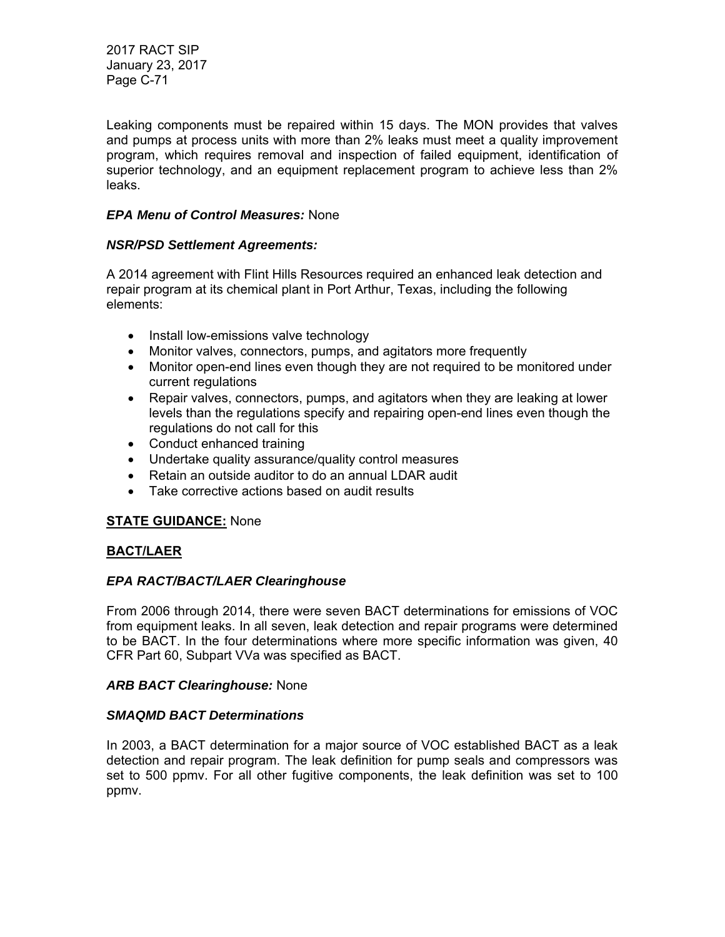Leaking components must be repaired within 15 days. The MON provides that valves and pumps at process units with more than 2% leaks must meet a quality improvement program, which requires removal and inspection of failed equipment, identification of superior technology, and an equipment replacement program to achieve less than 2% leaks.

# *EPA Menu of Control Measures:* None

### *NSR/PSD Settlement Agreements:*

A 2014 agreement with Flint Hills Resources required an enhanced leak detection and repair program at its chemical plant in Port Arthur, Texas, including the following elements:

- Install low-emissions valve technology
- Monitor valves, connectors, pumps, and agitators more frequently
- Monitor open-end lines even though they are not required to be monitored under current regulations
- Repair valves, connectors, pumps, and agitators when they are leaking at lower levels than the regulations specify and repairing open-end lines even though the regulations do not call for this
- Conduct enhanced training
- Undertake quality assurance/quality control measures
- Retain an outside auditor to do an annual LDAR audit
- Take corrective actions based on audit results

### **STATE GUIDANCE:** None

### **BACT/LAER**

### *EPA RACT/BACT/LAER Clearinghouse*

From 2006 through 2014, there were seven BACT determinations for emissions of VOC from equipment leaks. In all seven, leak detection and repair programs were determined to be BACT. In the four determinations where more specific information was given, 40 CFR Part 60, Subpart VVa was specified as BACT.

### *ARB BACT Clearinghouse:* None

### *SMAQMD BACT Determinations*

In 2003, a BACT determination for a major source of VOC established BACT as a leak detection and repair program. The leak definition for pump seals and compressors was set to 500 ppmv. For all other fugitive components, the leak definition was set to 100 ppmv.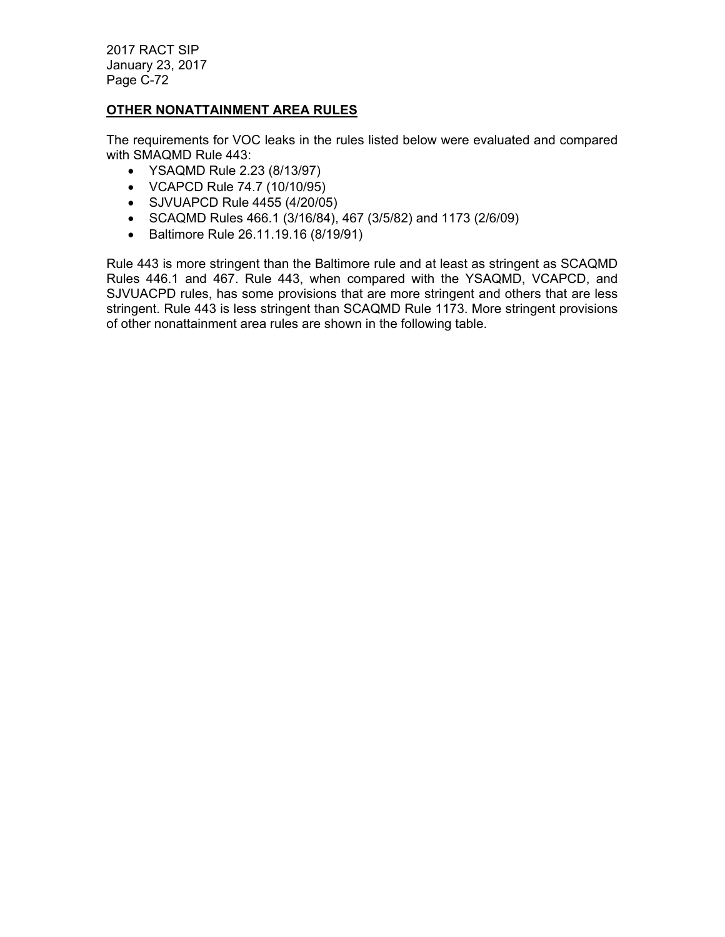# **OTHER NONATTAINMENT AREA RULES**

The requirements for VOC leaks in the rules listed below were evaluated and compared with SMAQMD Rule 443:

- YSAQMD Rule 2.23 (8/13/97)
- VCAPCD Rule 74.7 (10/10/95)
- SJVUAPCD Rule 4455 (4/20/05)
- SCAQMD Rules 466.1 (3/16/84), 467 (3/5/82) and 1173 (2/6/09)
- Baltimore Rule 26.11.19.16 (8/19/91)

Rule 443 is more stringent than the Baltimore rule and at least as stringent as SCAQMD Rules 446.1 and 467. Rule 443, when compared with the YSAQMD, VCAPCD, and SJVUACPD rules, has some provisions that are more stringent and others that are less stringent. Rule 443 is less stringent than SCAQMD Rule 1173. More stringent provisions of other nonattainment area rules are shown in the following table.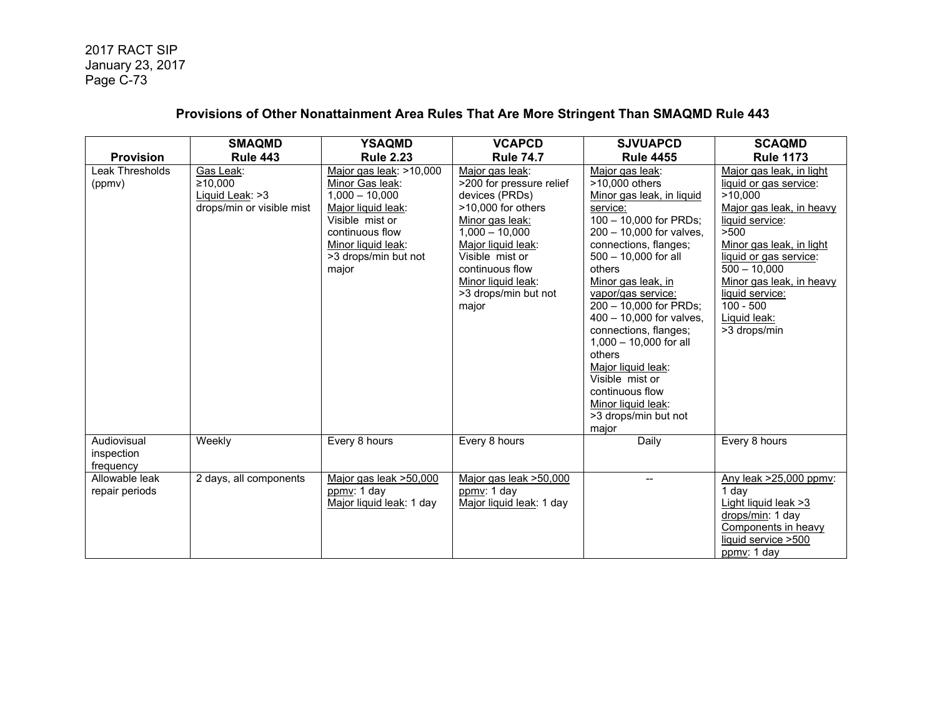# **Provisions of Other Nonattainment Area Rules That Are More Stringent Than SMAQMD Rule 443**

|                                        | <b>SMAQMD</b>                                                        | <b>YSAQMD</b>                                                                                                                                                                     | <b>VCAPCD</b>                                                                                                                                                                                                                                   | <b>SJVUAPCD</b>                                                                                                                                                                                                                                                                                                                                                                                                                                                                 | <b>SCAQMD</b>                                                                                                                                                                                                                                                                              |
|----------------------------------------|----------------------------------------------------------------------|-----------------------------------------------------------------------------------------------------------------------------------------------------------------------------------|-------------------------------------------------------------------------------------------------------------------------------------------------------------------------------------------------------------------------------------------------|---------------------------------------------------------------------------------------------------------------------------------------------------------------------------------------------------------------------------------------------------------------------------------------------------------------------------------------------------------------------------------------------------------------------------------------------------------------------------------|--------------------------------------------------------------------------------------------------------------------------------------------------------------------------------------------------------------------------------------------------------------------------------------------|
| <b>Provision</b>                       | <b>Rule 443</b>                                                      | <b>Rule 2.23</b>                                                                                                                                                                  | <b>Rule 74.7</b>                                                                                                                                                                                                                                | <b>Rule 4455</b>                                                                                                                                                                                                                                                                                                                                                                                                                                                                | <b>Rule 1173</b>                                                                                                                                                                                                                                                                           |
| Leak Thresholds<br>(ppmv)              | Gas Leak:<br>≥10.000<br>Liquid Leak: >3<br>drops/min or visible mist | Major gas leak: >10,000<br>Minor Gas leak:<br>$1,000 - 10,000$<br>Major liquid leak:<br>Visible mist or<br>continuous flow<br>Minor liquid leak:<br>>3 drops/min but not<br>major | Major gas leak:<br>>200 for pressure relief<br>devices (PRDs)<br>$>10,000$ for others<br>Minor gas leak:<br>$1,000 - 10,000$<br>Major liquid leak:<br>Visible mist or<br>continuous flow<br>Minor liquid leak:<br>>3 drops/min but not<br>major | Major gas leak:<br>>10,000 others<br>Minor gas leak, in liquid<br>service:<br>100 - 10,000 for PRDs;<br>200 - 10,000 for valves,<br>connections, flanges;<br>500 - 10,000 for all<br>others<br>Minor gas leak, in<br>vapor/gas service:<br>200 - 10,000 for PRDs;<br>400 - 10,000 for valves,<br>connections, flanges;<br>$1,000 - 10,000$ for all<br>others<br>Major liquid leak:<br>Visible mist or<br>continuous flow<br>Minor liquid leak:<br>>3 drops/min but not<br>major | Major gas leak, in light<br>liquid or gas service:<br>>10,000<br>Major gas leak, in heavy<br>liquid service:<br>>500<br>Minor gas leak, in light<br>liquid or gas service:<br>$500 - 10,000$<br>Minor gas leak, in heavy<br>liquid service:<br>$100 - 500$<br>Liquid leak:<br>>3 drops/min |
| Audiovisual<br>inspection<br>frequency | Weekly                                                               | Every 8 hours                                                                                                                                                                     | Every 8 hours                                                                                                                                                                                                                                   | Daily                                                                                                                                                                                                                                                                                                                                                                                                                                                                           | Every 8 hours                                                                                                                                                                                                                                                                              |
| Allowable leak<br>repair periods       | 2 days, all components                                               | Major gas leak >50,000<br>ppmv: 1 day<br>Major liquid leak: 1 day                                                                                                                 | Major gas leak >50,000<br>ppmy: 1 day<br>Major liquid leak: 1 day                                                                                                                                                                               | $\overline{\phantom{0}}$                                                                                                                                                                                                                                                                                                                                                                                                                                                        | Any leak >25,000 ppmv:<br>1 day<br>Light liquid leak > 3<br>drops/min: 1 day<br>Components in heavy<br>liquid service >500<br>ppmy: 1 day                                                                                                                                                  |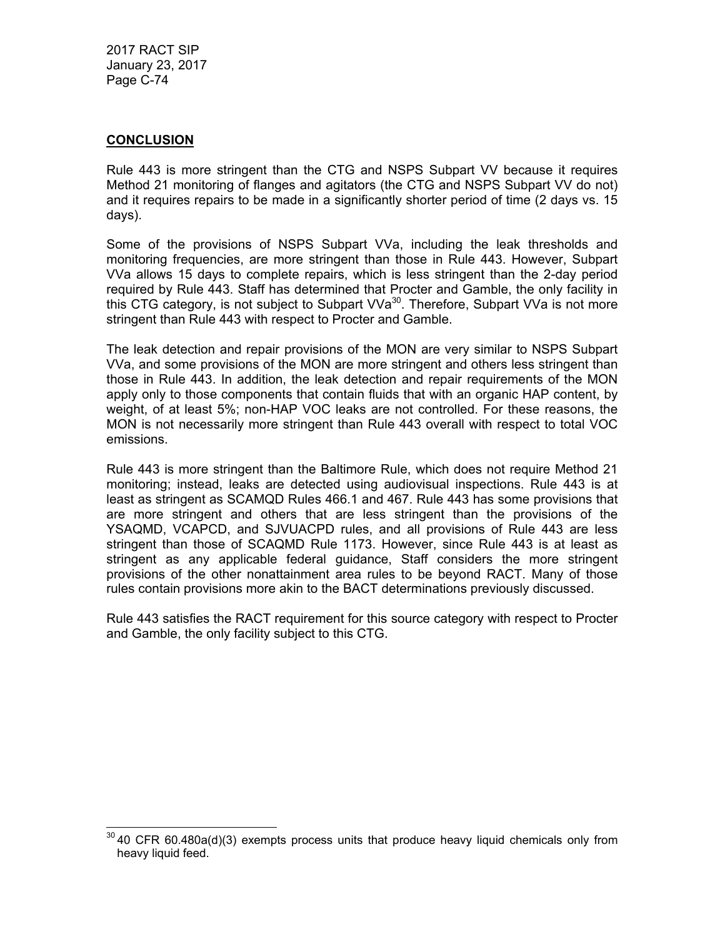### **CONCLUSION**

Rule 443 is more stringent than the CTG and NSPS Subpart VV because it requires Method 21 monitoring of flanges and agitators (the CTG and NSPS Subpart VV do not) and it requires repairs to be made in a significantly shorter period of time (2 days vs. 15 days).

Some of the provisions of NSPS Subpart VVa, including the leak thresholds and monitoring frequencies, are more stringent than those in Rule 443. However, Subpart VVa allows 15 days to complete repairs, which is less stringent than the 2-day period required by Rule 443. Staff has determined that Procter and Gamble, the only facility in this CTG category, is not subject to Subpart  $VVa^{30}$ . Therefore, Subpart VVa is not more stringent than Rule 443 with respect to Procter and Gamble.

The leak detection and repair provisions of the MON are very similar to NSPS Subpart VVa, and some provisions of the MON are more stringent and others less stringent than those in Rule 443. In addition, the leak detection and repair requirements of the MON apply only to those components that contain fluids that with an organic HAP content, by weight, of at least 5%; non-HAP VOC leaks are not controlled. For these reasons, the MON is not necessarily more stringent than Rule 443 overall with respect to total VOC emissions.

Rule 443 is more stringent than the Baltimore Rule, which does not require Method 21 monitoring; instead, leaks are detected using audiovisual inspections. Rule 443 is at least as stringent as SCAMQD Rules 466.1 and 467. Rule 443 has some provisions that are more stringent and others that are less stringent than the provisions of the YSAQMD, VCAPCD, and SJVUACPD rules, and all provisions of Rule 443 are less stringent than those of SCAQMD Rule 1173. However, since Rule 443 is at least as stringent as any applicable federal guidance, Staff considers the more stringent provisions of the other nonattainment area rules to be beyond RACT. Many of those rules contain provisions more akin to the BACT determinations previously discussed.

Rule 443 satisfies the RACT requirement for this source category with respect to Procter and Gamble, the only facility subject to this CTG.

 $\overline{a}$  $30$  40 CFR 60.480a(d)(3) exempts process units that produce heavy liquid chemicals only from heavy liquid feed.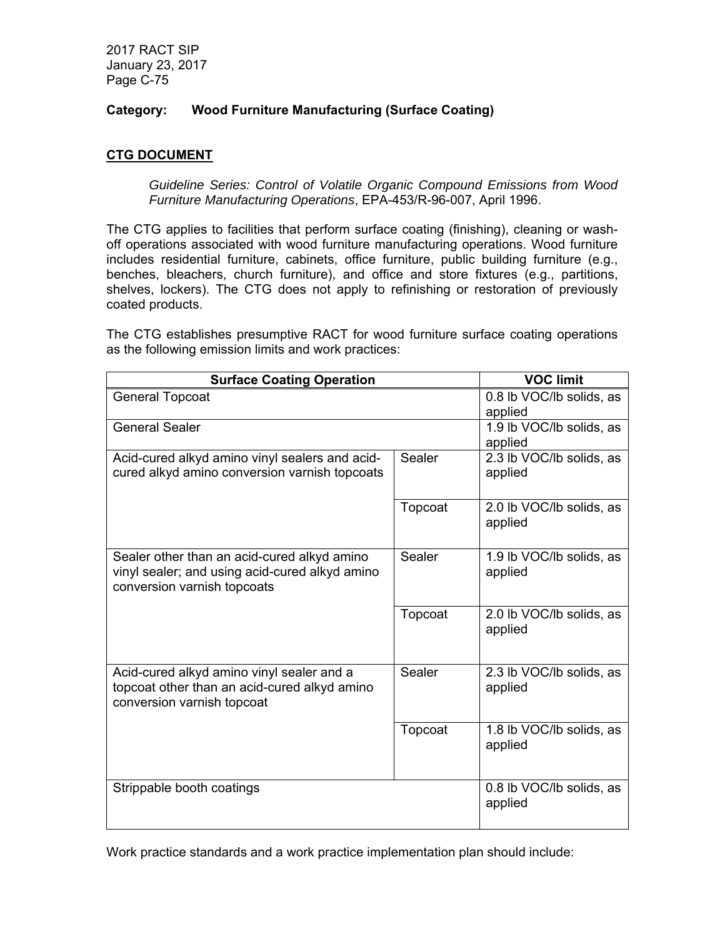# **Category: Wood Furniture Manufacturing (Surface Coating)**

# **CTG DOCUMENT**

*Guideline Series: Control of Volatile Organic Compound Emissions from Wood Furniture Manufacturing Operations*, EPA-453/R-96-007, April 1996.

The CTG applies to facilities that perform surface coating (finishing), cleaning or washoff operations associated with wood furniture manufacturing operations. Wood furniture includes residential furniture, cabinets, office furniture, public building furniture (e.g., benches, bleachers, church furniture), and office and store fixtures (e.g., partitions, shelves, lockers). The CTG does not apply to refinishing or restoration of previously coated products.

The CTG establishes presumptive RACT for wood furniture surface coating operations as the following emission limits and work practices:

| <b>Surface Coating Operation</b>               |         | <b>VOC limit</b>         |
|------------------------------------------------|---------|--------------------------|
| <b>General Topcoat</b>                         |         | 0.8 lb VOC/lb solids, as |
|                                                |         | applied                  |
| <b>General Sealer</b>                          |         | 1.9 lb VOC/lb solids, as |
|                                                |         | applied                  |
| Acid-cured alkyd amino vinyl sealers and acid- | Sealer  | 2.3 lb VOC/lb solids, as |
| cured alkyd amino conversion varnish topcoats  |         | applied                  |
|                                                |         |                          |
|                                                | Topcoat | 2.0 lb VOC/lb solids, as |
|                                                |         | applied                  |
|                                                |         |                          |
| Sealer other than an acid-cured alkyd amino    | Sealer  | 1.9 lb VOC/lb solids, as |
| vinyl sealer; and using acid-cured alkyd amino |         | applied                  |
| conversion varnish topcoats                    |         |                          |
|                                                | Topcoat | 2.0 lb VOC/lb solids, as |
|                                                |         | applied                  |
|                                                |         |                          |
|                                                |         |                          |
| Acid-cured alkyd amino vinyl sealer and a      | Sealer  | 2.3 lb VOC/lb solids, as |
| topcoat other than an acid-cured alkyd amino   |         | applied                  |
| conversion varnish topcoat                     |         |                          |
|                                                | Topcoat | 1.8 lb VOC/lb solids, as |
|                                                |         | applied                  |
|                                                |         |                          |
|                                                |         |                          |
| Strippable booth coatings                      |         | 0.8 lb VOC/lb solids, as |
|                                                |         | applied                  |
|                                                |         |                          |

Work practice standards and a work practice implementation plan should include: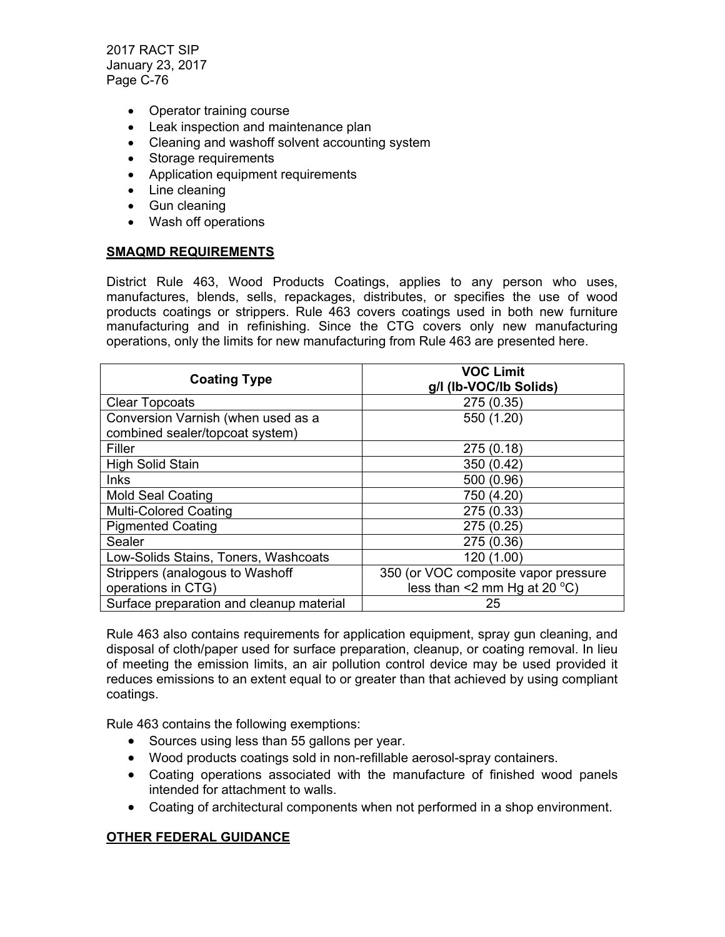- Operator training course
- Leak inspection and maintenance plan
- Cleaning and washoff solvent accounting system
- Storage requirements
- Application equipment requirements
- Line cleaning
- Gun cleaning
- Wash off operations

### **SMAQMD REQUIREMENTS**

District Rule 463, Wood Products Coatings, applies to any person who uses, manufactures, blends, sells, repackages, distributes, or specifies the use of wood products coatings or strippers. Rule 463 covers coatings used in both new furniture manufacturing and in refinishing. Since the CTG covers only new manufacturing operations, only the limits for new manufacturing from Rule 463 are presented here.

| <b>Coating Type</b>                      | <b>VOC Limit</b><br>g/l (lb-VOC/lb Solids) |
|------------------------------------------|--------------------------------------------|
| <b>Clear Topcoats</b>                    | 275 (0.35)                                 |
| Conversion Varnish (when used as a       | 550 (1.20)                                 |
| combined sealer/topcoat system)          |                                            |
| Filler                                   | 275(0.18)                                  |
| <b>High Solid Stain</b>                  | 350 (0.42)                                 |
| <b>Inks</b>                              | 500 (0.96)                                 |
| <b>Mold Seal Coating</b>                 | 750 (4.20)                                 |
| <b>Multi-Colored Coating</b>             | 275 (0.33)                                 |
| <b>Pigmented Coating</b>                 | 275 (0.25)                                 |
| Sealer                                   | 275 (0.36)                                 |
| Low-Solids Stains, Toners, Washcoats     | 120 (1.00)                                 |
| Strippers (analogous to Washoff          | 350 (or VOC composite vapor pressure       |
| operations in CTG)                       | less than <2 mm Hg at 20 $^{\circ}$ C)     |
| Surface preparation and cleanup material | 25                                         |

Rule 463 also contains requirements for application equipment, spray gun cleaning, and disposal of cloth/paper used for surface preparation, cleanup, or coating removal. In lieu of meeting the emission limits, an air pollution control device may be used provided it reduces emissions to an extent equal to or greater than that achieved by using compliant coatings.

Rule 463 contains the following exemptions:

- Sources using less than 55 gallons per year.
- Wood products coatings sold in non-refillable aerosol-spray containers.
- Coating operations associated with the manufacture of finished wood panels intended for attachment to walls.
- Coating of architectural components when not performed in a shop environment.

# **OTHER FEDERAL GUIDANCE**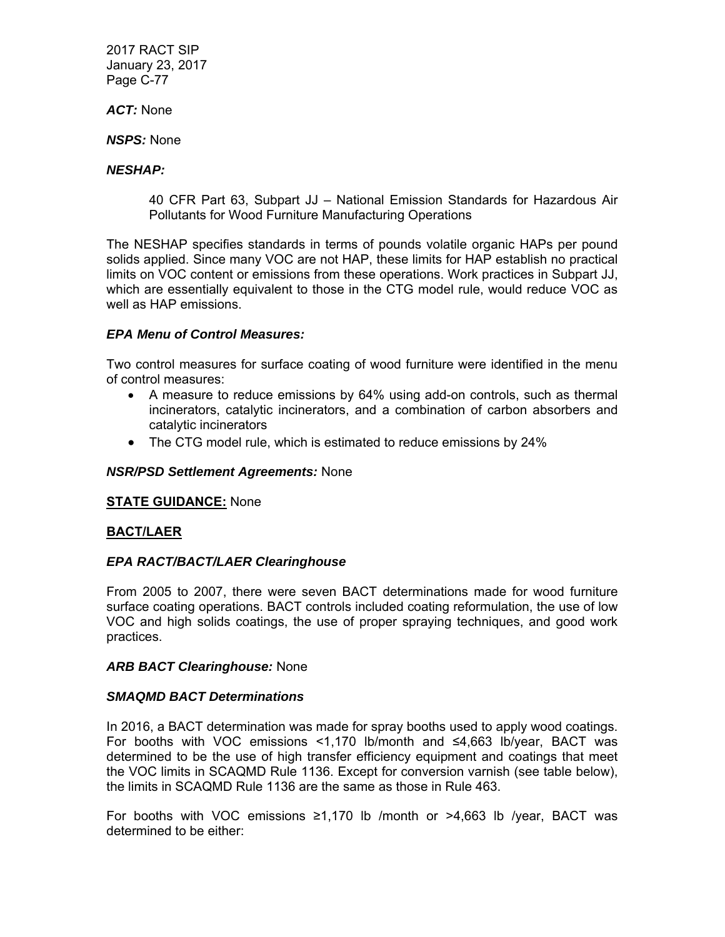*ACT:* None

*NSPS:* None

### *NESHAP:*

40 CFR Part 63, Subpart JJ – National Emission Standards for Hazardous Air Pollutants for Wood Furniture Manufacturing Operations

The NESHAP specifies standards in terms of pounds volatile organic HAPs per pound solids applied. Since many VOC are not HAP, these limits for HAP establish no practical limits on VOC content or emissions from these operations. Work practices in Subpart JJ, which are essentially equivalent to those in the CTG model rule, would reduce VOC as well as HAP emissions.

### *EPA Menu of Control Measures:*

Two control measures for surface coating of wood furniture were identified in the menu of control measures:

- A measure to reduce emissions by 64% using add-on controls, such as thermal incinerators, catalytic incinerators, and a combination of carbon absorbers and catalytic incinerators
- The CTG model rule, which is estimated to reduce emissions by 24%

### *NSR/PSD Settlement Agreements:* None

### **STATE GUIDANCE:** None

# **BACT/LAER**

### *EPA RACT/BACT/LAER Clearinghouse*

From 2005 to 2007, there were seven BACT determinations made for wood furniture surface coating operations. BACT controls included coating reformulation, the use of low VOC and high solids coatings, the use of proper spraying techniques, and good work practices.

### *ARB BACT Clearinghouse:* None

### *SMAQMD BACT Determinations*

In 2016, a BACT determination was made for spray booths used to apply wood coatings. For booths with VOC emissions <1,170 lb/month and ≤4,663 lb/year, BACT was determined to be the use of high transfer efficiency equipment and coatings that meet the VOC limits in SCAQMD Rule 1136. Except for conversion varnish (see table below), the limits in SCAQMD Rule 1136 are the same as those in Rule 463.

For booths with VOC emissions  $\geq 1,170$  lb /month or  $\geq 4,663$  lb /year, BACT was determined to be either: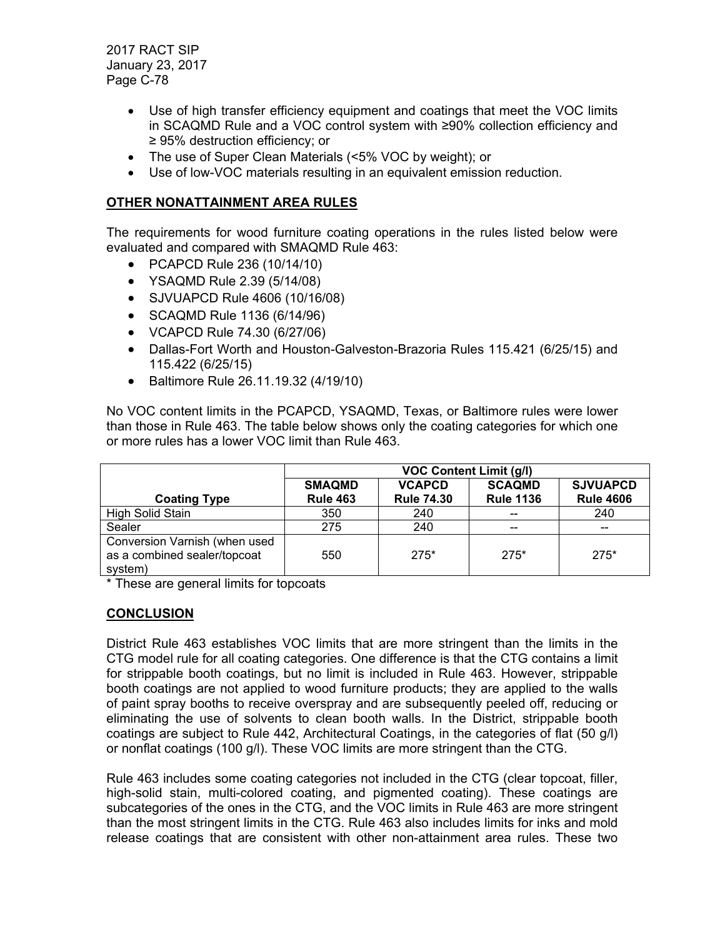- Use of high transfer efficiency equipment and coatings that meet the VOC limits in SCAQMD Rule and a VOC control system with ≥90% collection efficiency and ≥ 95% destruction efficiency; or
- The use of Super Clean Materials (<5% VOC by weight); or
- Use of low-VOC materials resulting in an equivalent emission reduction.

### **OTHER NONATTAINMENT AREA RULES**

The requirements for wood furniture coating operations in the rules listed below were evaluated and compared with SMAQMD Rule 463:

- PCAPCD Rule 236 (10/14/10)
- YSAQMD Rule 2.39 (5/14/08)
- SJVUAPCD Rule 4606 (10/16/08)
- SCAQMD Rule 1136 (6/14/96)
- VCAPCD Rule 74.30 (6/27/06)
- Dallas-Fort Worth and Houston-Galveston-Brazoria Rules 115.421 (6/25/15) and 115.422 (6/25/15)
- Baltimore Rule 26.11.19.32 (4/19/10)

No VOC content limits in the PCAPCD, YSAQMD, Texas, or Baltimore rules were lower than those in Rule 463. The table below shows only the coating categories for which one or more rules has a lower VOC limit than Rule 463.

|                                                                          | <b>VOC Content Limit (g/l)</b>   |                                    |                                   |                                     |
|--------------------------------------------------------------------------|----------------------------------|------------------------------------|-----------------------------------|-------------------------------------|
| <b>Coating Type</b>                                                      | <b>SMAQMD</b><br><b>Rule 463</b> | <b>VCAPCD</b><br><b>Rule 74.30</b> | <b>SCAQMD</b><br><b>Rule 1136</b> | <b>SJVUAPCD</b><br><b>Rule 4606</b> |
| High Solid Stain                                                         | 350                              | 240                                | $- -$                             | 240                                 |
| Sealer                                                                   | 275                              | 240                                | $- -$                             | $- -$                               |
| Conversion Varnish (when used<br>as a combined sealer/topcoat<br>system) | 550                              | $275*$                             | $275*$                            | $275*$                              |

\* These are general limits for topcoats

# **CONCLUSION**

District Rule 463 establishes VOC limits that are more stringent than the limits in the CTG model rule for all coating categories. One difference is that the CTG contains a limit for strippable booth coatings, but no limit is included in Rule 463. However, strippable booth coatings are not applied to wood furniture products; they are applied to the walls of paint spray booths to receive overspray and are subsequently peeled off, reducing or eliminating the use of solvents to clean booth walls. In the District, strippable booth coatings are subject to Rule 442, Architectural Coatings, in the categories of flat (50 g/l) or nonflat coatings (100 g/l). These VOC limits are more stringent than the CTG.

Rule 463 includes some coating categories not included in the CTG (clear topcoat, filler, high-solid stain, multi-colored coating, and pigmented coating). These coatings are subcategories of the ones in the CTG, and the VOC limits in Rule 463 are more stringent than the most stringent limits in the CTG. Rule 463 also includes limits for inks and mold release coatings that are consistent with other non-attainment area rules. These two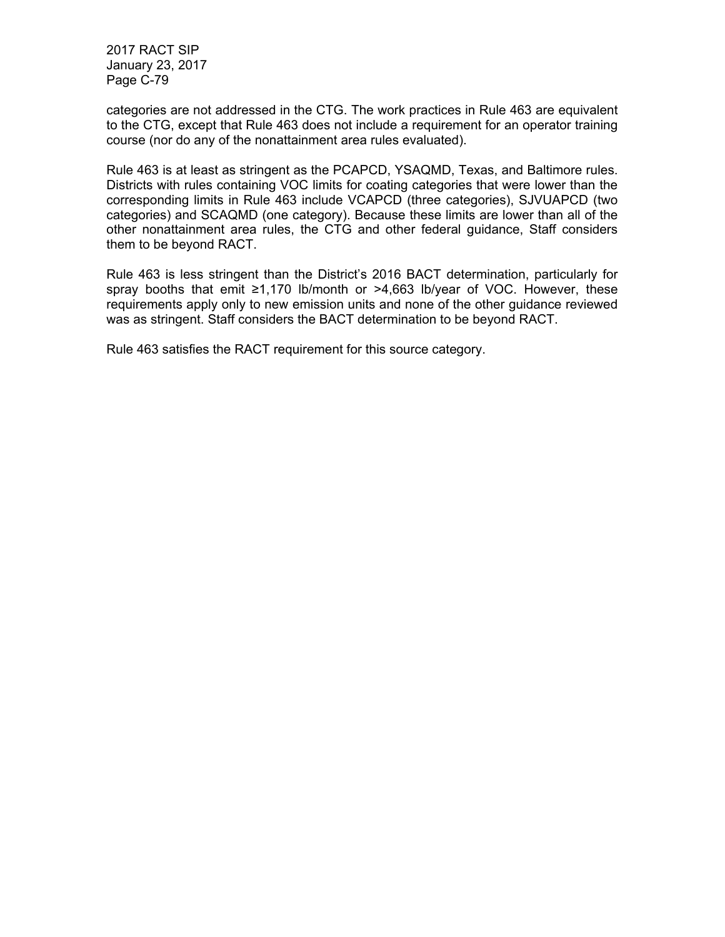categories are not addressed in the CTG. The work practices in Rule 463 are equivalent to the CTG, except that Rule 463 does not include a requirement for an operator training course (nor do any of the nonattainment area rules evaluated).

Rule 463 is at least as stringent as the PCAPCD, YSAQMD, Texas, and Baltimore rules. Districts with rules containing VOC limits for coating categories that were lower than the corresponding limits in Rule 463 include VCAPCD (three categories), SJVUAPCD (two categories) and SCAQMD (one category). Because these limits are lower than all of the other nonattainment area rules, the CTG and other federal guidance, Staff considers them to be beyond RACT.

Rule 463 is less stringent than the District's 2016 BACT determination, particularly for spray booths that emit ≥1,170 lb/month or >4,663 lb/year of VOC. However, these requirements apply only to new emission units and none of the other guidance reviewed was as stringent. Staff considers the BACT determination to be beyond RACT.

Rule 463 satisfies the RACT requirement for this source category.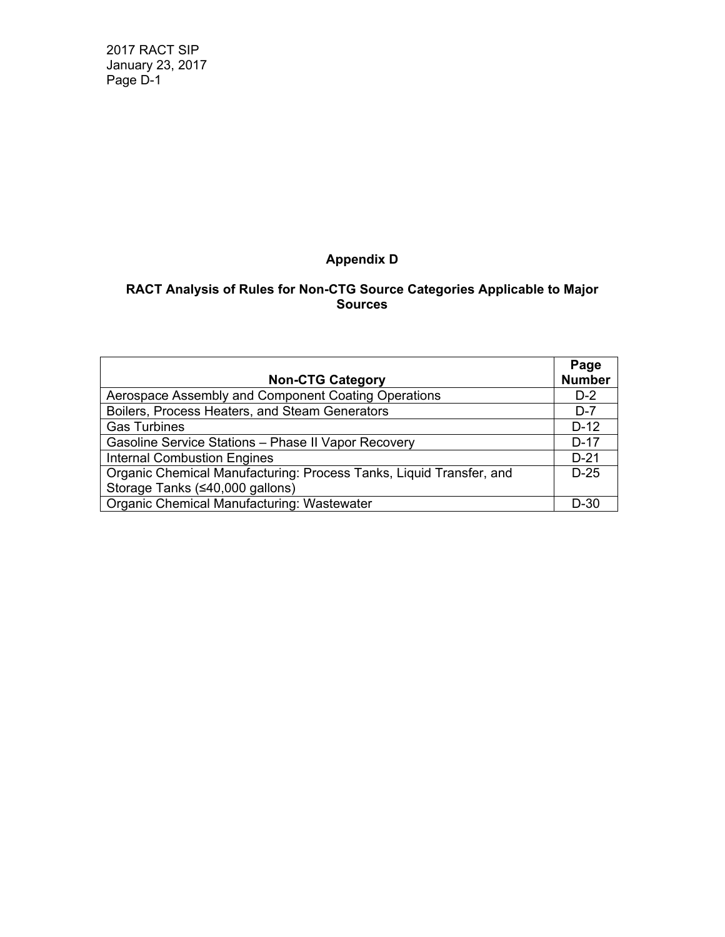# **Appendix D**

### **RACT Analysis of Rules for Non-CTG Source Categories Applicable to Major Sources**

|                                                                     | Page          |
|---------------------------------------------------------------------|---------------|
| <b>Non-CTG Category</b>                                             | <b>Number</b> |
| Aerospace Assembly and Component Coating Operations                 | $D-2$         |
| Boilers, Process Heaters, and Steam Generators                      | $D-7$         |
| <b>Gas Turbines</b>                                                 | $D-12$        |
| Gasoline Service Stations - Phase II Vapor Recovery                 | $D-17$        |
| <b>Internal Combustion Engines</b>                                  | $D-21$        |
| Organic Chemical Manufacturing: Process Tanks, Liquid Transfer, and | $D-25$        |
| Storage Tanks (≤40,000 gallons)                                     |               |
| Organic Chemical Manufacturing: Wastewater                          | $D-30$        |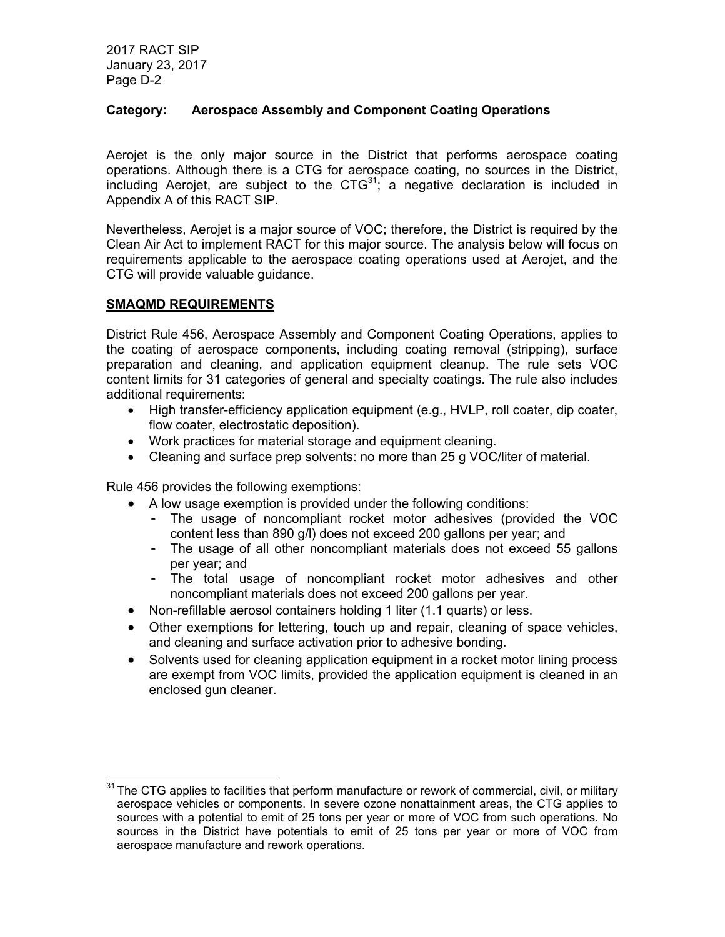### **Category: Aerospace Assembly and Component Coating Operations**

Aerojet is the only major source in the District that performs aerospace coating operations. Although there is a CTG for aerospace coating, no sources in the District, including Aerojet, are subject to the  $CTG^{31}$ ; a negative declaration is included in Appendix A of this RACT SIP.

Nevertheless, Aerojet is a major source of VOC; therefore, the District is required by the Clean Air Act to implement RACT for this major source. The analysis below will focus on requirements applicable to the aerospace coating operations used at Aerojet, and the CTG will provide valuable guidance.

### **SMAQMD REQUIREMENTS**

-

District Rule 456, Aerospace Assembly and Component Coating Operations, applies to the coating of aerospace components, including coating removal (stripping), surface preparation and cleaning, and application equipment cleanup. The rule sets VOC content limits for 31 categories of general and specialty coatings. The rule also includes additional requirements:

- High transfer-efficiency application equipment (e.g., HVLP, roll coater, dip coater, flow coater, electrostatic deposition).
- Work practices for material storage and equipment cleaning.
- Cleaning and surface prep solvents: no more than 25 g VOC/liter of material.

Rule 456 provides the following exemptions:

- A low usage exemption is provided under the following conditions:
	- The usage of noncompliant rocket motor adhesives (provided the VOC content less than 890 g/l) does not exceed 200 gallons per year; and
	- The usage of all other noncompliant materials does not exceed 55 gallons per year; and
	- The total usage of noncompliant rocket motor adhesives and other noncompliant materials does not exceed 200 gallons per year.
- Non-refillable aerosol containers holding 1 liter (1.1 quarts) or less.
- Other exemptions for lettering, touch up and repair, cleaning of space vehicles, and cleaning and surface activation prior to adhesive bonding.
- Solvents used for cleaning application equipment in a rocket motor lining process are exempt from VOC limits, provided the application equipment is cleaned in an enclosed gun cleaner.

 $31$  The CTG applies to facilities that perform manufacture or rework of commercial, civil, or military aerospace vehicles or components. In severe ozone nonattainment areas, the CTG applies to sources with a potential to emit of 25 tons per year or more of VOC from such operations. No sources in the District have potentials to emit of 25 tons per year or more of VOC from aerospace manufacture and rework operations.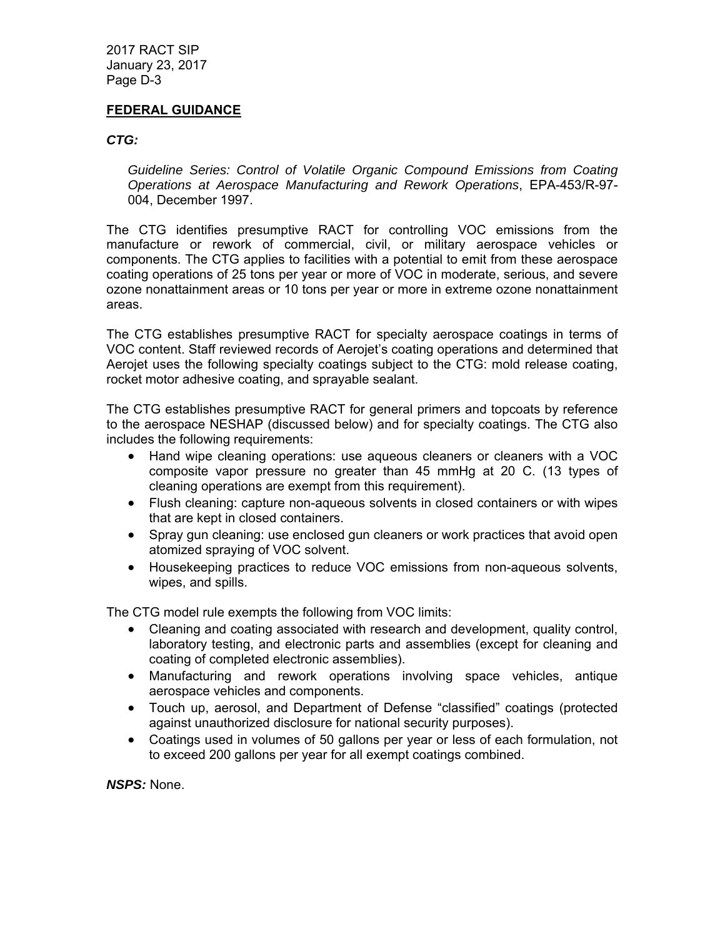### **FEDERAL GUIDANCE**

#### *CTG:*

*Guideline Series: Control of Volatile Organic Compound Emissions from Coating Operations at Aerospace Manufacturing and Rework Operations*, EPA-453/R-97- 004, December 1997.

The CTG identifies presumptive RACT for controlling VOC emissions from the manufacture or rework of commercial, civil, or military aerospace vehicles or components. The CTG applies to facilities with a potential to emit from these aerospace coating operations of 25 tons per year or more of VOC in moderate, serious, and severe ozone nonattainment areas or 10 tons per year or more in extreme ozone nonattainment areas.

The CTG establishes presumptive RACT for specialty aerospace coatings in terms of VOC content. Staff reviewed records of Aerojet's coating operations and determined that Aerojet uses the following specialty coatings subject to the CTG: mold release coating, rocket motor adhesive coating, and sprayable sealant.

The CTG establishes presumptive RACT for general primers and topcoats by reference to the aerospace NESHAP (discussed below) and for specialty coatings. The CTG also includes the following requirements:

- Hand wipe cleaning operations: use aqueous cleaners or cleaners with a VOC composite vapor pressure no greater than 45 mmHg at 20 C. (13 types of cleaning operations are exempt from this requirement).
- Flush cleaning: capture non-aqueous solvents in closed containers or with wipes that are kept in closed containers.
- Spray gun cleaning: use enclosed gun cleaners or work practices that avoid open atomized spraying of VOC solvent.
- Housekeeping practices to reduce VOC emissions from non-aqueous solvents, wipes, and spills.

The CTG model rule exempts the following from VOC limits:

- Cleaning and coating associated with research and development, quality control, laboratory testing, and electronic parts and assemblies (except for cleaning and coating of completed electronic assemblies).
- Manufacturing and rework operations involving space vehicles, antique aerospace vehicles and components.
- Touch up, aerosol, and Department of Defense "classified" coatings (protected against unauthorized disclosure for national security purposes).
- Coatings used in volumes of 50 gallons per year or less of each formulation, not to exceed 200 gallons per year for all exempt coatings combined.

*NSPS:* None.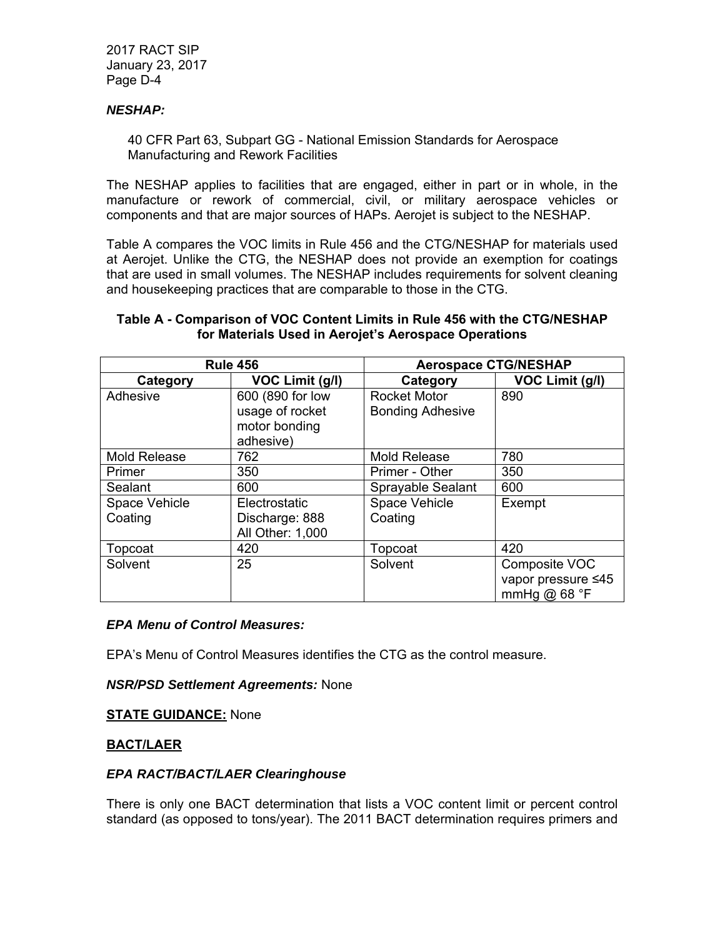### *NESHAP:*

40 CFR Part 63, Subpart GG - National Emission Standards for Aerospace Manufacturing and Rework Facilities

The NESHAP applies to facilities that are engaged, either in part or in whole, in the manufacture or rework of commercial, civil, or military aerospace vehicles or components and that are major sources of HAPs. Aerojet is subject to the NESHAP.

Table A compares the VOC limits in Rule 456 and the CTG/NESHAP for materials used at Aerojet. Unlike the CTG, the NESHAP does not provide an exemption for coatings that are used in small volumes. The NESHAP includes requirements for solvent cleaning and housekeeping practices that are comparable to those in the CTG.

### **Table A - Comparison of VOC Content Limits in Rule 456 with the CTG/NESHAP for Materials Used in Aerojet's Aerospace Operations**

| <b>Rule 456</b>     |                  | <b>Aerospace CTG/NESHAP</b> |                    |
|---------------------|------------------|-----------------------------|--------------------|
| Category            | VOC Limit (g/l)  | Category                    | VOC Limit (g/l)    |
| Adhesive            | 600 (890 for low | Rocket Motor                | 890                |
|                     | usage of rocket  | <b>Bonding Adhesive</b>     |                    |
|                     | motor bonding    |                             |                    |
|                     | adhesive)        |                             |                    |
| <b>Mold Release</b> | 762              | <b>Mold Release</b>         | 780                |
| Primer              | 350              | Primer - Other              | 350                |
| Sealant             | 600              | Sprayable Sealant           | 600                |
| Space Vehicle       | Electrostatic    | Space Vehicle               | Exempt             |
| Coating             | Discharge: 888   | Coating                     |                    |
|                     | All Other: 1,000 |                             |                    |
| Topcoat             | 420              | Topcoat                     | 420                |
| Solvent             | 25               | Solvent                     | Composite VOC      |
|                     |                  |                             | vapor pressure ≤45 |
|                     |                  |                             | mmHg $@68 °F$      |

### *EPA Menu of Control Measures:*

EPA's Menu of Control Measures identifies the CTG as the control measure.

*NSR/PSD Settlement Agreements:* None

**STATE GUIDANCE:** None

### **BACT/LAER**

### *EPA RACT/BACT/LAER Clearinghouse*

There is only one BACT determination that lists a VOC content limit or percent control standard (as opposed to tons/year). The 2011 BACT determination requires primers and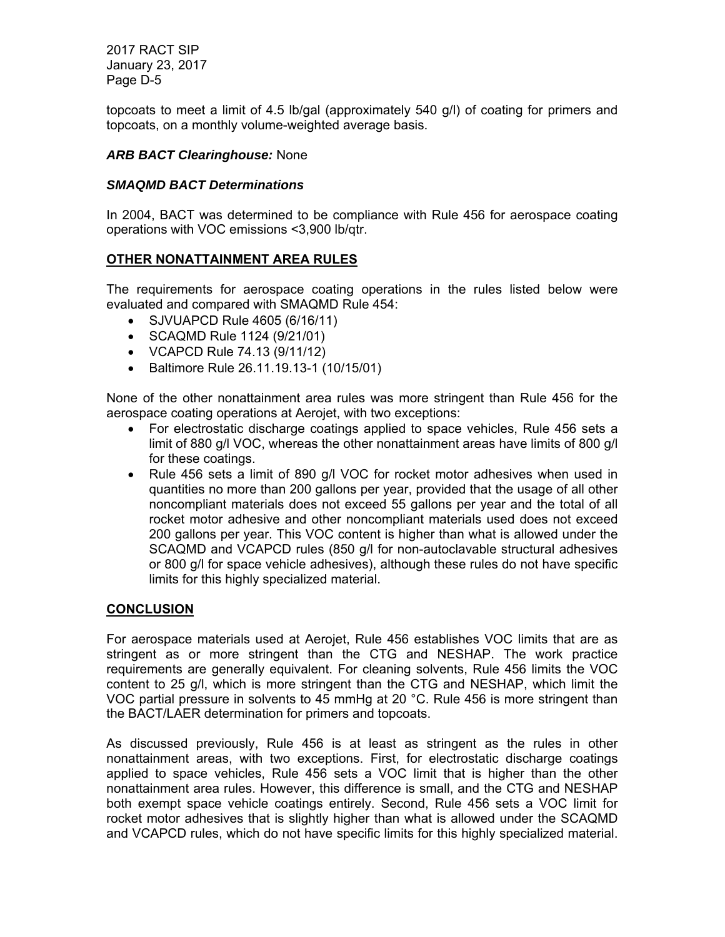topcoats to meet a limit of 4.5 lb/gal (approximately 540 g/l) of coating for primers and topcoats, on a monthly volume-weighted average basis.

### *ARB BACT Clearinghouse:* None

### *SMAQMD BACT Determinations*

In 2004, BACT was determined to be compliance with Rule 456 for aerospace coating operations with VOC emissions <3,900 lb/qtr.

### **OTHER NONATTAINMENT AREA RULES**

The requirements for aerospace coating operations in the rules listed below were evaluated and compared with SMAQMD Rule 454:

- SJVUAPCD Rule 4605 (6/16/11)
- SCAQMD Rule 1124 (9/21/01)
- VCAPCD Rule 74.13 (9/11/12)
- Baltimore Rule 26.11.19.13-1 (10/15/01)

None of the other nonattainment area rules was more stringent than Rule 456 for the aerospace coating operations at Aerojet, with two exceptions:

- For electrostatic discharge coatings applied to space vehicles, Rule 456 sets a limit of 880 g/l VOC, whereas the other nonattainment areas have limits of 800 g/l for these coatings.
- Rule 456 sets a limit of 890 g/l VOC for rocket motor adhesives when used in quantities no more than 200 gallons per year, provided that the usage of all other noncompliant materials does not exceed 55 gallons per year and the total of all rocket motor adhesive and other noncompliant materials used does not exceed 200 gallons per year. This VOC content is higher than what is allowed under the SCAQMD and VCAPCD rules (850 g/l for non-autoclavable structural adhesives or 800 g/l for space vehicle adhesives), although these rules do not have specific limits for this highly specialized material.

### **CONCLUSION**

For aerospace materials used at Aerojet, Rule 456 establishes VOC limits that are as stringent as or more stringent than the CTG and NESHAP. The work practice requirements are generally equivalent. For cleaning solvents, Rule 456 limits the VOC content to 25 g/l, which is more stringent than the CTG and NESHAP, which limit the VOC partial pressure in solvents to 45 mmHg at 20 °C. Rule 456 is more stringent than the BACT/LAER determination for primers and topcoats.

As discussed previously, Rule 456 is at least as stringent as the rules in other nonattainment areas, with two exceptions. First, for electrostatic discharge coatings applied to space vehicles, Rule 456 sets a VOC limit that is higher than the other nonattainment area rules. However, this difference is small, and the CTG and NESHAP both exempt space vehicle coatings entirely. Second, Rule 456 sets a VOC limit for rocket motor adhesives that is slightly higher than what is allowed under the SCAQMD and VCAPCD rules, which do not have specific limits for this highly specialized material.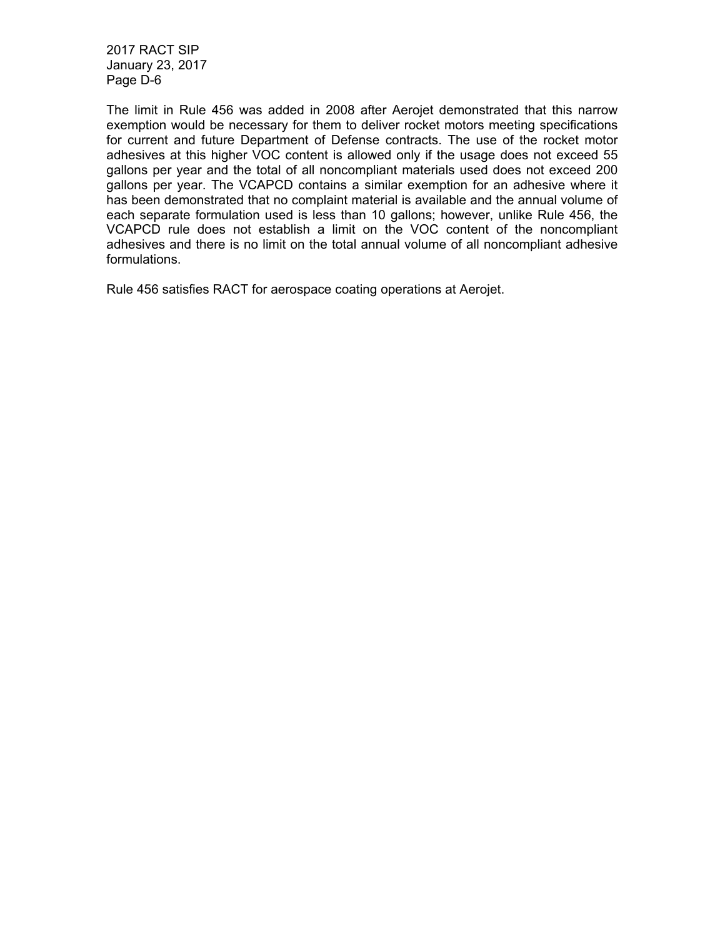The limit in Rule 456 was added in 2008 after Aerojet demonstrated that this narrow exemption would be necessary for them to deliver rocket motors meeting specifications for current and future Department of Defense contracts. The use of the rocket motor adhesives at this higher VOC content is allowed only if the usage does not exceed 55 gallons per year and the total of all noncompliant materials used does not exceed 200 gallons per year. The VCAPCD contains a similar exemption for an adhesive where it has been demonstrated that no complaint material is available and the annual volume of each separate formulation used is less than 10 gallons; however, unlike Rule 456, the VCAPCD rule does not establish a limit on the VOC content of the noncompliant adhesives and there is no limit on the total annual volume of all noncompliant adhesive formulations.

Rule 456 satisfies RACT for aerospace coating operations at Aerojet.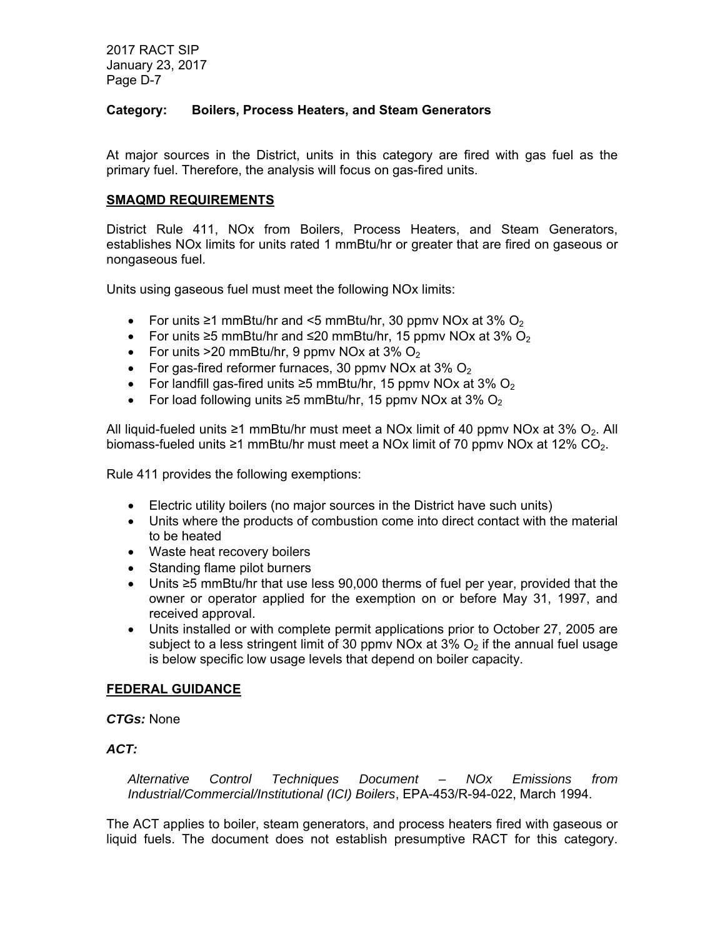### **Category: Boilers, Process Heaters, and Steam Generators**

At major sources in the District, units in this category are fired with gas fuel as the primary fuel. Therefore, the analysis will focus on gas-fired units.

### **SMAQMD REQUIREMENTS**

District Rule 411, NOx from Boilers, Process Heaters, and Steam Generators, establishes NOx limits for units rated 1 mmBtu/hr or greater that are fired on gaseous or nongaseous fuel.

Units using gaseous fuel must meet the following NOx limits:

- For units  $\geq 1$  mmBtu/hr and <5 mmBtu/hr, 30 ppmv NOx at 3% O<sub>2</sub>
- For units  $\geq$ 5 mmBtu/hr and  $\leq$ 20 mmBtu/hr, 15 ppmv NOx at 3% O<sub>2</sub>
- For units  $>20$  mmBtu/hr, 9 ppmv NOx at 3% O<sub>2</sub>
- For gas-fired reformer furnaces, 30 ppmv NOx at  $3\%$  O<sub>2</sub>
- For landfill gas-fired units  $\geq$ 5 mmBtu/hr, 15 ppmv NOx at 3% O<sub>2</sub>
- For load following units  $\geq 5$  mmBtu/hr, 15 ppmv NOx at 3% O<sub>2</sub>

All liquid-fueled units ≥1 mmBtu/hr must meet a NOx limit of 40 ppmv NOx at 3% O<sub>2</sub>. All biomass-fueled units ≥1 mmBtu/hr must meet a NOx limit of 70 ppmv NOx at 12%  $CO<sub>2</sub>$ .

Rule 411 provides the following exemptions:

- Electric utility boilers (no major sources in the District have such units)
- Units where the products of combustion come into direct contact with the material to be heated
- Waste heat recovery boilers
- Standing flame pilot burners
- Units ≥5 mmBtu/hr that use less 90,000 therms of fuel per year, provided that the owner or operator applied for the exemption on or before May 31, 1997, and received approval.
- Units installed or with complete permit applications prior to October 27, 2005 are subject to a less stringent limit of 30 ppmv NOx at  $3\%$  O<sub>2</sub> if the annual fuel usage is below specific low usage levels that depend on boiler capacity.

### **FEDERAL GUIDANCE**

*CTGs:* None

### *ACT:*

*Alternative Control Techniques Document – NOx Emissions from Industrial/Commercial/Institutional (ICI) Boilers*, EPA-453/R-94-022, March 1994.

The ACT applies to boiler, steam generators, and process heaters fired with gaseous or liquid fuels. The document does not establish presumptive RACT for this category.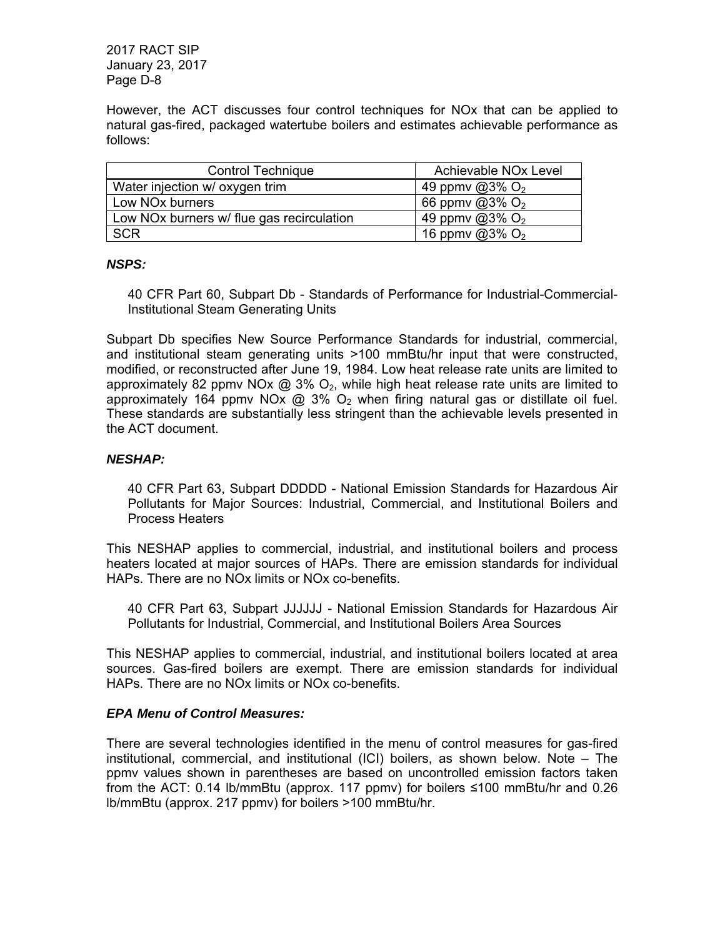However, the ACT discusses four control techniques for NOx that can be applied to natural gas-fired, packaged watertube boilers and estimates achievable performance as follows:

| <b>Control Technique</b>                  | Achievable NO <sub>x</sub> Level |
|-------------------------------------------|----------------------------------|
| Water injection w/ oxygen trim            | 49 ppmv @3% $O_2$                |
| Low NO <sub>x</sub> burners               | 66 ppmv @3% $O_2$                |
| Low NOx burners w/ flue gas recirculation | 49 ppmy $@3\%$ O <sub>2</sub>    |
| <b>SCR</b>                                | 16 ppmv $@3\%$ O <sub>2</sub>    |

### *NSPS:*

40 CFR Part 60, Subpart Db - Standards of Performance for Industrial-Commercial-Institutional Steam Generating Units

Subpart Db specifies New Source Performance Standards for industrial, commercial, and institutional steam generating units >100 mmBtu/hr input that were constructed, modified, or reconstructed after June 19, 1984. Low heat release rate units are limited to approximately 82 ppmv NOx  $\omega$  3% O<sub>2</sub>, while high heat release rate units are limited to approximately 164 ppmy NOx  $\omega$  3% O<sub>2</sub> when firing natural gas or distillate oil fuel. These standards are substantially less stringent than the achievable levels presented in the ACT document.

### *NESHAP:*

40 CFR Part 63, Subpart DDDDD - National Emission Standards for Hazardous Air Pollutants for Major Sources: Industrial, Commercial, and Institutional Boilers and Process Heaters

This NESHAP applies to commercial, industrial, and institutional boilers and process heaters located at major sources of HAPs. There are emission standards for individual HAPs. There are no NOx limits or NOx co-benefits.

40 CFR Part 63, Subpart JJJJJJ - National Emission Standards for Hazardous Air Pollutants for Industrial, Commercial, and Institutional Boilers Area Sources

This NESHAP applies to commercial, industrial, and institutional boilers located at area sources. Gas-fired boilers are exempt. There are emission standards for individual HAPs. There are no NOx limits or NOx co-benefits.

### *EPA Menu of Control Measures:*

There are several technologies identified in the menu of control measures for gas-fired institutional, commercial, and institutional (ICI) boilers, as shown below. Note – The ppmv values shown in parentheses are based on uncontrolled emission factors taken from the ACT: 0.14 lb/mmBtu (approx. 117 ppmv) for boilers ≤100 mmBtu/hr and 0.26 lb/mmBtu (approx. 217 ppmv) for boilers >100 mmBtu/hr.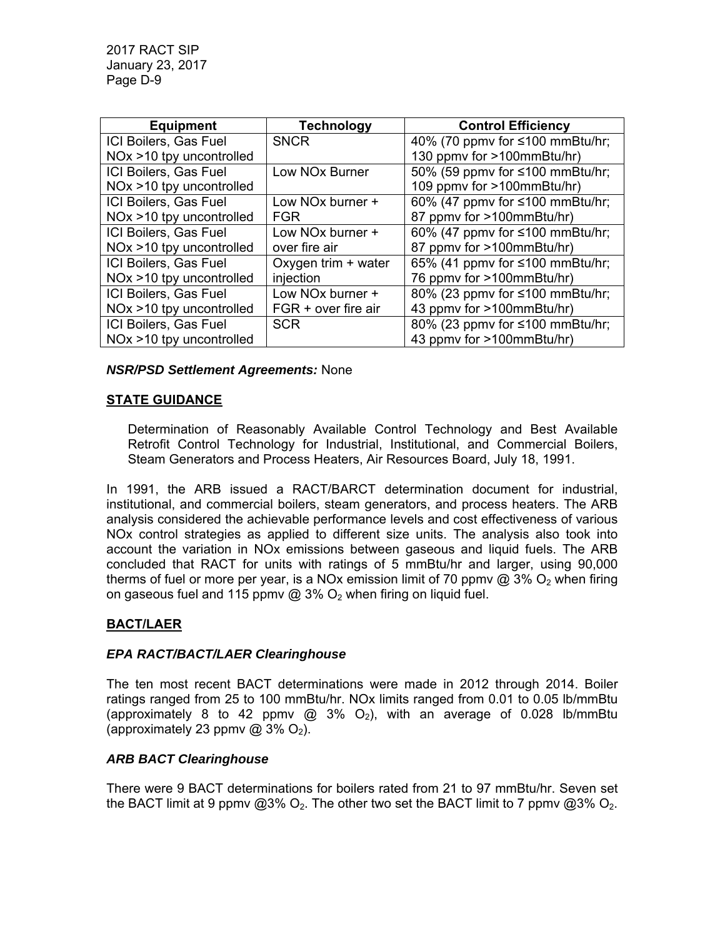| <b>Equipment</b>            | <b>Technology</b>            | <b>Control Efficiency</b>       |
|-----------------------------|------------------------------|---------------------------------|
| ICI Boilers, Gas Fuel       | <b>SNCR</b>                  | 40% (70 ppmv for ≤100 mmBtu/hr; |
| NOx >10 tpy uncontrolled    |                              | 130 ppmv for >100mmBtu/hr)      |
| ICI Boilers, Gas Fuel       | Low NO <sub>x</sub> Burner   | 50% (59 ppmv for ≤100 mmBtu/hr; |
| $NOx > 10$ tpy uncontrolled |                              | 109 ppmv for >100mmBtu/hr)      |
| ICI Boilers, Gas Fuel       | Low NO <sub>x</sub> burner + | 60% (47 ppmv for ≤100 mmBtu/hr; |
| $NOx > 10$ tpy uncontrolled | <b>FGR</b>                   | 87 ppmv for >100mmBtu/hr)       |
| ICI Boilers, Gas Fuel       | Low NO <sub>x</sub> burner + | 60% (47 ppmv for ≤100 mmBtu/hr; |
| $NOx > 10$ tpy uncontrolled | over fire air                | 87 ppmv for >100mmBtu/hr)       |
| ICI Boilers, Gas Fuel       | Oxygen trim + water          | 65% (41 ppmv for ≤100 mmBtu/hr; |
| $NOx > 10$ tpy uncontrolled | injection                    | 76 ppmv for >100mmBtu/hr)       |
| ICI Boilers, Gas Fuel       | Low NO <sub>x</sub> burner + | 80% (23 ppmv for ≤100 mmBtu/hr; |
| $NOx > 10$ tpy uncontrolled | FGR + over fire air          | 43 ppmv for >100mmBtu/hr)       |
| ICI Boilers, Gas Fuel       | <b>SCR</b>                   | 80% (23 ppmv for ≤100 mmBtu/hr; |
| $NOx > 10$ tpy uncontrolled |                              | 43 ppmy for >100mmBtu/hr)       |

### *NSR/PSD Settlement Agreements:* None

### **STATE GUIDANCE**

Determination of Reasonably Available Control Technology and Best Available Retrofit Control Technology for Industrial, Institutional, and Commercial Boilers, Steam Generators and Process Heaters, Air Resources Board, July 18, 1991.

In 1991, the ARB issued a RACT/BARCT determination document for industrial, institutional, and commercial boilers, steam generators, and process heaters. The ARB analysis considered the achievable performance levels and cost effectiveness of various NOx control strategies as applied to different size units. The analysis also took into account the variation in NOx emissions between gaseous and liquid fuels. The ARB concluded that RACT for units with ratings of 5 mmBtu/hr and larger, using 90,000 therms of fuel or more per year, is a NOx emission limit of 70 ppmy  $\omega$  3% O<sub>2</sub> when firing on gaseous fuel and 115 ppmv  $\omega$  3%  $O_2$  when firing on liquid fuel.

# **BACT/LAER**

### *EPA RACT/BACT/LAER Clearinghouse*

The ten most recent BACT determinations were made in 2012 through 2014. Boiler ratings ranged from 25 to 100 mmBtu/hr. NOx limits ranged from 0.01 to 0.05 lb/mmBtu (approximately 8 to 42 ppmv  $\textcircled{a}$  3% O<sub>2</sub>), with an average of 0.028 lb/mmBtu (approximately 23 ppmv  $@3\% O_2$ ).

# *ARB BACT Clearinghouse*

There were 9 BACT determinations for boilers rated from 21 to 97 mmBtu/hr. Seven set the BACT limit at 9 ppmv  $@3\%$  O<sub>2</sub>. The other two set the BACT limit to 7 ppmv  $@3\%$  O<sub>2</sub>.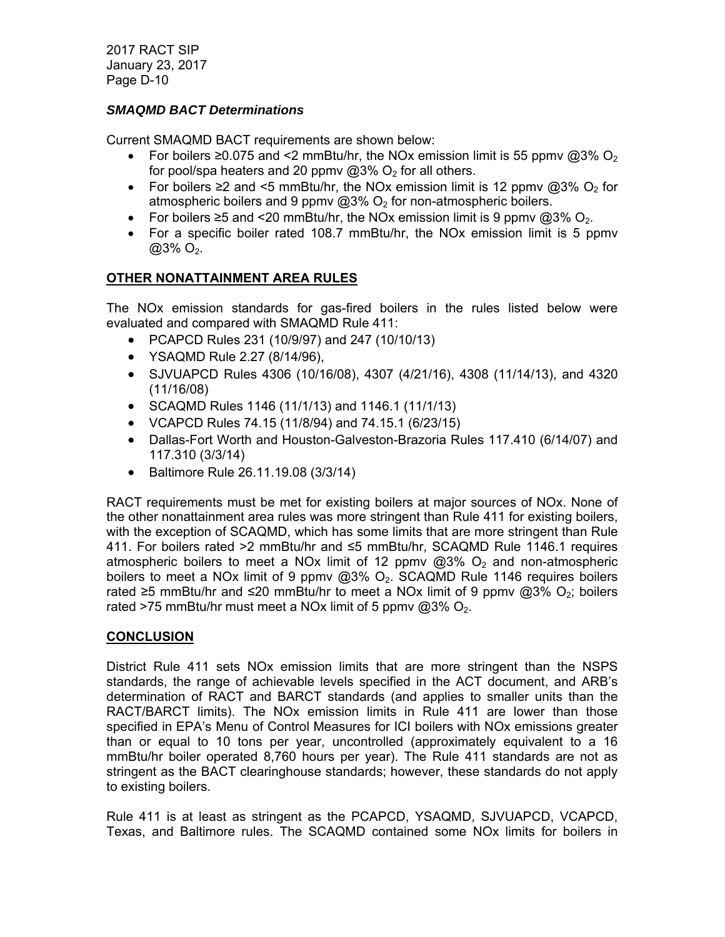# *SMAQMD BACT Determinations*

Current SMAQMD BACT requirements are shown below:

- For boilers  $\geq 0.075$  and <2 mmBtu/hr, the NOx emission limit is 55 ppmv @3% O<sub>2</sub> for pool/spa heaters and 20 ppmv  $@3\%$  O<sub>2</sub> for all others.
- For boilers  $\geq 2$  and <5 mmBtu/hr, the NOx emission limit is 12 ppmv @3% O<sub>2</sub> for atmospheric boilers and 9 ppmv  $@3\%$  O<sub>2</sub> for non-atmospheric boilers.
- For boilers  $\geq 5$  and <20 mmBtu/hr, the NOx emission limit is 9 ppmv @3% O<sub>2</sub>.
- For a specific boiler rated 108.7 mmBtu/hr, the NOx emission limit is 5 ppmv  $@3\%$  O<sub>2</sub>.

# **OTHER NONATTAINMENT AREA RULES**

The NOx emission standards for gas-fired boilers in the rules listed below were evaluated and compared with SMAQMD Rule 411:

- PCAPCD Rules 231 (10/9/97) and 247 (10/10/13)
- YSAQMD Rule 2.27 (8/14/96),
- SJVUAPCD Rules 4306 (10/16/08), 4307 (4/21/16), 4308 (11/14/13), and 4320 (11/16/08)
- SCAQMD Rules 1146 (11/1/13) and 1146.1 (11/1/13)
- VCAPCD Rules 74.15 (11/8/94) and 74.15.1 (6/23/15)
- Dallas-Fort Worth and Houston-Galveston-Brazoria Rules 117.410 (6/14/07) and 117.310 (3/3/14)
- Baltimore Rule 26.11.19.08 (3/3/14)

RACT requirements must be met for existing boilers at major sources of NOx. None of the other nonattainment area rules was more stringent than Rule 411 for existing boilers, with the exception of SCAQMD, which has some limits that are more stringent than Rule 411. For boilers rated >2 mmBtu/hr and ≤5 mmBtu/hr, SCAQMD Rule 1146.1 requires atmospheric boilers to meet a NOx limit of 12 ppmv  $@3\%$  O<sub>2</sub> and non-atmospheric boilers to meet a NOx limit of 9 ppmv  $@3\%$  O<sub>2</sub>. SCAQMD Rule 1146 requires boilers rated ≥5 mmBtu/hr and ≤20 mmBtu/hr to meet a NOx limit of 9 ppmv @3% O<sub>2</sub>; boilers rated >75 mmBtu/hr must meet a NOx limit of 5 ppmv  $@3\%$  O<sub>2</sub>.

# **CONCLUSION**

District Rule 411 sets NOx emission limits that are more stringent than the NSPS standards, the range of achievable levels specified in the ACT document, and ARB's determination of RACT and BARCT standards (and applies to smaller units than the RACT/BARCT limits). The NOx emission limits in Rule 411 are lower than those specified in EPA's Menu of Control Measures for ICI boilers with NOx emissions greater than or equal to 10 tons per year, uncontrolled (approximately equivalent to a 16 mmBtu/hr boiler operated 8,760 hours per year). The Rule 411 standards are not as stringent as the BACT clearinghouse standards; however, these standards do not apply to existing boilers.

Rule 411 is at least as stringent as the PCAPCD, YSAQMD, SJVUAPCD, VCAPCD, Texas, and Baltimore rules. The SCAQMD contained some NOx limits for boilers in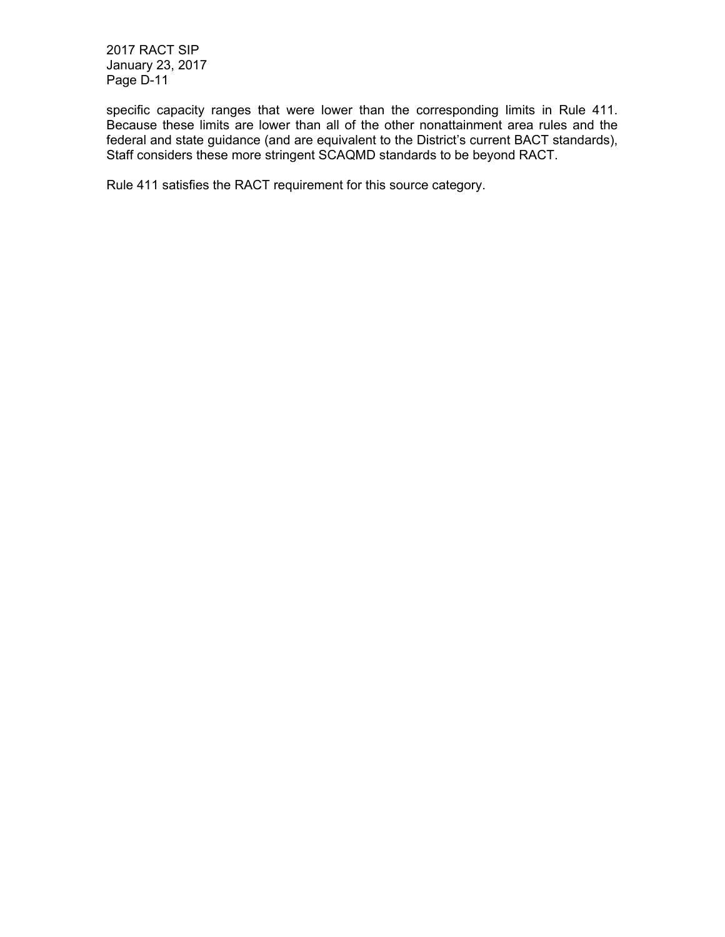specific capacity ranges that were lower than the corresponding limits in Rule 411. Because these limits are lower than all of the other nonattainment area rules and the federal and state guidance (and are equivalent to the District's current BACT standards), Staff considers these more stringent SCAQMD standards to be beyond RACT.

Rule 411 satisfies the RACT requirement for this source category.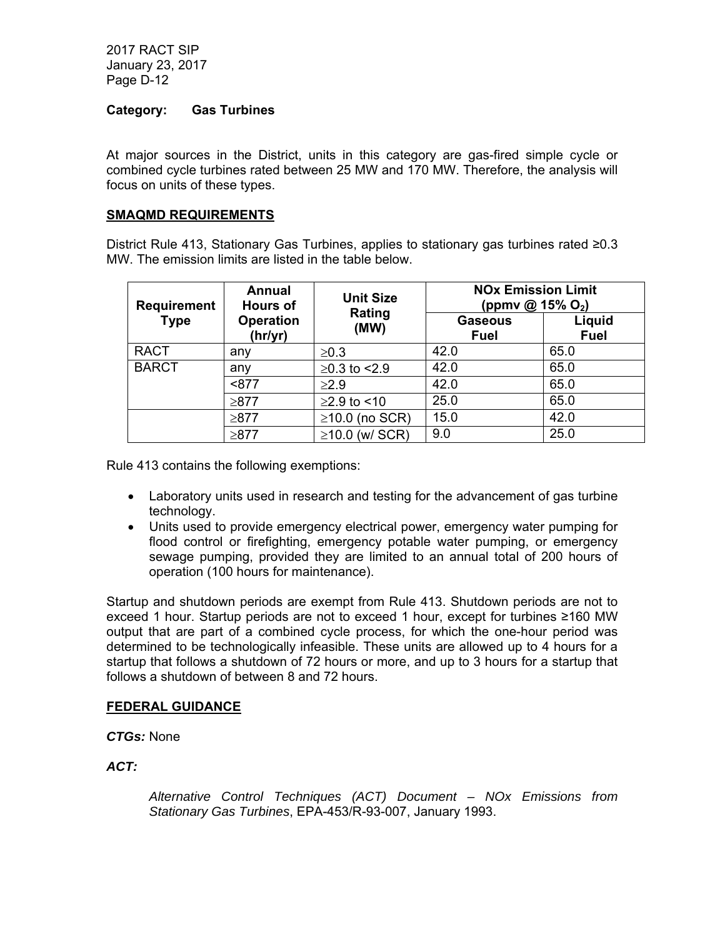#### **Category: Gas Turbines**

At major sources in the District, units in this category are gas-fired simple cycle or combined cycle turbines rated between 25 MW and 170 MW. Therefore, the analysis will focus on units of these types.

#### **SMAQMD REQUIREMENTS**

District Rule 413, Stationary Gas Turbines, applies to stationary gas turbines rated ≥0.3 MW. The emission limits are listed in the table below.

| <b>Requirement</b> | <b>Annual</b><br><b>Unit Size</b><br><b>Hours of</b> | <b>NOx Emission Limit</b><br>(ppmv @ 15% O <sub>2</sub> ) |                        |                       |
|--------------------|------------------------------------------------------|-----------------------------------------------------------|------------------------|-----------------------|
| <b>Type</b>        | <b>Operation</b><br>(hr/yr)                          | Rating<br>(MW)                                            | <b>Gaseous</b><br>Fuel | Liquid<br><b>Fuel</b> |
| <b>RACT</b>        | any                                                  | $\geq 0.3$                                                | 42.0                   | 65.0                  |
| <b>BARCT</b>       | any                                                  | $≥0.3$ to <2.9                                            | 42.0                   | 65.0                  |
|                    | < 877                                                | $\geq$ 2.9                                                | 42.0                   | 65.0                  |
|                    | $\geq 877$                                           | $≥2.9$ to <10                                             | 25.0                   | 65.0                  |
|                    | ≥877                                                 | $\geq$ 10.0 (no SCR)                                      | 15.0                   | 42.0                  |
|                    | $\geq 877$                                           | $\geq$ 10.0 (w/ SCR)                                      | 9.0                    | 25.0                  |

Rule 413 contains the following exemptions:

- Laboratory units used in research and testing for the advancement of gas turbine technology.
- Units used to provide emergency electrical power, emergency water pumping for flood control or firefighting, emergency potable water pumping, or emergency sewage pumping, provided they are limited to an annual total of 200 hours of operation (100 hours for maintenance).

Startup and shutdown periods are exempt from Rule 413. Shutdown periods are not to exceed 1 hour. Startup periods are not to exceed 1 hour, except for turbines ≥160 MW output that are part of a combined cycle process, for which the one-hour period was determined to be technologically infeasible. These units are allowed up to 4 hours for a startup that follows a shutdown of 72 hours or more, and up to 3 hours for a startup that follows a shutdown of between 8 and 72 hours.

#### **FEDERAL GUIDANCE**

*CTGs:* None

*ACT:* 

*Alternative Control Techniques (ACT) Document – NOx Emissions from Stationary Gas Turbines*, EPA-453/R-93-007, January 1993.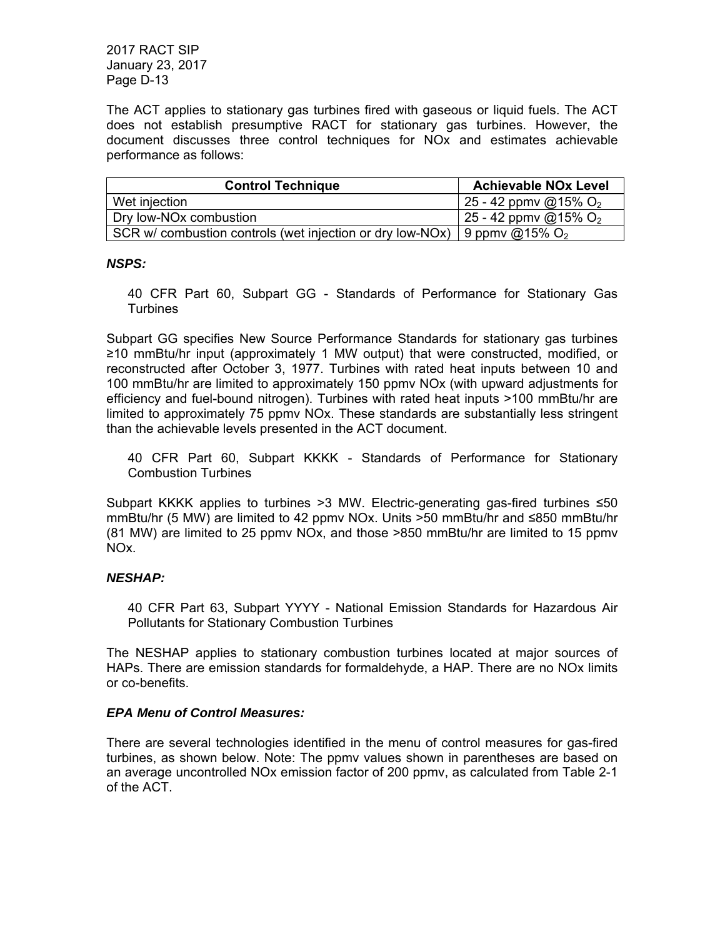The ACT applies to stationary gas turbines fired with gaseous or liquid fuels. The ACT does not establish presumptive RACT for stationary gas turbines. However, the document discusses three control techniques for NOx and estimates achievable performance as follows:

| <b>Control Technique</b>                                                      | <b>Achievable NOx Level</b> |
|-------------------------------------------------------------------------------|-----------------------------|
| Wet injection                                                                 | 25 - 42 ppmv @15% $O_2$     |
| Dry low-NO <sub>x</sub> combustion                                            | 25 - 42 ppmv @15% $O_2$     |
| SCR w/ combustion controls (wet injection or dry low-NOx)   9 ppmv @15% $O_2$ |                             |

#### *NSPS:*

40 CFR Part 60, Subpart GG - Standards of Performance for Stationary Gas **Turbines** 

Subpart GG specifies New Source Performance Standards for stationary gas turbines ≥10 mmBtu/hr input (approximately 1 MW output) that were constructed, modified, or reconstructed after October 3, 1977. Turbines with rated heat inputs between 10 and 100 mmBtu/hr are limited to approximately 150 ppmv NOx (with upward adjustments for efficiency and fuel-bound nitrogen). Turbines with rated heat inputs >100 mmBtu/hr are limited to approximately 75 ppmv NOx. These standards are substantially less stringent than the achievable levels presented in the ACT document.

40 CFR Part 60, Subpart KKKK - Standards of Performance for Stationary Combustion Turbines

Subpart KKKK applies to turbines >3 MW. Electric-generating gas-fired turbines ≤50 mmBtu/hr (5 MW) are limited to 42 ppmv NOx. Units >50 mmBtu/hr and ≤850 mmBtu/hr (81 MW) are limited to 25 ppmv NOx, and those >850 mmBtu/hr are limited to 15 ppmv NOx.

#### *NESHAP:*

40 CFR Part 63, Subpart YYYY - National Emission Standards for Hazardous Air Pollutants for Stationary Combustion Turbines

The NESHAP applies to stationary combustion turbines located at major sources of HAPs. There are emission standards for formaldehyde, a HAP. There are no NOx limits or co-benefits.

#### *EPA Menu of Control Measures:*

There are several technologies identified in the menu of control measures for gas-fired turbines, as shown below. Note: The ppmv values shown in parentheses are based on an average uncontrolled NOx emission factor of 200 ppmv, as calculated from Table 2-1 of the ACT.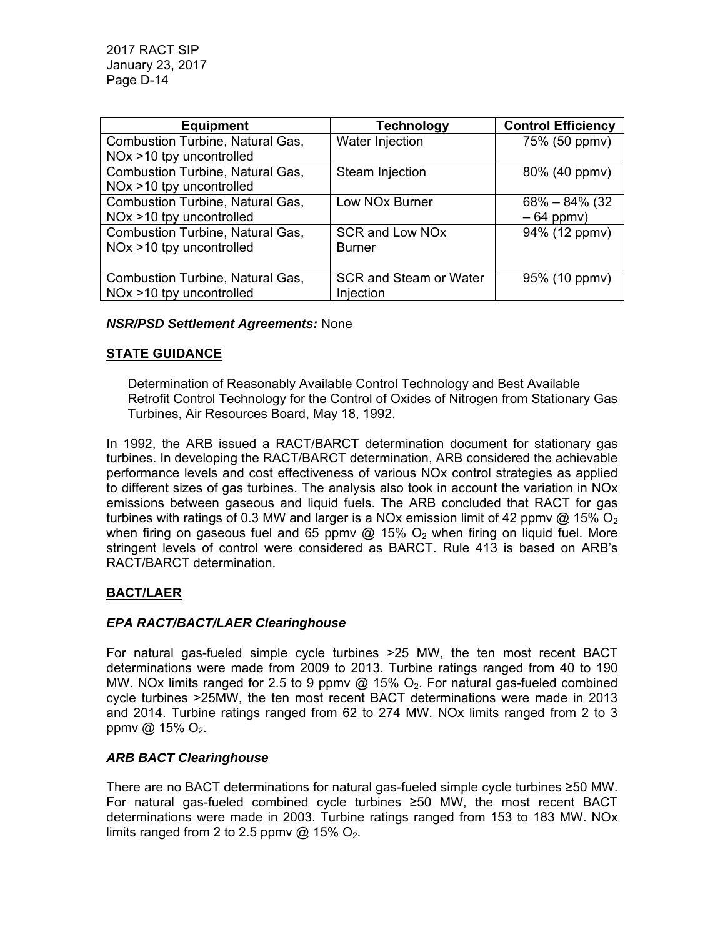| <b>Equipment</b>                        | <b>Technology</b>          | <b>Control Efficiency</b> |
|-----------------------------------------|----------------------------|---------------------------|
| <b>Combustion Turbine, Natural Gas,</b> | Water Injection            | 75% (50 ppmv)             |
| NOx >10 tpy uncontrolled                |                            |                           |
| <b>Combustion Turbine, Natural Gas,</b> | Steam Injection            | 80% (40 ppmv)             |
| NOx >10 tpy uncontrolled                |                            |                           |
| <b>Combustion Turbine, Natural Gas,</b> | Low NO <sub>x</sub> Burner | $68\% - 84\%$ (32)        |
| NOx >10 tpy uncontrolled                |                            | $-64$ ppmv)               |
| <b>Combustion Turbine, Natural Gas,</b> | <b>SCR and Low NOx</b>     | 94% (12 ppmv)             |
| $NOx > 10$ tpy uncontrolled             | <b>Burner</b>              |                           |
|                                         |                            |                           |
| Combustion Turbine, Natural Gas,        | SCR and Steam or Water     | 95% (10 ppmv)             |
| NOx >10 tpy uncontrolled                | Injection                  |                           |

## *NSR/PSD Settlement Agreements:* None

## **STATE GUIDANCE**

Determination of Reasonably Available Control Technology and Best Available Retrofit Control Technology for the Control of Oxides of Nitrogen from Stationary Gas Turbines, Air Resources Board, May 18, 1992.

In 1992, the ARB issued a RACT/BARCT determination document for stationary gas turbines. In developing the RACT/BARCT determination, ARB considered the achievable performance levels and cost effectiveness of various NOx control strategies as applied to different sizes of gas turbines. The analysis also took in account the variation in NOx emissions between gaseous and liquid fuels. The ARB concluded that RACT for gas turbines with ratings of 0.3 MW and larger is a NOx emission limit of 42 ppmv @ 15% O<sub>2</sub> when firing on gaseous fuel and 65 ppmv @ 15%  $O<sub>2</sub>$  when firing on liquid fuel. More stringent levels of control were considered as BARCT. Rule 413 is based on ARB's RACT/BARCT determination.

## **BACT/LAER**

#### *EPA RACT/BACT/LAER Clearinghouse*

For natural gas-fueled simple cycle turbines >25 MW, the ten most recent BACT determinations were made from 2009 to 2013. Turbine ratings ranged from 40 to 190 MW. NOx limits ranged for 2.5 to 9 ppmv  $@$  15%  $O<sub>2</sub>$ . For natural gas-fueled combined cycle turbines >25MW, the ten most recent BACT determinations were made in 2013 and 2014. Turbine ratings ranged from 62 to 274 MW. NOx limits ranged from 2 to 3 ppmv  $@$  15%  $O_2$ .

## *ARB BACT Clearinghouse*

There are no BACT determinations for natural gas-fueled simple cycle turbines ≥50 MW. For natural gas-fueled combined cycle turbines ≥50 MW, the most recent BACT determinations were made in 2003. Turbine ratings ranged from 153 to 183 MW. NOx limits ranged from 2 to 2.5 ppmv @ 15%  $O_2$ .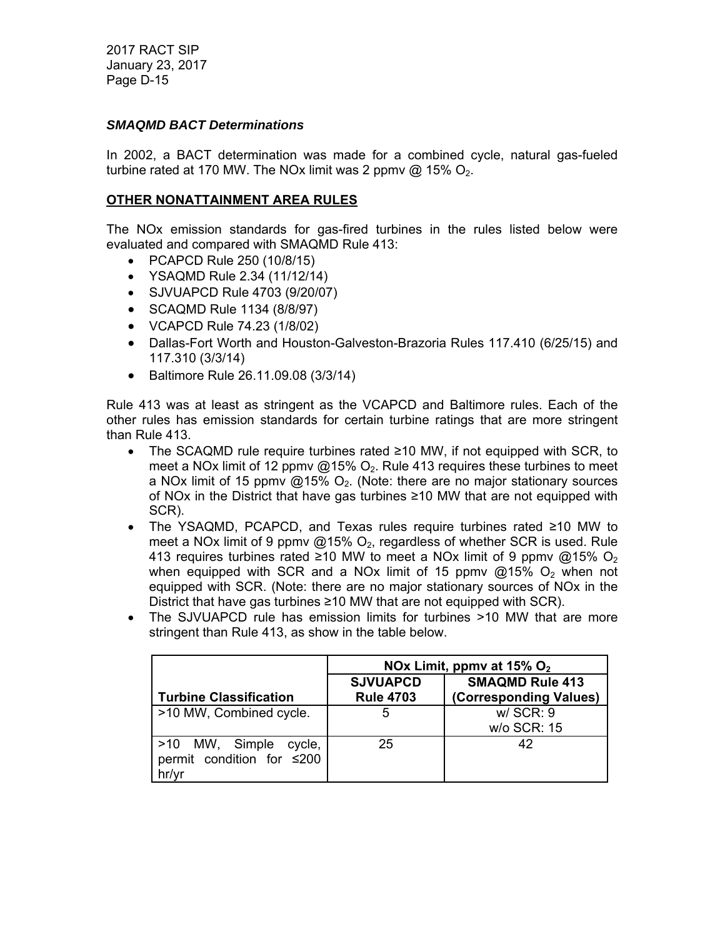#### *SMAQMD BACT Determinations*

In 2002, a BACT determination was made for a combined cycle, natural gas-fueled turbine rated at 170 MW. The NOx limit was 2 ppmv  $\omega$  15% O<sub>2</sub>.

#### **OTHER NONATTAINMENT AREA RULES**

The NOx emission standards for gas-fired turbines in the rules listed below were evaluated and compared with SMAQMD Rule 413:

- PCAPCD Rule 250 (10/8/15)
- YSAQMD Rule 2.34 (11/12/14)
- SJVUAPCD Rule 4703 (9/20/07)
- SCAQMD Rule 1134 (8/8/97)
- VCAPCD Rule 74.23 (1/8/02)
- Dallas-Fort Worth and Houston-Galveston-Brazoria Rules 117.410 (6/25/15) and 117.310 (3/3/14)
- Baltimore Rule 26.11.09.08 (3/3/14)

Rule 413 was at least as stringent as the VCAPCD and Baltimore rules. Each of the other rules has emission standards for certain turbine ratings that are more stringent than Rule 413.

- The SCAQMD rule require turbines rated ≥10 MW, if not equipped with SCR, to meet a NOx limit of 12 ppmv  $@15\%$  O<sub>2</sub>. Rule 413 requires these turbines to meet a NOx limit of 15 ppmv  $@15\%$  O<sub>2</sub>. (Note: there are no major stationary sources of NOx in the District that have gas turbines ≥10 MW that are not equipped with SCR).
- The YSAQMD, PCAPCD, and Texas rules require turbines rated ≥10 MW to meet a NOx limit of 9 ppmv  $@15\%$  O<sub>2</sub>, regardless of whether SCR is used. Rule 413 requires turbines rated ≥10 MW to meet a NOx limit of 9 ppmv @15% O<sub>2</sub> when equipped with SCR and a NOx limit of 15 ppmv  $@15\%$  O<sub>2</sub> when not equipped with SCR. (Note: there are no major stationary sources of NOx in the District that have gas turbines ≥10 MW that are not equipped with SCR).
- The SJVUAPCD rule has emission limits for turbines >10 MW that are more stringent than Rule 413, as show in the table below.

|                                                                | NOx Limit, ppmv at $15\%$ O <sub>2</sub> |                                                  |  |
|----------------------------------------------------------------|------------------------------------------|--------------------------------------------------|--|
| <b>Turbine Classification</b>                                  | <b>SJVUAPCD</b><br><b>Rule 4703</b>      | <b>SMAQMD Rule 413</b><br>(Corresponding Values) |  |
| >10 MW, Combined cycle.                                        | 5                                        | $W/$ SCR: $9$<br>w/o SCR: 15                     |  |
| >10 MW, Simple<br>cycle,<br>permit condition for ≤200<br>hr/yr | 25                                       | 42                                               |  |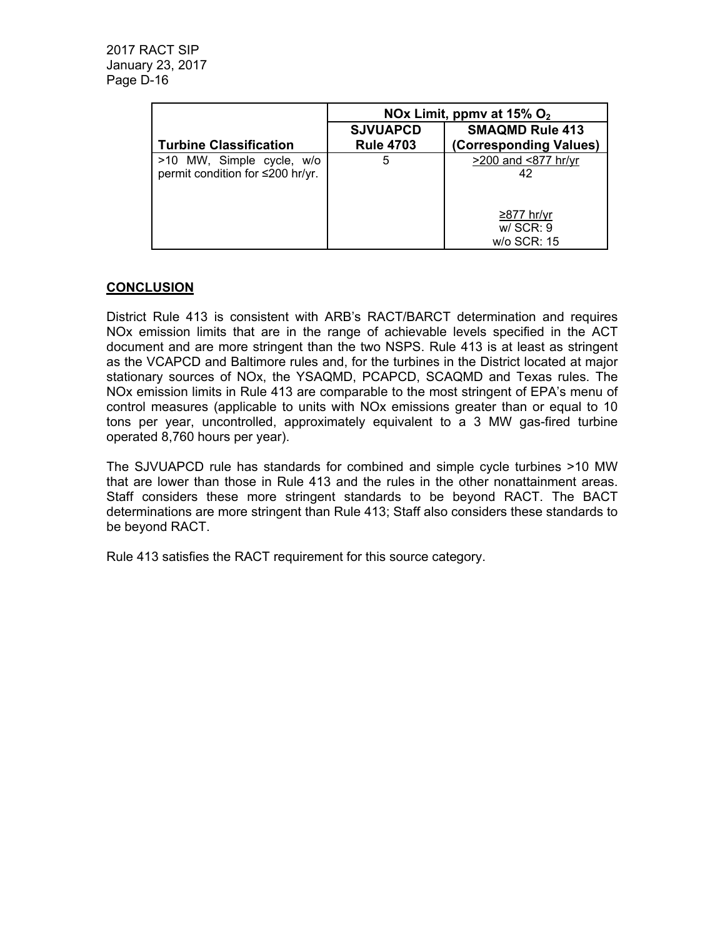|                                                               | NOx Limit, ppmv at $15\%$ O <sub>2</sub> |                                                  |
|---------------------------------------------------------------|------------------------------------------|--------------------------------------------------|
| <b>Turbine Classification</b>                                 | <b>SJVUAPCD</b><br><b>Rule 4703</b>      | <b>SMAQMD Rule 413</b><br>(Corresponding Values) |
| >10 MW, Simple cycle, w/o<br>permit condition for ≤200 hr/yr. | 5                                        | >200 and <877 hr/yr<br>42                        |
|                                                               |                                          | ≥877 hr/yr<br>w/SCR: 9<br>w/o SCR: 15            |

## **CONCLUSION**

District Rule 413 is consistent with ARB's RACT/BARCT determination and requires NOx emission limits that are in the range of achievable levels specified in the ACT document and are more stringent than the two NSPS. Rule 413 is at least as stringent as the VCAPCD and Baltimore rules and, for the turbines in the District located at major stationary sources of NOx, the YSAQMD, PCAPCD, SCAQMD and Texas rules. The NOx emission limits in Rule 413 are comparable to the most stringent of EPA's menu of control measures (applicable to units with NOx emissions greater than or equal to 10 tons per year, uncontrolled, approximately equivalent to a 3 MW gas-fired turbine operated 8,760 hours per year).

The SJVUAPCD rule has standards for combined and simple cycle turbines >10 MW that are lower than those in Rule 413 and the rules in the other nonattainment areas. Staff considers these more stringent standards to be beyond RACT. The BACT determinations are more stringent than Rule 413; Staff also considers these standards to be beyond RACT.

Rule 413 satisfies the RACT requirement for this source category.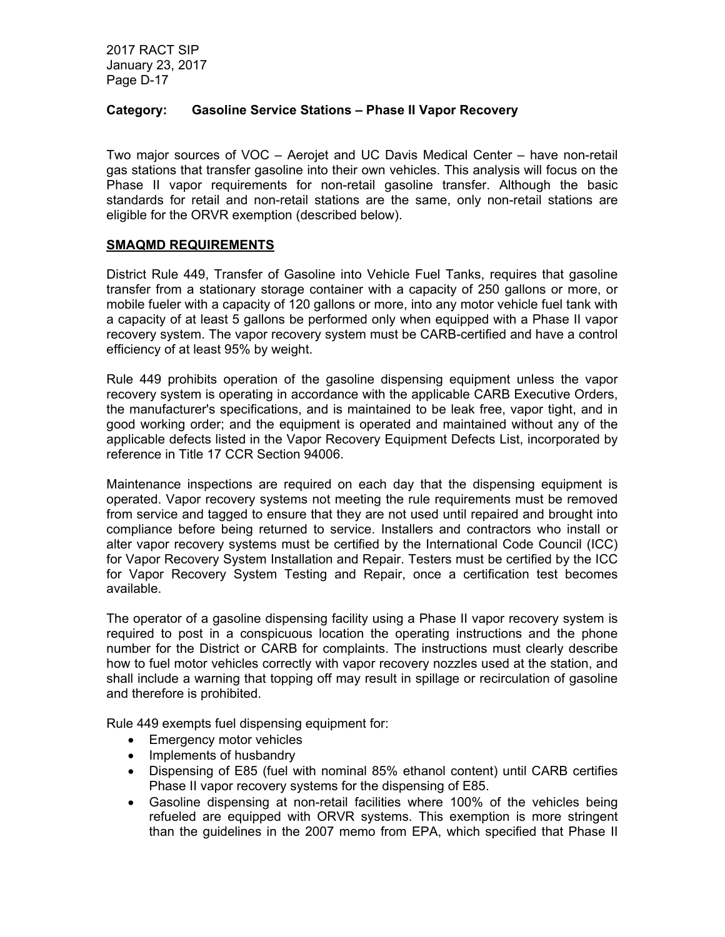## **Category: Gasoline Service Stations – Phase II Vapor Recovery**

Two major sources of VOC – Aerojet and UC Davis Medical Center – have non-retail gas stations that transfer gasoline into their own vehicles. This analysis will focus on the Phase II vapor requirements for non-retail gasoline transfer. Although the basic standards for retail and non-retail stations are the same, only non-retail stations are eligible for the ORVR exemption (described below).

## **SMAQMD REQUIREMENTS**

District Rule 449, Transfer of Gasoline into Vehicle Fuel Tanks, requires that gasoline transfer from a stationary storage container with a capacity of 250 gallons or more, or mobile fueler with a capacity of 120 gallons or more, into any motor vehicle fuel tank with a capacity of at least 5 gallons be performed only when equipped with a Phase II vapor recovery system. The vapor recovery system must be CARB-certified and have a control efficiency of at least 95% by weight.

Rule 449 prohibits operation of the gasoline dispensing equipment unless the vapor recovery system is operating in accordance with the applicable CARB Executive Orders, the manufacturer's specifications, and is maintained to be leak free, vapor tight, and in good working order; and the equipment is operated and maintained without any of the applicable defects listed in the Vapor Recovery Equipment Defects List, incorporated by reference in Title 17 CCR Section 94006.

Maintenance inspections are required on each day that the dispensing equipment is operated. Vapor recovery systems not meeting the rule requirements must be removed from service and tagged to ensure that they are not used until repaired and brought into compliance before being returned to service. Installers and contractors who install or alter vapor recovery systems must be certified by the International Code Council (ICC) for Vapor Recovery System Installation and Repair. Testers must be certified by the ICC for Vapor Recovery System Testing and Repair, once a certification test becomes available.

The operator of a gasoline dispensing facility using a Phase II vapor recovery system is required to post in a conspicuous location the operating instructions and the phone number for the District or CARB for complaints. The instructions must clearly describe how to fuel motor vehicles correctly with vapor recovery nozzles used at the station, and shall include a warning that topping off may result in spillage or recirculation of gasoline and therefore is prohibited.

Rule 449 exempts fuel dispensing equipment for:

- Emergency motor vehicles
- Implements of husbandry
- Dispensing of E85 (fuel with nominal 85% ethanol content) until CARB certifies Phase II vapor recovery systems for the dispensing of E85.
- Gasoline dispensing at non-retail facilities where 100% of the vehicles being refueled are equipped with ORVR systems. This exemption is more stringent than the guidelines in the 2007 memo from EPA, which specified that Phase II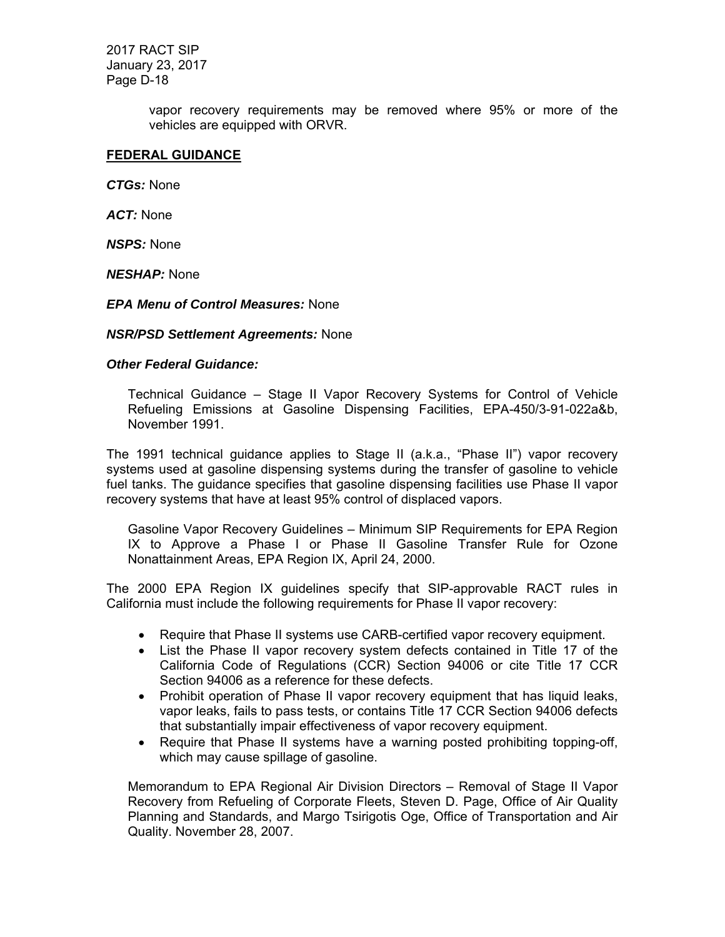> vapor recovery requirements may be removed where 95% or more of the vehicles are equipped with ORVR.

#### **FEDERAL GUIDANCE**

*CTGs:* None

*ACT:* None

*NSPS:* None

*NESHAP:* None

*EPA Menu of Control Measures:* None

*NSR/PSD Settlement Agreements:* None

#### *Other Federal Guidance:*

Technical Guidance – Stage II Vapor Recovery Systems for Control of Vehicle Refueling Emissions at Gasoline Dispensing Facilities, EPA-450/3-91-022a&b, November 1991.

The 1991 technical guidance applies to Stage II (a.k.a., "Phase II") vapor recovery systems used at gasoline dispensing systems during the transfer of gasoline to vehicle fuel tanks. The guidance specifies that gasoline dispensing facilities use Phase II vapor recovery systems that have at least 95% control of displaced vapors.

Gasoline Vapor Recovery Guidelines – Minimum SIP Requirements for EPA Region IX to Approve a Phase I or Phase II Gasoline Transfer Rule for Ozone Nonattainment Areas, EPA Region IX, April 24, 2000.

The 2000 EPA Region IX guidelines specify that SIP-approvable RACT rules in California must include the following requirements for Phase II vapor recovery:

- Require that Phase II systems use CARB-certified vapor recovery equipment.
- List the Phase II vapor recovery system defects contained in Title 17 of the California Code of Regulations (CCR) Section 94006 or cite Title 17 CCR Section 94006 as a reference for these defects.
- Prohibit operation of Phase II vapor recovery equipment that has liquid leaks, vapor leaks, fails to pass tests, or contains Title 17 CCR Section 94006 defects that substantially impair effectiveness of vapor recovery equipment.
- Require that Phase II systems have a warning posted prohibiting topping-off, which may cause spillage of gasoline.

Memorandum to EPA Regional Air Division Directors – Removal of Stage II Vapor Recovery from Refueling of Corporate Fleets, Steven D. Page, Office of Air Quality Planning and Standards, and Margo Tsirigotis Oge, Office of Transportation and Air Quality. November 28, 2007.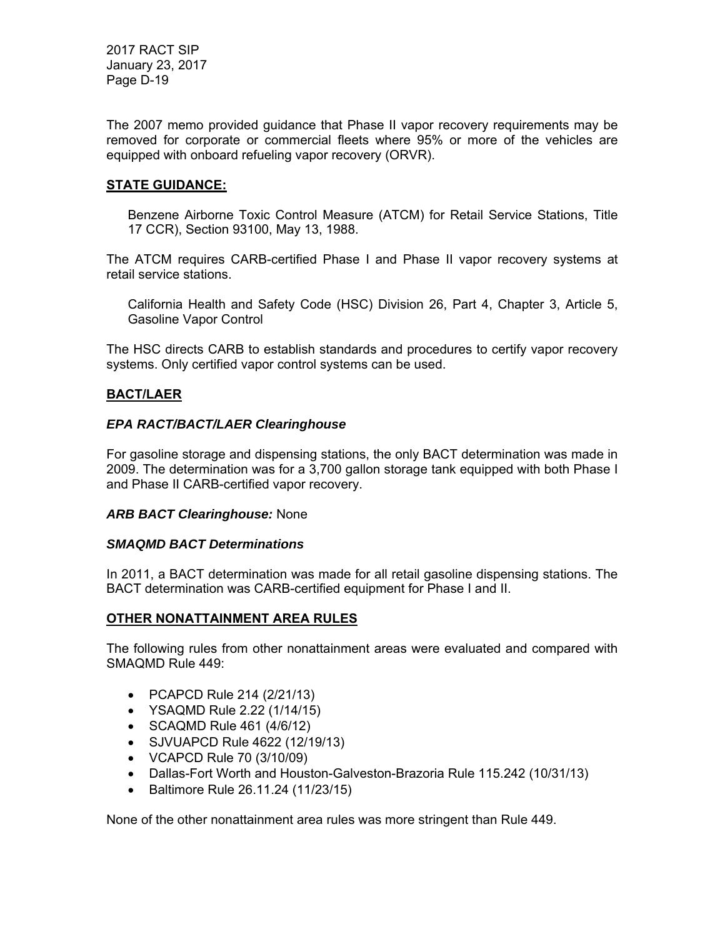The 2007 memo provided guidance that Phase II vapor recovery requirements may be removed for corporate or commercial fleets where 95% or more of the vehicles are equipped with onboard refueling vapor recovery (ORVR).

## **STATE GUIDANCE:**

Benzene Airborne Toxic Control Measure (ATCM) for Retail Service Stations, Title 17 CCR), Section 93100, May 13, 1988.

The ATCM requires CARB-certified Phase I and Phase II vapor recovery systems at retail service stations.

California Health and Safety Code (HSC) Division 26, Part 4, Chapter 3, Article 5, Gasoline Vapor Control

The HSC directs CARB to establish standards and procedures to certify vapor recovery systems. Only certified vapor control systems can be used.

## **BACT/LAER**

## *EPA RACT/BACT/LAER Clearinghouse*

For gasoline storage and dispensing stations, the only BACT determination was made in 2009. The determination was for a 3,700 gallon storage tank equipped with both Phase I and Phase II CARB-certified vapor recovery.

#### *ARB BACT Clearinghouse:* None

#### *SMAQMD BACT Determinations*

In 2011, a BACT determination was made for all retail gasoline dispensing stations. The BACT determination was CARB-certified equipment for Phase I and II.

## **OTHER NONATTAINMENT AREA RULES**

The following rules from other nonattainment areas were evaluated and compared with SMAQMD Rule 449:

- PCAPCD Rule 214 (2/21/13)
- YSAQMD Rule 2.22 (1/14/15)
- SCAQMD Rule 461 (4/6/12)
- SJVUAPCD Rule 4622 (12/19/13)
- VCAPCD Rule 70 (3/10/09)
- Dallas-Fort Worth and Houston-Galveston-Brazoria Rule 115.242 (10/31/13)
- Baltimore Rule 26.11.24 (11/23/15)

None of the other nonattainment area rules was more stringent than Rule 449.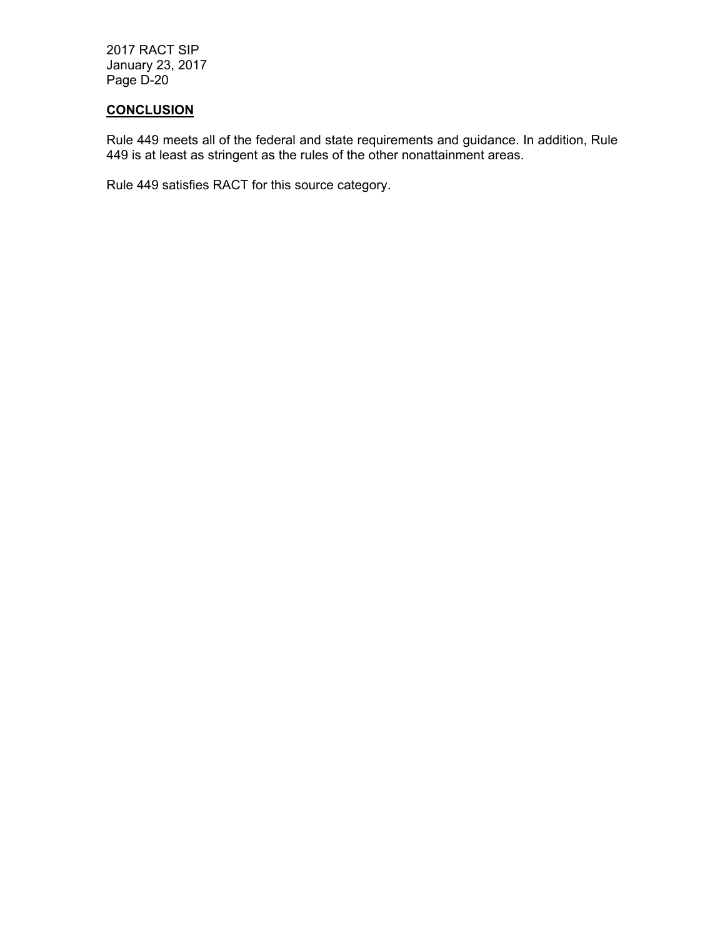## **CONCLUSION**

Rule 449 meets all of the federal and state requirements and guidance. In addition, Rule 449 is at least as stringent as the rules of the other nonattainment areas.

Rule 449 satisfies RACT for this source category.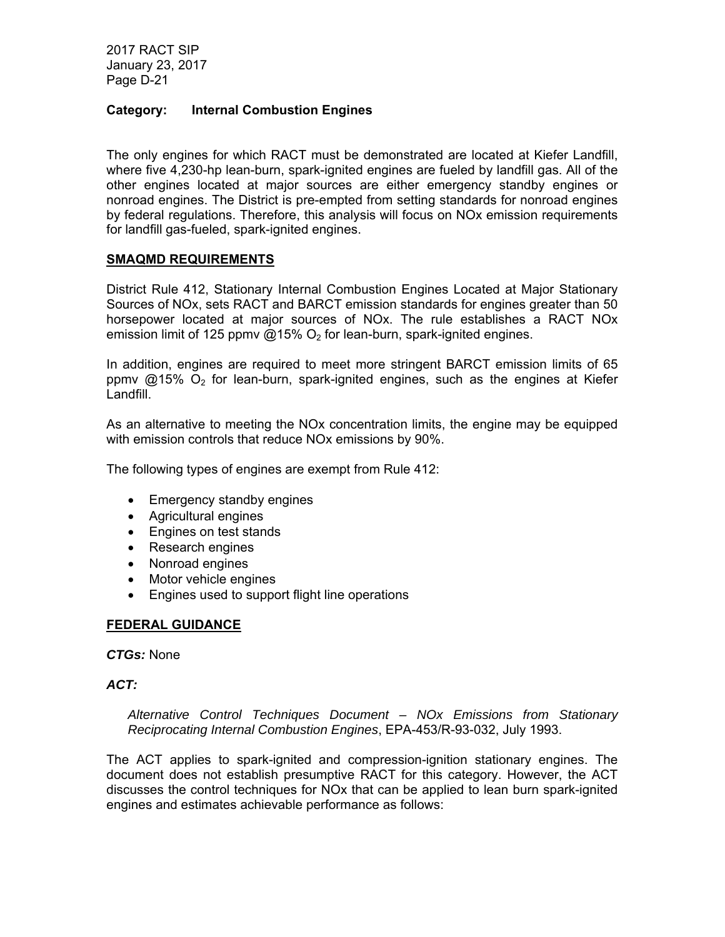## **Category: Internal Combustion Engines**

The only engines for which RACT must be demonstrated are located at Kiefer Landfill, where five 4,230-hp lean-burn, spark-ignited engines are fueled by landfill gas. All of the other engines located at major sources are either emergency standby engines or nonroad engines. The District is pre-empted from setting standards for nonroad engines by federal regulations. Therefore, this analysis will focus on NOx emission requirements for landfill gas-fueled, spark-ignited engines.

#### **SMAQMD REQUIREMENTS**

District Rule 412, Stationary Internal Combustion Engines Located at Major Stationary Sources of NOx, sets RACT and BARCT emission standards for engines greater than 50 horsepower located at major sources of NOx. The rule establishes a RACT NOx emission limit of 125 ppmv  $@15\%$  O<sub>2</sub> for lean-burn, spark-ignited engines.

In addition, engines are required to meet more stringent BARCT emission limits of 65 ppmy  $@15\%$  O<sub>2</sub> for lean-burn, spark-ignited engines, such as the engines at Kiefer Landfill.

As an alternative to meeting the NOx concentration limits, the engine may be equipped with emission controls that reduce NOx emissions by 90%.

The following types of engines are exempt from Rule 412:

- Emergency standby engines
- Agricultural engines
- Engines on test stands
- Research engines
- Nonroad engines
- Motor vehicle engines
- Engines used to support flight line operations

#### **FEDERAL GUIDANCE**

*CTGs:* None

#### *ACT:*

*Alternative Control Techniques Document – NOx Emissions from Stationary Reciprocating Internal Combustion Engines*, EPA-453/R-93-032, July 1993.

The ACT applies to spark-ignited and compression-ignition stationary engines. The document does not establish presumptive RACT for this category. However, the ACT discusses the control techniques for NOx that can be applied to lean burn spark-ignited engines and estimates achievable performance as follows: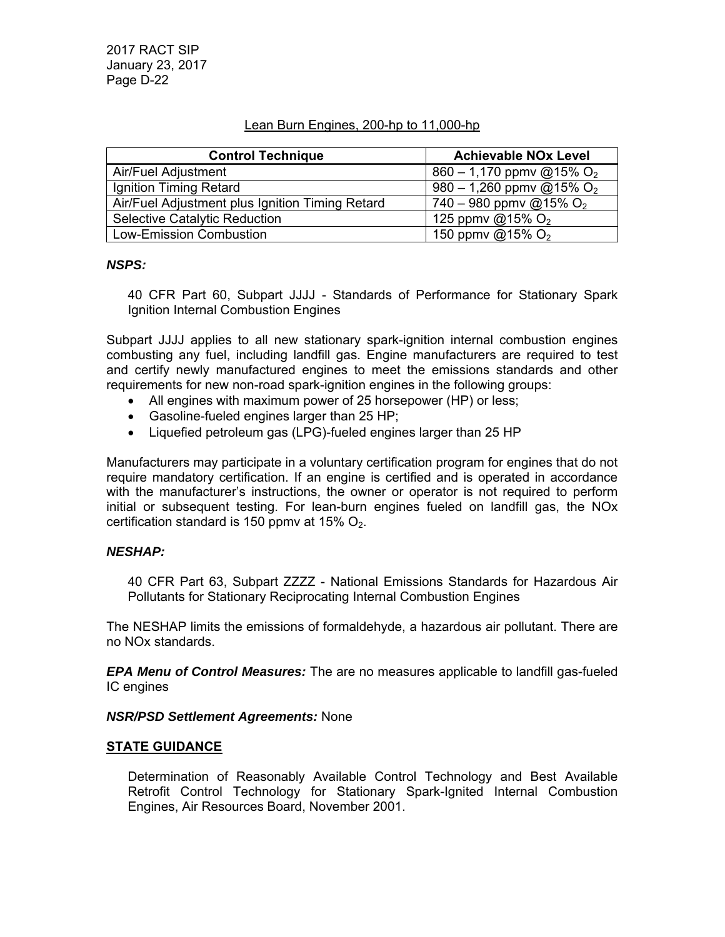#### Lean Burn Engines, 200-hp to 11,000-hp

| <b>Control Technique</b>                        | <b>Achievable NOx Level</b>          |
|-------------------------------------------------|--------------------------------------|
| Air/Fuel Adjustment                             | 860 – 1,170 ppmv @15% O <sub>2</sub> |
| Ignition Timing Retard                          | 980 – 1,260 ppmv @15% O <sub>2</sub> |
| Air/Fuel Adjustment plus Ignition Timing Retard | 740 – 980 ppmv @15% $O_2$            |
| <b>Selective Catalytic Reduction</b>            | 125 ppmv @15% $O_2$                  |
| <b>Low-Emission Combustion</b>                  | 150 ppmv @15% O <sub>2</sub>         |

#### *NSPS:*

40 CFR Part 60, Subpart JJJJ - Standards of Performance for Stationary Spark Ignition Internal Combustion Engines

Subpart JJJJ applies to all new stationary spark-ignition internal combustion engines combusting any fuel, including landfill gas. Engine manufacturers are required to test and certify newly manufactured engines to meet the emissions standards and other requirements for new non-road spark-ignition engines in the following groups:

- All engines with maximum power of 25 horsepower (HP) or less;
- Gasoline-fueled engines larger than 25 HP;
- Liquefied petroleum gas (LPG)-fueled engines larger than 25 HP

Manufacturers may participate in a voluntary certification program for engines that do not require mandatory certification. If an engine is certified and is operated in accordance with the manufacturer's instructions, the owner or operator is not required to perform initial or subsequent testing. For lean-burn engines fueled on landfill gas, the NOx certification standard is 150 ppmv at 15%  $O_2$ .

#### *NESHAP:*

40 CFR Part 63, Subpart ZZZZ - National Emissions Standards for Hazardous Air Pollutants for Stationary Reciprocating Internal Combustion Engines

The NESHAP limits the emissions of formaldehyde, a hazardous air pollutant. There are no NOx standards.

*EPA Menu of Control Measures:* The are no measures applicable to landfill gas-fueled IC engines

#### *NSR/PSD Settlement Agreements:* None

#### **STATE GUIDANCE**

Determination of Reasonably Available Control Technology and Best Available Retrofit Control Technology for Stationary Spark-Ignited Internal Combustion Engines, Air Resources Board, November 2001.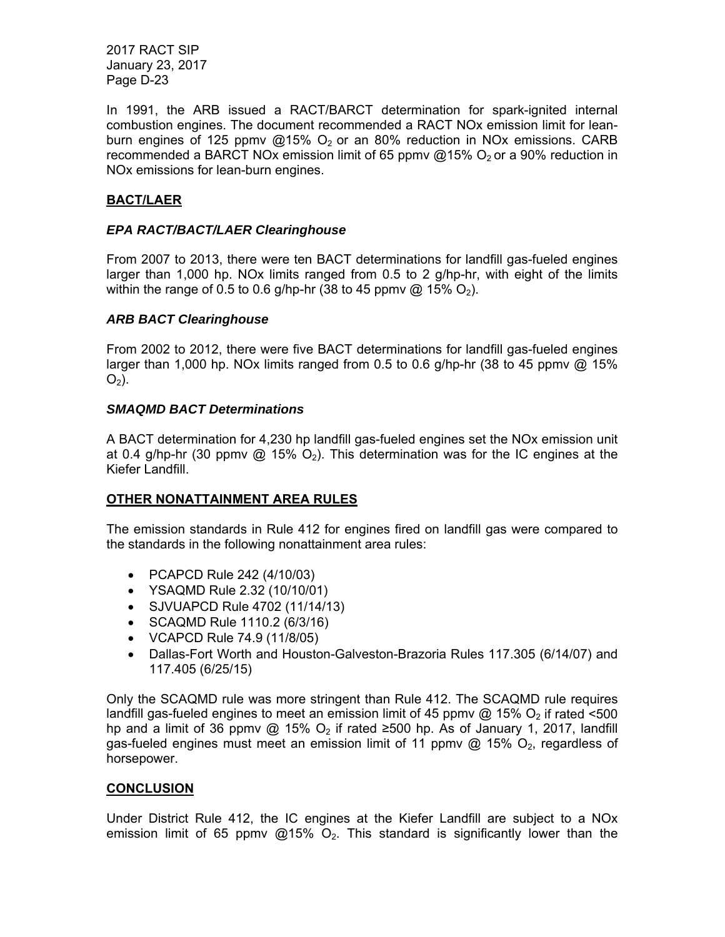In 1991, the ARB issued a RACT/BARCT determination for spark-ignited internal combustion engines. The document recommended a RACT NOx emission limit for leanburn engines of 125 ppmv  $@15\%$  O<sub>2</sub> or an 80% reduction in NOx emissions. CARB recommended a BARCT NOx emission limit of 65 ppmv  $@15\%$  O<sub>2</sub> or a 90% reduction in NOx emissions for lean-burn engines.

## **BACT/LAER**

#### *EPA RACT/BACT/LAER Clearinghouse*

From 2007 to 2013, there were ten BACT determinations for landfill gas-fueled engines larger than 1,000 hp. NOx limits ranged from 0.5 to 2 g/hp-hr, with eight of the limits within the range of 0.5 to 0.6 g/hp-hr (38 to 45 ppmv @ 15%  $O_2$ ).

## *ARB BACT Clearinghouse*

From 2002 to 2012, there were five BACT determinations for landfill gas-fueled engines larger than 1,000 hp. NOx limits ranged from 0.5 to 0.6 g/hp-hr (38 to 45 ppmv  $@$  15%  $O<sub>2</sub>$ ).

## *SMAQMD BACT Determinations*

A BACT determination for 4,230 hp landfill gas-fueled engines set the NOx emission unit at 0.4 g/hp-hr (30 ppmv  $\textcircled{a}$  15%  $\textcircled{c}$ ). This determination was for the IC engines at the Kiefer Landfill.

#### **OTHER NONATTAINMENT AREA RULES**

The emission standards in Rule 412 for engines fired on landfill gas were compared to the standards in the following nonattainment area rules:

- PCAPCD Rule 242 (4/10/03)
- YSAQMD Rule 2.32 (10/10/01)
- SJVUAPCD Rule 4702 (11/14/13)
- SCAQMD Rule 1110.2 (6/3/16)
- VCAPCD Rule 74.9 (11/8/05)
- Dallas-Fort Worth and Houston-Galveston-Brazoria Rules 117.305 (6/14/07) and 117.405 (6/25/15)

Only the SCAQMD rule was more stringent than Rule 412. The SCAQMD rule requires landfill gas-fueled engines to meet an emission limit of 45 ppmv  $@$  15%  $O_2$  if rated <500 hp and a limit of 36 ppmv @ 15%  $O_2$  if rated ≥500 hp. As of January 1, 2017, landfill gas-fueled engines must meet an emission limit of 11 ppmy  $\omega$  15%  $O_2$ , regardless of horsepower.

#### **CONCLUSION**

Under District Rule 412, the IC engines at the Kiefer Landfill are subject to a NOx emission limit of 65 ppmv @15%  $O_2$ . This standard is significantly lower than the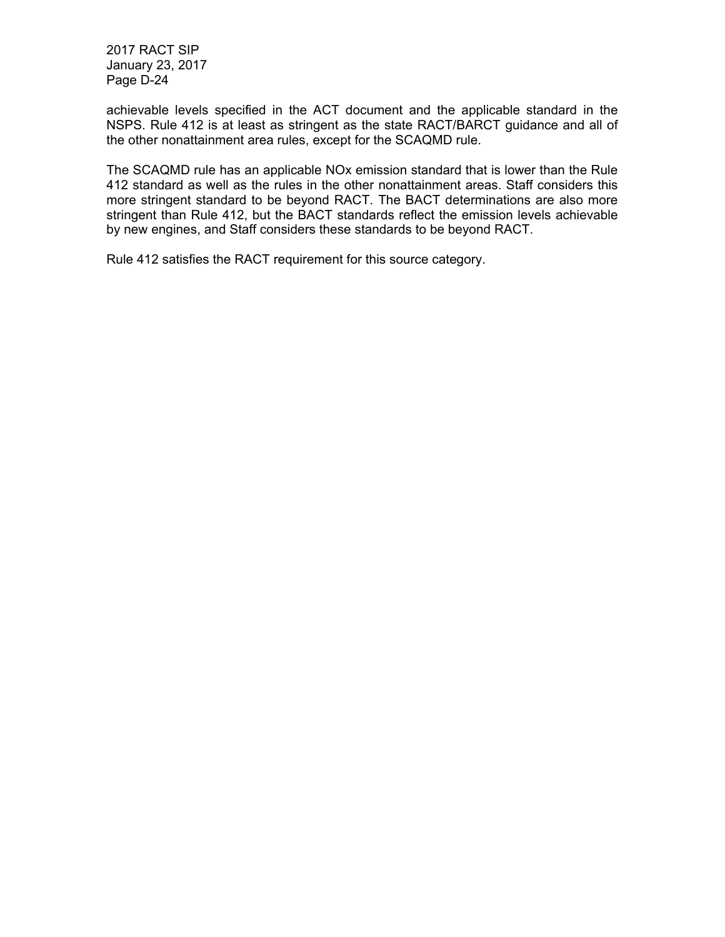achievable levels specified in the ACT document and the applicable standard in the NSPS. Rule 412 is at least as stringent as the state RACT/BARCT guidance and all of the other nonattainment area rules, except for the SCAQMD rule.

The SCAQMD rule has an applicable NOx emission standard that is lower than the Rule 412 standard as well as the rules in the other nonattainment areas. Staff considers this more stringent standard to be beyond RACT. The BACT determinations are also more stringent than Rule 412, but the BACT standards reflect the emission levels achievable by new engines, and Staff considers these standards to be beyond RACT.

Rule 412 satisfies the RACT requirement for this source category.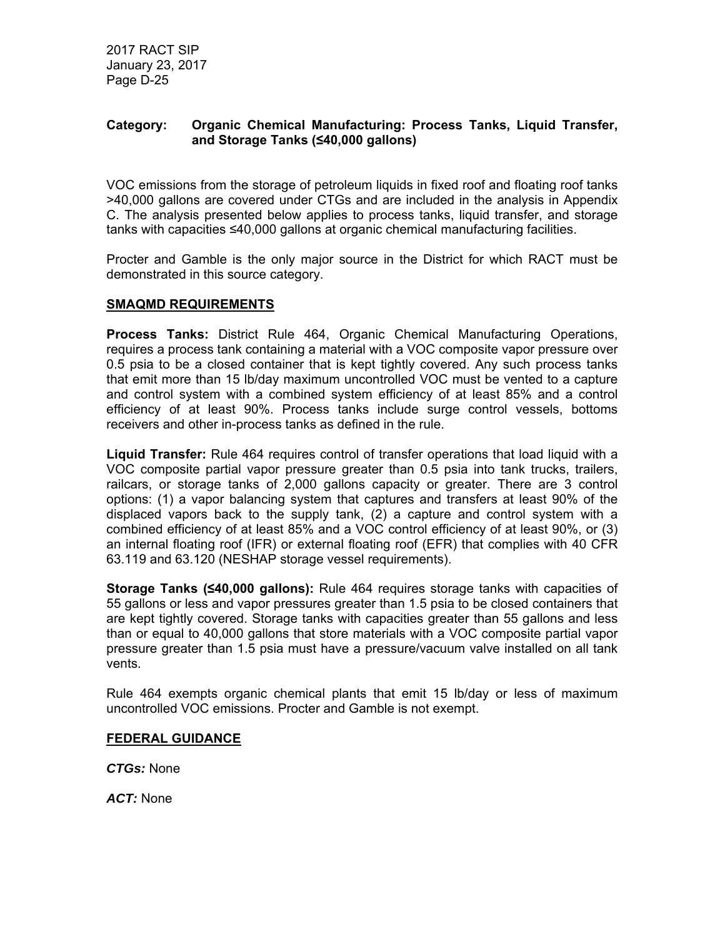## **Category: Organic Chemical Manufacturing: Process Tanks, Liquid Transfer, and Storage Tanks (≤40,000 gallons)**

VOC emissions from the storage of petroleum liquids in fixed roof and floating roof tanks >40,000 gallons are covered under CTGs and are included in the analysis in Appendix C. The analysis presented below applies to process tanks, liquid transfer, and storage tanks with capacities ≤40,000 gallons at organic chemical manufacturing facilities.

Procter and Gamble is the only major source in the District for which RACT must be demonstrated in this source category.

#### **SMAQMD REQUIREMENTS**

**Process Tanks:** District Rule 464, Organic Chemical Manufacturing Operations, requires a process tank containing a material with a VOC composite vapor pressure over 0.5 psia to be a closed container that is kept tightly covered. Any such process tanks that emit more than 15 lb/day maximum uncontrolled VOC must be vented to a capture and control system with a combined system efficiency of at least 85% and a control efficiency of at least 90%. Process tanks include surge control vessels, bottoms receivers and other in-process tanks as defined in the rule.

**Liquid Transfer:** Rule 464 requires control of transfer operations that load liquid with a VOC composite partial vapor pressure greater than 0.5 psia into tank trucks, trailers, railcars, or storage tanks of 2,000 gallons capacity or greater. There are 3 control options: (1) a vapor balancing system that captures and transfers at least 90% of the displaced vapors back to the supply tank, (2) a capture and control system with a combined efficiency of at least 85% and a VOC control efficiency of at least 90%, or (3) an internal floating roof (IFR) or external floating roof (EFR) that complies with 40 CFR 63.119 and 63.120 (NESHAP storage vessel requirements).

**Storage Tanks (≤40,000 gallons):** Rule 464 requires storage tanks with capacities of 55 gallons or less and vapor pressures greater than 1.5 psia to be closed containers that are kept tightly covered. Storage tanks with capacities greater than 55 gallons and less than or equal to 40,000 gallons that store materials with a VOC composite partial vapor pressure greater than 1.5 psia must have a pressure/vacuum valve installed on all tank vents.

Rule 464 exempts organic chemical plants that emit 15 lb/day or less of maximum uncontrolled VOC emissions. Procter and Gamble is not exempt.

#### **FEDERAL GUIDANCE**

*CTGs:* None

*ACT:* None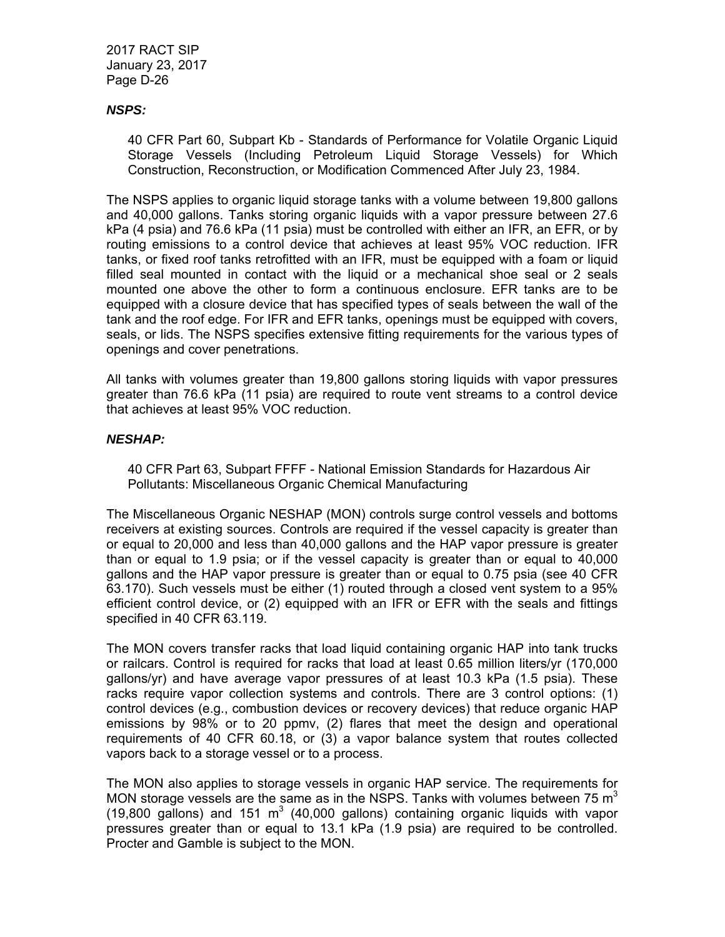#### *NSPS:*

40 CFR Part 60, Subpart Kb - Standards of Performance for Volatile Organic Liquid Storage Vessels (Including Petroleum Liquid Storage Vessels) for Which Construction, Reconstruction, or Modification Commenced After July 23, 1984.

The NSPS applies to organic liquid storage tanks with a volume between 19,800 gallons and 40,000 gallons. Tanks storing organic liquids with a vapor pressure between 27.6 kPa (4 psia) and 76.6 kPa (11 psia) must be controlled with either an IFR, an EFR, or by routing emissions to a control device that achieves at least 95% VOC reduction. IFR tanks, or fixed roof tanks retrofitted with an IFR, must be equipped with a foam or liquid filled seal mounted in contact with the liquid or a mechanical shoe seal or 2 seals mounted one above the other to form a continuous enclosure. EFR tanks are to be equipped with a closure device that has specified types of seals between the wall of the tank and the roof edge. For IFR and EFR tanks, openings must be equipped with covers, seals, or lids. The NSPS specifies extensive fitting requirements for the various types of openings and cover penetrations.

All tanks with volumes greater than 19,800 gallons storing liquids with vapor pressures greater than 76.6 kPa (11 psia) are required to route vent streams to a control device that achieves at least 95% VOC reduction.

## *NESHAP:*

40 CFR Part 63, Subpart FFFF - National Emission Standards for Hazardous Air Pollutants: Miscellaneous Organic Chemical Manufacturing

The Miscellaneous Organic NESHAP (MON) controls surge control vessels and bottoms receivers at existing sources. Controls are required if the vessel capacity is greater than or equal to 20,000 and less than 40,000 gallons and the HAP vapor pressure is greater than or equal to 1.9 psia; or if the vessel capacity is greater than or equal to 40,000 gallons and the HAP vapor pressure is greater than or equal to 0.75 psia (see 40 CFR 63.170). Such vessels must be either (1) routed through a closed vent system to a 95% efficient control device, or (2) equipped with an IFR or EFR with the seals and fittings specified in 40 CFR 63.119.

The MON covers transfer racks that load liquid containing organic HAP into tank trucks or railcars. Control is required for racks that load at least 0.65 million liters/yr (170,000 gallons/yr) and have average vapor pressures of at least 10.3 kPa (1.5 psia). These racks require vapor collection systems and controls. There are 3 control options: (1) control devices (e.g., combustion devices or recovery devices) that reduce organic HAP emissions by 98% or to 20 ppmv, (2) flares that meet the design and operational requirements of 40 CFR 60.18, or (3) a vapor balance system that routes collected vapors back to a storage vessel or to a process.

The MON also applies to storage vessels in organic HAP service. The requirements for MON storage vessels are the same as in the NSPS. Tanks with volumes between 75  $m<sup>3</sup>$ (19,800 gallons) and 151  $m^3$  (40,000 gallons) containing organic liquids with vapor pressures greater than or equal to 13.1 kPa (1.9 psia) are required to be controlled. Procter and Gamble is subject to the MON.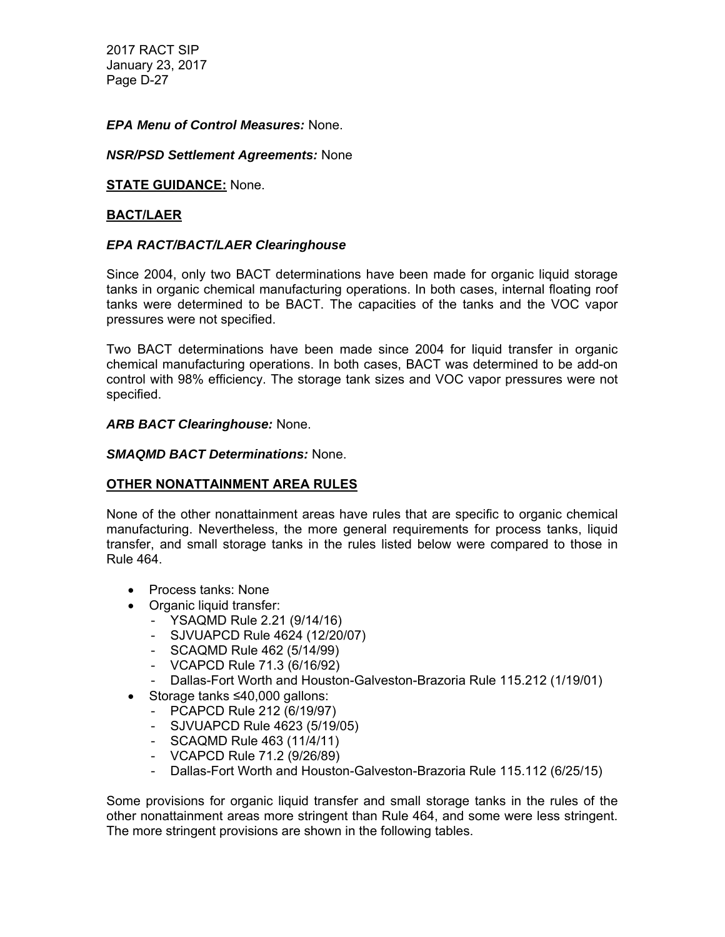#### *EPA Menu of Control Measures:* None.

#### *NSR/PSD Settlement Agreements:* None

#### **STATE GUIDANCE:** None.

#### **BACT/LAER**

## *EPA RACT/BACT/LAER Clearinghouse*

Since 2004, only two BACT determinations have been made for organic liquid storage tanks in organic chemical manufacturing operations. In both cases, internal floating roof tanks were determined to be BACT. The capacities of the tanks and the VOC vapor pressures were not specified.

Two BACT determinations have been made since 2004 for liquid transfer in organic chemical manufacturing operations. In both cases, BACT was determined to be add-on control with 98% efficiency. The storage tank sizes and VOC vapor pressures were not specified.

#### *ARB BACT Clearinghouse:* None.

#### *SMAQMD BACT Determinations:* None.

## **OTHER NONATTAINMENT AREA RULES**

None of the other nonattainment areas have rules that are specific to organic chemical manufacturing. Nevertheless, the more general requirements for process tanks, liquid transfer, and small storage tanks in the rules listed below were compared to those in Rule 464.

- Process tanks: None
- Organic liquid transfer:
	- YSAQMD Rule 2.21 (9/14/16)
	- SJVUAPCD Rule 4624 (12/20/07)
	- SCAQMD Rule 462 (5/14/99)
	- VCAPCD Rule 71.3 (6/16/92)
	- Dallas-Fort Worth and Houston-Galveston-Brazoria Rule 115.212 (1/19/01)
- Storage tanks ≤40,000 gallons:
	- PCAPCD Rule 212 (6/19/97)
	- SJVUAPCD Rule 4623 (5/19/05)
	- SCAQMD Rule 463 (11/4/11)
	- VCAPCD Rule  $71.2$  (9/26/89)
	- Dallas-Fort Worth and Houston-Galveston-Brazoria Rule 115.112 (6/25/15)

Some provisions for organic liquid transfer and small storage tanks in the rules of the other nonattainment areas more stringent than Rule 464, and some were less stringent. The more stringent provisions are shown in the following tables.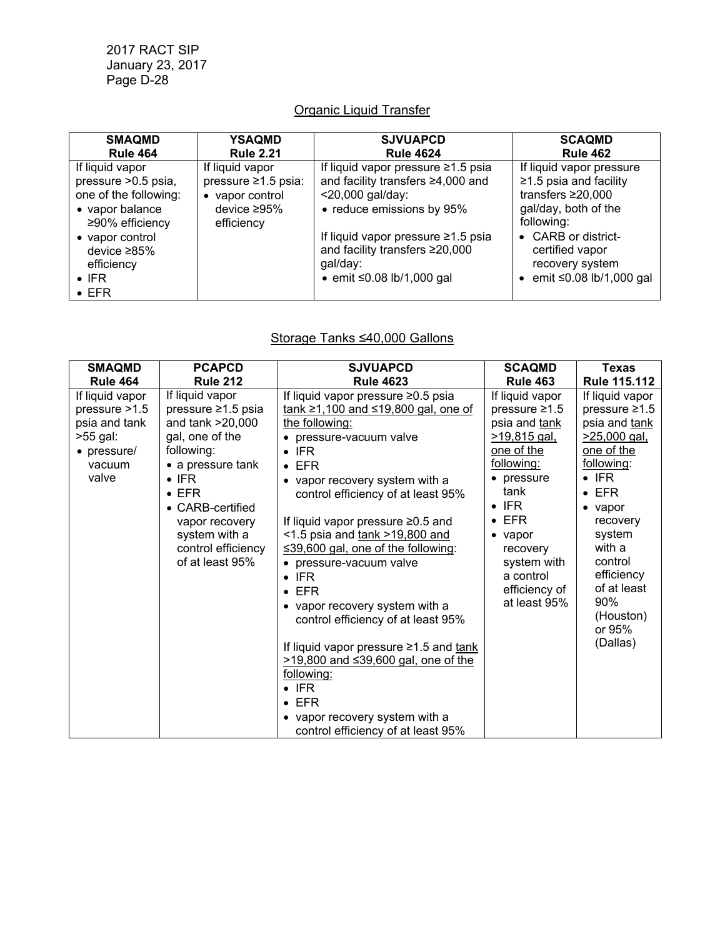# Organic Liquid Transfer

| <b>SMAQMD</b>                                                                                                                                                                                   | YSAQMD                                                                                        | <b>SJVUAPCD</b>                                                                                                                                                                                                                                             | <b>SCAQMD</b>                                                                                                                                                                                                     |
|-------------------------------------------------------------------------------------------------------------------------------------------------------------------------------------------------|-----------------------------------------------------------------------------------------------|-------------------------------------------------------------------------------------------------------------------------------------------------------------------------------------------------------------------------------------------------------------|-------------------------------------------------------------------------------------------------------------------------------------------------------------------------------------------------------------------|
| <b>Rule 464</b>                                                                                                                                                                                 | <b>Rule 2.21</b>                                                                              | <b>Rule 4624</b>                                                                                                                                                                                                                                            | <b>Rule 462</b>                                                                                                                                                                                                   |
| If liquid vapor<br>pressure > 0.5 psia,<br>one of the following:<br>• vapor balance<br>≥90% efficiency<br>• vapor control<br>device $\geq 85\%$<br>efficiency<br>$\bullet$ IFR<br>$\bullet$ EFR | If liquid vapor<br>pressure ≥1.5 psia:<br>• vapor control<br>device $\geq 95\%$<br>efficiency | If liquid vapor pressure $\geq 1.5$ psia<br>and facility transfers ≥4,000 and<br><20,000 gal/day:<br>• reduce emissions by 95%<br>If liquid vapor pressure $\geq 1.5$ psia<br>and facility transfers ≥20,000<br>gal/day:<br>• emit $\leq 0.08$ lb/1,000 gal | If liquid vapor pressure<br>$\geq$ 1.5 psia and facility<br>transfers $\geq 20,000$<br>gal/day, both of the<br>following:<br>• CARB or district-<br>certified vapor<br>recovery system<br>emit ≤0.08 lb/1,000 gal |

# Storage Tanks ≤40,000 Gallons

| <b>SMAQMD</b>                                                                                     | <b>PCAPCD</b>                                                                                                                                                                                                                                     | <b>SJVUAPCD</b>                                                                                                                                                                                                                                                                                                                                                                                                                                                                                                                                                                                                                                                                                                                 | <b>SCAQMD</b>                                                                                                                                                                                                                                                           | <b>Texas</b>                                                                                                                                                                                                                                                                 |
|---------------------------------------------------------------------------------------------------|---------------------------------------------------------------------------------------------------------------------------------------------------------------------------------------------------------------------------------------------------|---------------------------------------------------------------------------------------------------------------------------------------------------------------------------------------------------------------------------------------------------------------------------------------------------------------------------------------------------------------------------------------------------------------------------------------------------------------------------------------------------------------------------------------------------------------------------------------------------------------------------------------------------------------------------------------------------------------------------------|-------------------------------------------------------------------------------------------------------------------------------------------------------------------------------------------------------------------------------------------------------------------------|------------------------------------------------------------------------------------------------------------------------------------------------------------------------------------------------------------------------------------------------------------------------------|
| <b>Rule 464</b>                                                                                   | <b>Rule 212</b>                                                                                                                                                                                                                                   | <b>Rule 4623</b>                                                                                                                                                                                                                                                                                                                                                                                                                                                                                                                                                                                                                                                                                                                | <b>Rule 463</b>                                                                                                                                                                                                                                                         | <b>Rule 115.112</b>                                                                                                                                                                                                                                                          |
| If liquid vapor<br>pressure $>1.5$<br>psia and tank<br>>55 gal:<br>• pressure/<br>vacuum<br>valve | If liquid vapor<br>pressure ≥1.5 psia<br>and tank >20,000<br>gal, one of the<br>following:<br>• a pressure tank<br>$\bullet$ IFR<br>$\bullet$ EFR<br>• CARB-certified<br>vapor recovery<br>system with a<br>control efficiency<br>of at least 95% | If liquid vapor pressure ≥0.5 psia<br>tank ≥1,100 and ≤19,800 gal, one of<br>the following:<br>• pressure-vacuum valve<br>$\bullet$ IFR<br>$\bullet$ EFR<br>• vapor recovery system with a<br>control efficiency of at least 95%<br>If liquid vapor pressure $\geq 0.5$ and<br><1.5 psia and $tank > 19,800$ and<br>$\leq$ 39,600 gal, one of the following:<br>• pressure-vacuum valve<br>$\bullet$ IFR<br><b>EFR</b><br>• vapor recovery system with a<br>control efficiency of at least 95%<br>If liquid vapor pressure $\geq 1.5$ and tank<br>$>19,800$ and $\leq 39,600$ gal, one of the<br>following:<br>$\bullet$ IFR<br><b>EFR</b><br>$\bullet$<br>• vapor recovery system with a<br>control efficiency of at least 95% | If liquid vapor<br>pressure $\geq 1.5$<br>psia and tank<br><u>&gt;19,815 gal,</u><br>one of the<br>following:<br>pressure<br>tank<br>IFR.<br>$\bullet$<br>EFR.<br>$\bullet$<br>$\bullet$ vapor<br>recovery<br>system with<br>a control<br>efficiency of<br>at least 95% | If liquid vapor<br>pressure $\geq 1.5$<br>psia and tank<br>$>25,000$ gal,<br>one of the<br>following:<br>$\bullet$ IFR<br>$\bullet$ EFR<br>$\bullet$ vapor<br>recovery<br>system<br>with a<br>control<br>efficiency<br>of at least<br>90%<br>(Houston)<br>or 95%<br>(Dallas) |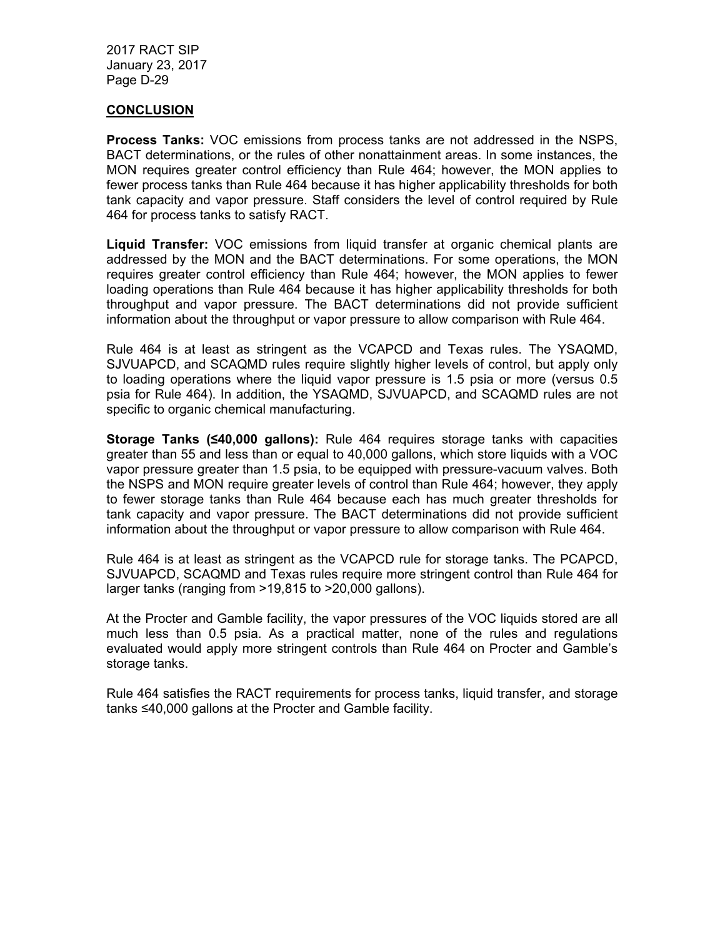#### **CONCLUSION**

**Process Tanks:** VOC emissions from process tanks are not addressed in the NSPS, BACT determinations, or the rules of other nonattainment areas. In some instances, the MON requires greater control efficiency than Rule 464; however, the MON applies to fewer process tanks than Rule 464 because it has higher applicability thresholds for both tank capacity and vapor pressure. Staff considers the level of control required by Rule 464 for process tanks to satisfy RACT.

**Liquid Transfer:** VOC emissions from liquid transfer at organic chemical plants are addressed by the MON and the BACT determinations. For some operations, the MON requires greater control efficiency than Rule 464; however, the MON applies to fewer loading operations than Rule 464 because it has higher applicability thresholds for both throughput and vapor pressure. The BACT determinations did not provide sufficient information about the throughput or vapor pressure to allow comparison with Rule 464.

Rule 464 is at least as stringent as the VCAPCD and Texas rules. The YSAQMD, SJVUAPCD, and SCAQMD rules require slightly higher levels of control, but apply only to loading operations where the liquid vapor pressure is 1.5 psia or more (versus 0.5 psia for Rule 464). In addition, the YSAQMD, SJVUAPCD, and SCAQMD rules are not specific to organic chemical manufacturing.

**Storage Tanks (≤40,000 gallons):** Rule 464 requires storage tanks with capacities greater than 55 and less than or equal to 40,000 gallons, which store liquids with a VOC vapor pressure greater than 1.5 psia, to be equipped with pressure-vacuum valves. Both the NSPS and MON require greater levels of control than Rule 464; however, they apply to fewer storage tanks than Rule 464 because each has much greater thresholds for tank capacity and vapor pressure. The BACT determinations did not provide sufficient information about the throughput or vapor pressure to allow comparison with Rule 464.

Rule 464 is at least as stringent as the VCAPCD rule for storage tanks. The PCAPCD, SJVUAPCD, SCAQMD and Texas rules require more stringent control than Rule 464 for larger tanks (ranging from >19,815 to >20,000 gallons).

At the Procter and Gamble facility, the vapor pressures of the VOC liquids stored are all much less than 0.5 psia. As a practical matter, none of the rules and regulations evaluated would apply more stringent controls than Rule 464 on Procter and Gamble's storage tanks.

Rule 464 satisfies the RACT requirements for process tanks, liquid transfer, and storage tanks ≤40,000 gallons at the Procter and Gamble facility.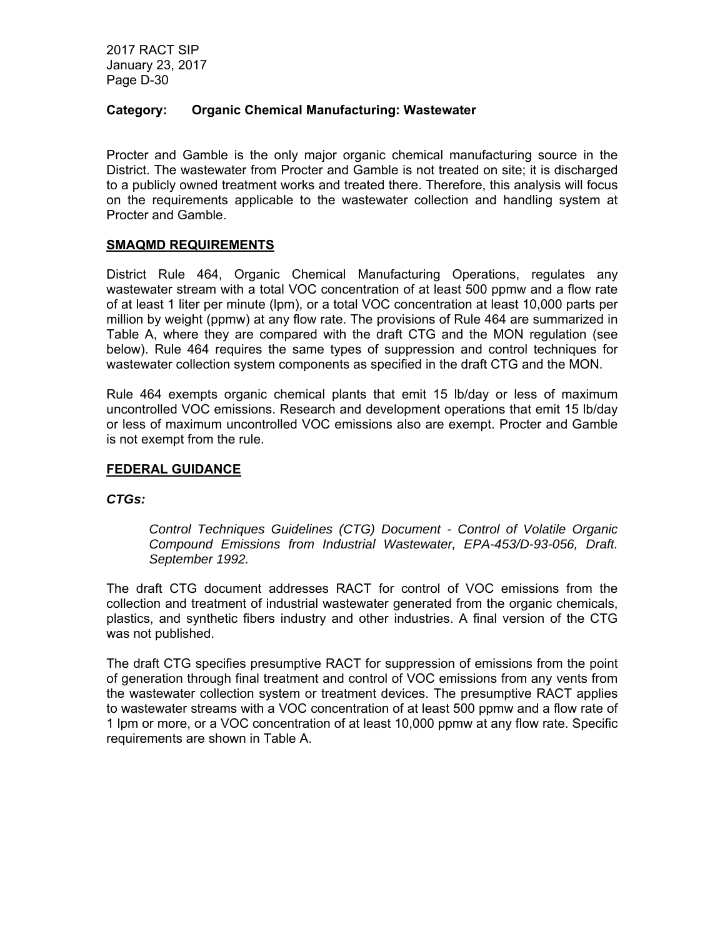### **Category: Organic Chemical Manufacturing: Wastewater**

Procter and Gamble is the only major organic chemical manufacturing source in the District. The wastewater from Procter and Gamble is not treated on site; it is discharged to a publicly owned treatment works and treated there. Therefore, this analysis will focus on the requirements applicable to the wastewater collection and handling system at Procter and Gamble.

#### **SMAQMD REQUIREMENTS**

District Rule 464, Organic Chemical Manufacturing Operations, regulates any wastewater stream with a total VOC concentration of at least 500 ppmw and a flow rate of at least 1 liter per minute (lpm), or a total VOC concentration at least 10,000 parts per million by weight (ppmw) at any flow rate. The provisions of Rule 464 are summarized in Table A, where they are compared with the draft CTG and the MON regulation (see below). Rule 464 requires the same types of suppression and control techniques for wastewater collection system components as specified in the draft CTG and the MON.

Rule 464 exempts organic chemical plants that emit 15 lb/day or less of maximum uncontrolled VOC emissions. Research and development operations that emit 15 lb/day or less of maximum uncontrolled VOC emissions also are exempt. Procter and Gamble is not exempt from the rule.

#### **FEDERAL GUIDANCE**

#### *CTGs:*

*Control Techniques Guidelines (CTG) Document - Control of Volatile Organic Compound Emissions from Industrial Wastewater, EPA-453/D-93-056, Draft. September 1992.* 

The draft CTG document addresses RACT for control of VOC emissions from the collection and treatment of industrial wastewater generated from the organic chemicals, plastics, and synthetic fibers industry and other industries. A final version of the CTG was not published.

The draft CTG specifies presumptive RACT for suppression of emissions from the point of generation through final treatment and control of VOC emissions from any vents from the wastewater collection system or treatment devices. The presumptive RACT applies to wastewater streams with a VOC concentration of at least 500 ppmw and a flow rate of 1 lpm or more, or a VOC concentration of at least 10,000 ppmw at any flow rate. Specific requirements are shown in Table A.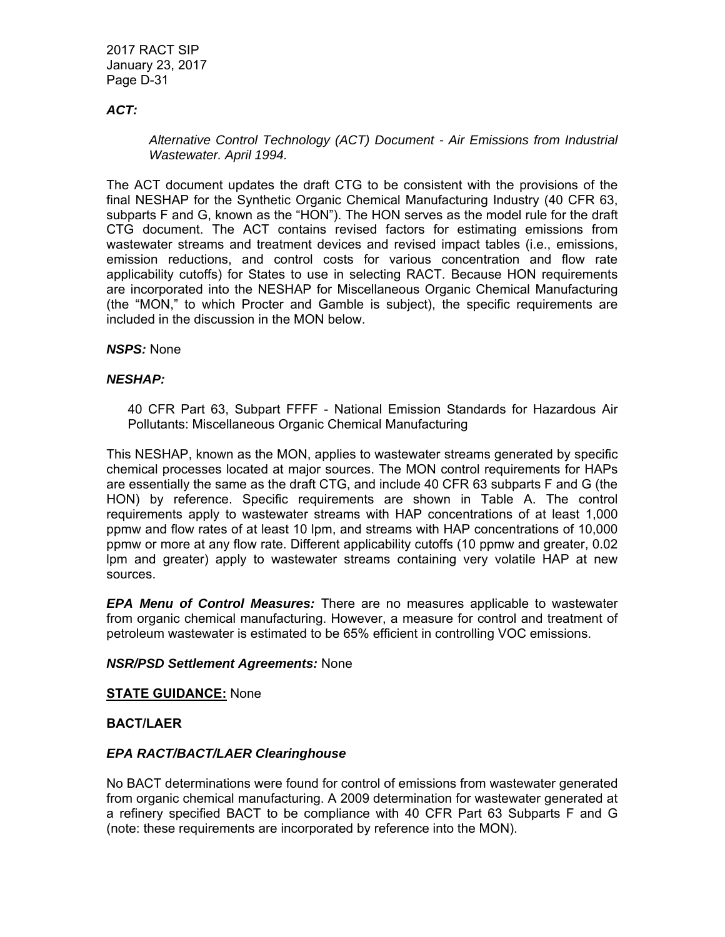## *ACT:*

## *Alternative Control Technology (ACT) Document - Air Emissions from Industrial Wastewater. April 1994.*

The ACT document updates the draft CTG to be consistent with the provisions of the final NESHAP for the Synthetic Organic Chemical Manufacturing Industry (40 CFR 63, subparts F and G, known as the "HON"). The HON serves as the model rule for the draft CTG document. The ACT contains revised factors for estimating emissions from wastewater streams and treatment devices and revised impact tables (i.e., emissions, emission reductions, and control costs for various concentration and flow rate applicability cutoffs) for States to use in selecting RACT. Because HON requirements are incorporated into the NESHAP for Miscellaneous Organic Chemical Manufacturing (the "MON," to which Procter and Gamble is subject), the specific requirements are included in the discussion in the MON below.

## *NSPS:* None

## *NESHAP:*

40 CFR Part 63, Subpart FFFF - National Emission Standards for Hazardous Air Pollutants: Miscellaneous Organic Chemical Manufacturing

This NESHAP, known as the MON, applies to wastewater streams generated by specific chemical processes located at major sources. The MON control requirements for HAPs are essentially the same as the draft CTG, and include 40 CFR 63 subparts F and G (the HON) by reference. Specific requirements are shown in Table A. The control requirements apply to wastewater streams with HAP concentrations of at least 1,000 ppmw and flow rates of at least 10 lpm, and streams with HAP concentrations of 10,000 ppmw or more at any flow rate. Different applicability cutoffs (10 ppmw and greater, 0.02 lpm and greater) apply to wastewater streams containing very volatile HAP at new sources.

*EPA Menu of Control Measures:* There are no measures applicable to wastewater from organic chemical manufacturing. However, a measure for control and treatment of petroleum wastewater is estimated to be 65% efficient in controlling VOC emissions.

#### *NSR/PSD Settlement Agreements:* None

#### **STATE GUIDANCE:** None

#### **BACT/LAER**

#### *EPA RACT/BACT/LAER Clearinghouse*

No BACT determinations were found for control of emissions from wastewater generated from organic chemical manufacturing. A 2009 determination for wastewater generated at a refinery specified BACT to be compliance with 40 CFR Part 63 Subparts F and G (note: these requirements are incorporated by reference into the MON).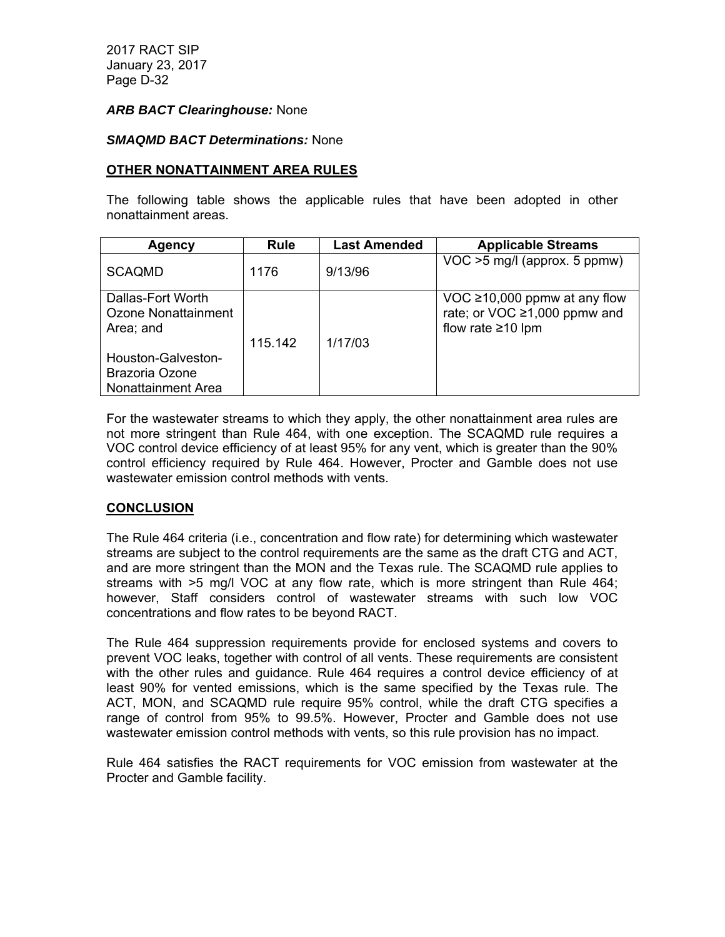#### *ARB BACT Clearinghouse:* None

#### *SMAQMD BACT Determinations:* None

#### **OTHER NONATTAINMENT AREA RULES**

The following table shows the applicable rules that have been adopted in other nonattainment areas.

| Agency                                                     | <b>Rule</b> | <b>Last Amended</b> | <b>Applicable Streams</b>                                                               |
|------------------------------------------------------------|-------------|---------------------|-----------------------------------------------------------------------------------------|
| <b>SCAQMD</b>                                              | 1176        | 9/13/96             | VOC >5 mg/l (approx. 5 ppmw)                                                            |
| Dallas-Fort Worth<br>Ozone Nonattainment<br>Area; and      | 115.142     | 1/17/03             | VOC ≥10,000 ppmw at any flow<br>rate; or VOC ≥1,000 ppmw and<br>flow rate $\geq 10$ lpm |
| Houston-Galveston-<br>Brazoria Ozone<br>Nonattainment Area |             |                     |                                                                                         |

For the wastewater streams to which they apply, the other nonattainment area rules are not more stringent than Rule 464, with one exception. The SCAQMD rule requires a VOC control device efficiency of at least 95% for any vent, which is greater than the 90% control efficiency required by Rule 464. However, Procter and Gamble does not use wastewater emission control methods with vents.

#### **CONCLUSION**

The Rule 464 criteria (i.e., concentration and flow rate) for determining which wastewater streams are subject to the control requirements are the same as the draft CTG and ACT, and are more stringent than the MON and the Texas rule. The SCAQMD rule applies to streams with >5 mg/l VOC at any flow rate, which is more stringent than Rule 464; however, Staff considers control of wastewater streams with such low VOC concentrations and flow rates to be beyond RACT.

The Rule 464 suppression requirements provide for enclosed systems and covers to prevent VOC leaks, together with control of all vents. These requirements are consistent with the other rules and guidance. Rule 464 requires a control device efficiency of at least 90% for vented emissions, which is the same specified by the Texas rule. The ACT, MON, and SCAQMD rule require 95% control, while the draft CTG specifies a range of control from 95% to 99.5%. However, Procter and Gamble does not use wastewater emission control methods with vents, so this rule provision has no impact.

Rule 464 satisfies the RACT requirements for VOC emission from wastewater at the Procter and Gamble facility.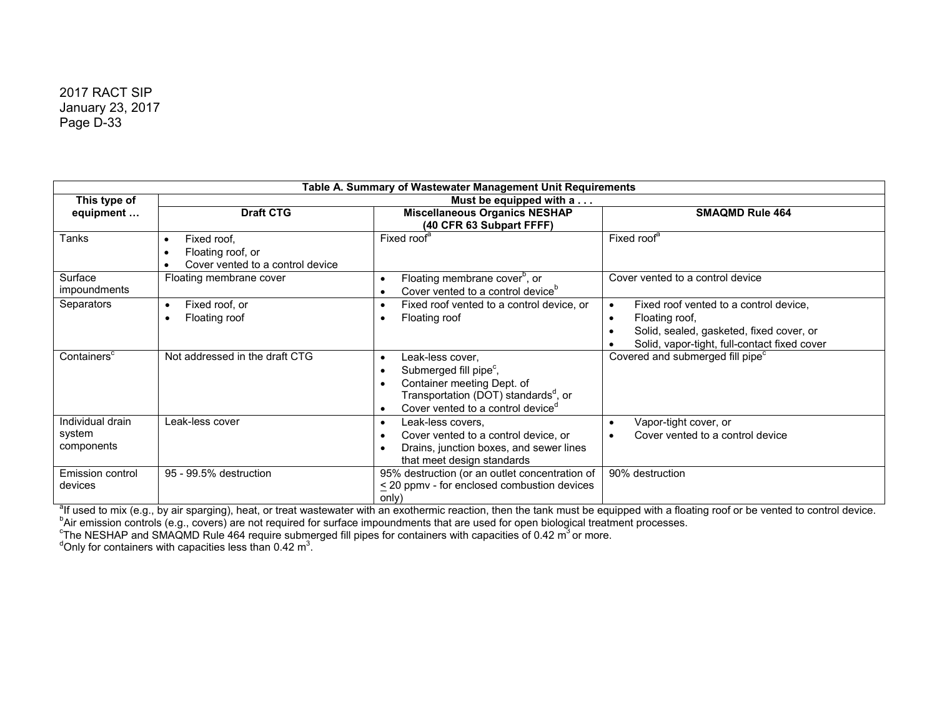|                                          |                                                                                                | Table A. Summary of Wastewater Management Unit Requirements                                                                                                                               |                                                                                                                                                                                             |  |  |
|------------------------------------------|------------------------------------------------------------------------------------------------|-------------------------------------------------------------------------------------------------------------------------------------------------------------------------------------------|---------------------------------------------------------------------------------------------------------------------------------------------------------------------------------------------|--|--|
| This type of                             | Must be equipped with a                                                                        |                                                                                                                                                                                           |                                                                                                                                                                                             |  |  |
| equipment                                | <b>Draft CTG</b>                                                                               | <b>Miscellaneous Organics NESHAP</b><br>(40 CFR 63 Subpart FFFF)                                                                                                                          | <b>SMAQMD Rule 464</b>                                                                                                                                                                      |  |  |
| <b>Tanks</b>                             | Fixed roof.<br>$\bullet$<br>Floating roof, or<br>$\bullet$<br>Cover vented to a control device | Fixed roof <sup>a</sup>                                                                                                                                                                   | Fixed roof <sup>a</sup>                                                                                                                                                                     |  |  |
| Surface<br>impoundments                  | Floating membrane cover                                                                        | Floating membrane cover <sup>b</sup> , or<br>Cover vented to a control device <sup>b</sup>                                                                                                | Cover vented to a control device                                                                                                                                                            |  |  |
| Separators                               | Fixed roof, or<br>$\bullet$<br>Floating roof<br>$\bullet$                                      | Fixed roof vented to a control device, or<br>Floating roof                                                                                                                                | Fixed roof vented to a control device,<br>$\bullet$<br>Floating roof,<br>$\bullet$<br>Solid, sealed, gasketed, fixed cover, or<br>$\bullet$<br>Solid, vapor-tight, full-contact fixed cover |  |  |
| Containers <sup>c</sup>                  | Not addressed in the draft CTG                                                                 | Leak-less cover,<br>Submerged fill pipe <sup>c</sup> ,<br>Container meeting Dept. of<br>Transportation (DOT) standards <sup>a</sup> , or<br>Cover vented to a control device <sup>d</sup> | Covered and submerged fill pipe <sup>c</sup>                                                                                                                                                |  |  |
| Individual drain<br>system<br>components | Leak-less cover                                                                                | Leak-less covers,<br>Cover vented to a control device, or<br>Drains, junction boxes, and sewer lines<br>that meet design standards                                                        | Vapor-tight cover, or<br>$\bullet$<br>Cover vented to a control device<br>$\bullet$                                                                                                         |  |  |
| <b>Emission control</b><br>devices       | 95 - 99.5% destruction                                                                         | 95% destruction (or an outlet concentration of<br>< 20 ppmy - for enclosed combustion devices<br>only)                                                                                    | 90% destruction                                                                                                                                                                             |  |  |

<sup>a</sup>lf used to mix (e.g., by air sparging), heat, or treat wastewater with an exothermic reaction, then the tank must be equipped with a floating roof or be vented to control device.<br><sup>b</sup>Air emission controls (e.g., covers)

 $\mathrm{^c}$ The NESHAP and SMAQMD Rule 464 require submerged fill pipes for containers with capacities of 0.42 m $^3$ or more.<br> $\mathrm{^a}$ Only for containers with capacities less than 0.42 m $^3$ .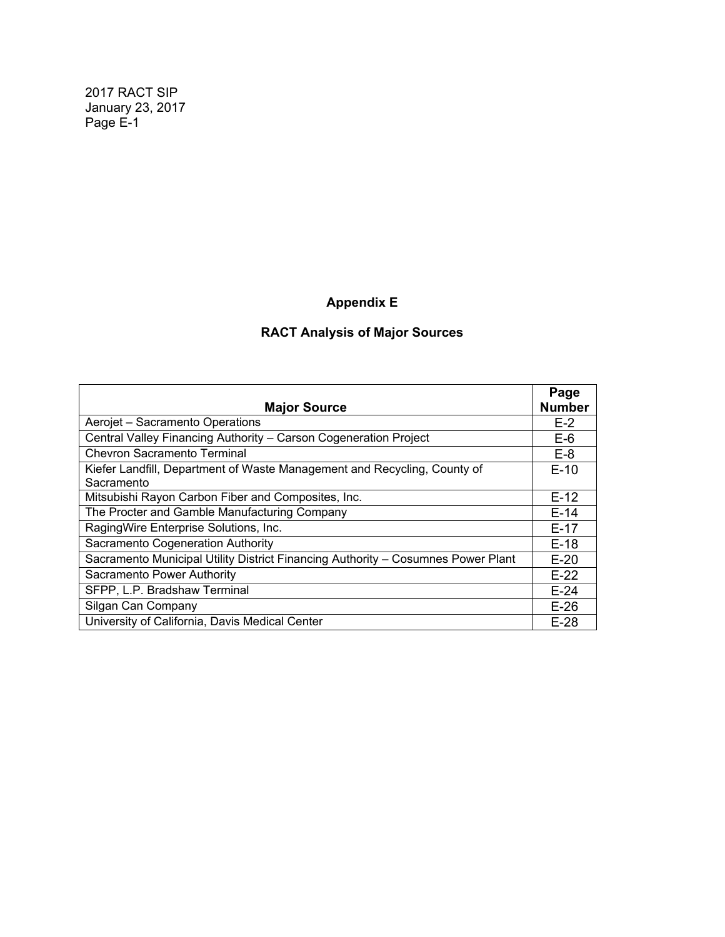# **Appendix E**

# **RACT Analysis of Major Sources**

|                                                                                        | Page          |
|----------------------------------------------------------------------------------------|---------------|
| <b>Major Source</b>                                                                    | <b>Number</b> |
| Aerojet - Sacramento Operations                                                        | $E-2$         |
| Central Valley Financing Authority - Carson Cogeneration Project                       | $E-6$         |
| <b>Chevron Sacramento Terminal</b>                                                     | $E-8$         |
| Kiefer Landfill, Department of Waste Management and Recycling, County of<br>Sacramento | $E-10$        |
| Mitsubishi Rayon Carbon Fiber and Composites, Inc.                                     | $E-12$        |
| The Procter and Gamble Manufacturing Company                                           | $E-14$        |
| RagingWire Enterprise Solutions, Inc.                                                  | $E-17$        |
| Sacramento Cogeneration Authority                                                      | $E-18$        |
| Sacramento Municipal Utility District Financing Authority - Cosumnes Power Plant       | $E-20$        |
| Sacramento Power Authority                                                             | $E-22$        |
| SFPP, L.P. Bradshaw Terminal                                                           | $E-24$        |
| Silgan Can Company                                                                     | $E-26$        |
| University of California, Davis Medical Center                                         | $E-28$        |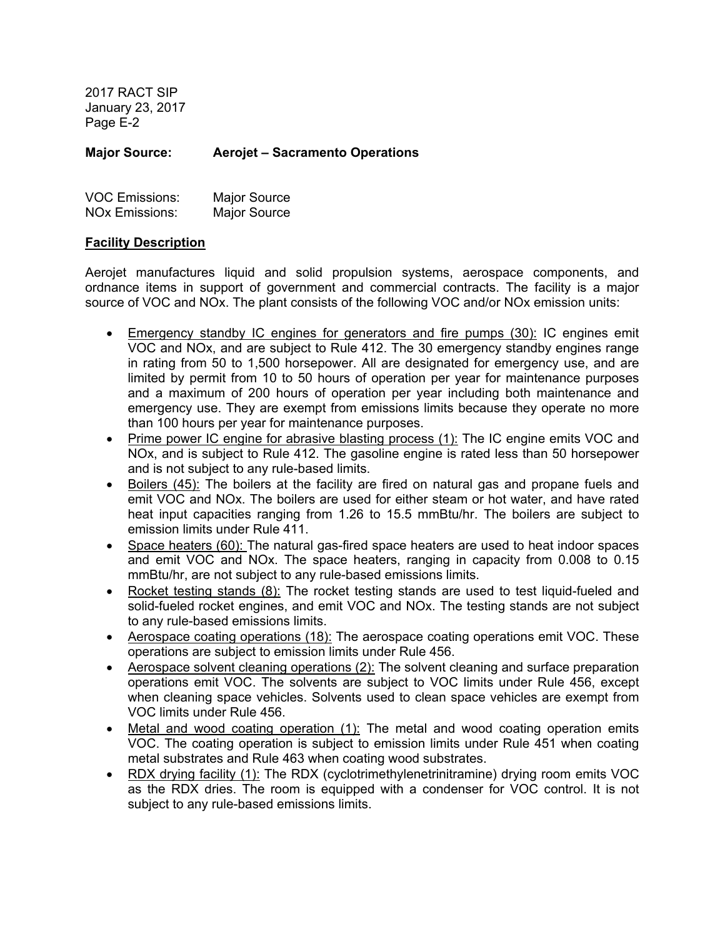**Major Source: Aerojet – Sacramento Operations** 

| <b>VOC Emissions:</b> | <b>Major Source</b> |
|-----------------------|---------------------|
| <b>NOx Emissions:</b> | Major Source        |

#### **Facility Description**

Aerojet manufactures liquid and solid propulsion systems, aerospace components, and ordnance items in support of government and commercial contracts. The facility is a major source of VOC and NOx. The plant consists of the following VOC and/or NOx emission units:

- Emergency standby IC engines for generators and fire pumps (30): IC engines emit VOC and NOx, and are subject to Rule 412. The 30 emergency standby engines range in rating from 50 to 1,500 horsepower. All are designated for emergency use, and are limited by permit from 10 to 50 hours of operation per year for maintenance purposes and a maximum of 200 hours of operation per year including both maintenance and emergency use. They are exempt from emissions limits because they operate no more than 100 hours per year for maintenance purposes.
- Prime power IC engine for abrasive blasting process (1): The IC engine emits VOC and NOx, and is subject to Rule 412. The gasoline engine is rated less than 50 horsepower and is not subject to any rule-based limits.
- Boilers (45): The boilers at the facility are fired on natural gas and propane fuels and emit VOC and NOx. The boilers are used for either steam or hot water, and have rated heat input capacities ranging from 1.26 to 15.5 mmBtu/hr. The boilers are subject to emission limits under Rule 411.
- Space heaters (60): The natural gas-fired space heaters are used to heat indoor spaces and emit VOC and NOx. The space heaters, ranging in capacity from 0.008 to 0.15 mmBtu/hr, are not subject to any rule-based emissions limits.
- Rocket testing stands (8): The rocket testing stands are used to test liquid-fueled and solid-fueled rocket engines, and emit VOC and NOx. The testing stands are not subject to any rule-based emissions limits.
- Aerospace coating operations (18): The aerospace coating operations emit VOC. These operations are subject to emission limits under Rule 456.
- Aerospace solvent cleaning operations (2): The solvent cleaning and surface preparation operations emit VOC. The solvents are subject to VOC limits under Rule 456, except when cleaning space vehicles. Solvents used to clean space vehicles are exempt from VOC limits under Rule 456.
- Metal and wood coating operation (1): The metal and wood coating operation emits VOC. The coating operation is subject to emission limits under Rule 451 when coating metal substrates and Rule 463 when coating wood substrates.
- RDX drying facility (1): The RDX (cyclotrimethylenetrinitramine) drying room emits VOC as the RDX dries. The room is equipped with a condenser for VOC control. It is not subject to any rule-based emissions limits.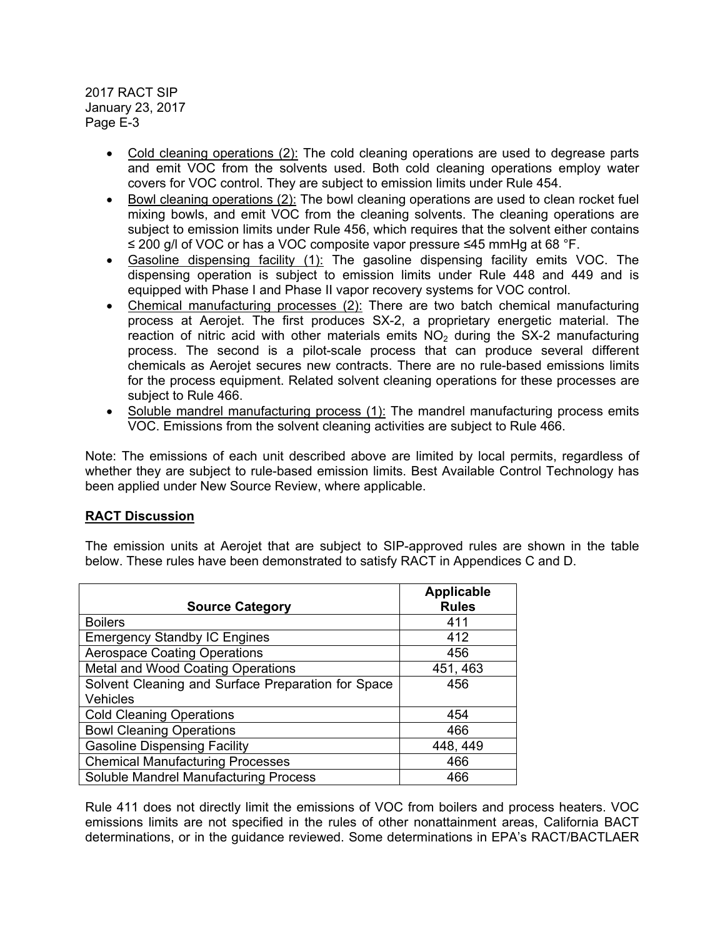- Cold cleaning operations (2): The cold cleaning operations are used to degrease parts and emit VOC from the solvents used. Both cold cleaning operations employ water covers for VOC control. They are subject to emission limits under Rule 454.
- Bowl cleaning operations (2): The bowl cleaning operations are used to clean rocket fuel mixing bowls, and emit VOC from the cleaning solvents. The cleaning operations are subject to emission limits under Rule 456, which requires that the solvent either contains ≤ 200 g/l of VOC or has a VOC composite vapor pressure ≤45 mmHg at 68 °F.
- Gasoline dispensing facility (1): The gasoline dispensing facility emits VOC. The dispensing operation is subject to emission limits under Rule 448 and 449 and is equipped with Phase I and Phase II vapor recovery systems for VOC control.
- Chemical manufacturing processes (2): There are two batch chemical manufacturing process at Aerojet. The first produces SX-2, a proprietary energetic material. The reaction of nitric acid with other materials emits  $NO<sub>2</sub>$  during the SX-2 manufacturing process. The second is a pilot-scale process that can produce several different chemicals as Aerojet secures new contracts. There are no rule-based emissions limits for the process equipment. Related solvent cleaning operations for these processes are subject to Rule 466.
- Soluble mandrel manufacturing process (1): The mandrel manufacturing process emits VOC. Emissions from the solvent cleaning activities are subject to Rule 466.

Note: The emissions of each unit described above are limited by local permits, regardless of whether they are subject to rule-based emission limits. Best Available Control Technology has been applied under New Source Review, where applicable.

## **RACT Discussion**

The emission units at Aerojet that are subject to SIP-approved rules are shown in the table below. These rules have been demonstrated to satisfy RACT in Appendices C and D.

| <b>Source Category</b>                                         | <b>Applicable</b><br><b>Rules</b> |
|----------------------------------------------------------------|-----------------------------------|
| <b>Boilers</b>                                                 | 411                               |
| <b>Emergency Standby IC Engines</b>                            | 412                               |
| <b>Aerospace Coating Operations</b>                            | 456                               |
| Metal and Wood Coating Operations                              | 451, 463                          |
| Solvent Cleaning and Surface Preparation for Space<br>Vehicles | 456                               |
| <b>Cold Cleaning Operations</b>                                | 454                               |
| <b>Bowl Cleaning Operations</b>                                | 466                               |
| <b>Gasoline Dispensing Facility</b>                            | 448, 449                          |
| <b>Chemical Manufacturing Processes</b>                        | 466                               |
| Soluble Mandrel Manufacturing Process                          | 466                               |

Rule 411 does not directly limit the emissions of VOC from boilers and process heaters. VOC emissions limits are not specified in the rules of other nonattainment areas, California BACT determinations, or in the guidance reviewed. Some determinations in EPA's RACT/BACTLAER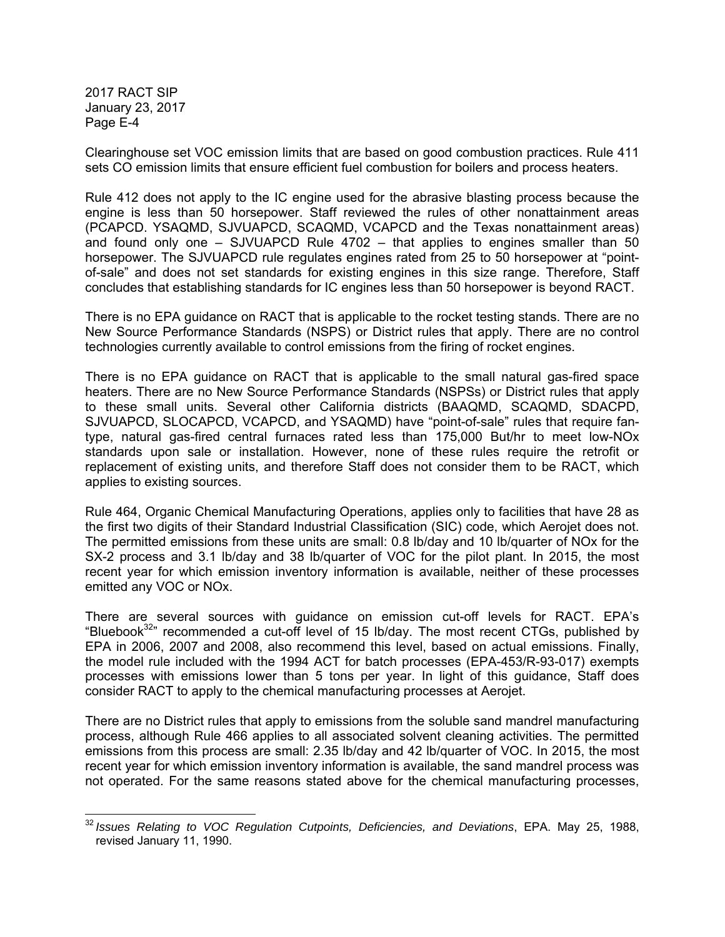Clearinghouse set VOC emission limits that are based on good combustion practices. Rule 411 sets CO emission limits that ensure efficient fuel combustion for boilers and process heaters.

Rule 412 does not apply to the IC engine used for the abrasive blasting process because the engine is less than 50 horsepower. Staff reviewed the rules of other nonattainment areas (PCAPCD. YSAQMD, SJVUAPCD, SCAQMD, VCAPCD and the Texas nonattainment areas) and found only one  $-$  SJVUAPCD Rule 4702  $-$  that applies to engines smaller than 50 horsepower. The SJVUAPCD rule regulates engines rated from 25 to 50 horsepower at "pointof-sale" and does not set standards for existing engines in this size range. Therefore, Staff concludes that establishing standards for IC engines less than 50 horsepower is beyond RACT.

There is no EPA guidance on RACT that is applicable to the rocket testing stands. There are no New Source Performance Standards (NSPS) or District rules that apply. There are no control technologies currently available to control emissions from the firing of rocket engines.

There is no EPA guidance on RACT that is applicable to the small natural gas-fired space heaters. There are no New Source Performance Standards (NSPSs) or District rules that apply to these small units. Several other California districts (BAAQMD, SCAQMD, SDACPD, SJVUAPCD, SLOCAPCD, VCAPCD, and YSAQMD) have "point-of-sale" rules that require fantype, natural gas-fired central furnaces rated less than 175,000 But/hr to meet low-NOx standards upon sale or installation. However, none of these rules require the retrofit or replacement of existing units, and therefore Staff does not consider them to be RACT, which applies to existing sources.

Rule 464, Organic Chemical Manufacturing Operations, applies only to facilities that have 28 as the first two digits of their Standard Industrial Classification (SIC) code, which Aerojet does not. The permitted emissions from these units are small: 0.8 lb/day and 10 lb/quarter of NOx for the SX-2 process and 3.1 lb/day and 38 lb/quarter of VOC for the pilot plant. In 2015, the most recent year for which emission inventory information is available, neither of these processes emitted any VOC or NOx.

There are several sources with guidance on emission cut-off levels for RACT. EPA's "Bluebook<sup>32</sup>" recommended a cut-off level of 15 lb/day. The most recent CTGs, published by EPA in 2006, 2007 and 2008, also recommend this level, based on actual emissions. Finally, the model rule included with the 1994 ACT for batch processes (EPA-453/R-93-017) exempts processes with emissions lower than 5 tons per year. In light of this guidance, Staff does consider RACT to apply to the chemical manufacturing processes at Aerojet.

There are no District rules that apply to emissions from the soluble sand mandrel manufacturing process, although Rule 466 applies to all associated solvent cleaning activities. The permitted emissions from this process are small: 2.35 lb/day and 42 lb/quarter of VOC. In 2015, the most recent year for which emission inventory information is available, the sand mandrel process was not operated. For the same reasons stated above for the chemical manufacturing processes,

<sup>32</sup> *Issues Relating to VOC Regulation Cutpoints, Deficiencies, and Deviations*, EPA. May 25, 1988, revised January 11, 1990.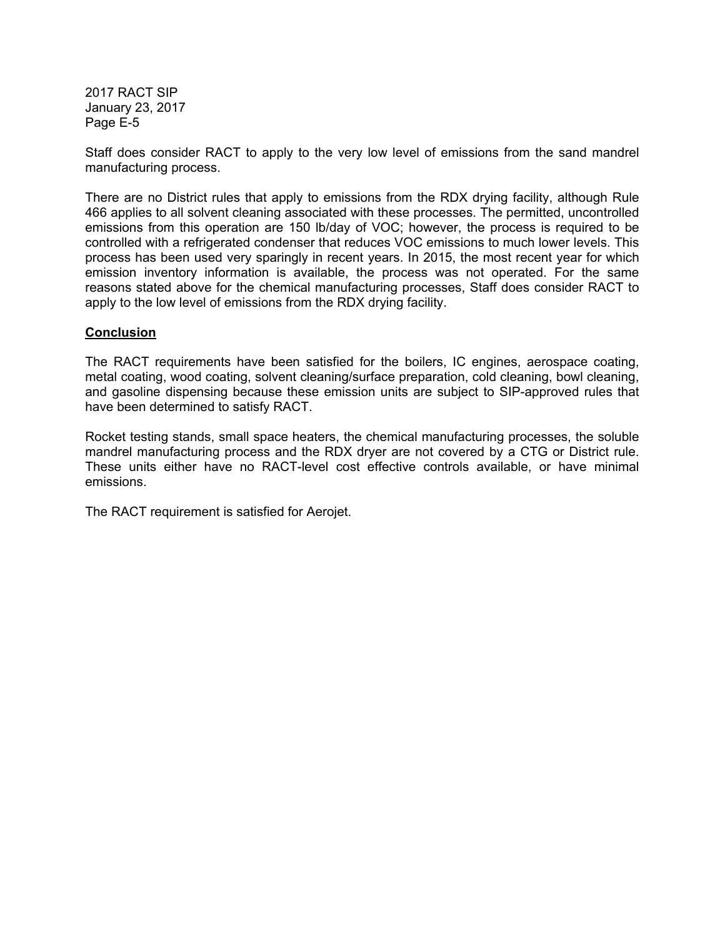Staff does consider RACT to apply to the very low level of emissions from the sand mandrel manufacturing process.

There are no District rules that apply to emissions from the RDX drying facility, although Rule 466 applies to all solvent cleaning associated with these processes. The permitted, uncontrolled emissions from this operation are 150 lb/day of VOC; however, the process is required to be controlled with a refrigerated condenser that reduces VOC emissions to much lower levels. This process has been used very sparingly in recent years. In 2015, the most recent year for which emission inventory information is available, the process was not operated. For the same reasons stated above for the chemical manufacturing processes, Staff does consider RACT to apply to the low level of emissions from the RDX drying facility.

#### **Conclusion**

The RACT requirements have been satisfied for the boilers, IC engines, aerospace coating, metal coating, wood coating, solvent cleaning/surface preparation, cold cleaning, bowl cleaning, and gasoline dispensing because these emission units are subject to SIP-approved rules that have been determined to satisfy RACT.

Rocket testing stands, small space heaters, the chemical manufacturing processes, the soluble mandrel manufacturing process and the RDX dryer are not covered by a CTG or District rule. These units either have no RACT-level cost effective controls available, or have minimal emissions.

The RACT requirement is satisfied for Aerojet.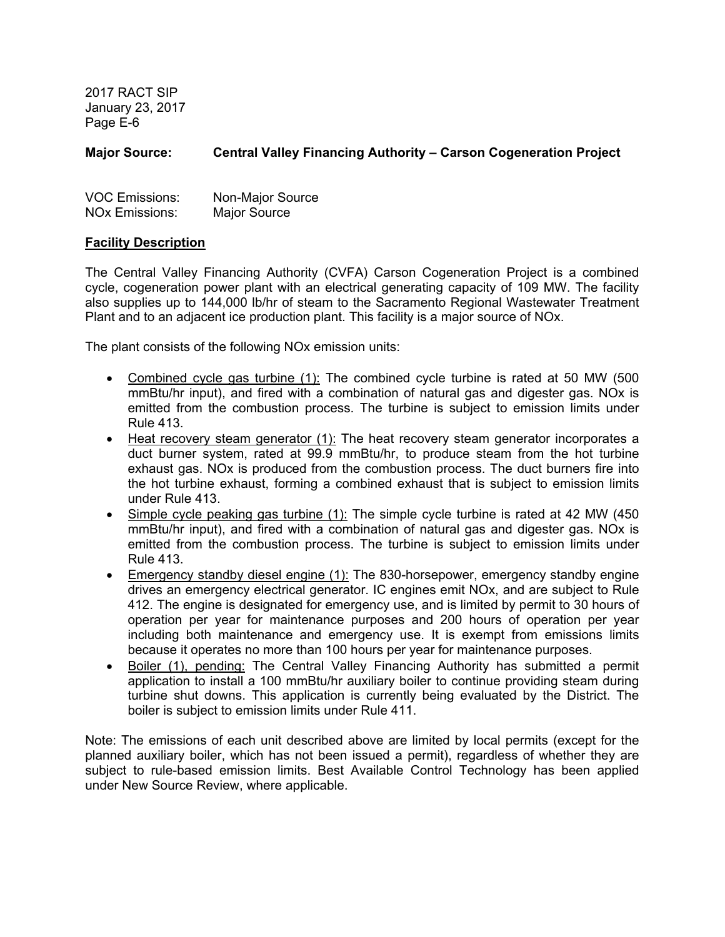## **Major Source: Central Valley Financing Authority – Carson Cogeneration Project**

| <b>VOC Emissions:</b> | Non-Major Source    |
|-----------------------|---------------------|
| <b>NOx Emissions:</b> | <b>Major Source</b> |

#### **Facility Description**

The Central Valley Financing Authority (CVFA) Carson Cogeneration Project is a combined cycle, cogeneration power plant with an electrical generating capacity of 109 MW. The facility also supplies up to 144,000 lb/hr of steam to the Sacramento Regional Wastewater Treatment Plant and to an adjacent ice production plant. This facility is a major source of NOx.

The plant consists of the following NOx emission units:

- Combined cycle gas turbine (1): The combined cycle turbine is rated at 50 MW (500 mmBtu/hr input), and fired with a combination of natural gas and digester gas. NOx is emitted from the combustion process. The turbine is subject to emission limits under Rule 413.
- Heat recovery steam generator (1): The heat recovery steam generator incorporates a duct burner system, rated at 99.9 mmBtu/hr, to produce steam from the hot turbine exhaust gas. NOx is produced from the combustion process. The duct burners fire into the hot turbine exhaust, forming a combined exhaust that is subject to emission limits under Rule 413.
- Simple cycle peaking gas turbine (1): The simple cycle turbine is rated at 42 MW (450 mmBtu/hr input), and fired with a combination of natural gas and digester gas. NOx is emitted from the combustion process. The turbine is subject to emission limits under Rule 413.
- Emergency standby diesel engine (1): The 830-horsepower, emergency standby engine drives an emergency electrical generator. IC engines emit NOx, and are subject to Rule 412. The engine is designated for emergency use, and is limited by permit to 30 hours of operation per year for maintenance purposes and 200 hours of operation per year including both maintenance and emergency use. It is exempt from emissions limits because it operates no more than 100 hours per year for maintenance purposes.
- Boiler (1), pending: The Central Valley Financing Authority has submitted a permit application to install a 100 mmBtu/hr auxiliary boiler to continue providing steam during turbine shut downs. This application is currently being evaluated by the District. The boiler is subject to emission limits under Rule 411.

Note: The emissions of each unit described above are limited by local permits (except for the planned auxiliary boiler, which has not been issued a permit), regardless of whether they are subject to rule-based emission limits. Best Available Control Technology has been applied under New Source Review, where applicable.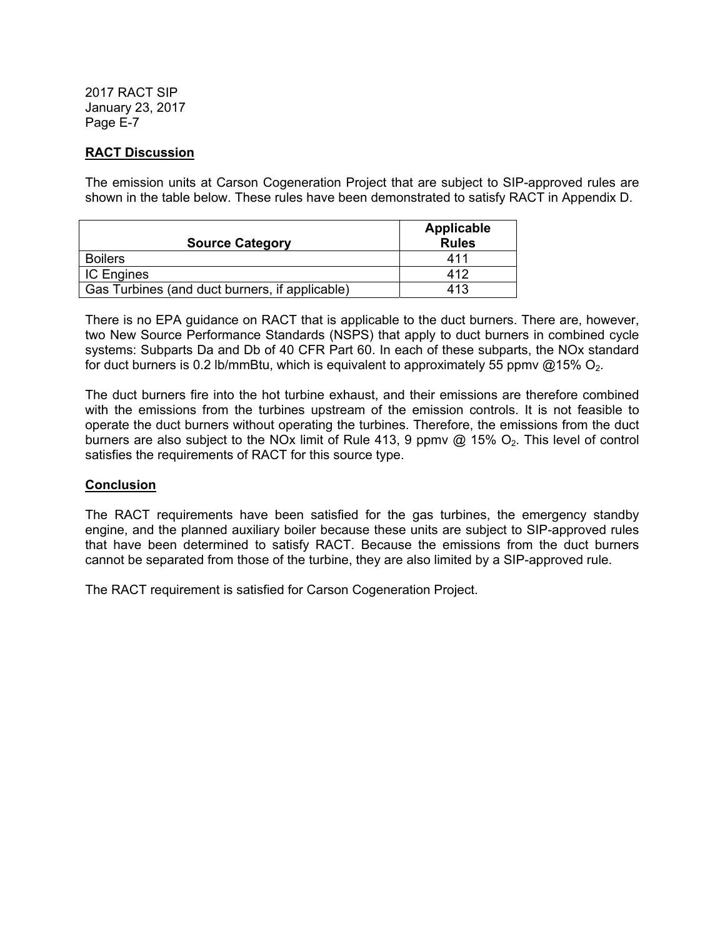## **RACT Discussion**

The emission units at Carson Cogeneration Project that are subject to SIP-approved rules are shown in the table below. These rules have been demonstrated to satisfy RACT in Appendix D.

|                                                | Applicable   |
|------------------------------------------------|--------------|
| <b>Source Category</b>                         | <b>Rules</b> |
| <b>Boilers</b>                                 | 411          |
| <b>IC Engines</b>                              | 412          |
| Gas Turbines (and duct burners, if applicable) | 413          |

There is no EPA guidance on RACT that is applicable to the duct burners. There are, however, two New Source Performance Standards (NSPS) that apply to duct burners in combined cycle systems: Subparts Da and Db of 40 CFR Part 60. In each of these subparts, the NOx standard for duct burners is 0.2 lb/mmBtu, which is equivalent to approximately 55 ppmv  $@15\%$  O<sub>2</sub>.

The duct burners fire into the hot turbine exhaust, and their emissions are therefore combined with the emissions from the turbines upstream of the emission controls. It is not feasible to operate the duct burners without operating the turbines. Therefore, the emissions from the duct burners are also subject to the NOx limit of Rule 413, 9 ppmv  $@$  15%  $O_2$ . This level of control satisfies the requirements of RACT for this source type.

## **Conclusion**

The RACT requirements have been satisfied for the gas turbines, the emergency standby engine, and the planned auxiliary boiler because these units are subject to SIP-approved rules that have been determined to satisfy RACT. Because the emissions from the duct burners cannot be separated from those of the turbine, they are also limited by a SIP-approved rule.

The RACT requirement is satisfied for Carson Cogeneration Project.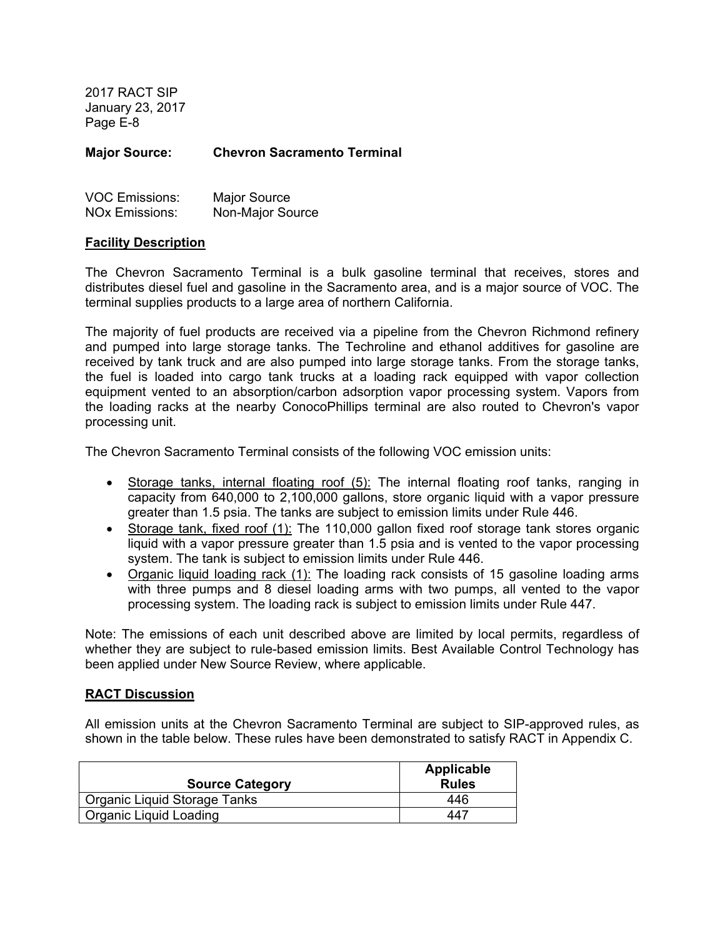**Major Source: Chevron Sacramento Terminal** 

| <b>VOC Emissions:</b> | <b>Major Source</b> |
|-----------------------|---------------------|
| <b>NOx Emissions:</b> | Non-Major Source    |

#### **Facility Description**

The Chevron Sacramento Terminal is a bulk gasoline terminal that receives, stores and distributes diesel fuel and gasoline in the Sacramento area, and is a major source of VOC. The terminal supplies products to a large area of northern California.

The majority of fuel products are received via a pipeline from the Chevron Richmond refinery and pumped into large storage tanks. The Techroline and ethanol additives for gasoline are received by tank truck and are also pumped into large storage tanks. From the storage tanks, the fuel is loaded into cargo tank trucks at a loading rack equipped with vapor collection equipment vented to an absorption/carbon adsorption vapor processing system. Vapors from the loading racks at the nearby ConocoPhillips terminal are also routed to Chevron's vapor processing unit.

The Chevron Sacramento Terminal consists of the following VOC emission units:

- Storage tanks, internal floating roof (5): The internal floating roof tanks, ranging in capacity from 640,000 to 2,100,000 gallons, store organic liquid with a vapor pressure greater than 1.5 psia. The tanks are subject to emission limits under Rule 446.
- Storage tank, fixed roof (1): The 110,000 gallon fixed roof storage tank stores organic liquid with a vapor pressure greater than 1.5 psia and is vented to the vapor processing system. The tank is subject to emission limits under Rule 446.
- Organic liquid loading rack (1): The loading rack consists of 15 gasoline loading arms with three pumps and 8 diesel loading arms with two pumps, all vented to the vapor processing system. The loading rack is subject to emission limits under Rule 447.

Note: The emissions of each unit described above are limited by local permits, regardless of whether they are subject to rule-based emission limits. Best Available Control Technology has been applied under New Source Review, where applicable.

#### **RACT Discussion**

All emission units at the Chevron Sacramento Terminal are subject to SIP-approved rules, as shown in the table below. These rules have been demonstrated to satisfy RACT in Appendix C.

| <b>Source Category</b>       | Applicable<br><b>Rules</b> |
|------------------------------|----------------------------|
| Organic Liquid Storage Tanks | 446                        |
| Organic Liquid Loading       | 447                        |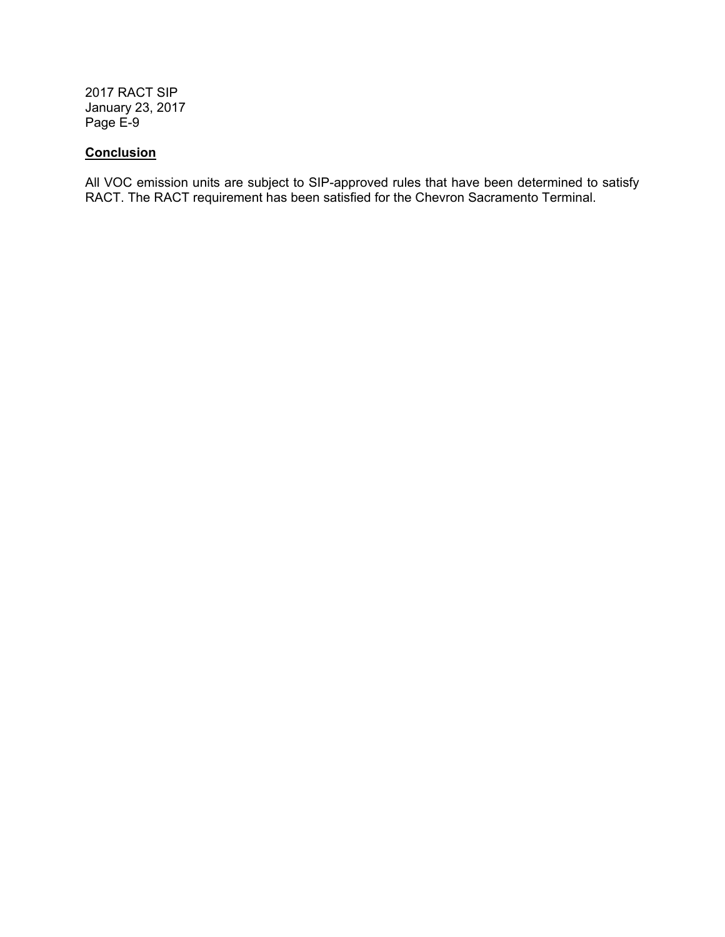## **Conclusion**

All VOC emission units are subject to SIP-approved rules that have been determined to satisfy RACT. The RACT requirement has been satisfied for the Chevron Sacramento Terminal.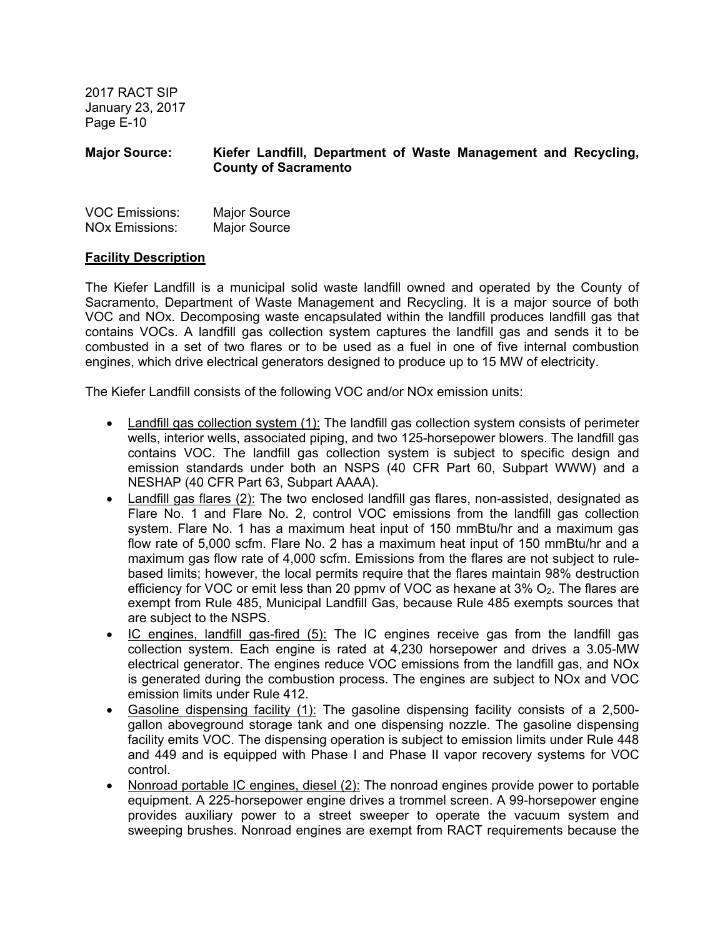## **Major Source: Kiefer Landfill, Department of Waste Management and Recycling, County of Sacramento**

| <b>VOC Emissions:</b> | <b>Major Source</b> |
|-----------------------|---------------------|
| <b>NOx Emissions:</b> | <b>Major Source</b> |

## **Facility Description**

The Kiefer Landfill is a municipal solid waste landfill owned and operated by the County of Sacramento, Department of Waste Management and Recycling. It is a major source of both VOC and NOx. Decomposing waste encapsulated within the landfill produces landfill gas that contains VOCs. A landfill gas collection system captures the landfill gas and sends it to be combusted in a set of two flares or to be used as a fuel in one of five internal combustion engines, which drive electrical generators designed to produce up to 15 MW of electricity.

The Kiefer Landfill consists of the following VOC and/or NOx emission units:

- Landfill gas collection system (1): The landfill gas collection system consists of perimeter wells, interior wells, associated piping, and two 125-horsepower blowers. The landfill gas contains VOC. The landfill gas collection system is subject to specific design and emission standards under both an NSPS (40 CFR Part 60, Subpart WWW) and a NESHAP (40 CFR Part 63, Subpart AAAA).
- Landfill gas flares (2): The two enclosed landfill gas flares, non-assisted, designated as Flare No. 1 and Flare No. 2, control VOC emissions from the landfill gas collection system. Flare No. 1 has a maximum heat input of 150 mmBtu/hr and a maximum gas flow rate of 5,000 scfm. Flare No. 2 has a maximum heat input of 150 mmBtu/hr and a maximum gas flow rate of 4,000 scfm. Emissions from the flares are not subject to rulebased limits; however, the local permits require that the flares maintain 98% destruction efficiency for VOC or emit less than 20 ppmy of VOC as hexane at  $3\%$  O<sub>2</sub>. The flares are exempt from Rule 485, Municipal Landfill Gas, because Rule 485 exempts sources that are subject to the NSPS.
- IC engines, landfill gas-fired (5): The IC engines receive gas from the landfill gas collection system. Each engine is rated at 4,230 horsepower and drives a 3.05-MW electrical generator. The engines reduce VOC emissions from the landfill gas, and NOx is generated during the combustion process. The engines are subject to NOx and VOC emission limits under Rule 412.
- Gasoline dispensing facility (1): The gasoline dispensing facility consists of a 2,500 gallon aboveground storage tank and one dispensing nozzle. The gasoline dispensing facility emits VOC. The dispensing operation is subject to emission limits under Rule 448 and 449 and is equipped with Phase I and Phase II vapor recovery systems for VOC control.
- Nonroad portable IC engines, diesel (2): The nonroad engines provide power to portable equipment. A 225-horsepower engine drives a trommel screen. A 99-horsepower engine provides auxiliary power to a street sweeper to operate the vacuum system and sweeping brushes. Nonroad engines are exempt from RACT requirements because the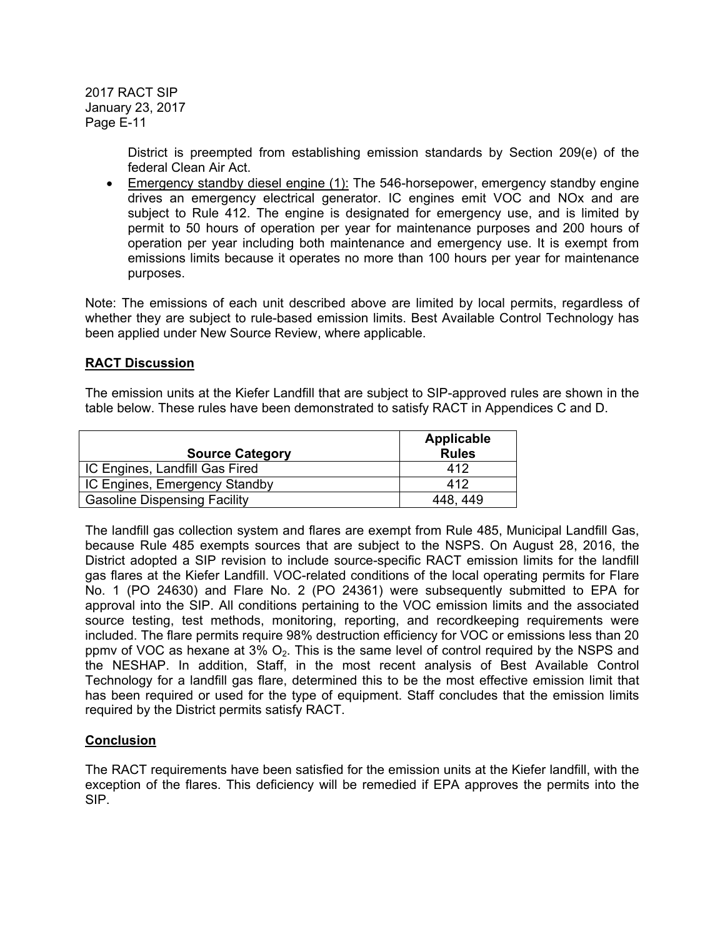> District is preempted from establishing emission standards by Section 209(e) of the federal Clean Air Act.

 Emergency standby diesel engine (1): The 546-horsepower, emergency standby engine drives an emergency electrical generator. IC engines emit VOC and NOx and are subject to Rule 412. The engine is designated for emergency use, and is limited by permit to 50 hours of operation per year for maintenance purposes and 200 hours of operation per year including both maintenance and emergency use. It is exempt from emissions limits because it operates no more than 100 hours per year for maintenance purposes.

Note: The emissions of each unit described above are limited by local permits, regardless of whether they are subject to rule-based emission limits. Best Available Control Technology has been applied under New Source Review, where applicable.

#### **RACT Discussion**

The emission units at the Kiefer Landfill that are subject to SIP-approved rules are shown in the table below. These rules have been demonstrated to satisfy RACT in Appendices C and D.

|                                     | Applicable   |
|-------------------------------------|--------------|
| <b>Source Category</b>              | <b>Rules</b> |
| IC Engines, Landfill Gas Fired      | 412          |
| IC Engines, Emergency Standby       | 412          |
| <b>Gasoline Dispensing Facility</b> | 448.449      |

The landfill gas collection system and flares are exempt from Rule 485, Municipal Landfill Gas, because Rule 485 exempts sources that are subject to the NSPS. On August 28, 2016, the District adopted a SIP revision to include source-specific RACT emission limits for the landfill gas flares at the Kiefer Landfill. VOC-related conditions of the local operating permits for Flare No. 1 (PO 24630) and Flare No. 2 (PO 24361) were subsequently submitted to EPA for approval into the SIP. All conditions pertaining to the VOC emission limits and the associated source testing, test methods, monitoring, reporting, and recordkeeping requirements were included. The flare permits require 98% destruction efficiency for VOC or emissions less than 20 ppmv of VOC as hexane at  $3\%$  O<sub>2</sub>. This is the same level of control required by the NSPS and the NESHAP. In addition, Staff, in the most recent analysis of Best Available Control Technology for a landfill gas flare, determined this to be the most effective emission limit that has been required or used for the type of equipment. Staff concludes that the emission limits required by the District permits satisfy RACT.

#### **Conclusion**

The RACT requirements have been satisfied for the emission units at the Kiefer landfill, with the exception of the flares. This deficiency will be remedied if EPA approves the permits into the SIP.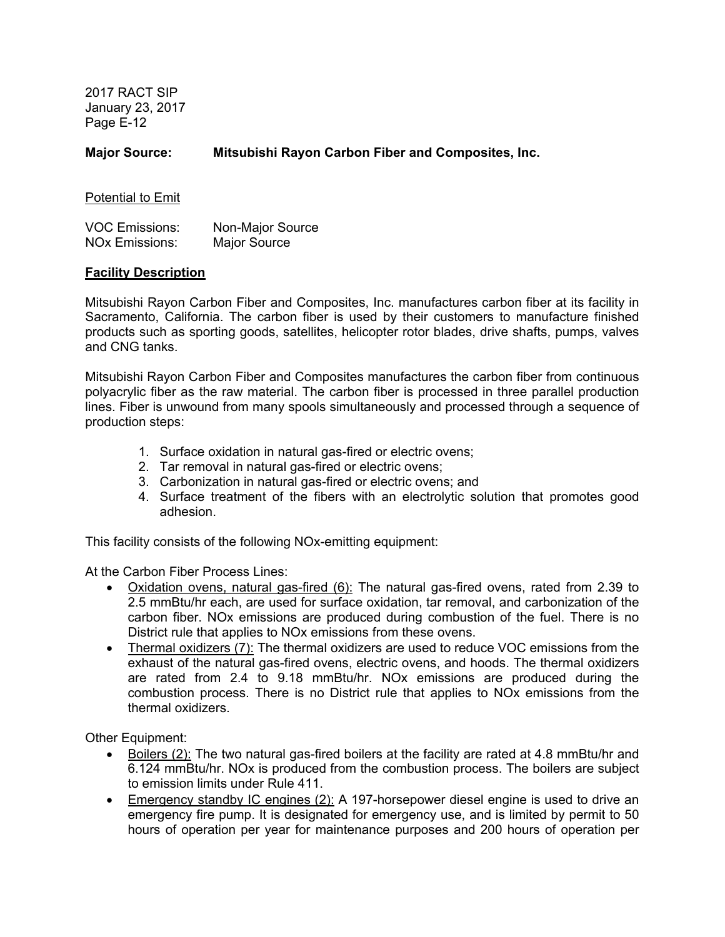**Major Source: Mitsubishi Rayon Carbon Fiber and Composites, Inc.** 

Potential to Emit

| <b>VOC Emissions:</b> | Non-Major Source    |
|-----------------------|---------------------|
| <b>NOx Emissions:</b> | <b>Major Source</b> |

#### **Facility Description**

Mitsubishi Rayon Carbon Fiber and Composites, Inc. manufactures carbon fiber at its facility in Sacramento, California. The carbon fiber is used by their customers to manufacture finished products such as sporting goods, satellites, helicopter rotor blades, drive shafts, pumps, valves and CNG tanks.

Mitsubishi Rayon Carbon Fiber and Composites manufactures the carbon fiber from continuous polyacrylic fiber as the raw material. The carbon fiber is processed in three parallel production lines. Fiber is unwound from many spools simultaneously and processed through a sequence of production steps:

- 1. Surface oxidation in natural gas-fired or electric ovens;
- 2. Tar removal in natural gas-fired or electric ovens;
- 3. Carbonization in natural gas-fired or electric ovens; and
- 4. Surface treatment of the fibers with an electrolytic solution that promotes good adhesion.

This facility consists of the following NOx-emitting equipment:

At the Carbon Fiber Process Lines:

- Oxidation ovens, natural gas-fired (6): The natural gas-fired ovens, rated from 2.39 to 2.5 mmBtu/hr each, are used for surface oxidation, tar removal, and carbonization of the carbon fiber. NOx emissions are produced during combustion of the fuel. There is no District rule that applies to NOx emissions from these ovens.
- Thermal oxidizers (7): The thermal oxidizers are used to reduce VOC emissions from the exhaust of the natural gas-fired ovens, electric ovens, and hoods. The thermal oxidizers are rated from 2.4 to 9.18 mmBtu/hr. NOx emissions are produced during the combustion process. There is no District rule that applies to NOx emissions from the thermal oxidizers.

Other Equipment:

- Boilers (2): The two natural gas-fired boilers at the facility are rated at 4.8 mmBtu/hr and 6.124 mmBtu/hr. NOx is produced from the combustion process. The boilers are subject to emission limits under Rule 411.
- **Emergency standby IC engines (2):** A 197-horsepower diesel engine is used to drive an emergency fire pump. It is designated for emergency use, and is limited by permit to 50 hours of operation per year for maintenance purposes and 200 hours of operation per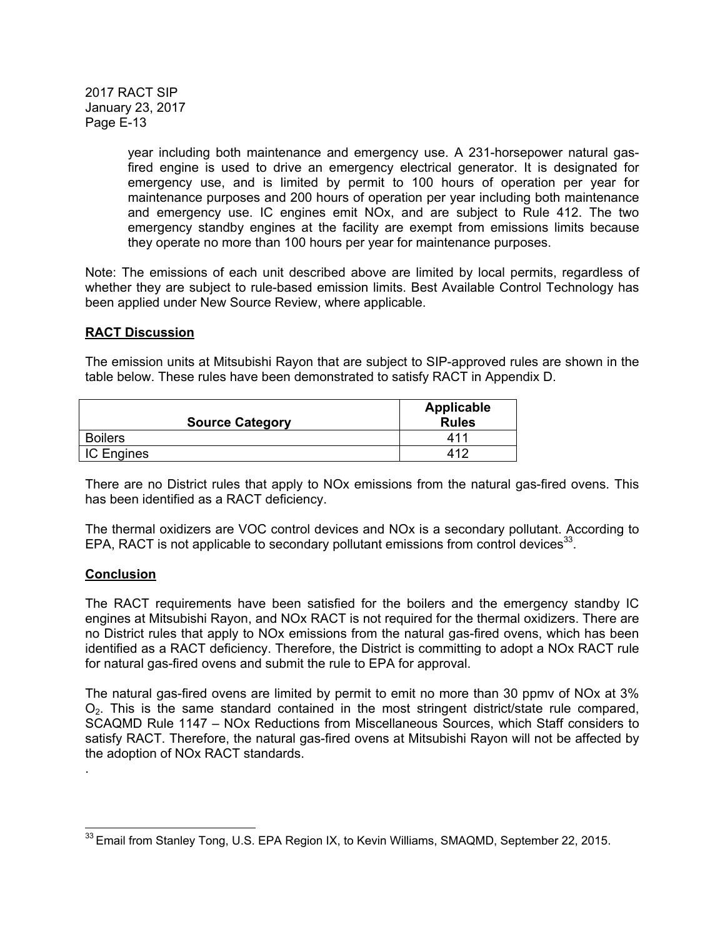> year including both maintenance and emergency use. A 231-horsepower natural gasfired engine is used to drive an emergency electrical generator. It is designated for emergency use, and is limited by permit to 100 hours of operation per year for maintenance purposes and 200 hours of operation per year including both maintenance and emergency use. IC engines emit NOx, and are subject to Rule 412. The two emergency standby engines at the facility are exempt from emissions limits because they operate no more than 100 hours per year for maintenance purposes.

Note: The emissions of each unit described above are limited by local permits, regardless of whether they are subject to rule-based emission limits. Best Available Control Technology has been applied under New Source Review, where applicable.

#### **RACT Discussion**

The emission units at Mitsubishi Rayon that are subject to SIP-approved rules are shown in the table below. These rules have been demonstrated to satisfy RACT in Appendix D.

| <b>Source Category</b> | Applicable<br><b>Rules</b> |
|------------------------|----------------------------|
| <b>Boilers</b>         | 411                        |
| <b>IC Engines</b>      | 412                        |

There are no District rules that apply to NOx emissions from the natural gas-fired ovens. This has been identified as a RACT deficiency.

The thermal oxidizers are VOC control devices and NOx is a secondary pollutant. According to EPA, RACT is not applicable to secondary pollutant emissions from control devices $^{33}$ .

## **Conclusion**

.

The RACT requirements have been satisfied for the boilers and the emergency standby IC engines at Mitsubishi Rayon, and NOx RACT is not required for the thermal oxidizers. There are no District rules that apply to NOx emissions from the natural gas-fired ovens, which has been identified as a RACT deficiency. Therefore, the District is committing to adopt a NOx RACT rule for natural gas-fired ovens and submit the rule to EPA for approval.

The natural gas-fired ovens are limited by permit to emit no more than 30 ppmv of NOx at 3% O2. This is the same standard contained in the most stringent district/state rule compared, SCAQMD Rule 1147 – NOx Reductions from Miscellaneous Sources, which Staff considers to satisfy RACT. Therefore, the natural gas-fired ovens at Mitsubishi Rayon will not be affected by the adoption of NOx RACT standards.

  $^{33}$  Email from Stanley Tong, U.S. EPA Region IX, to Kevin Williams, SMAQMD, September 22, 2015.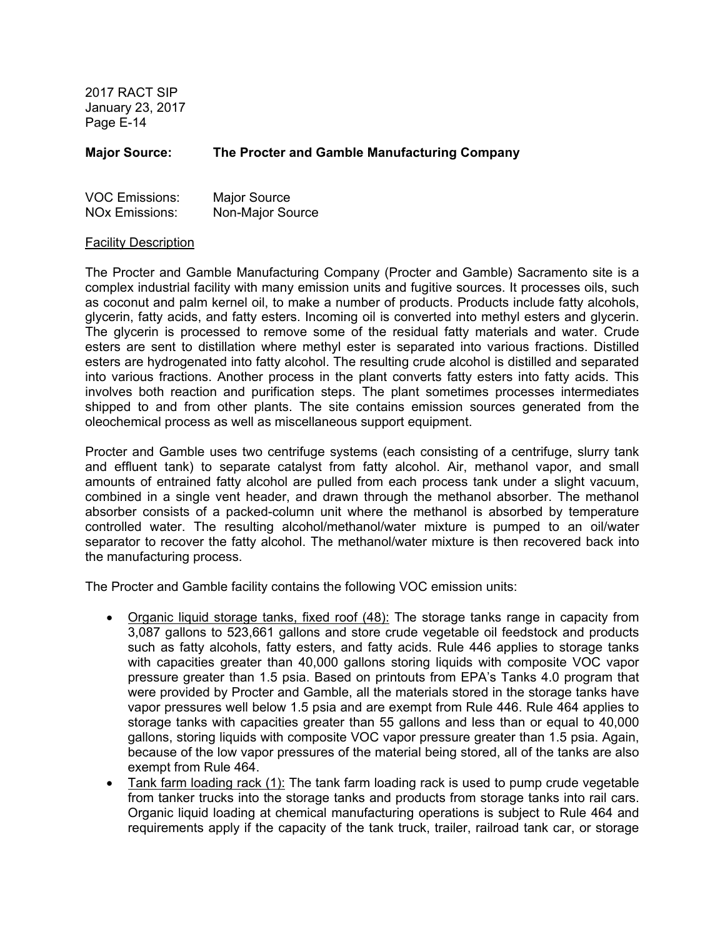#### **Major Source: The Procter and Gamble Manufacturing Company**

| <b>VOC Emissions:</b> | <b>Major Source</b> |
|-----------------------|---------------------|
| <b>NOx Emissions:</b> | Non-Major Source    |

#### Facility Description

The Procter and Gamble Manufacturing Company (Procter and Gamble) Sacramento site is a complex industrial facility with many emission units and fugitive sources. It processes oils, such as coconut and palm kernel oil, to make a number of products. Products include fatty alcohols, glycerin, fatty acids, and fatty esters. Incoming oil is converted into methyl esters and glycerin. The glycerin is processed to remove some of the residual fatty materials and water. Crude esters are sent to distillation where methyl ester is separated into various fractions. Distilled esters are hydrogenated into fatty alcohol. The resulting crude alcohol is distilled and separated into various fractions. Another process in the plant converts fatty esters into fatty acids. This involves both reaction and purification steps. The plant sometimes processes intermediates shipped to and from other plants. The site contains emission sources generated from the oleochemical process as well as miscellaneous support equipment.

Procter and Gamble uses two centrifuge systems (each consisting of a centrifuge, slurry tank and effluent tank) to separate catalyst from fatty alcohol. Air, methanol vapor, and small amounts of entrained fatty alcohol are pulled from each process tank under a slight vacuum, combined in a single vent header, and drawn through the methanol absorber. The methanol absorber consists of a packed-column unit where the methanol is absorbed by temperature controlled water. The resulting alcohol/methanol/water mixture is pumped to an oil/water separator to recover the fatty alcohol. The methanol/water mixture is then recovered back into the manufacturing process.

The Procter and Gamble facility contains the following VOC emission units:

- Organic liquid storage tanks, fixed roof (48): The storage tanks range in capacity from 3,087 gallons to 523,661 gallons and store crude vegetable oil feedstock and products such as fatty alcohols, fatty esters, and fatty acids. Rule 446 applies to storage tanks with capacities greater than 40,000 gallons storing liquids with composite VOC vapor pressure greater than 1.5 psia. Based on printouts from EPA's Tanks 4.0 program that were provided by Procter and Gamble, all the materials stored in the storage tanks have vapor pressures well below 1.5 psia and are exempt from Rule 446. Rule 464 applies to storage tanks with capacities greater than 55 gallons and less than or equal to 40,000 gallons, storing liquids with composite VOC vapor pressure greater than 1.5 psia. Again, because of the low vapor pressures of the material being stored, all of the tanks are also exempt from Rule 464.
- Tank farm loading rack (1): The tank farm loading rack is used to pump crude vegetable from tanker trucks into the storage tanks and products from storage tanks into rail cars. Organic liquid loading at chemical manufacturing operations is subject to Rule 464 and requirements apply if the capacity of the tank truck, trailer, railroad tank car, or storage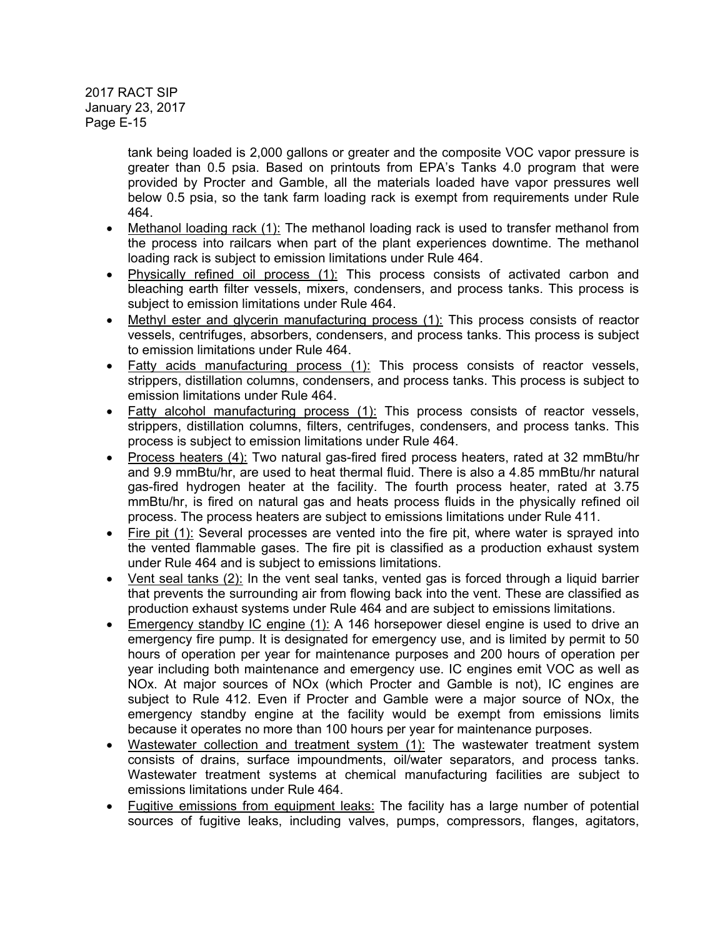> tank being loaded is 2,000 gallons or greater and the composite VOC vapor pressure is greater than 0.5 psia. Based on printouts from EPA's Tanks 4.0 program that were provided by Procter and Gamble, all the materials loaded have vapor pressures well below 0.5 psia, so the tank farm loading rack is exempt from requirements under Rule 464.

- Methanol loading rack (1): The methanol loading rack is used to transfer methanol from the process into railcars when part of the plant experiences downtime. The methanol loading rack is subject to emission limitations under Rule 464.
- Physically refined oil process (1): This process consists of activated carbon and bleaching earth filter vessels, mixers, condensers, and process tanks. This process is subject to emission limitations under Rule 464.
- Methyl ester and glycerin manufacturing process (1): This process consists of reactor vessels, centrifuges, absorbers, condensers, and process tanks. This process is subject to emission limitations under Rule 464.
- Fatty acids manufacturing process (1): This process consists of reactor vessels, strippers, distillation columns, condensers, and process tanks. This process is subject to emission limitations under Rule 464.
- Fatty alcohol manufacturing process (1): This process consists of reactor vessels, strippers, distillation columns, filters, centrifuges, condensers, and process tanks. This process is subject to emission limitations under Rule 464.
- Process heaters (4): Two natural gas-fired fired process heaters, rated at 32 mmBtu/hr and 9.9 mmBtu/hr, are used to heat thermal fluid. There is also a 4.85 mmBtu/hr natural gas-fired hydrogen heater at the facility. The fourth process heater, rated at 3.75 mmBtu/hr, is fired on natural gas and heats process fluids in the physically refined oil process. The process heaters are subject to emissions limitations under Rule 411.
- Fire pit (1): Several processes are vented into the fire pit, where water is sprayed into the vented flammable gases. The fire pit is classified as a production exhaust system under Rule 464 and is subject to emissions limitations.
- Vent seal tanks (2): In the vent seal tanks, vented gas is forced through a liquid barrier that prevents the surrounding air from flowing back into the vent. These are classified as production exhaust systems under Rule 464 and are subject to emissions limitations.
- Emergency standby IC engine (1): A 146 horsepower diesel engine is used to drive an emergency fire pump. It is designated for emergency use, and is limited by permit to 50 hours of operation per year for maintenance purposes and 200 hours of operation per year including both maintenance and emergency use. IC engines emit VOC as well as NOx. At major sources of NOx (which Procter and Gamble is not), IC engines are subject to Rule 412. Even if Procter and Gamble were a major source of NOx, the emergency standby engine at the facility would be exempt from emissions limits because it operates no more than 100 hours per year for maintenance purposes.
- Wastewater collection and treatment system (1): The wastewater treatment system consists of drains, surface impoundments, oil/water separators, and process tanks. Wastewater treatment systems at chemical manufacturing facilities are subject to emissions limitations under Rule 464.
- Fugitive emissions from equipment leaks: The facility has a large number of potential sources of fugitive leaks, including valves, pumps, compressors, flanges, agitators,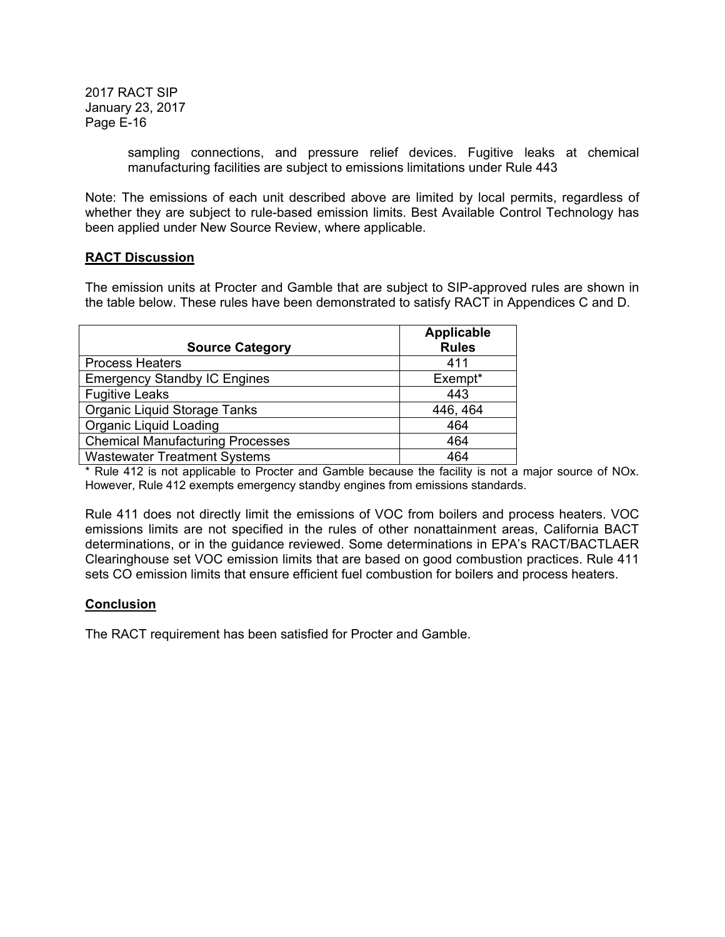> sampling connections, and pressure relief devices. Fugitive leaks at chemical manufacturing facilities are subject to emissions limitations under Rule 443

Note: The emissions of each unit described above are limited by local permits, regardless of whether they are subject to rule-based emission limits. Best Available Control Technology has been applied under New Source Review, where applicable.

## **RACT Discussion**

The emission units at Procter and Gamble that are subject to SIP-approved rules are shown in the table below. These rules have been demonstrated to satisfy RACT in Appendices C and D.

|                                         | <b>Applicable</b> |
|-----------------------------------------|-------------------|
| <b>Source Category</b>                  | <b>Rules</b>      |
| <b>Process Heaters</b>                  | 411               |
| <b>Emergency Standby IC Engines</b>     | Exempt*           |
| <b>Fugitive Leaks</b>                   | 443               |
| <b>Organic Liquid Storage Tanks</b>     | 446, 464          |
| <b>Organic Liquid Loading</b>           | 464               |
| <b>Chemical Manufacturing Processes</b> | 464               |
| <b>Wastewater Treatment Systems</b>     | 464               |

\* Rule 412 is not applicable to Procter and Gamble because the facility is not a major source of NOx. However, Rule 412 exempts emergency standby engines from emissions standards.

Rule 411 does not directly limit the emissions of VOC from boilers and process heaters. VOC emissions limits are not specified in the rules of other nonattainment areas, California BACT determinations, or in the guidance reviewed. Some determinations in EPA's RACT/BACTLAER Clearinghouse set VOC emission limits that are based on good combustion practices. Rule 411 sets CO emission limits that ensure efficient fuel combustion for boilers and process heaters.

# **Conclusion**

The RACT requirement has been satisfied for Procter and Gamble.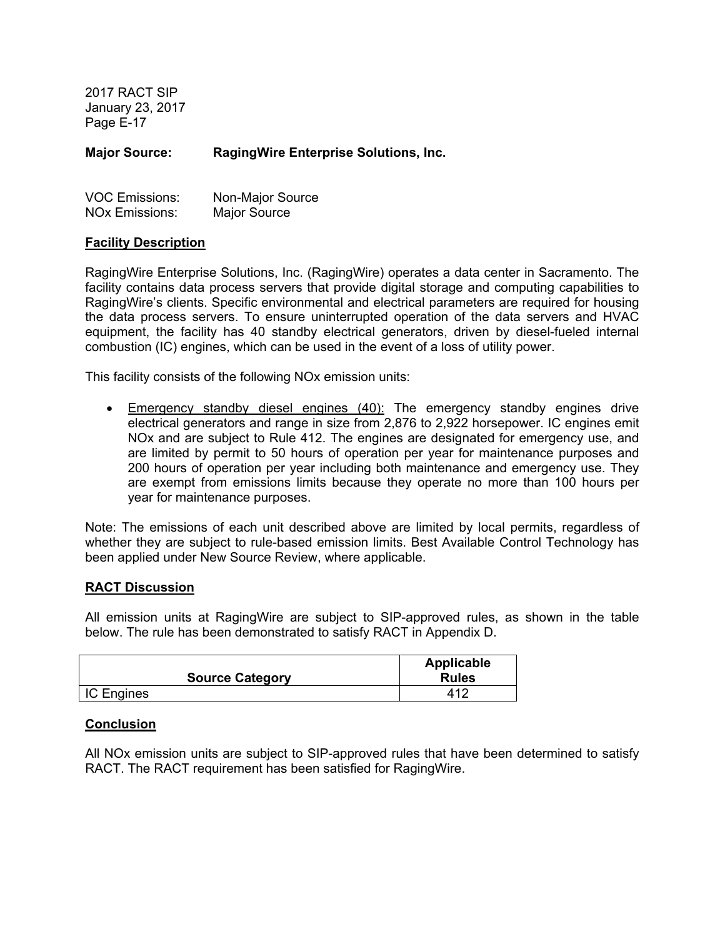**Major Source: RagingWire Enterprise Solutions, Inc.** 

| <b>VOC Emissions:</b> | Non-Major Source |
|-----------------------|------------------|
| <b>NOx Emissions:</b> | Major Source     |

#### **Facility Description**

RagingWire Enterprise Solutions, Inc. (RagingWire) operates a data center in Sacramento. The facility contains data process servers that provide digital storage and computing capabilities to RagingWire's clients. Specific environmental and electrical parameters are required for housing the data process servers. To ensure uninterrupted operation of the data servers and HVAC equipment, the facility has 40 standby electrical generators, driven by diesel-fueled internal combustion (IC) engines, which can be used in the event of a loss of utility power.

This facility consists of the following NOx emission units:

 Emergency standby diesel engines (40): The emergency standby engines drive electrical generators and range in size from 2,876 to 2,922 horsepower. IC engines emit NOx and are subject to Rule 412. The engines are designated for emergency use, and are limited by permit to 50 hours of operation per year for maintenance purposes and 200 hours of operation per year including both maintenance and emergency use. They are exempt from emissions limits because they operate no more than 100 hours per year for maintenance purposes.

Note: The emissions of each unit described above are limited by local permits, regardless of whether they are subject to rule-based emission limits. Best Available Control Technology has been applied under New Source Review, where applicable.

#### **RACT Discussion**

All emission units at RagingWire are subject to SIP-approved rules, as shown in the table below. The rule has been demonstrated to satisfy RACT in Appendix D.

|                        | Applicable   |
|------------------------|--------------|
| <b>Source Category</b> | <b>Rules</b> |
| <b>IC Engines</b>      | 412          |

### **Conclusion**

All NOx emission units are subject to SIP-approved rules that have been determined to satisfy RACT. The RACT requirement has been satisfied for RagingWire.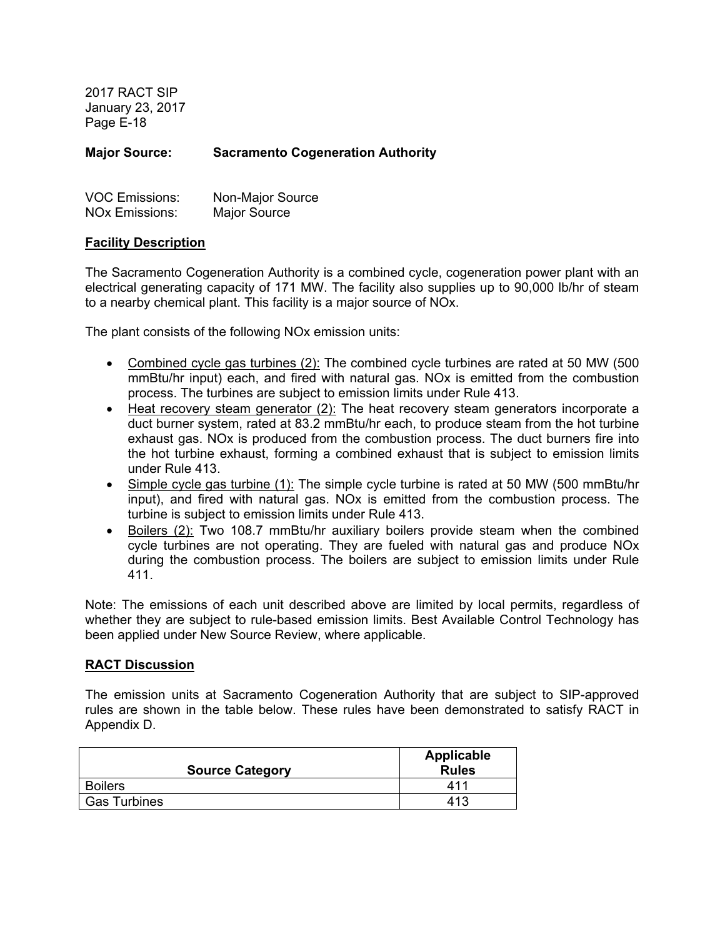**Major Source: Sacramento Cogeneration Authority** 

| <b>VOC Emissions:</b> | Non-Major Source |
|-----------------------|------------------|
| <b>NOx Emissions:</b> | Major Source     |

### **Facility Description**

The Sacramento Cogeneration Authority is a combined cycle, cogeneration power plant with an electrical generating capacity of 171 MW. The facility also supplies up to 90,000 lb/hr of steam to a nearby chemical plant. This facility is a major source of NOx.

The plant consists of the following NOx emission units:

- Combined cycle gas turbines (2): The combined cycle turbines are rated at 50 MW (500) mmBtu/hr input) each, and fired with natural gas. NOx is emitted from the combustion process. The turbines are subject to emission limits under Rule 413.
- Heat recovery steam generator (2): The heat recovery steam generators incorporate a duct burner system, rated at 83.2 mmBtu/hr each, to produce steam from the hot turbine exhaust gas. NOx is produced from the combustion process. The duct burners fire into the hot turbine exhaust, forming a combined exhaust that is subject to emission limits under Rule 413.
- Simple cycle gas turbine (1): The simple cycle turbine is rated at 50 MW (500 mmBtu/hr input), and fired with natural gas. NOx is emitted from the combustion process. The turbine is subject to emission limits under Rule 413.
- Boilers (2): Two 108.7 mmBtu/hr auxiliary boilers provide steam when the combined cycle turbines are not operating. They are fueled with natural gas and produce NOx during the combustion process. The boilers are subject to emission limits under Rule 411.

Note: The emissions of each unit described above are limited by local permits, regardless of whether they are subject to rule-based emission limits. Best Available Control Technology has been applied under New Source Review, where applicable.

### **RACT Discussion**

The emission units at Sacramento Cogeneration Authority that are subject to SIP-approved rules are shown in the table below. These rules have been demonstrated to satisfy RACT in Appendix D.

| <b>Source Category</b> | <b>Applicable</b><br><b>Rules</b> |
|------------------------|-----------------------------------|
| <b>Boilers</b>         | 411                               |
| <b>Gas Turbines</b>    | 413                               |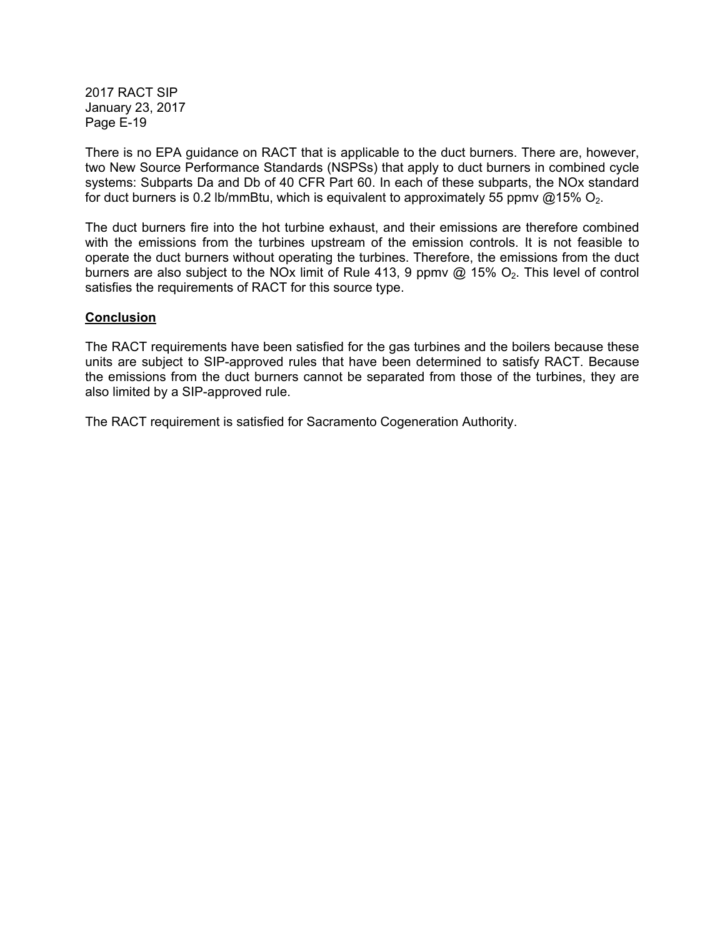There is no EPA guidance on RACT that is applicable to the duct burners. There are, however, two New Source Performance Standards (NSPSs) that apply to duct burners in combined cycle systems: Subparts Da and Db of 40 CFR Part 60. In each of these subparts, the NOx standard for duct burners is 0.2 lb/mmBtu, which is equivalent to approximately 55 ppmv  $@15\%$  O<sub>2</sub>.

The duct burners fire into the hot turbine exhaust, and their emissions are therefore combined with the emissions from the turbines upstream of the emission controls. It is not feasible to operate the duct burners without operating the turbines. Therefore, the emissions from the duct burners are also subject to the NOx limit of Rule 413, 9 ppmv  $@$  15%  $O_2$ . This level of control satisfies the requirements of RACT for this source type.

## **Conclusion**

The RACT requirements have been satisfied for the gas turbines and the boilers because these units are subject to SIP-approved rules that have been determined to satisfy RACT. Because the emissions from the duct burners cannot be separated from those of the turbines, they are also limited by a SIP-approved rule.

The RACT requirement is satisfied for Sacramento Cogeneration Authority.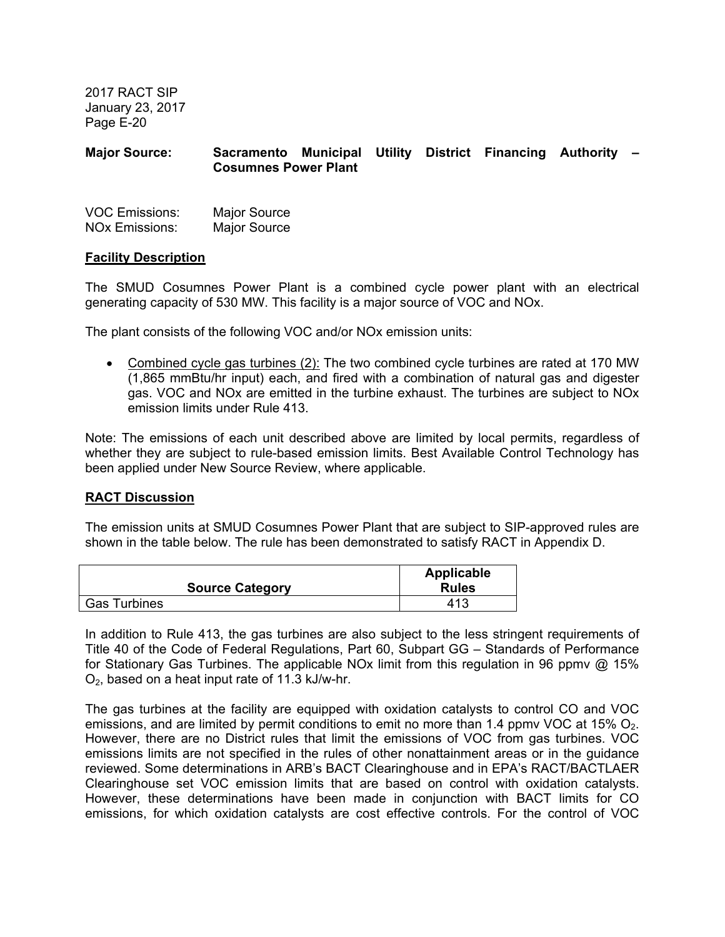# **Major Source: Sacramento Municipal Utility District Financing Authority – Cosumnes Power Plant**

| <b>VOC Emissions:</b> | <b>Major Source</b> |
|-----------------------|---------------------|
| <b>NOx Emissions:</b> | <b>Major Source</b> |

### **Facility Description**

The SMUD Cosumnes Power Plant is a combined cycle power plant with an electrical generating capacity of 530 MW. This facility is a major source of VOC and NOx.

The plant consists of the following VOC and/or NOx emission units:

• Combined cycle gas turbines (2): The two combined cycle turbines are rated at 170 MW (1,865 mmBtu/hr input) each, and fired with a combination of natural gas and digester gas. VOC and NOx are emitted in the turbine exhaust. The turbines are subject to NOx emission limits under Rule 413.

Note: The emissions of each unit described above are limited by local permits, regardless of whether they are subject to rule-based emission limits. Best Available Control Technology has been applied under New Source Review, where applicable.

### **RACT Discussion**

The emission units at SMUD Cosumnes Power Plant that are subject to SIP-approved rules are shown in the table below. The rule has been demonstrated to satisfy RACT in Appendix D.

|                        | <b>Applicable</b> |
|------------------------|-------------------|
| <b>Source Category</b> | <b>Rules</b>      |
| <b>Gas Turbines</b>    | 413               |

In addition to Rule 413, the gas turbines are also subject to the less stringent requirements of Title 40 of the Code of Federal Regulations, Part 60, Subpart GG – Standards of Performance for Stationary Gas Turbines. The applicable NOx limit from this regulation in 96 ppmv @ 15%  $O<sub>2</sub>$ , based on a heat input rate of 11.3 kJ/w-hr.

The gas turbines at the facility are equipped with oxidation catalysts to control CO and VOC emissions, and are limited by permit conditions to emit no more than 1.4 ppmy VOC at 15%  $O<sub>2</sub>$ . However, there are no District rules that limit the emissions of VOC from gas turbines. VOC emissions limits are not specified in the rules of other nonattainment areas or in the guidance reviewed. Some determinations in ARB's BACT Clearinghouse and in EPA's RACT/BACTLAER Clearinghouse set VOC emission limits that are based on control with oxidation catalysts. However, these determinations have been made in conjunction with BACT limits for CO emissions, for which oxidation catalysts are cost effective controls. For the control of VOC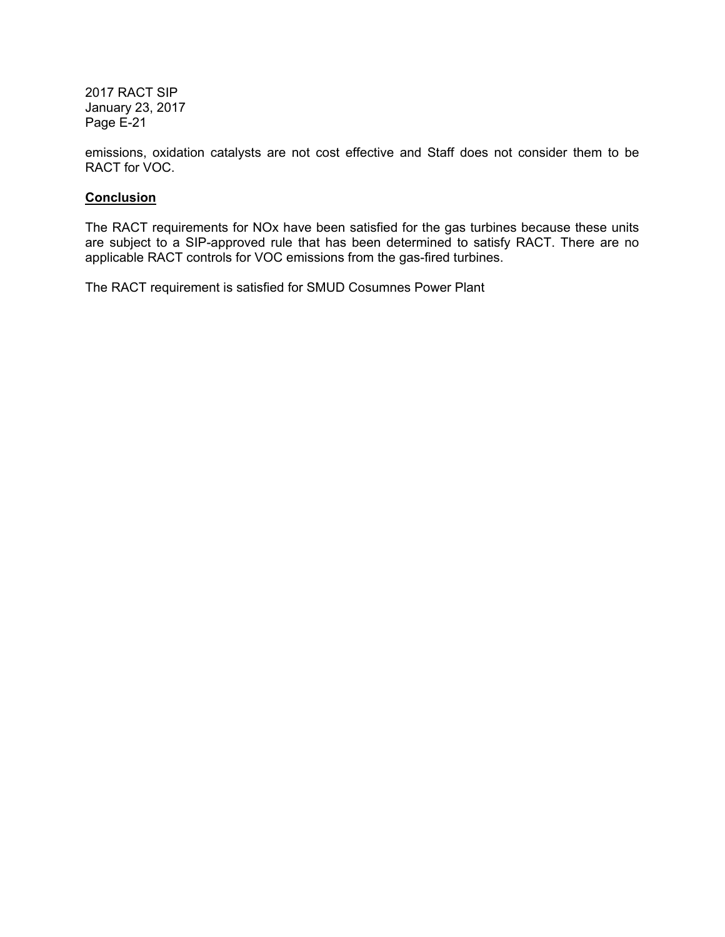emissions, oxidation catalysts are not cost effective and Staff does not consider them to be RACT for VOC.

# **Conclusion**

The RACT requirements for NOx have been satisfied for the gas turbines because these units are subject to a SIP-approved rule that has been determined to satisfy RACT. There are no applicable RACT controls for VOC emissions from the gas-fired turbines.

The RACT requirement is satisfied for SMUD Cosumnes Power Plant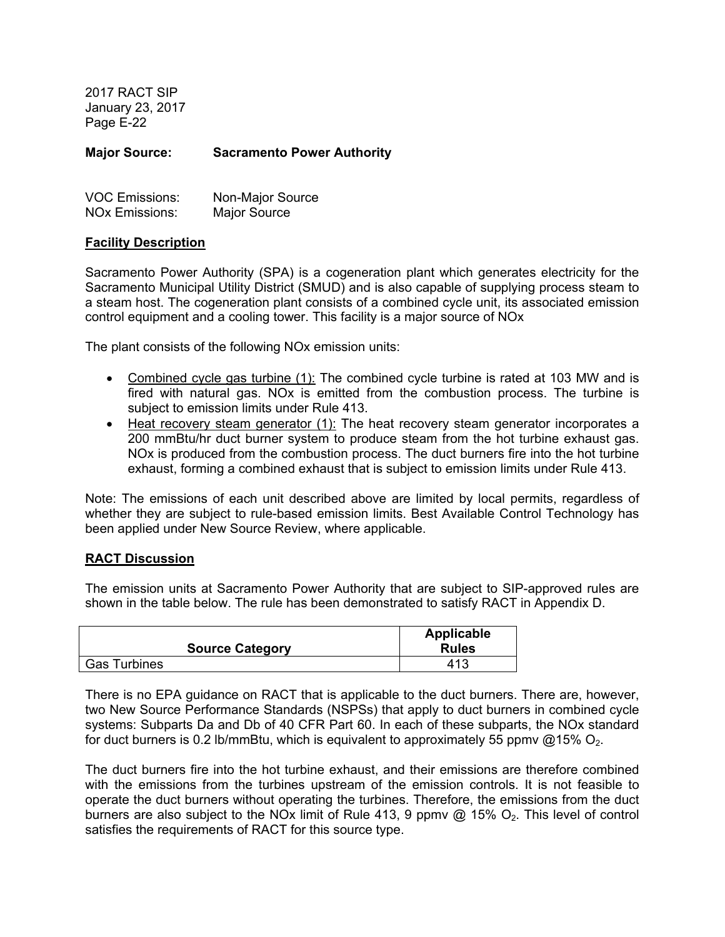**Major Source: Sacramento Power Authority** 

| <b>VOC Emissions:</b> | Non-Major Source |
|-----------------------|------------------|
| <b>NOx Emissions:</b> | Major Source     |

### **Facility Description**

Sacramento Power Authority (SPA) is a cogeneration plant which generates electricity for the Sacramento Municipal Utility District (SMUD) and is also capable of supplying process steam to a steam host. The cogeneration plant consists of a combined cycle unit, its associated emission control equipment and a cooling tower. This facility is a major source of NOx

The plant consists of the following NOx emission units:

- Combined cycle gas turbine (1): The combined cycle turbine is rated at 103 MW and is fired with natural gas. NOx is emitted from the combustion process. The turbine is subject to emission limits under Rule 413.
- Heat recovery steam generator (1): The heat recovery steam generator incorporates a 200 mmBtu/hr duct burner system to produce steam from the hot turbine exhaust gas. NOx is produced from the combustion process. The duct burners fire into the hot turbine exhaust, forming a combined exhaust that is subject to emission limits under Rule 413.

Note: The emissions of each unit described above are limited by local permits, regardless of whether they are subject to rule-based emission limits. Best Available Control Technology has been applied under New Source Review, where applicable.

### **RACT Discussion**

The emission units at Sacramento Power Authority that are subject to SIP-approved rules are shown in the table below. The rule has been demonstrated to satisfy RACT in Appendix D.

|                        | Applicable   |
|------------------------|--------------|
| <b>Source Category</b> | <b>Rules</b> |
| <b>Gas Turbines</b>    | 413          |

There is no EPA guidance on RACT that is applicable to the duct burners. There are, however, two New Source Performance Standards (NSPSs) that apply to duct burners in combined cycle systems: Subparts Da and Db of 40 CFR Part 60. In each of these subparts, the NOx standard for duct burners is 0.2 lb/mmBtu, which is equivalent to approximately 55 ppmv  $@15\%$  O<sub>2</sub>.

The duct burners fire into the hot turbine exhaust, and their emissions are therefore combined with the emissions from the turbines upstream of the emission controls. It is not feasible to operate the duct burners without operating the turbines. Therefore, the emissions from the duct burners are also subject to the NOx limit of Rule 413, 9 ppmv  $@$  15%  $O<sub>2</sub>$ . This level of control satisfies the requirements of RACT for this source type.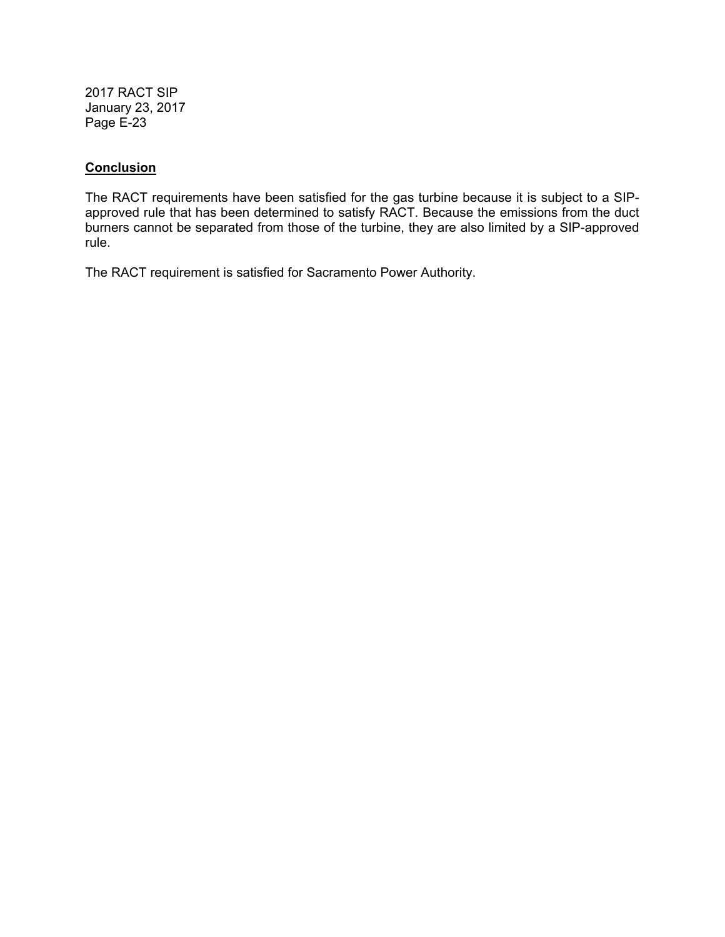### **Conclusion**

The RACT requirements have been satisfied for the gas turbine because it is subject to a SIPapproved rule that has been determined to satisfy RACT. Because the emissions from the duct burners cannot be separated from those of the turbine, they are also limited by a SIP-approved rule.

The RACT requirement is satisfied for Sacramento Power Authority.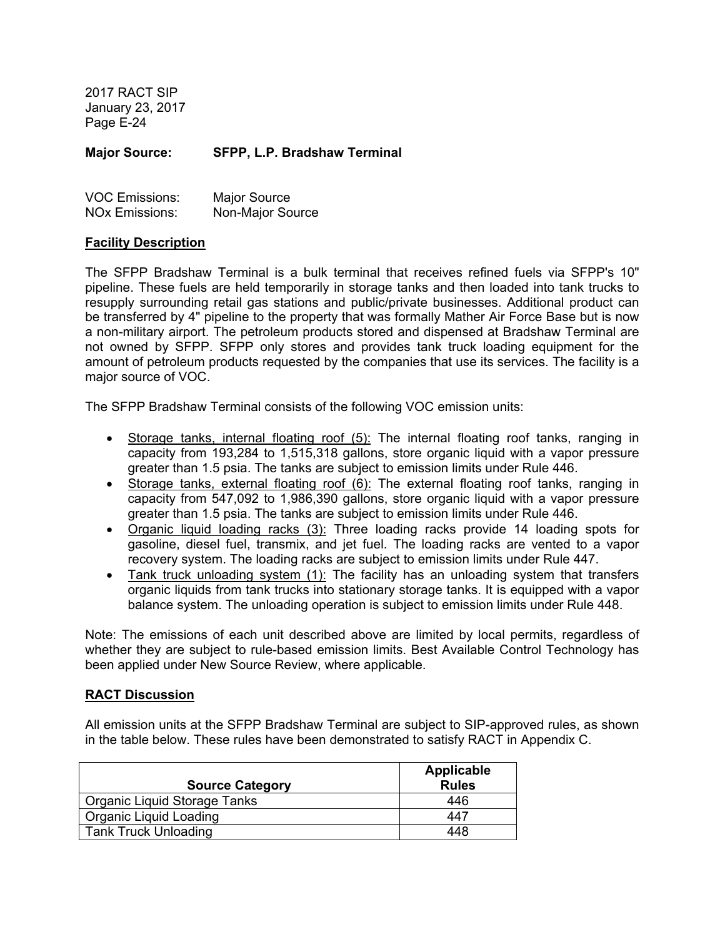**Major Source: SFPP, L.P. Bradshaw Terminal** 

| <b>VOC Emissions:</b> | <b>Major Source</b> |
|-----------------------|---------------------|
| <b>NOx Emissions:</b> | Non-Major Source    |

### **Facility Description**

The SFPP Bradshaw Terminal is a bulk terminal that receives refined fuels via SFPP's 10" pipeline. These fuels are held temporarily in storage tanks and then loaded into tank trucks to resupply surrounding retail gas stations and public/private businesses. Additional product can be transferred by 4" pipeline to the property that was formally Mather Air Force Base but is now a non-military airport. The petroleum products stored and dispensed at Bradshaw Terminal are not owned by SFPP. SFPP only stores and provides tank truck loading equipment for the amount of petroleum products requested by the companies that use its services. The facility is a major source of VOC.

The SFPP Bradshaw Terminal consists of the following VOC emission units:

- Storage tanks, internal floating roof (5): The internal floating roof tanks, ranging in capacity from 193,284 to 1,515,318 gallons, store organic liquid with a vapor pressure greater than 1.5 psia. The tanks are subject to emission limits under Rule 446.
- Storage tanks, external floating roof (6): The external floating roof tanks, ranging in capacity from 547,092 to 1,986,390 gallons, store organic liquid with a vapor pressure greater than 1.5 psia. The tanks are subject to emission limits under Rule 446.
- Organic liquid loading racks (3): Three loading racks provide 14 loading spots for gasoline, diesel fuel, transmix, and jet fuel. The loading racks are vented to a vapor recovery system. The loading racks are subject to emission limits under Rule 447.
- Tank truck unloading system (1): The facility has an unloading system that transfers organic liquids from tank trucks into stationary storage tanks. It is equipped with a vapor balance system. The unloading operation is subject to emission limits under Rule 448.

Note: The emissions of each unit described above are limited by local permits, regardless of whether they are subject to rule-based emission limits. Best Available Control Technology has been applied under New Source Review, where applicable.

### **RACT Discussion**

All emission units at the SFPP Bradshaw Terminal are subject to SIP-approved rules, as shown in the table below. These rules have been demonstrated to satisfy RACT in Appendix C.

|                               | Applicable   |
|-------------------------------|--------------|
| <b>Source Category</b>        | <b>Rules</b> |
| Organic Liquid Storage Tanks  | 446          |
| <b>Organic Liquid Loading</b> | 447          |
| <b>Tank Truck Unloading</b>   | 448          |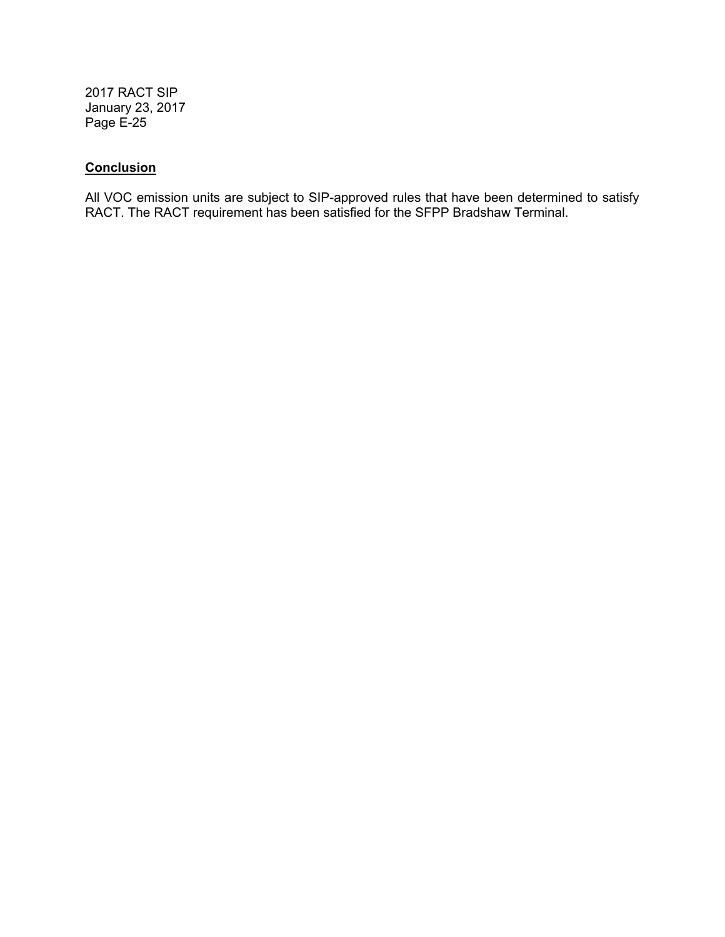# **Conclusion**

All VOC emission units are subject to SIP-approved rules that have been determined to satisfy RACT. The RACT requirement has been satisfied for the SFPP Bradshaw Terminal.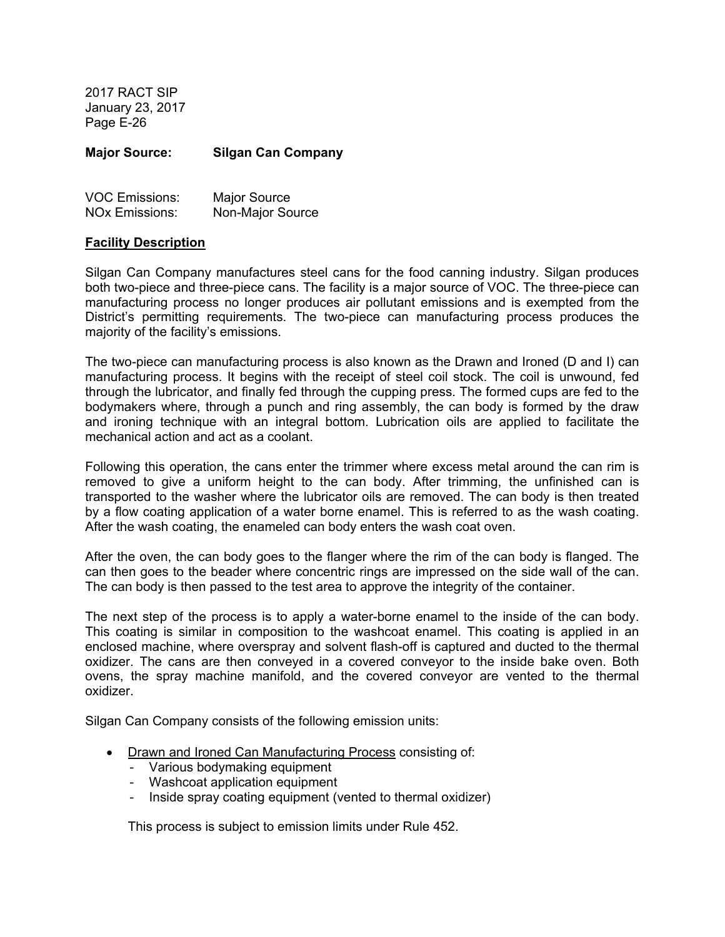**Major Source: Silgan Can Company** 

| <b>VOC Emissions:</b> | Major Source     |
|-----------------------|------------------|
| <b>NOx Emissions:</b> | Non-Major Source |

#### **Facility Description**

Silgan Can Company manufactures steel cans for the food canning industry. Silgan produces both two-piece and three-piece cans. The facility is a major source of VOC. The three-piece can manufacturing process no longer produces air pollutant emissions and is exempted from the District's permitting requirements. The two-piece can manufacturing process produces the majority of the facility's emissions.

The two-piece can manufacturing process is also known as the Drawn and Ironed (D and I) can manufacturing process. It begins with the receipt of steel coil stock. The coil is unwound, fed through the lubricator, and finally fed through the cupping press. The formed cups are fed to the bodymakers where, through a punch and ring assembly, the can body is formed by the draw and ironing technique with an integral bottom. Lubrication oils are applied to facilitate the mechanical action and act as a coolant.

Following this operation, the cans enter the trimmer where excess metal around the can rim is removed to give a uniform height to the can body. After trimming, the unfinished can is transported to the washer where the lubricator oils are removed. The can body is then treated by a flow coating application of a water borne enamel. This is referred to as the wash coating. After the wash coating, the enameled can body enters the wash coat oven.

After the oven, the can body goes to the flanger where the rim of the can body is flanged. The can then goes to the beader where concentric rings are impressed on the side wall of the can. The can body is then passed to the test area to approve the integrity of the container.

The next step of the process is to apply a water-borne enamel to the inside of the can body. This coating is similar in composition to the washcoat enamel. This coating is applied in an enclosed machine, where overspray and solvent flash-off is captured and ducted to the thermal oxidizer. The cans are then conveyed in a covered conveyor to the inside bake oven. Both ovens, the spray machine manifold, and the covered conveyor are vented to the thermal oxidizer.

Silgan Can Company consists of the following emission units:

- Drawn and Ironed Can Manufacturing Process consisting of:
	- Various bodymaking equipment
	- Washcoat application equipment
	- Inside spray coating equipment (vented to thermal oxidizer)

This process is subject to emission limits under Rule 452.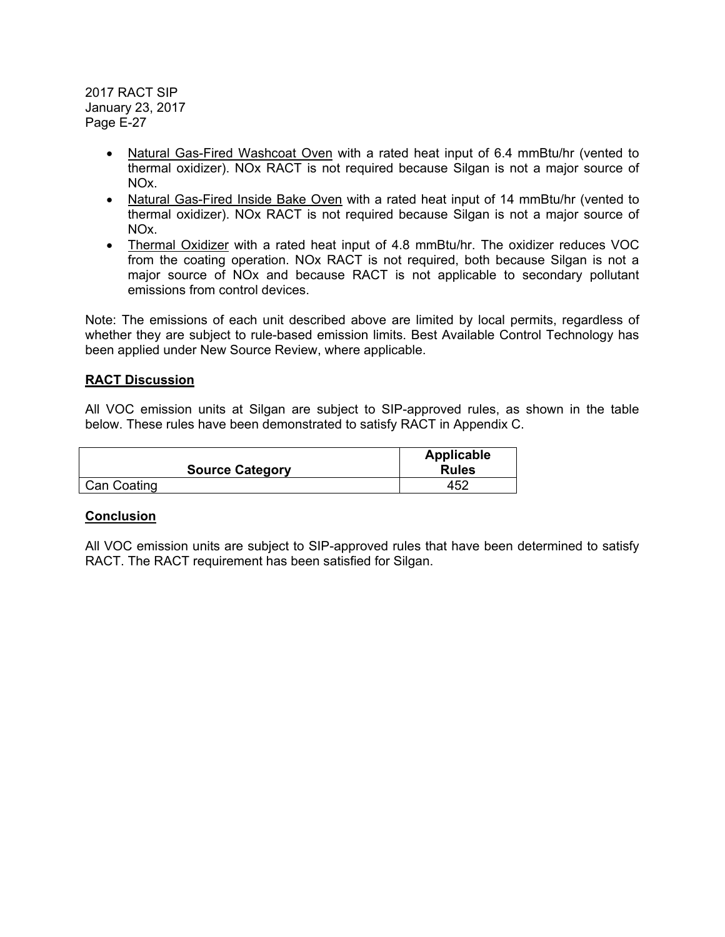- Natural Gas-Fired Washcoat Oven with a rated heat input of 6.4 mmBtu/hr (vented to thermal oxidizer). NOx RACT is not required because Silgan is not a major source of NOx.
- Natural Gas-Fired Inside Bake Oven with a rated heat input of 14 mmBtu/hr (vented to thermal oxidizer). NOx RACT is not required because Silgan is not a major source of NOx.
- Thermal Oxidizer with a rated heat input of 4.8 mmBtu/hr. The oxidizer reduces VOC from the coating operation. NOx RACT is not required, both because Silgan is not a major source of NOx and because RACT is not applicable to secondary pollutant emissions from control devices.

Note: The emissions of each unit described above are limited by local permits, regardless of whether they are subject to rule-based emission limits. Best Available Control Technology has been applied under New Source Review, where applicable.

# **RACT Discussion**

All VOC emission units at Silgan are subject to SIP-approved rules, as shown in the table below. These rules have been demonstrated to satisfy RACT in Appendix C.

|                        | Applicable   |
|------------------------|--------------|
| <b>Source Category</b> | <b>Rules</b> |
| <b>Can Coating</b>     | 452          |

### **Conclusion**

All VOC emission units are subject to SIP-approved rules that have been determined to satisfy RACT. The RACT requirement has been satisfied for Silgan.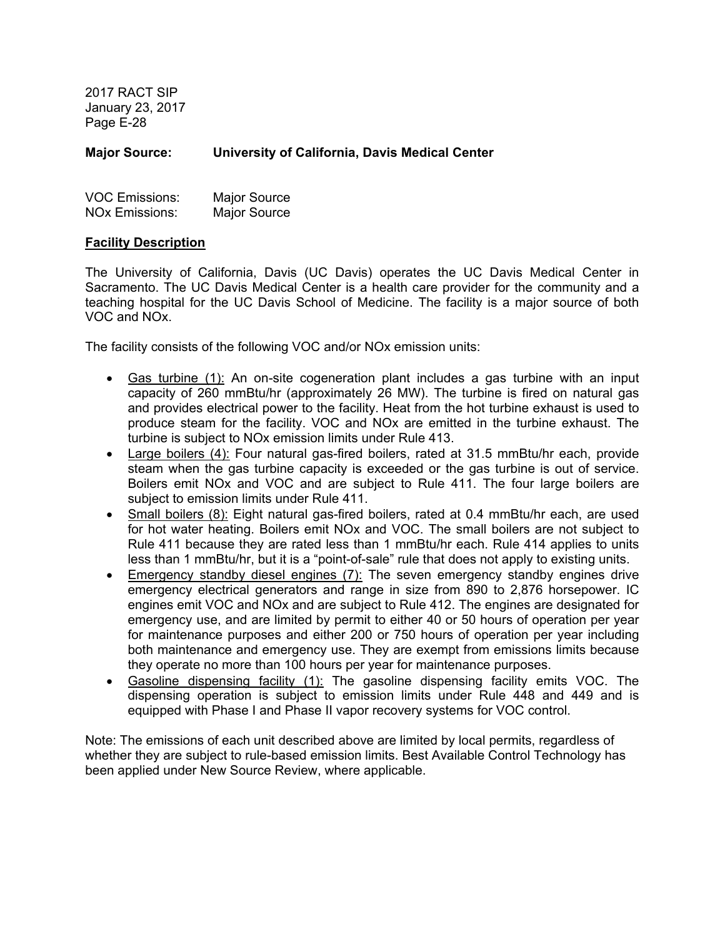**Major Source: University of California, Davis Medical Center** 

| <b>VOC Emissions:</b> | <b>Major Source</b> |
|-----------------------|---------------------|
| <b>NOx Emissions:</b> | <b>Major Source</b> |

### **Facility Description**

The University of California, Davis (UC Davis) operates the UC Davis Medical Center in Sacramento. The UC Davis Medical Center is a health care provider for the community and a teaching hospital for the UC Davis School of Medicine. The facility is a major source of both VOC and NOx.

The facility consists of the following VOC and/or NOx emission units:

- Gas turbine (1): An on-site cogeneration plant includes a gas turbine with an input capacity of 260 mmBtu/hr (approximately 26 MW). The turbine is fired on natural gas and provides electrical power to the facility. Heat from the hot turbine exhaust is used to produce steam for the facility. VOC and NOx are emitted in the turbine exhaust. The turbine is subject to NOx emission limits under Rule 413.
- Large boilers (4): Four natural gas-fired boilers, rated at 31.5 mmBtu/hr each, provide steam when the gas turbine capacity is exceeded or the gas turbine is out of service. Boilers emit NOx and VOC and are subject to Rule 411. The four large boilers are subject to emission limits under Rule 411.
- Small boilers (8): Eight natural gas-fired boilers, rated at 0.4 mmBtu/hr each, are used for hot water heating. Boilers emit NOx and VOC. The small boilers are not subject to Rule 411 because they are rated less than 1 mmBtu/hr each. Rule 414 applies to units less than 1 mmBtu/hr, but it is a "point-of-sale" rule that does not apply to existing units.
- Emergency standby diesel engines (7): The seven emergency standby engines drive emergency electrical generators and range in size from 890 to 2,876 horsepower. IC engines emit VOC and NOx and are subject to Rule 412. The engines are designated for emergency use, and are limited by permit to either 40 or 50 hours of operation per year for maintenance purposes and either 200 or 750 hours of operation per year including both maintenance and emergency use. They are exempt from emissions limits because they operate no more than 100 hours per year for maintenance purposes.
- Gasoline dispensing facility (1): The gasoline dispensing facility emits VOC. The dispensing operation is subject to emission limits under Rule 448 and 449 and is equipped with Phase I and Phase II vapor recovery systems for VOC control.

Note: The emissions of each unit described above are limited by local permits, regardless of whether they are subject to rule-based emission limits. Best Available Control Technology has been applied under New Source Review, where applicable.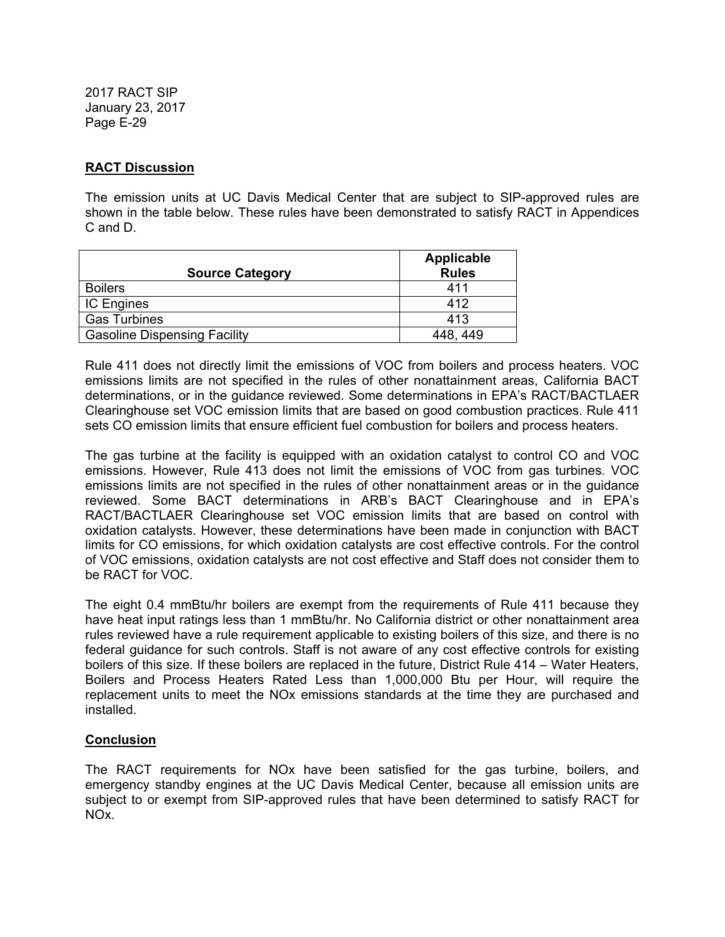# **RACT Discussion**

The emission units at UC Davis Medical Center that are subject to SIP-approved rules are shown in the table below. These rules have been demonstrated to satisfy RACT in Appendices C and D.

| <b>Source Category</b>              | <b>Applicable</b><br><b>Rules</b> |
|-------------------------------------|-----------------------------------|
| <b>Boilers</b>                      | 411                               |
| <b>IC Engines</b>                   | 412                               |
| <b>Gas Turbines</b>                 | 413                               |
| <b>Gasoline Dispensing Facility</b> | 448.449                           |

Rule 411 does not directly limit the emissions of VOC from boilers and process heaters. VOC emissions limits are not specified in the rules of other nonattainment areas, California BACT determinations, or in the guidance reviewed. Some determinations in EPA's RACT/BACTLAER Clearinghouse set VOC emission limits that are based on good combustion practices. Rule 411 sets CO emission limits that ensure efficient fuel combustion for boilers and process heaters.

The gas turbine at the facility is equipped with an oxidation catalyst to control CO and VOC emissions. However, Rule 413 does not limit the emissions of VOC from gas turbines. VOC emissions limits are not specified in the rules of other nonattainment areas or in the guidance reviewed. Some BACT determinations in ARB's BACT Clearinghouse and in EPA's RACT/BACTLAER Clearinghouse set VOC emission limits that are based on control with oxidation catalysts. However, these determinations have been made in conjunction with BACT limits for CO emissions, for which oxidation catalysts are cost effective controls. For the control of VOC emissions, oxidation catalysts are not cost effective and Staff does not consider them to be RACT for VOC.

The eight 0.4 mmBtu/hr boilers are exempt from the requirements of Rule 411 because they have heat input ratings less than 1 mmBtu/hr. No California district or other nonattainment area rules reviewed have a rule requirement applicable to existing boilers of this size, and there is no federal guidance for such controls. Staff is not aware of any cost effective controls for existing boilers of this size. If these boilers are replaced in the future, District Rule 414 – Water Heaters, Boilers and Process Heaters Rated Less than 1,000,000 Btu per Hour, will require the replacement units to meet the NOx emissions standards at the time they are purchased and installed.

# **Conclusion**

The RACT requirements for NOx have been satisfied for the gas turbine, boilers, and emergency standby engines at the UC Davis Medical Center, because all emission units are subject to or exempt from SIP-approved rules that have been determined to satisfy RACT for NOx.